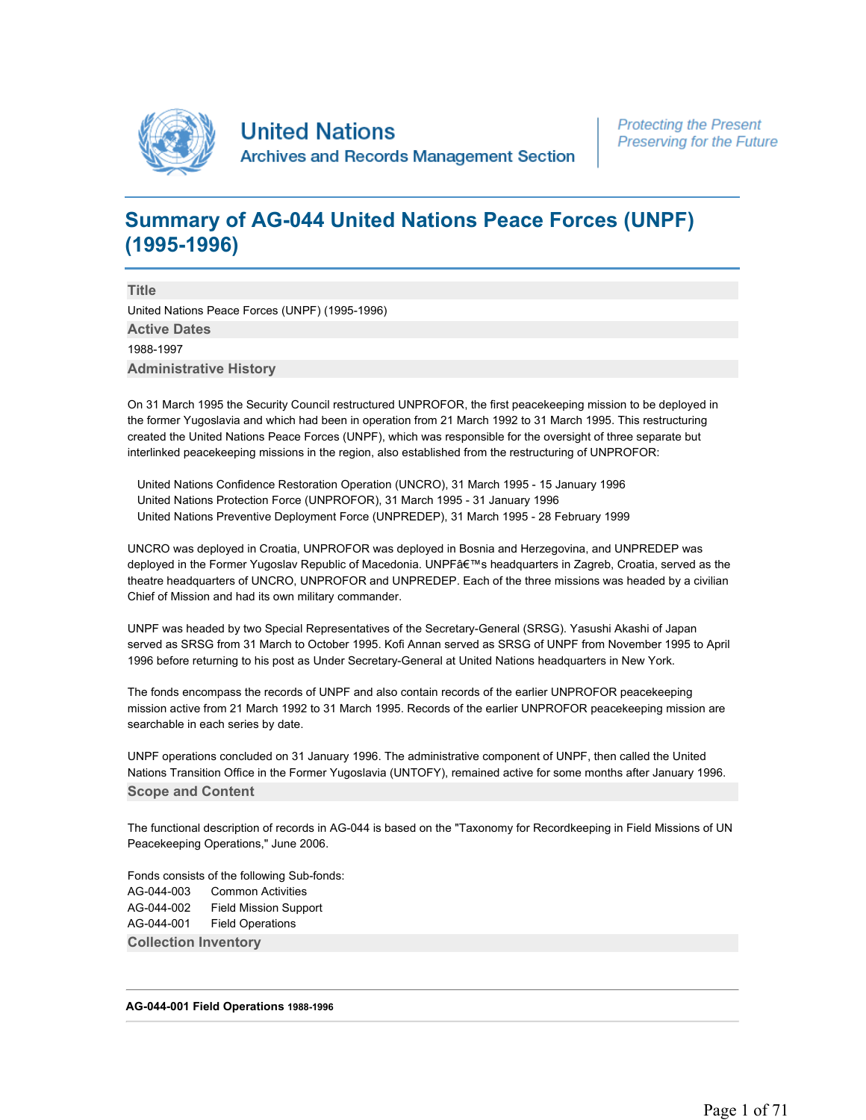

# **Summary of AG-044 United Nations Peace Forces (UNPF) (1995-1996)**

**Title**  United Nations Peace Forces (UNPF) (1995-1996) **Active Dates**  1988-1997 **Administrative History** 

On 31 March 1995 the Security Council restructured UNPROFOR, the first peacekeeping mission to be deployed in the former Yugoslavia and which had been in operation from 21 March 1992 to 31 March 1995. This restructuring created the United Nations Peace Forces (UNPF), which was responsible for the oversight of three separate but interlinked peacekeeping missions in the region, also established from the restructuring of UNPROFOR:

 United Nations Confidence Restoration Operation (UNCRO), 31 March 1995 - 15 January 1996 United Nations Protection Force (UNPROFOR), 31 March 1995 - 31 January 1996 United Nations Preventive Deployment Force (UNPREDEP), 31 March 1995 - 28 February 1999

UNCRO was deployed in Croatia, UNPROFOR was deployed in Bosnia and Herzegovina, and UNPREDEP was deployed in the Former Yugoslav Republic of Macedonia. UNPF's headquarters in Zagreb, Croatia, served as the theatre headquarters of UNCRO, UNPROFOR and UNPREDEP. Each of the three missions was headed by a civilian Chief of Mission and had its own military commander.

UNPF was headed by two Special Representatives of the Secretary-General (SRSG). Yasushi Akashi of Japan served as SRSG from 31 March to October 1995. Kofi Annan served as SRSG of UNPF from November 1995 to April 1996 before returning to his post as Under Secretary-General at United Nations headquarters in New York.

The fonds encompass the records of UNPF and also contain records of the earlier UNPROFOR peacekeeping mission active from 21 March 1992 to 31 March 1995. Records of the earlier UNPROFOR peacekeeping mission are searchable in each series by date.

UNPF operations concluded on 31 January 1996. The administrative component of UNPF, then called the United Nations Transition Office in the Former Yugoslavia (UNTOFY), remained active for some months after January 1996. **Scope and Content** 

The functional description of records in AG-044 is based on the "Taxonomy for Recordkeeping in Field Missions of UN Peacekeeping Operations," June 2006.

Fonds consists of the following Sub-fonds: AG-044-003 Common Activities AG-044-002 Field Mission Support AG-044-001 Field Operations **Collection Inventory** 

# **AG-044-001 Field Operations 1988-1996**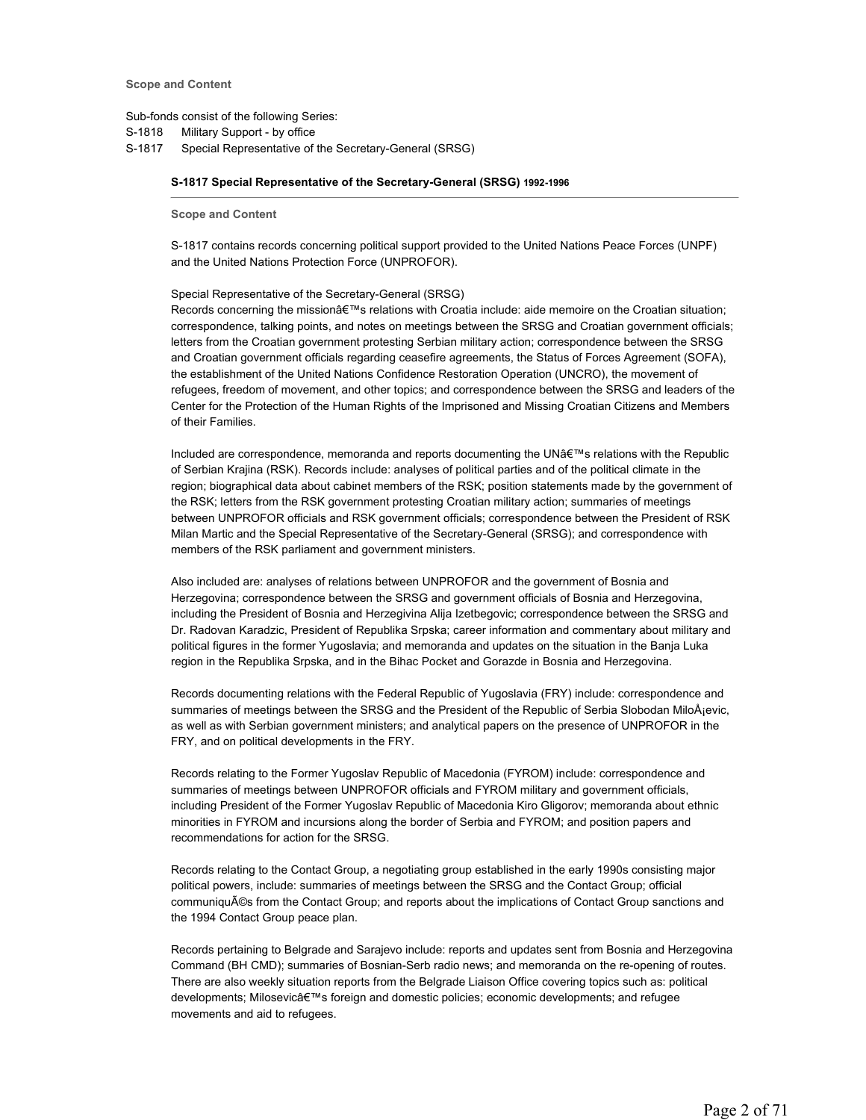Sub-fonds consist of the following Series:

S-1818 Military Support - by office

S-1817 Special Representative of the Secretary-General (SRSG)

# **S-1817 Special Representative of the Secretary-General (SRSG) 1992-1996**

**Scope and Content** 

S-1817 contains records concerning political support provided to the United Nations Peace Forces (UNPF) and the United Nations Protection Force (UNPROFOR).

#### Special Representative of the Secretary-General (SRSG)

Records concerning the mission's relations with Croatia include: aide memoire on the Croatian situation; correspondence, talking points, and notes on meetings between the SRSG and Croatian government officials; letters from the Croatian government protesting Serbian military action; correspondence between the SRSG and Croatian government officials regarding ceasefire agreements, the Status of Forces Agreement (SOFA), the establishment of the United Nations Confidence Restoration Operation (UNCRO), the movement of refugees, freedom of movement, and other topics; and correspondence between the SRSG and leaders of the Center for the Protection of the Human Rights of the Imprisoned and Missing Croatian Citizens and Members of their Families.

Included are correspondence, memoranda and reports documenting the UN's relations with the Republic of Serbian Krajina (RSK). Records include: analyses of political parties and of the political climate in the region; biographical data about cabinet members of the RSK; position statements made by the government of the RSK; letters from the RSK government protesting Croatian military action; summaries of meetings between UNPROFOR officials and RSK government officials; correspondence between the President of RSK Milan Martic and the Special Representative of the Secretary-General (SRSG); and correspondence with members of the RSK parliament and government ministers.

Also included are: analyses of relations between UNPROFOR and the government of Bosnia and Herzegovina; correspondence between the SRSG and government officials of Bosnia and Herzegovina, including the President of Bosnia and Herzegivina Alija Izetbegovic; correspondence between the SRSG and Dr. Radovan Karadzic, President of Republika Srpska; career information and commentary about military and political figures in the former Yugoslavia; and memoranda and updates on the situation in the Banja Luka region in the Republika Srpska, and in the Bihac Pocket and Gorazde in Bosnia and Herzegovina.

Records documenting relations with the Federal Republic of Yugoslavia (FRY) include: correspondence and summaries of meetings between the SRSG and the President of the Republic of Serbia Slobodan MiloÅjevic, as well as with Serbian government ministers; and analytical papers on the presence of UNPROFOR in the FRY, and on political developments in the FRY.

Records relating to the Former Yugoslav Republic of Macedonia (FYROM) include: correspondence and summaries of meetings between UNPROFOR officials and FYROM military and government officials, including President of the Former Yugoslav Republic of Macedonia Kiro Gligorov; memoranda about ethnic minorities in FYROM and incursions along the border of Serbia and FYROM; and position papers and recommendations for action for the SRSG.

Records relating to the Contact Group, a negotiating group established in the early 1990s consisting major political powers, include: summaries of meetings between the SRSG and the Contact Group; official communiqués from the Contact Group; and reports about the implications of Contact Group sanctions and the 1994 Contact Group peace plan.

Records pertaining to Belgrade and Sarajevo include: reports and updates sent from Bosnia and Herzegovina Command (BH CMD); summaries of Bosnian-Serb radio news; and memoranda on the re-opening of routes. There are also weekly situation reports from the Belgrade Liaison Office covering topics such as: political developments; Milosevic's foreign and domestic policies; economic developments; and refugee movements and aid to refugees.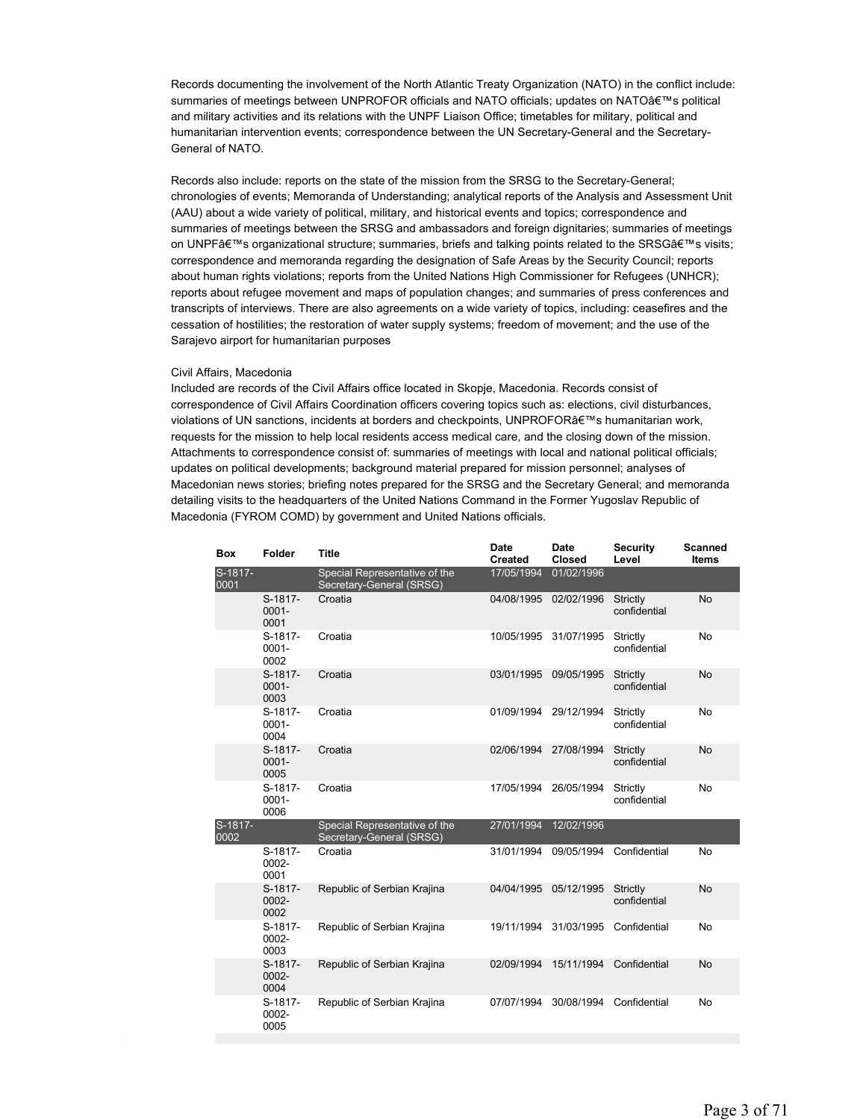Records documenting the involvement of the North Atlantic Treaty Organization (NATO) in the conflict include: summaries of meetings between UNPROFOR officials and NATO officials; updates on NATO's political and military activities and its relations with the UNPF Liaison Office; timetables for military, political and humanitarian intervention events; correspondence between the UN Secretary-General and the Secretary-General of NATO.

Records also include: reports on the state of the mission from the SRSG to the Secretary-General; chronologies of events; Memoranda of Understanding; analytical reports of the Analysis and Assessment Unit (AAU) about a wide variety of political, military, and historical events and topics; correspondence and summaries of meetings between the SRSG and ambassadors and foreign dignitaries; summaries of meetings on UNPF's organizational structure; summaries, briefs and talking points related to the SRSG's visits; correspondence and memoranda regarding the designation of Safe Areas by the Security Council; reports about human rights violations; reports from the United Nations High Commissioner for Refugees (UNHCR); reports about refugee movement and maps of population changes; and summaries of press conferences and transcripts of interviews. There are also agreements on a wide variety of topics, including: ceasefires and the cessation of hostilities; the restoration of water supply systems; freedom of movement; and the use of the Sarajevo airport for humanitarian purposes

#### Civil Affairs, Macedonia

Included are records of the Civil Affairs office located in Skopje, Macedonia. Records consist of correspondence of Civil Affairs Coordination officers covering topics such as: elections, civil disturbances, violations of UN sanctions, incidents at borders and checkpoints, UNPROFOR's humanitarian work, requests for the mission to help local residents access medical care, and the closing down of the mission. Attachments to correspondence consist of: summaries of meetings with local and national political officials; updates on political developments; background material prepared for mission personnel; analyses of Macedonian news stories; briefing notes prepared for the SRSG and the Secretary General; and memoranda detailing visits to the headquarters of the United Nations Command in the Former Yugoslav Republic of Macedonia (FYROM COMD) by government and United Nations officials.

| <b>Box</b>      | Folder                      | <b>Title</b>                                              | Date<br><b>Created</b> | <b>Date</b><br><b>Closed</b> | <b>Security</b><br>Level | <b>Scanned</b><br>Items |
|-----------------|-----------------------------|-----------------------------------------------------------|------------------------|------------------------------|--------------------------|-------------------------|
| S-1817-<br>0001 |                             | Special Representative of the<br>Secretary-General (SRSG) | 17/05/1994             | 01/02/1996                   |                          |                         |
|                 | S-1817-<br>$0001 -$<br>0001 | Croatia                                                   | 04/08/1995             | 02/02/1996                   | Strictly<br>confidential | <b>No</b>               |
|                 | S-1817-<br>$0001 -$<br>0002 | Croatia                                                   | 10/05/1995             | 31/07/1995                   | Strictly<br>confidential | No                      |
|                 | S-1817-<br>$0001 -$<br>0003 | Croatia                                                   | 03/01/1995             | 09/05/1995                   | Strictly<br>confidential | <b>No</b>               |
|                 | S-1817-<br>$0001 -$<br>0004 | Croatia                                                   | 01/09/1994             | 29/12/1994                   | Strictly<br>confidential | <b>No</b>               |
|                 | S-1817-<br>$0001 -$<br>0005 | Croatia                                                   | 02/06/1994             | 27/08/1994                   | Strictly<br>confidential | <b>No</b>               |
|                 | S-1817-<br>$0001 -$<br>0006 | Croatia                                                   | 17/05/1994             | 26/05/1994                   | Strictly<br>confidential | <b>No</b>               |
| S-1817-<br>0002 |                             | Special Representative of the<br>Secretary-General (SRSG) | 27/01/1994             | 12/02/1996                   |                          |                         |
|                 | S-1817-<br>0002-<br>0001    | Croatia                                                   | 31/01/1994             | 09/05/1994                   | Confidential             | No                      |
|                 | S-1817-<br>$0002 -$<br>0002 | Republic of Serbian Krajina                               | 04/04/1995             | 05/12/1995                   | Strictly<br>confidential | <b>No</b>               |
|                 | S-1817-<br>$0002 -$<br>0003 | Republic of Serbian Krajina                               | 19/11/1994             | 31/03/1995                   | Confidential             | No                      |
|                 | S-1817-<br>0002-<br>0004    | Republic of Serbian Krajina                               | 02/09/1994             | 15/11/1994                   | Confidential             | <b>No</b>               |
|                 | S-1817-<br>0002-<br>0005    | Republic of Serbian Krajina                               | 07/07/1994             | 30/08/1994                   | Confidential             | No                      |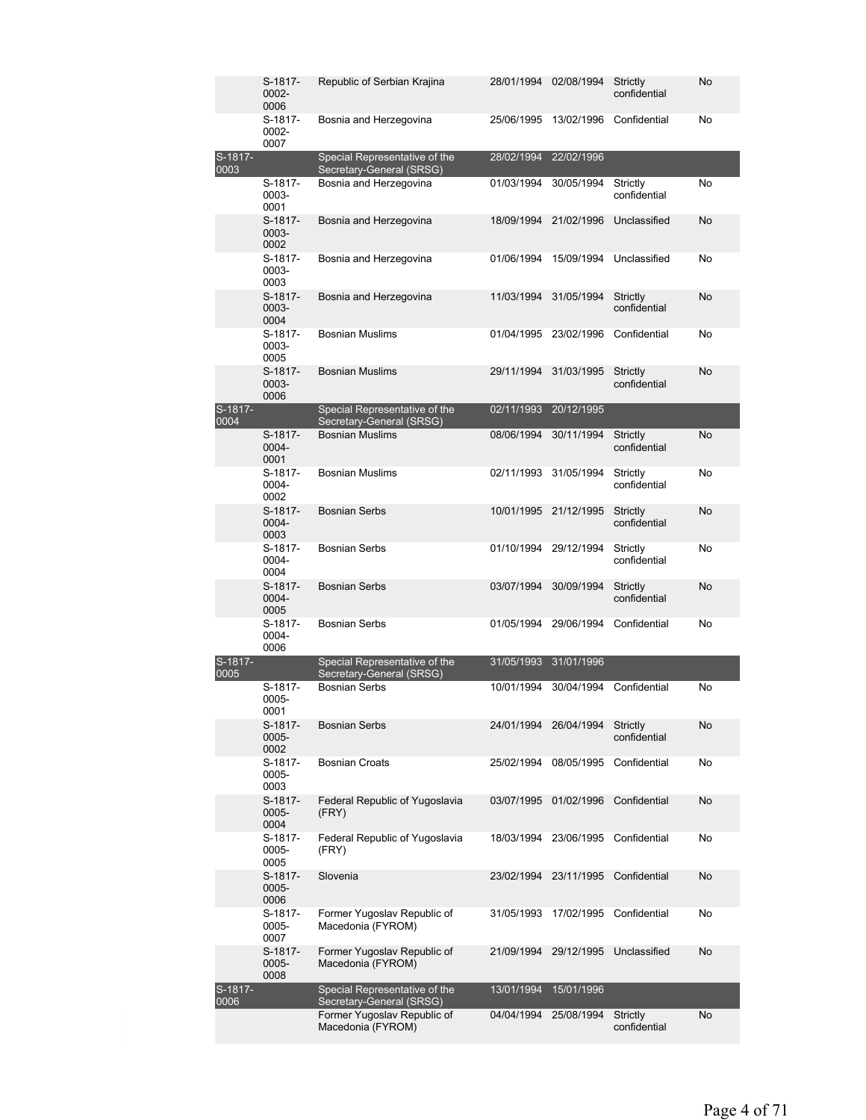|                 | S-1817-<br>0002-<br>0006 | Republic of Serbian Krajina                               | 28/01/1994 | 02/08/1994            | Strictly<br>confidential | No |
|-----------------|--------------------------|-----------------------------------------------------------|------------|-----------------------|--------------------------|----|
|                 | S-1817-<br>0002-<br>0007 | Bosnia and Herzegovina                                    | 25/06/1995 | 13/02/1996            | Confidential             | No |
| S-1817-<br>0003 |                          | Special Representative of the<br>Secretary-General (SRSG) | 28/02/1994 | 22/02/1996            |                          |    |
|                 | S-1817-<br>0003-<br>0001 | Bosnia and Herzegovina                                    | 01/03/1994 | 30/05/1994            | Strictly<br>confidential | No |
|                 | S-1817-<br>0003-<br>0002 | Bosnia and Herzegovina                                    | 18/09/1994 | 21/02/1996            | Unclassified             | No |
|                 | S-1817-<br>0003-<br>0003 | Bosnia and Herzegovina                                    | 01/06/1994 | 15/09/1994            | Unclassified             | No |
|                 | S-1817-<br>0003-<br>0004 | Bosnia and Herzegovina                                    | 11/03/1994 | 31/05/1994            | Strictly<br>confidential | No |
|                 | S-1817-<br>0003-<br>0005 | <b>Bosnian Muslims</b>                                    | 01/04/1995 | 23/02/1996            | Confidential             | No |
|                 | S-1817-<br>0003-<br>0006 | <b>Bosnian Muslims</b>                                    | 29/11/1994 | 31/03/1995            | Strictly<br>confidential | No |
| S-1817-<br>0004 |                          | Special Representative of the<br>Secretary-General (SRSG) | 02/11/1993 | 20/12/1995            |                          |    |
|                 | S-1817-<br>0004-<br>0001 | <b>Bosnian Muslims</b>                                    | 08/06/1994 | 30/11/1994            | Strictly<br>confidential | No |
|                 | S-1817-<br>0004-<br>0002 | <b>Bosnian Muslims</b>                                    |            | 02/11/1993 31/05/1994 | Strictly<br>confidential | No |
|                 | S-1817-<br>0004-<br>0003 | <b>Bosnian Serbs</b>                                      | 10/01/1995 | 21/12/1995            | Strictly<br>confidential | No |
|                 | S-1817-<br>0004-<br>0004 | <b>Bosnian Serbs</b>                                      | 01/10/1994 | 29/12/1994            | Strictly<br>confidential | No |
|                 | S-1817-<br>0004-<br>0005 | <b>Bosnian Serbs</b>                                      | 03/07/1994 | 30/09/1994            | Strictly<br>confidential | No |
|                 | S-1817-<br>0004-<br>0006 | <b>Bosnian Serbs</b>                                      | 01/05/1994 | 29/06/1994            | Confidential             | No |
| S-1817-<br>0005 |                          | Special Representative of the<br>Secretary-General (SRSG) | 31/05/1993 | 31/01/1996            |                          |    |
|                 | S-1817-<br>0005-<br>0001 | <b>Bosnian Serbs</b>                                      | 10/01/1994 | 30/04/1994            | Confidential             | No |
|                 | S-1817-<br>0005-<br>0002 | <b>Bosnian Serbs</b>                                      |            | 24/01/1994 26/04/1994 | Strictly<br>confidential | No |
|                 | S-1817-<br>0005-<br>0003 | <b>Bosnian Croats</b>                                     | 25/02/1994 | 08/05/1995            | Confidential             | No |
|                 | S-1817-<br>0005-<br>0004 | Federal Republic of Yugoslavia<br>(FRY)                   | 03/07/1995 | 01/02/1996            | Confidential             | No |
|                 | S-1817-<br>0005-<br>0005 | Federal Republic of Yugoslavia<br>(FRY)                   | 18/03/1994 | 23/06/1995            | Confidential             | No |
|                 | S-1817-<br>0005-<br>0006 | Slovenia                                                  | 23/02/1994 | 23/11/1995            | Confidential             | No |
|                 | S-1817-<br>0005-<br>0007 | Former Yugoslav Republic of<br>Macedonia (FYROM)          | 31/05/1993 | 17/02/1995            | Confidential             | No |
|                 | S-1817-<br>0005-<br>0008 | Former Yugoslav Republic of<br>Macedonia (FYROM)          | 21/09/1994 | 29/12/1995            | Unclassified             | No |
| S-1817-<br>0006 |                          | Special Representative of the<br>Secretary-General (SRSG) | 13/01/1994 | 15/01/1996            |                          |    |
|                 |                          | Former Yugoslav Republic of<br>Macedonia (FYROM)          | 04/04/1994 | 25/08/1994            | Strictly<br>confidential | No |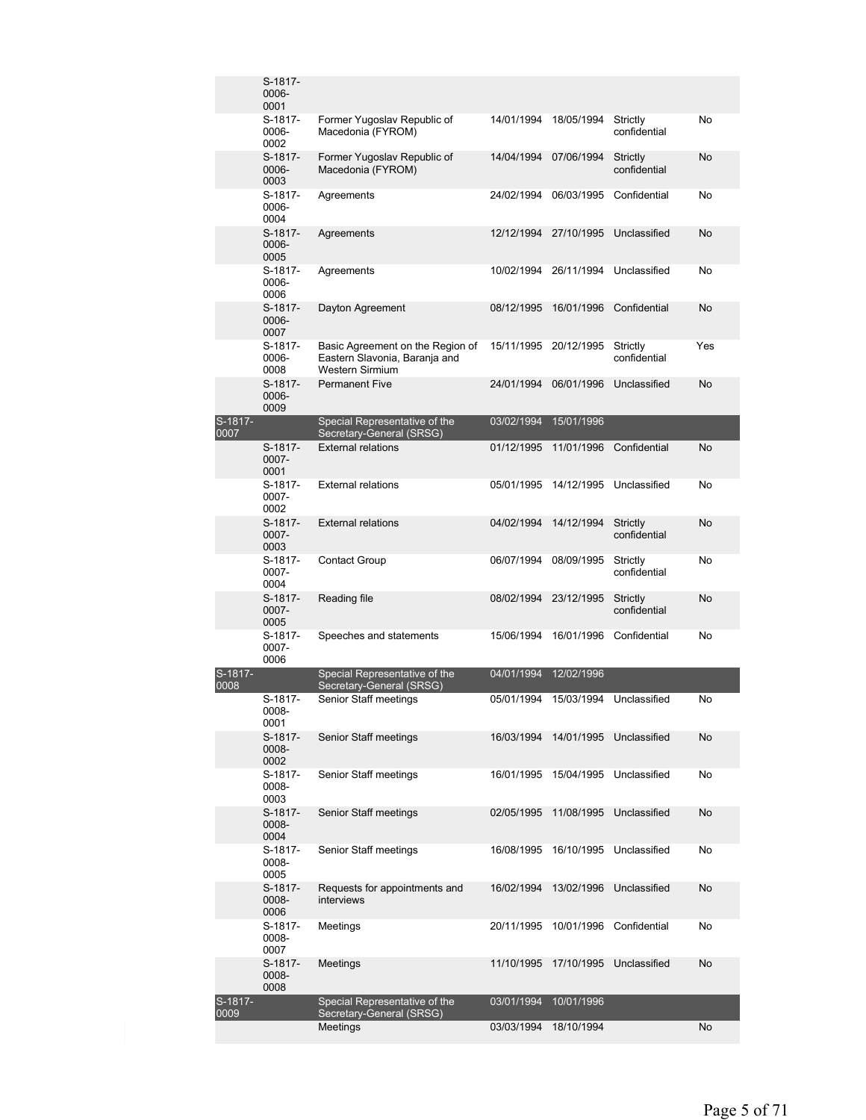|                 | S-1817-<br>0006-<br>0001    |                                                                                             |            |                       |                          |     |
|-----------------|-----------------------------|---------------------------------------------------------------------------------------------|------------|-----------------------|--------------------------|-----|
|                 | S-1817-<br>0006-<br>0002    | Former Yugoslav Republic of<br>Macedonia (FYROM)                                            | 14/01/1994 | 18/05/1994            | Strictly<br>confidential | No  |
|                 | S-1817-<br>$0006 -$<br>0003 | Former Yugoslav Republic of<br>Macedonia (FYROM)                                            | 14/04/1994 | 07/06/1994            | Strictly<br>confidential | No  |
|                 | S-1817-<br>0006-<br>0004    | Agreements                                                                                  | 24/02/1994 | 06/03/1995            | Confidential             | No  |
|                 | S-1817-<br>0006-<br>0005    | Agreements                                                                                  | 12/12/1994 | 27/10/1995            | Unclassified             | No  |
|                 | S-1817-<br>0006-<br>0006    | Agreements                                                                                  |            | 10/02/1994 26/11/1994 | Unclassified             | No  |
|                 | S-1817-<br>0006-<br>0007    | Dayton Agreement                                                                            | 08/12/1995 | 16/01/1996            | Confidential             | No  |
|                 | S-1817-<br>0006-<br>0008    | Basic Agreement on the Region of<br>Eastern Slavonia, Baranja and<br><b>Western Sirmium</b> |            | 15/11/1995 20/12/1995 | Strictly<br>confidential | Yes |
|                 | S-1817-<br>0006-<br>0009    | <b>Permanent Five</b>                                                                       | 24/01/1994 | 06/01/1996            | Unclassified             | No  |
| S-1817-<br>0007 |                             | Special Representative of the<br>Secretary-General (SRSG)                                   | 03/02/1994 | 15/01/1996            |                          |     |
|                 | S-1817-<br>0007-<br>0001    | <b>External relations</b>                                                                   | 01/12/1995 | 11/01/1996            | Confidential             | No  |
|                 | S-1817-<br>0007-<br>0002    | <b>External relations</b>                                                                   | 05/01/1995 | 14/12/1995            | Unclassified             | No  |
|                 | S-1817-<br>0007-<br>0003    | <b>External relations</b>                                                                   | 04/02/1994 | 14/12/1994            | Strictly<br>confidential | No  |
|                 | S-1817-<br>0007-<br>0004    | <b>Contact Group</b>                                                                        | 06/07/1994 | 08/09/1995            | Strictly<br>confidential | No  |
|                 | S-1817-<br>0007-<br>0005    | Reading file                                                                                | 08/02/1994 | 23/12/1995            | Strictly<br>confidential | No  |
|                 | S-1817-<br>0007-<br>0006    | Speeches and statements                                                                     | 15/06/1994 | 16/01/1996            | Confidential             | No  |
| S-1817-<br>0008 |                             | Special Representative of the<br>Secretary-General (SRSG)                                   | 04/01/1994 | 12/02/1996            |                          |     |
|                 | S-1817-<br>0008-<br>0001    | Senior Staff meetings                                                                       | 05/01/1994 | 15/03/1994            | Unclassified             | No  |
|                 | S-1817-<br>0008-<br>0002    | Senior Staff meetings                                                                       | 16/03/1994 | 14/01/1995            | Unclassified             | No  |
|                 | S-1817-<br>0008-<br>0003    | Senior Staff meetings                                                                       | 16/01/1995 | 15/04/1995            | Unclassified             | No  |
|                 | S-1817-<br>0008-<br>0004    | Senior Staff meetings                                                                       | 02/05/1995 | 11/08/1995            | Unclassified             | No  |
|                 | S-1817-<br>0008-<br>0005    | Senior Staff meetings                                                                       | 16/08/1995 | 16/10/1995            | Unclassified             | No  |
|                 | S-1817-<br>0008-<br>0006    | Requests for appointments and<br>interviews                                                 | 16/02/1994 | 13/02/1996            | Unclassified             | No  |
|                 | S-1817-<br>0008-<br>0007    | Meetings                                                                                    | 20/11/1995 | 10/01/1996            | Confidential             | No  |
|                 | S-1817-<br>0008-<br>0008    | Meetings                                                                                    | 11/10/1995 | 17/10/1995            | Unclassified             | No  |
| S-1817-<br>0009 |                             | Special Representative of the<br>Secretary-General (SRSG)                                   | 03/01/1994 | 10/01/1996            |                          |     |
|                 |                             | Meetings                                                                                    | 03/03/1994 | 18/10/1994            |                          | No  |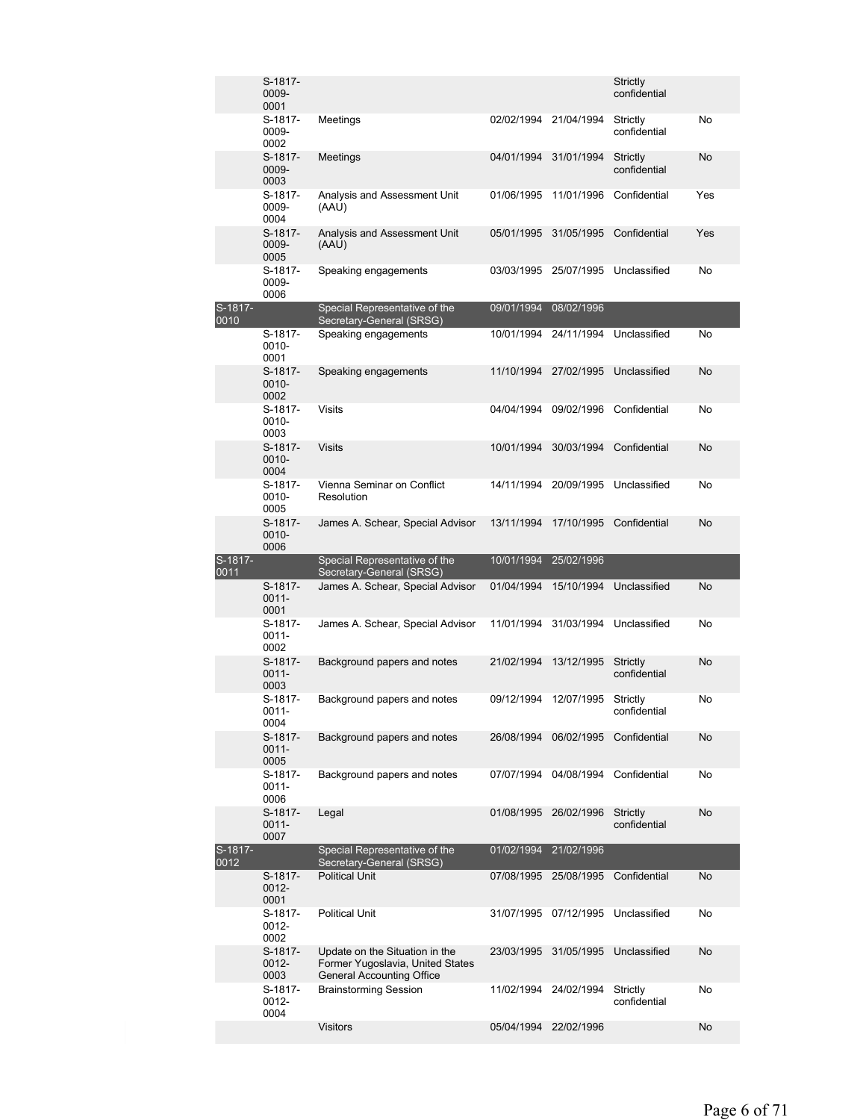|                 | S-1817-<br>0009-<br>0001    |                                                                                                        |                          |                          | Strictly<br>confidential |          |
|-----------------|-----------------------------|--------------------------------------------------------------------------------------------------------|--------------------------|--------------------------|--------------------------|----------|
|                 | S-1817-<br>0009-<br>0002    | Meetings                                                                                               | 02/02/1994               | 21/04/1994               | Strictly<br>confidential | No       |
|                 | S-1817-<br>0009-<br>0003    | Meetings                                                                                               | 04/01/1994               | 31/01/1994               | Strictly<br>confidential | No       |
|                 | S-1817-<br>0009-<br>0004    | Analysis and Assessment Unit<br>(AAU)                                                                  | 01/06/1995               | 11/01/1996               | Confidential             | Yes      |
|                 | S-1817-<br>0009-<br>0005    | Analysis and Assessment Unit<br>(AAU)                                                                  | 05/01/1995               | 31/05/1995               | Confidential             | Yes      |
|                 | S-1817-<br>0009-<br>0006    | Speaking engagements                                                                                   | 03/03/1995               | 25/07/1995               | Unclassified             | No       |
| S-1817-         |                             | Special Representative of the                                                                          | 09/01/1994               | 08/02/1996               |                          |          |
| 0010            | S-1817-<br>0010-<br>0001    | Secretary-General (SRSG)<br>Speaking engagements                                                       | 10/01/1994               | 24/11/1994               | Unclassified             | No       |
|                 | S-1817-<br>0010-<br>0002    | Speaking engagements                                                                                   | 11/10/1994               | 27/02/1995               | Unclassified             | No       |
|                 | S-1817-<br>0010-<br>0003    | <b>Visits</b>                                                                                          | 04/04/1994               | 09/02/1996               | Confidential             | No       |
|                 | S-1817-<br>0010-<br>0004    | <b>Visits</b>                                                                                          | 10/01/1994               | 30/03/1994               | Confidential             | No       |
|                 | S-1817-<br>0010-<br>0005    | Vienna Seminar on Conflict<br>Resolution                                                               | 14/11/1994               | 20/09/1995               | Unclassified             | No       |
|                 | S-1817-<br>$0010 -$<br>0006 | James A. Schear, Special Advisor                                                                       | 13/11/1994               | 17/10/1995               | Confidential             | No       |
|                 |                             |                                                                                                        |                          |                          |                          |          |
| S-1817-         |                             | Special Representative of the                                                                          | 10/01/1994               | 25/02/1996               |                          |          |
| 0011            | S-1817-<br>$0011 -$<br>0001 | Secretary-General (SRSG)<br>James A. Schear, Special Advisor                                           | 01/04/1994               | 15/10/1994               | Unclassified             | No       |
|                 | S-1817-<br>0011-<br>0002    | James A. Schear, Special Advisor                                                                       | 11/01/1994               | 31/03/1994               | Unclassified             | No       |
|                 | S-1817-<br>$0011 -$<br>0003 | Background papers and notes                                                                            | 21/02/1994               | 13/12/1995               | Strictly<br>confidential | No       |
|                 | S-1817-<br>0011-<br>0004    | Background papers and notes                                                                            | 09/12/1994               | 12/07/1995               | Strictly<br>confidential | No       |
|                 | S-1817-<br>$0011 -$<br>0005 | Background papers and notes                                                                            | 26/08/1994               | 06/02/1995               | Confidential             | No       |
|                 | S-1817-<br>$0011 -$<br>0006 | Background papers and notes                                                                            | 07/07/1994               | 04/08/1994               | Confidential             | No       |
|                 | S-1817-<br>$0011 -$<br>0007 | Legal                                                                                                  | 01/08/1995               | 26/02/1996               | Strictly<br>confidential | No       |
| S-1817-<br>0012 |                             | Special Representative of the                                                                          | 01/02/1994               | 21/02/1996               |                          |          |
|                 | S-1817-<br>$0012 -$<br>0001 | Secretary-General (SRSG)<br><b>Political Unit</b>                                                      | 07/08/1995               | 25/08/1995               | Confidential             | No       |
|                 | S-1817-<br>0012-<br>0002    | <b>Political Unit</b>                                                                                  | 31/07/1995               | 07/12/1995               | Unclassified             | No       |
|                 | S-1817-<br>0012-<br>0003    | Update on the Situation in the<br>Former Yugoslavia, United States<br><b>General Accounting Office</b> | 23/03/1995               | 31/05/1995               | Unclassified             | No       |
|                 | S-1817-<br>0012-<br>0004    | <b>Brainstorming Session</b><br><b>Visitors</b>                                                        | 11/02/1994<br>05/04/1994 | 24/02/1994<br>22/02/1996 | Strictly<br>confidential | No<br>No |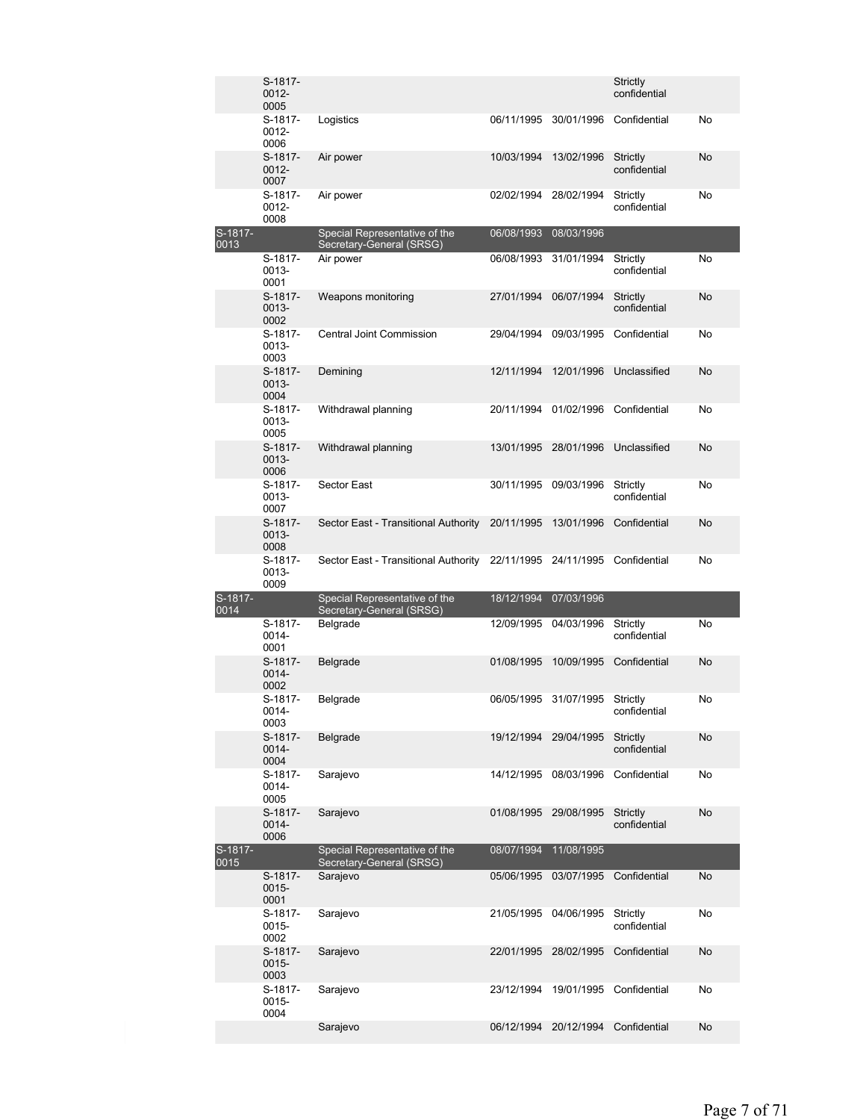|                 | S-1817-<br>0012-<br>0005 |                                                           |            |                       | Strictly<br>confidential |           |
|-----------------|--------------------------|-----------------------------------------------------------|------------|-----------------------|--------------------------|-----------|
|                 | S-1817-<br>0012-<br>0006 | Logistics                                                 | 06/11/1995 | 30/01/1996            | Confidential             | No        |
|                 | S-1817-<br>0012-<br>0007 | Air power                                                 | 10/03/1994 | 13/02/1996            | Strictly<br>confidential | No        |
|                 | S-1817-<br>0012-<br>0008 | Air power                                                 | 02/02/1994 | 28/02/1994            | Strictly<br>confidential | No        |
| S-1817-         |                          | Special Representative of the                             | 06/08/1993 | 08/03/1996            |                          |           |
| 0013            | S-1817-<br>0013-<br>0001 | Secretary-General (SRSG)<br>Air power                     | 06/08/1993 | 31/01/1994            | Strictly<br>confidential | No        |
|                 | S-1817-<br>0013-<br>0002 | Weapons monitoring                                        | 27/01/1994 | 06/07/1994            | Strictly<br>confidential | No        |
|                 | S-1817-<br>0013-<br>0003 | <b>Central Joint Commission</b>                           | 29/04/1994 | 09/03/1995            | Confidential             | No        |
|                 | S-1817-<br>0013-<br>0004 | Demining                                                  | 12/11/1994 | 12/01/1996            | Unclassified             | No        |
|                 | S-1817-<br>0013-<br>0005 | Withdrawal planning                                       | 20/11/1994 | 01/02/1996            | Confidential             | No        |
|                 | S-1817-<br>0013-<br>0006 | Withdrawal planning                                       | 13/01/1995 | 28/01/1996            | Unclassified             | No        |
|                 | S-1817-<br>0013-<br>0007 | Sector East                                               | 30/11/1995 | 09/03/1996            | Strictly<br>confidential | No        |
|                 | S-1817-<br>0013-<br>0008 | Sector East - Transitional Authority                      | 20/11/1995 | 13/01/1996            | Confidential             | No        |
|                 | S-1817-<br>0013-<br>0009 | Sector East - Transitional Authority                      | 22/11/1995 | 24/11/1995            | Confidential             | No        |
| S-1817-<br>0014 |                          | Special Representative of the<br>Secretary-General (SRSG) | 18/12/1994 | 07/03/1996            |                          |           |
|                 | S-1817-<br>0014-<br>0001 | Belgrade                                                  | 12/09/1995 | 04/03/1996            | Strictly<br>confidential | No        |
|                 | S-1817-<br>0014-<br>0002 | Belgrade                                                  | 01/08/1995 | 10/09/1995            | Confidential             | No        |
|                 | S-1817-<br>0014-<br>0003 | Belgrade                                                  |            | 06/05/1995 31/07/1995 | Strictly<br>confidential | No        |
|                 | S-1817-<br>0014-<br>0004 | Belgrade                                                  |            | 19/12/1994 29/04/1995 | Strictly<br>confidential | No        |
|                 | S-1817-<br>0014-<br>0005 | Sarajevo                                                  | 14/12/1995 | 08/03/1996            | Confidential             | No        |
|                 | S-1817-<br>0014-<br>0006 | Sarajevo                                                  | 01/08/1995 | 29/08/1995            | Strictly<br>confidential | No        |
| S-1817-<br>0015 |                          | Special Representative of the<br>Secretary-General (SRSG) | 08/07/1994 | 11/08/1995            |                          |           |
|                 | S-1817-<br>0015-<br>0001 | Sarajevo                                                  | 05/06/1995 | 03/07/1995            | Confidential             | <b>No</b> |
|                 | S-1817-<br>0015-<br>0002 | Sarajevo                                                  | 21/05/1995 | 04/06/1995            | Strictly<br>confidential | No        |
|                 | S-1817-<br>0015-<br>0003 | Sarajevo                                                  | 22/01/1995 | 28/02/1995            | Confidential             | No        |
|                 | S-1817-<br>0015-<br>0004 | Sarajevo                                                  | 23/12/1994 | 19/01/1995            | Confidential             | No        |
|                 |                          | Sarajevo                                                  | 06/12/1994 | 20/12/1994            | Confidential             | No        |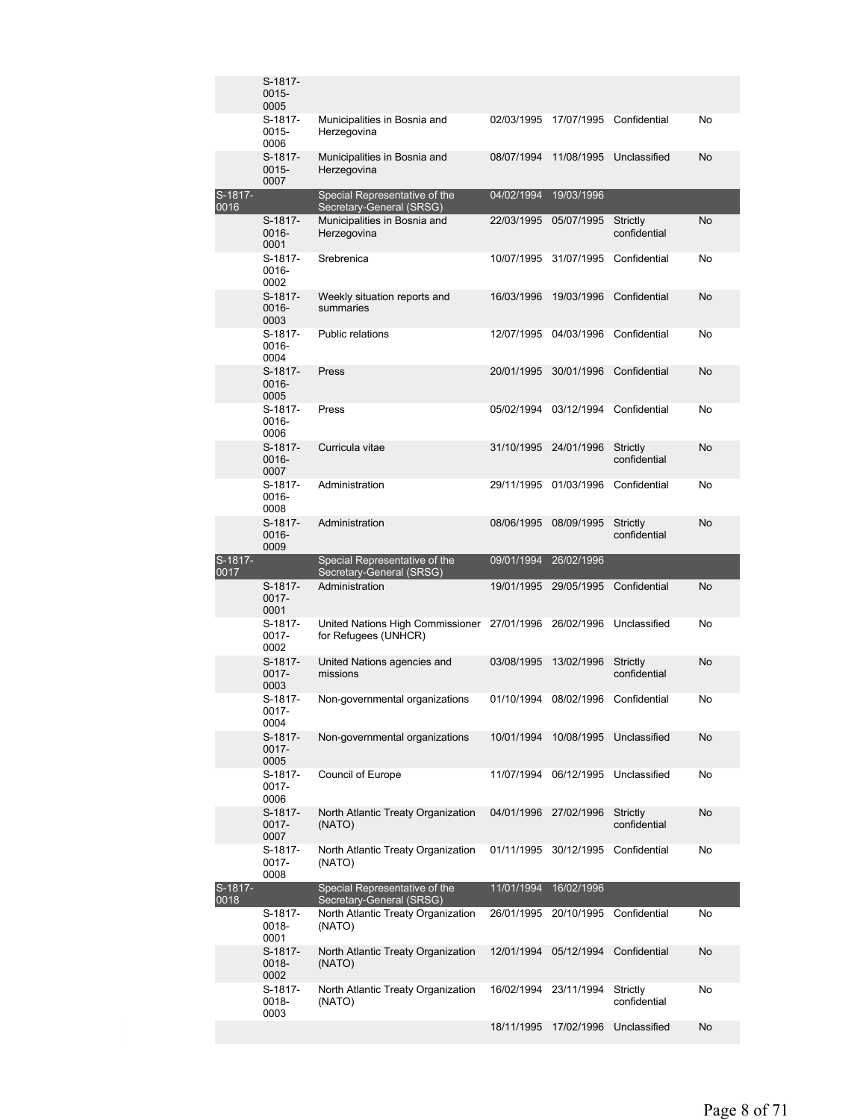|                 | S-1817-<br>0015-<br>0005    |                                                                          |            |            |                          |    |
|-----------------|-----------------------------|--------------------------------------------------------------------------|------------|------------|--------------------------|----|
|                 | S-1817-<br>0015-<br>0006    | Municipalities in Bosnia and<br>Herzegovina                              | 02/03/1995 | 17/07/1995 | Confidential             | No |
|                 | S-1817-<br>$0015 -$<br>0007 | Municipalities in Bosnia and<br>Herzegovina                              | 08/07/1994 | 11/08/1995 | Unclassified             | No |
| S-1817-<br>0016 |                             | Special Representative of the                                            | 04/02/1994 | 19/03/1996 |                          |    |
|                 | S-1817-<br>0016-<br>0001    | Secretary-General (SRSG)<br>Municipalities in Bosnia and<br>Herzegovina  | 22/03/1995 | 05/07/1995 | Strictly<br>confidential | No |
|                 | S-1817-<br>0016-<br>0002    | Srebrenica                                                               | 10/07/1995 | 31/07/1995 | Confidential             | No |
|                 | S-1817-<br>$0016 -$<br>0003 | Weekly situation reports and<br>summaries                                | 16/03/1996 | 19/03/1996 | Confidential             | No |
|                 | S-1817-<br>0016-<br>0004    | <b>Public relations</b>                                                  | 12/07/1995 | 04/03/1996 | Confidential             | No |
|                 | S-1817-<br>0016-<br>0005    | Press                                                                    | 20/01/1995 | 30/01/1996 | Confidential             | No |
|                 | S-1817-<br>0016-<br>0006    | Press                                                                    | 05/02/1994 | 03/12/1994 | Confidential             | No |
|                 | S-1817-<br>0016-<br>0007    | Curricula vitae                                                          | 31/10/1995 | 24/01/1996 | Strictly<br>confidential | No |
|                 | S-1817-<br>0016-<br>0008    | Administration                                                           | 29/11/1995 | 01/03/1996 | Confidential             | No |
|                 | S-1817-<br>$0016 -$<br>0009 | Administration                                                           | 08/06/1995 | 08/09/1995 | Strictly<br>confidential | No |
|                 |                             |                                                                          |            |            |                          |    |
| S-1817-         |                             | Special Representative of the                                            | 09/01/1994 | 26/02/1996 |                          |    |
| 0017            | S-1817-<br>0017-<br>0001    | Secretary-General (SRSG)<br>Administration                               | 19/01/1995 | 29/05/1995 | Confidential             | No |
|                 | S-1817-<br>$0017 -$<br>0002 | United Nations High Commissioner<br>for Refugees (UNHCR)                 | 27/01/1996 | 26/02/1996 | Unclassified             | No |
|                 | S-1817-<br>$0017 -$<br>0003 | United Nations agencies and<br>missions                                  | 03/08/1995 | 13/02/1996 | Strictly<br>confidential | No |
|                 | S-1817-<br>0017-<br>0004    | Non-governmental organizations                                           | 01/10/1994 | 08/02/1996 | Confidential             | No |
|                 | S-1817-<br>$0017 -$<br>0005 | Non-governmental organizations                                           | 10/01/1994 | 10/08/1995 | Unclassified             | No |
|                 | S-1817-<br>0017-<br>0006    | Council of Europe                                                        | 11/07/1994 | 06/12/1995 | Unclassified             | No |
|                 | S-1817-<br>$0017 -$<br>0007 | North Atlantic Treaty Organization<br>(NATO)                             | 04/01/1996 | 27/02/1996 | Strictly<br>confidential | No |
|                 | S-1817-<br>0017-<br>0008    | North Atlantic Treaty Organization<br>(NATO)                             | 01/11/1995 | 30/12/1995 | Confidential             | No |
| S-1817-         |                             | Special Representative of the                                            | 11/01/1994 | 16/02/1996 |                          |    |
| 0018            | S-1817-<br>0018-<br>0001    | Secretary-General (SRSG)<br>North Atlantic Treaty Organization<br>(NATO) | 26/01/1995 | 20/10/1995 | Confidential             | No |
|                 | S-1817-<br>0018-<br>0002    | North Atlantic Treaty Organization<br>(NATO)                             | 12/01/1994 | 05/12/1994 | Confidential             | No |
|                 | S-1817-<br>0018-<br>0003    | North Atlantic Treaty Organization<br>(NATO)                             | 16/02/1994 | 23/11/1994 | Strictly<br>confidential | No |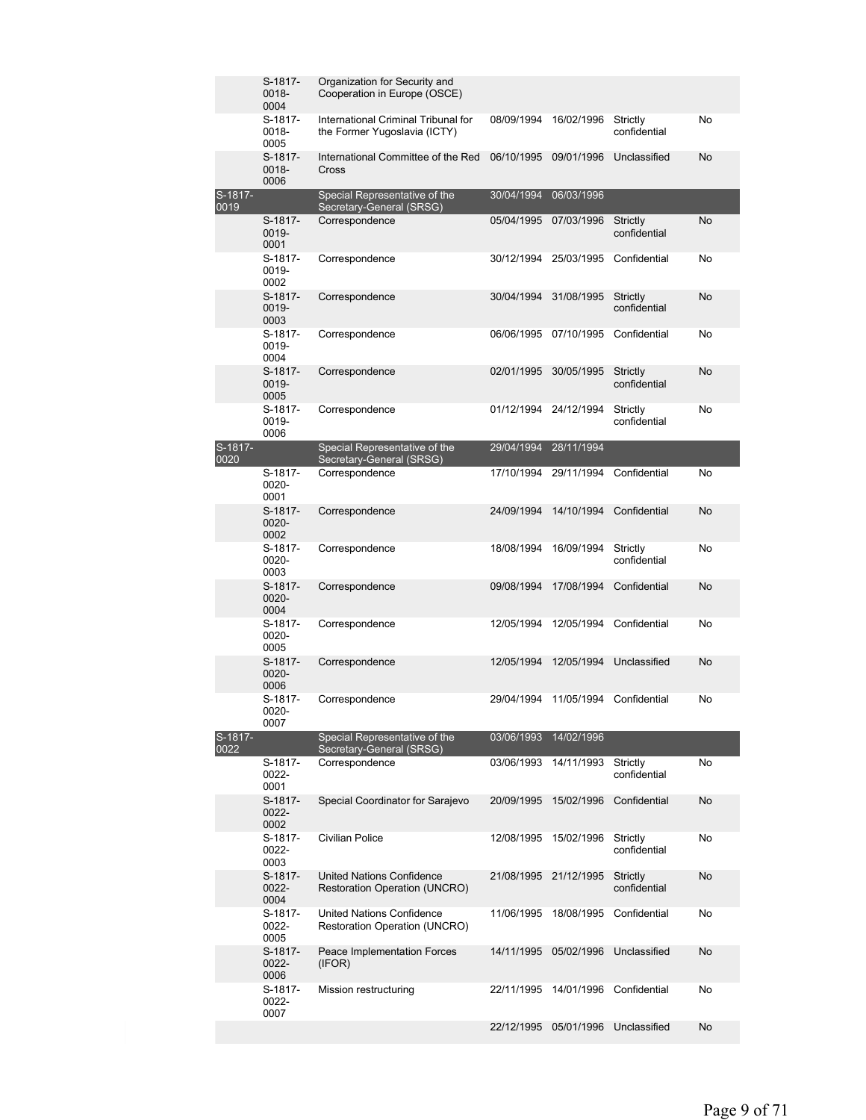|                 | S-1817-<br>0018-<br>0004 | Organization for Security and<br>Cooperation in Europe (OSCE)            |            |            |                          |    |
|-----------------|--------------------------|--------------------------------------------------------------------------|------------|------------|--------------------------|----|
|                 | S-1817-<br>0018-<br>0005 | International Criminal Tribunal for<br>the Former Yugoslavia (ICTY)      | 08/09/1994 | 16/02/1996 | Strictly<br>confidential | No |
|                 | S-1817-<br>0018-<br>0006 | International Committee of the Red<br>Cross                              | 06/10/1995 | 09/01/1996 | Unclassified             | No |
| S-1817-<br>0019 |                          | Special Representative of the                                            | 30/04/1994 | 06/03/1996 |                          |    |
|                 | S-1817-<br>0019-<br>0001 | Secretary-General (SRSG)<br>Correspondence                               | 05/04/1995 | 07/03/1996 | Strictly<br>confidential | No |
|                 | S-1817-<br>0019-<br>0002 | Correspondence                                                           | 30/12/1994 | 25/03/1995 | Confidential             | No |
|                 | S-1817-<br>0019-<br>0003 | Correspondence                                                           | 30/04/1994 | 31/08/1995 | Strictly<br>confidential | No |
|                 | S-1817-<br>0019-<br>0004 | Correspondence                                                           | 06/06/1995 | 07/10/1995 | Confidential             | No |
|                 | S-1817-<br>0019-<br>0005 | Correspondence                                                           | 02/01/1995 | 30/05/1995 | Strictly<br>confidential | No |
|                 | S-1817-<br>0019-<br>0006 | Correspondence                                                           | 01/12/1994 | 24/12/1994 | Strictly<br>confidential | No |
| S-1817-<br>0020 |                          | Special Representative of the<br>Secretary-General (SRSG)                | 29/04/1994 | 28/11/1994 |                          |    |
|                 | S-1817-<br>0020-<br>0001 | Correspondence                                                           | 17/10/1994 | 29/11/1994 | Confidential             | No |
|                 | S-1817-<br>0020-<br>0002 | Correspondence                                                           | 24/09/1994 | 14/10/1994 | Confidential             | No |
|                 | S-1817-<br>0020-<br>0003 | Correspondence                                                           | 18/08/1994 | 16/09/1994 | Strictly<br>confidential | No |
|                 | S-1817-<br>0020-<br>0004 | Correspondence                                                           | 09/08/1994 | 17/08/1994 | Confidential             | No |
|                 | S-1817-<br>0020-<br>0005 | Correspondence                                                           | 12/05/1994 | 12/05/1994 | Confidential             | No |
|                 | S-1817-<br>0020-<br>0006 | Correspondence                                                           | 12/05/1994 | 12/05/1994 | Unclassified             | No |
|                 | S-1817-<br>0020-<br>0007 | Correspondence                                                           | 29/04/1994 | 11/05/1994 | Confidential             | No |
| S-1817-<br>0022 |                          | Special Representative of the<br>Secretary-General (SRSG)                | 03/06/1993 | 14/02/1996 |                          |    |
|                 | S-1817-<br>0022-<br>0001 | Correspondence                                                           | 03/06/1993 | 14/11/1993 | Strictly<br>confidential | No |
|                 | S-1817-<br>0022-<br>0002 | Special Coordinator for Sarajevo                                         | 20/09/1995 | 15/02/1996 | Confidential             | No |
|                 | S-1817-<br>0022-<br>0003 | Civilian Police                                                          | 12/08/1995 | 15/02/1996 | Strictly<br>confidential | No |
|                 | S-1817-<br>0022-<br>0004 | <b>United Nations Confidence</b><br><b>Restoration Operation (UNCRO)</b> | 21/08/1995 | 21/12/1995 | Strictly<br>confidential | No |
|                 | S-1817-<br>0022-<br>0005 | United Nations Confidence<br>Restoration Operation (UNCRO)               | 11/06/1995 |            | 18/08/1995 Confidential  | No |
|                 | S-1817-<br>0022-<br>0006 | Peace Implementation Forces<br>(IFOR)                                    | 14/11/1995 | 05/02/1996 | Unclassified             | No |
|                 | S-1817-<br>0022-<br>0007 | Mission restructuring                                                    | 22/11/1995 | 14/01/1996 | Confidential             | No |
|                 |                          |                                                                          | 22/12/1995 | 05/01/1996 | Unclassified             | No |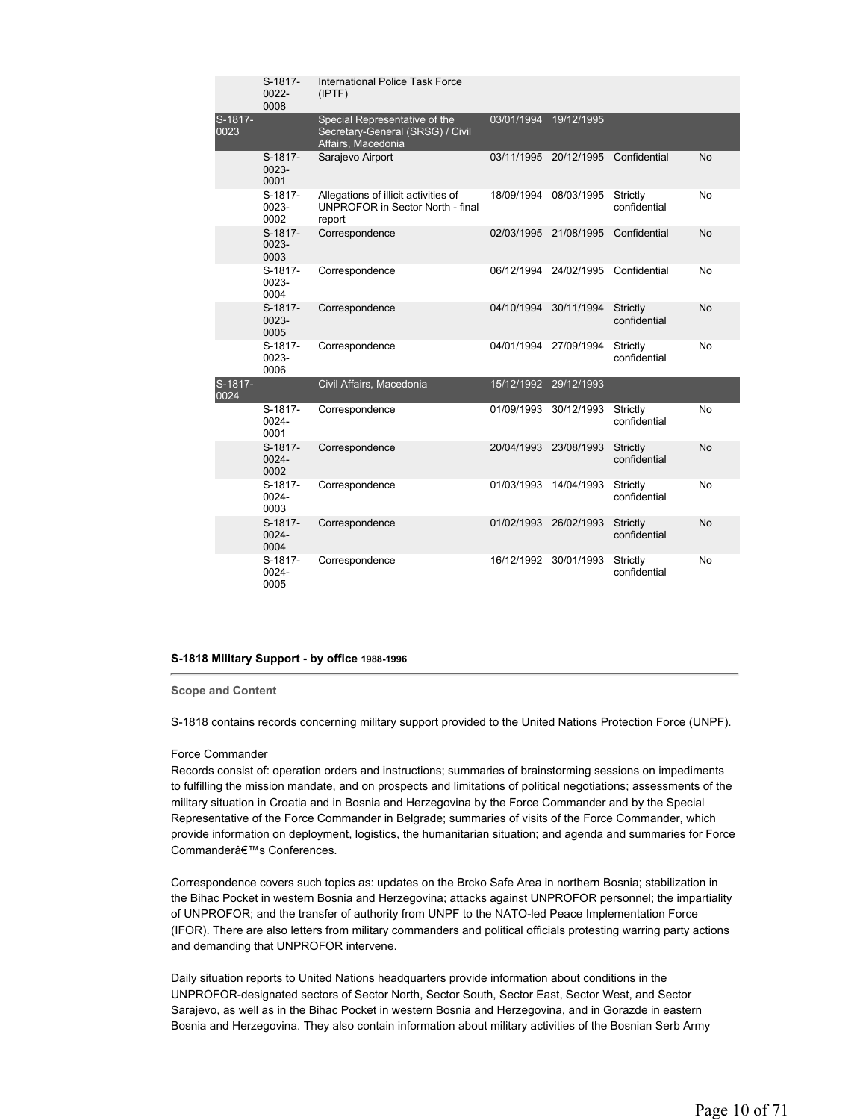|                 | S-1817-<br>0022-<br>0008 | International Police Task Force<br>(IPTF)                                               |                       |                                    |                          |           |
|-----------------|--------------------------|-----------------------------------------------------------------------------------------|-----------------------|------------------------------------|--------------------------|-----------|
| S-1817-<br>0023 |                          | Special Representative of the<br>Secretary-General (SRSG) / Civil<br>Affairs, Macedonia | 03/01/1994            | 19/12/1995                         |                          |           |
|                 | S-1817-<br>0023-<br>0001 | Sarajevo Airport                                                                        |                       | 03/11/1995 20/12/1995 Confidential |                          | No        |
|                 | S-1817-<br>0023-<br>0002 | Allegations of illicit activities of<br>UNPROFOR in Sector North - final<br>report      | 18/09/1994            | 08/03/1995                         | Strictly<br>confidential | No        |
|                 | S-1817-<br>0023-<br>0003 | Correspondence                                                                          | 02/03/1995            | 21/08/1995                         | Confidential             | No        |
|                 | S-1817-<br>0023-<br>0004 | Correspondence                                                                          | 06/12/1994            | 24/02/1995                         | Confidential             | No        |
|                 | S-1817-<br>0023-<br>0005 | Correspondence                                                                          | 04/10/1994            | 30/11/1994                         | Strictly<br>confidential | No        |
|                 | S-1817-<br>0023-<br>0006 | Correspondence                                                                          | 04/01/1994            | 27/09/1994                         | Strictly<br>confidential | No        |
| S-1817-<br>0024 |                          | Civil Affairs, Macedonia                                                                | 15/12/1992 29/12/1993 |                                    |                          |           |
|                 | S-1817-<br>0024-<br>0001 | Correspondence                                                                          | 01/09/1993            | 30/12/1993                         | Strictly<br>confidential | No        |
|                 | S-1817-<br>0024-<br>0002 | Correspondence                                                                          | 20/04/1993            | 23/08/1993                         | Strictly<br>confidential | No        |
|                 | S-1817-<br>0024-<br>0003 | Correspondence                                                                          | 01/03/1993            | 14/04/1993                         | Strictly<br>confidential | No        |
|                 | S-1817-<br>0024-<br>0004 | Correspondence                                                                          | 01/02/1993            | 26/02/1993                         | Strictly<br>confidential | <b>No</b> |
|                 | S-1817-<br>0024-<br>0005 | Correspondence                                                                          | 16/12/1992            | 30/01/1993                         | Strictly<br>confidential | No        |

# **S-1818 Military Support - by office 1988-1996**

# **Scope and Content**

S-1818 contains records concerning military support provided to the United Nations Protection Force (UNPF).

#### Force Commander

Records consist of: operation orders and instructions; summaries of brainstorming sessions on impediments to fulfilling the mission mandate, and on prospects and limitations of political negotiations; assessments of the military situation in Croatia and in Bosnia and Herzegovina by the Force Commander and by the Special Representative of the Force Commander in Belgrade; summaries of visits of the Force Commander, which provide information on deployment, logistics, the humanitarian situation; and agenda and summaries for Force Commanderâ€<sup>™</sup>s Conferences.

Correspondence covers such topics as: updates on the Brcko Safe Area in northern Bosnia; stabilization in the Bihac Pocket in western Bosnia and Herzegovina; attacks against UNPROFOR personnel; the impartiality of UNPROFOR; and the transfer of authority from UNPF to the NATO-led Peace Implementation Force (IFOR). There are also letters from military commanders and political officials protesting warring party actions and demanding that UNPROFOR intervene.

Daily situation reports to United Nations headquarters provide information about conditions in the UNPROFOR-designated sectors of Sector North, Sector South, Sector East, Sector West, and Sector Sarajevo, as well as in the Bihac Pocket in western Bosnia and Herzegovina, and in Gorazde in eastern Bosnia and Herzegovina. They also contain information about military activities of the Bosnian Serb Army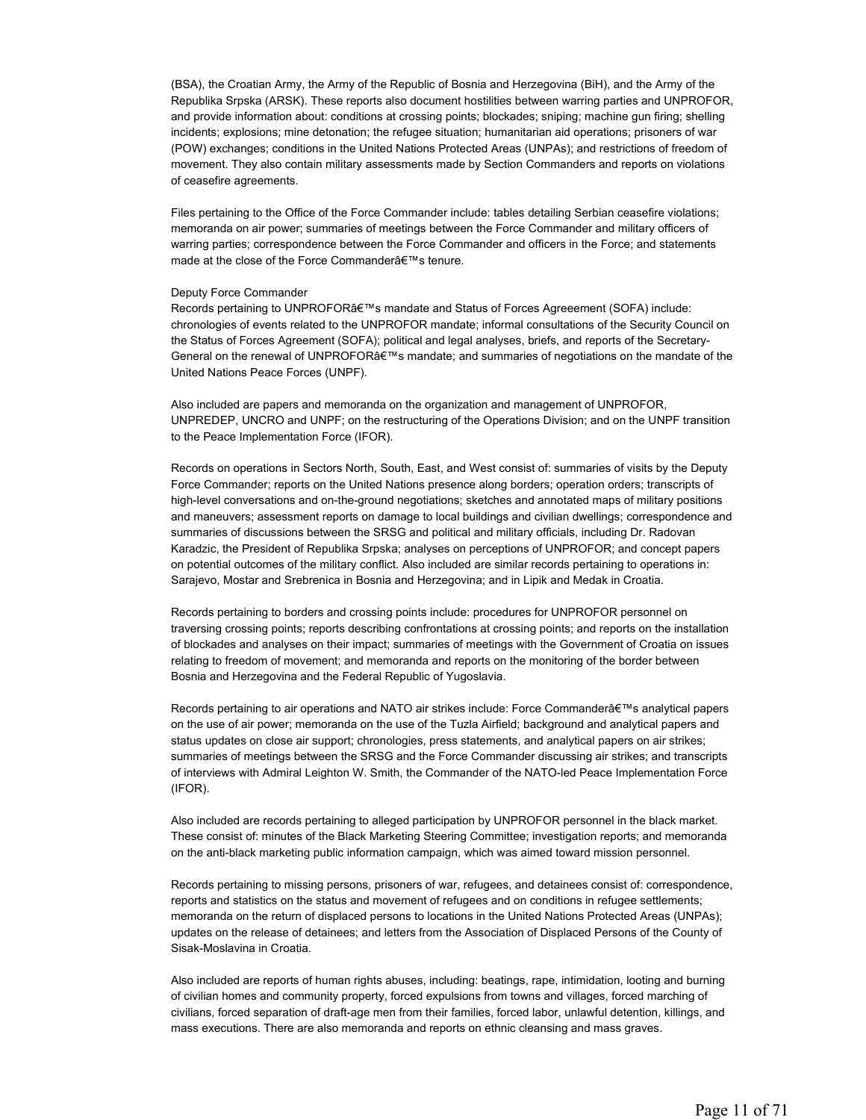(BSA), the Croatian Army, the Army of the Republic of Bosnia and Herzegovina (BiH), and the Army of the Republika Srpska (ARSK). These reports also document hostilities between warring parties and UNPROFOR, and provide information about: conditions at crossing points; blockades; sniping; machine gun firing; shelling incidents; explosions; mine detonation; the refugee situation; humanitarian aid operations; prisoners of war (POW) exchanges; conditions in the United Nations Protected Areas (UNPAs); and restrictions of freedom of movement. They also contain military assessments made by Section Commanders and reports on violations of ceasefire agreements.

Files pertaining to the Office of the Force Commander include: tables detailing Serbian ceasefire violations; memoranda on air power; summaries of meetings between the Force Commander and military officers of warring parties; correspondence between the Force Commander and officers in the Force; and statements made at the close of the Force Commander's tenure.

#### Deputy Force Commander

Records pertaining to UNPROFOR's mandate and Status of Forces Agreeement (SOFA) include: chronologies of events related to the UNPROFOR mandate; informal consultations of the Security Council on the Status of Forces Agreement (SOFA); political and legal analyses, briefs, and reports of the Secretary-General on the renewal of UNPROFOR's mandate; and summaries of negotiations on the mandate of the United Nations Peace Forces (UNPF).

Also included are papers and memoranda on the organization and management of UNPROFOR, UNPREDEP, UNCRO and UNPF; on the restructuring of the Operations Division; and on the UNPF transition to the Peace Implementation Force (IFOR).

Records on operations in Sectors North, South, East, and West consist of: summaries of visits by the Deputy Force Commander; reports on the United Nations presence along borders; operation orders; transcripts of high-level conversations and on-the-ground negotiations; sketches and annotated maps of military positions and maneuvers; assessment reports on damage to local buildings and civilian dwellings; correspondence and summaries of discussions between the SRSG and political and military officials, including Dr. Radovan Karadzic, the President of Republika Srpska; analyses on perceptions of UNPROFOR; and concept papers on potential outcomes of the military conflict. Also included are similar records pertaining to operations in: Sarajevo, Mostar and Srebrenica in Bosnia and Herzegovina; and in Lipik and Medak in Croatia.

Records pertaining to borders and crossing points include: procedures for UNPROFOR personnel on traversing crossing points; reports describing confrontations at crossing points; and reports on the installation of blockades and analyses on their impact; summaries of meetings with the Government of Croatia on issues relating to freedom of movement; and memoranda and reports on the monitoring of the border between Bosnia and Herzegovina and the Federal Republic of Yugoslavia.

Records pertaining to air operations and NATO air strikes include: Force Commander's analytical papers on the use of air power; memoranda on the use of the Tuzla Airfield; background and analytical papers and status updates on close air support; chronologies, press statements, and analytical papers on air strikes; summaries of meetings between the SRSG and the Force Commander discussing air strikes; and transcripts of interviews with Admiral Leighton W. Smith, the Commander of the NATO-led Peace Implementation Force (IFOR).

Also included are records pertaining to alleged participation by UNPROFOR personnel in the black market. These consist of: minutes of the Black Marketing Steering Committee; investigation reports; and memoranda on the anti-black marketing public information campaign, which was aimed toward mission personnel.

Records pertaining to missing persons, prisoners of war, refugees, and detainees consist of: correspondence, reports and statistics on the status and movement of refugees and on conditions in refugee settlements; memoranda on the return of displaced persons to locations in the United Nations Protected Areas (UNPAs); updates on the release of detainees; and letters from the Association of Displaced Persons of the County of Sisak-Moslavina in Croatia.

Also included are reports of human rights abuses, including: beatings, rape, intimidation, looting and burning of civilian homes and community property, forced expulsions from towns and villages, forced marching of civilians, forced separation of draft-age men from their families, forced labor, unlawful detention, killings, and mass executions. There are also memoranda and reports on ethnic cleansing and mass graves.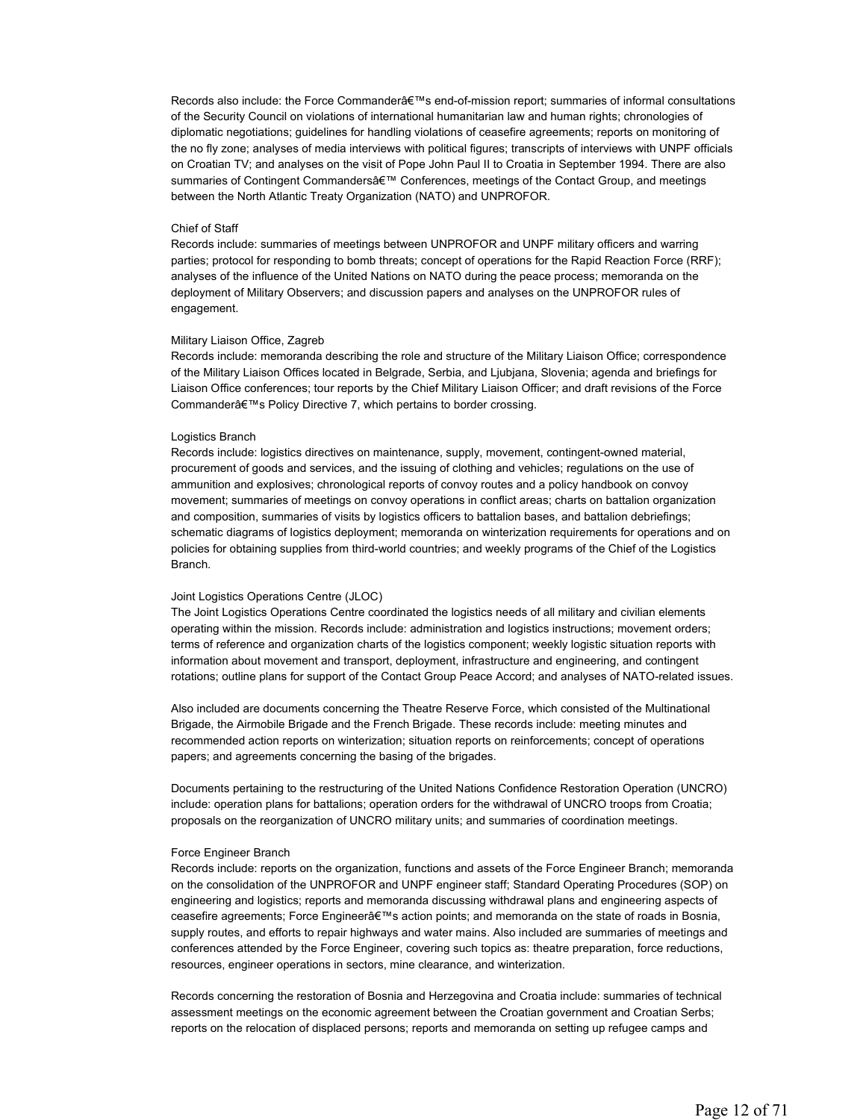Records also include: the Force Commander's end-of-mission report; summaries of informal consultations of the Security Council on violations of international humanitarian law and human rights; chronologies of diplomatic negotiations; guidelines for handling violations of ceasefire agreements; reports on monitoring of the no fly zone; analyses of media interviews with political figures; transcripts of interviews with UNPF officials on Croatian TV; and analyses on the visit of Pope John Paul II to Croatia in September 1994. There are also summaries of Contingent Commanders' Conferences, meetings of the Contact Group, and meetings between the North Atlantic Treaty Organization (NATO) and UNPROFOR.

#### Chief of Staff

Records include: summaries of meetings between UNPROFOR and UNPF military officers and warring parties; protocol for responding to bomb threats; concept of operations for the Rapid Reaction Force (RRF); analyses of the influence of the United Nations on NATO during the peace process; memoranda on the deployment of Military Observers; and discussion papers and analyses on the UNPROFOR rules of engagement.

# Military Liaison Office, Zagreb

Records include: memoranda describing the role and structure of the Military Liaison Office; correspondence of the Military Liaison Offices located in Belgrade, Serbia, and Ljubjana, Slovenia; agenda and briefings for Liaison Office conferences; tour reports by the Chief Military Liaison Officer; and draft revisions of the Force Commander's Policy Directive 7, which pertains to border crossing.

# Logistics Branch

Records include: logistics directives on maintenance, supply, movement, contingent-owned material, procurement of goods and services, and the issuing of clothing and vehicles; regulations on the use of ammunition and explosives; chronological reports of convoy routes and a policy handbook on convoy movement; summaries of meetings on convoy operations in conflict areas; charts on battalion organization and composition, summaries of visits by logistics officers to battalion bases, and battalion debriefings; schematic diagrams of logistics deployment; memoranda on winterization requirements for operations and on policies for obtaining supplies from third-world countries; and weekly programs of the Chief of the Logistics Branch.

#### Joint Logistics Operations Centre (JLOC)

The Joint Logistics Operations Centre coordinated the logistics needs of all military and civilian elements operating within the mission. Records include: administration and logistics instructions; movement orders; terms of reference and organization charts of the logistics component; weekly logistic situation reports with information about movement and transport, deployment, infrastructure and engineering, and contingent rotations; outline plans for support of the Contact Group Peace Accord; and analyses of NATO-related issues.

Also included are documents concerning the Theatre Reserve Force, which consisted of the Multinational Brigade, the Airmobile Brigade and the French Brigade. These records include: meeting minutes and recommended action reports on winterization; situation reports on reinforcements; concept of operations papers; and agreements concerning the basing of the brigades.

Documents pertaining to the restructuring of the United Nations Confidence Restoration Operation (UNCRO) include: operation plans for battalions; operation orders for the withdrawal of UNCRO troops from Croatia; proposals on the reorganization of UNCRO military units; and summaries of coordination meetings.

#### Force Engineer Branch

Records include: reports on the organization, functions and assets of the Force Engineer Branch; memoranda on the consolidation of the UNPROFOR and UNPF engineer staff; Standard Operating Procedures (SOP) on engineering and logistics; reports and memoranda discussing withdrawal plans and engineering aspects of ceasefire agreements; Force Engineer's action points; and memoranda on the state of roads in Bosnia, supply routes, and efforts to repair highways and water mains. Also included are summaries of meetings and conferences attended by the Force Engineer, covering such topics as: theatre preparation, force reductions, resources, engineer operations in sectors, mine clearance, and winterization.

Records concerning the restoration of Bosnia and Herzegovina and Croatia include: summaries of technical assessment meetings on the economic agreement between the Croatian government and Croatian Serbs; reports on the relocation of displaced persons; reports and memoranda on setting up refugee camps and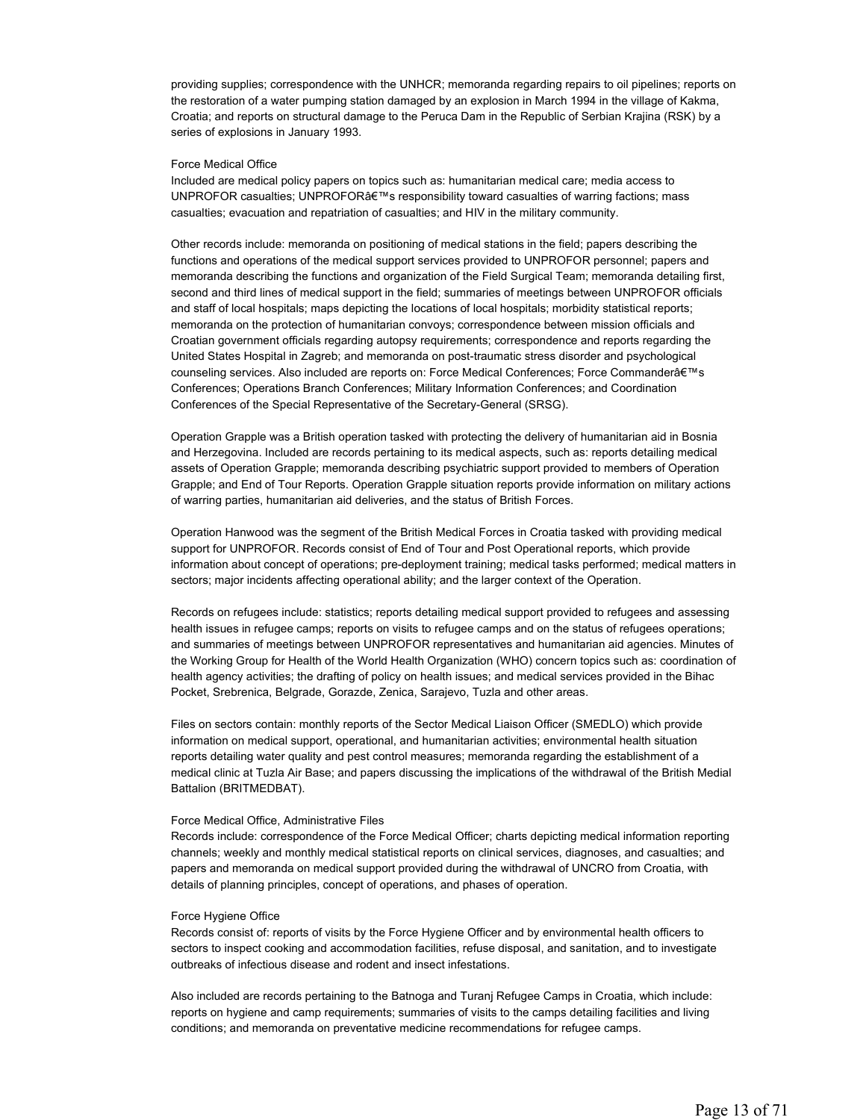providing supplies; correspondence with the UNHCR; memoranda regarding repairs to oil pipelines; reports on the restoration of a water pumping station damaged by an explosion in March 1994 in the village of Kakma, Croatia; and reports on structural damage to the Peruca Dam in the Republic of Serbian Krajina (RSK) by a series of explosions in January 1993.

# Force Medical Office

Included are medical policy papers on topics such as: humanitarian medical care; media access to UNPROFOR casualties; UNPROFOR $A \in \mathbb{M}$ s responsibility toward casualties of warring factions; mass casualties; evacuation and repatriation of casualties; and HIV in the military community.

Other records include: memoranda on positioning of medical stations in the field; papers describing the functions and operations of the medical support services provided to UNPROFOR personnel; papers and memoranda describing the functions and organization of the Field Surgical Team; memoranda detailing first, second and third lines of medical support in the field; summaries of meetings between UNPROFOR officials and staff of local hospitals; maps depicting the locations of local hospitals; morbidity statistical reports; memoranda on the protection of humanitarian convoys; correspondence between mission officials and Croatian government officials regarding autopsy requirements; correspondence and reports regarding the United States Hospital in Zagreb; and memoranda on post-traumatic stress disorder and psychological counseling services. Also included are reports on: Force Medical Conferences; Force Commander's Conferences; Operations Branch Conferences; Military Information Conferences; and Coordination Conferences of the Special Representative of the Secretary-General (SRSG).

Operation Grapple was a British operation tasked with protecting the delivery of humanitarian aid in Bosnia and Herzegovina. Included are records pertaining to its medical aspects, such as: reports detailing medical assets of Operation Grapple; memoranda describing psychiatric support provided to members of Operation Grapple; and End of Tour Reports. Operation Grapple situation reports provide information on military actions of warring parties, humanitarian aid deliveries, and the status of British Forces.

Operation Hanwood was the segment of the British Medical Forces in Croatia tasked with providing medical support for UNPROFOR. Records consist of End of Tour and Post Operational reports, which provide information about concept of operations; pre-deployment training; medical tasks performed; medical matters in sectors; major incidents affecting operational ability; and the larger context of the Operation.

Records on refugees include: statistics; reports detailing medical support provided to refugees and assessing health issues in refugee camps; reports on visits to refugee camps and on the status of refugees operations; and summaries of meetings between UNPROFOR representatives and humanitarian aid agencies. Minutes of the Working Group for Health of the World Health Organization (WHO) concern topics such as: coordination of health agency activities; the drafting of policy on health issues; and medical services provided in the Bihac Pocket, Srebrenica, Belgrade, Gorazde, Zenica, Sarajevo, Tuzla and other areas.

Files on sectors contain: monthly reports of the Sector Medical Liaison Officer (SMEDLO) which provide information on medical support, operational, and humanitarian activities; environmental health situation reports detailing water quality and pest control measures; memoranda regarding the establishment of a medical clinic at Tuzla Air Base; and papers discussing the implications of the withdrawal of the British Medial Battalion (BRITMEDBAT).

# Force Medical Office, Administrative Files

Records include: correspondence of the Force Medical Officer; charts depicting medical information reporting channels; weekly and monthly medical statistical reports on clinical services, diagnoses, and casualties; and papers and memoranda on medical support provided during the withdrawal of UNCRO from Croatia, with details of planning principles, concept of operations, and phases of operation.

# Force Hygiene Office

Records consist of: reports of visits by the Force Hygiene Officer and by environmental health officers to sectors to inspect cooking and accommodation facilities, refuse disposal, and sanitation, and to investigate outbreaks of infectious disease and rodent and insect infestations.

Also included are records pertaining to the Batnoga and Turanj Refugee Camps in Croatia, which include: reports on hygiene and camp requirements; summaries of visits to the camps detailing facilities and living conditions; and memoranda on preventative medicine recommendations for refugee camps.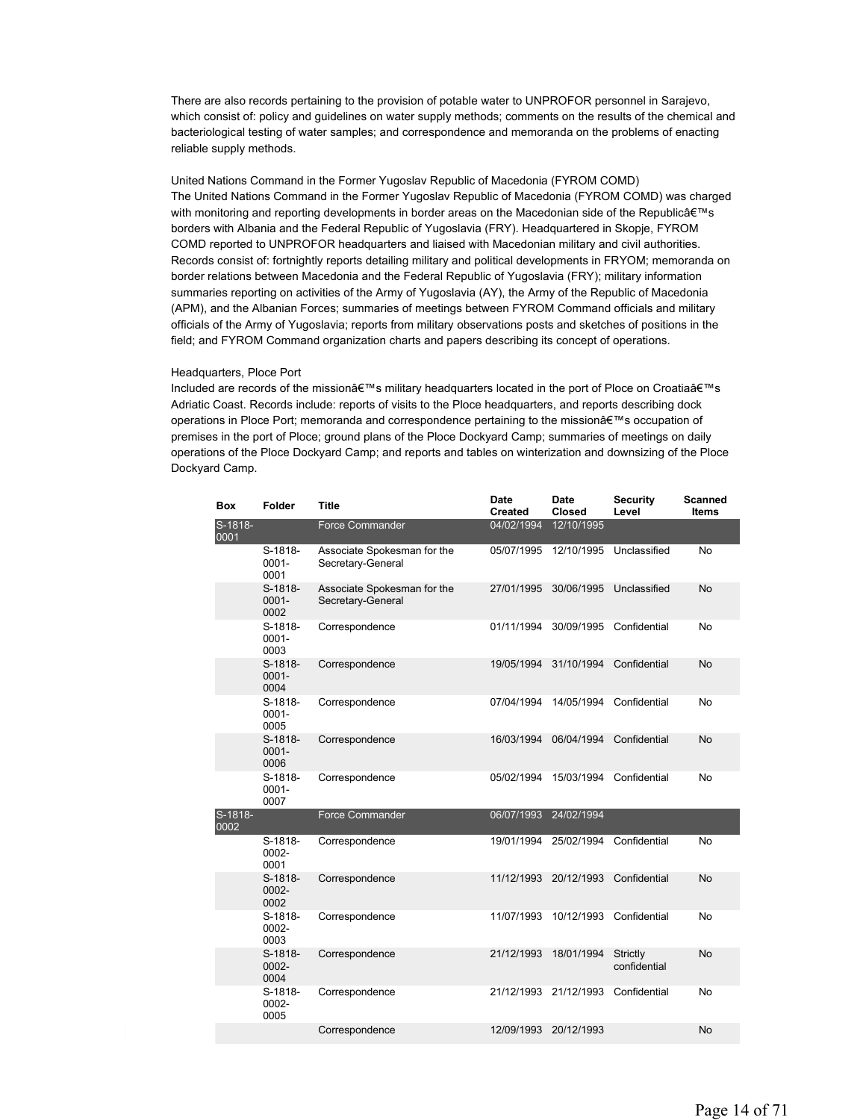There are also records pertaining to the provision of potable water to UNPROFOR personnel in Sarajevo, which consist of: policy and guidelines on water supply methods; comments on the results of the chemical and bacteriological testing of water samples; and correspondence and memoranda on the problems of enacting reliable supply methods.

United Nations Command in the Former Yugoslav Republic of Macedonia (FYROM COMD) The United Nations Command in the Former Yugoslav Republic of Macedonia (FYROM COMD) was charged with monitoring and reporting developments in border areas on the Macedonian side of the Republicâ $\epsilon_{ms}$ borders with Albania and the Federal Republic of Yugoslavia (FRY). Headquartered in Skopje, FYROM COMD reported to UNPROFOR headquarters and liaised with Macedonian military and civil authorities. Records consist of: fortnightly reports detailing military and political developments in FRYOM; memoranda on border relations between Macedonia and the Federal Republic of Yugoslavia (FRY); military information summaries reporting on activities of the Army of Yugoslavia (AY), the Army of the Republic of Macedonia (APM), and the Albanian Forces; summaries of meetings between FYROM Command officials and military officials of the Army of Yugoslavia; reports from military observations posts and sketches of positions in the field; and FYROM Command organization charts and papers describing its concept of operations.

#### Headquarters, Ploce Port

Included are records of the mission's military headquarters located in the port of Ploce on Croatia's Adriatic Coast. Records include: reports of visits to the Ploce headquarters, and reports describing dock operations in Ploce Port; memoranda and correspondence pertaining to the mission's occupation of premises in the port of Ploce; ground plans of the Ploce Dockyard Camp; summaries of meetings on daily operations of the Ploce Dockyard Camp; and reports and tables on winterization and downsizing of the Ploce Dockyard Camp.

| <b>Box</b>      | Folder                      | Title                                            | <b>Date</b><br><b>Created</b> | <b>Date</b><br>Closed | <b>Security</b><br>Level | <b>Scanned</b><br><b>Items</b> |
|-----------------|-----------------------------|--------------------------------------------------|-------------------------------|-----------------------|--------------------------|--------------------------------|
| S-1818-<br>0001 |                             | <b>Force Commander</b>                           | 04/02/1994                    | 12/10/1995            |                          |                                |
|                 | S-1818-<br>$0001 -$<br>0001 | Associate Spokesman for the<br>Secretary-General | 05/07/1995                    | 12/10/1995            | Unclassified             | No                             |
|                 | S-1818-<br>$0001 -$<br>0002 | Associate Spokesman for the<br>Secretary-General | 27/01/1995                    | 30/06/1995            | Unclassified             | No                             |
|                 | S-1818-<br>$0001 -$<br>0003 | Correspondence                                   | 01/11/1994                    | 30/09/1995            | Confidential             | No                             |
|                 | S-1818-<br>$0001 -$<br>0004 | Correspondence                                   | 19/05/1994                    | 31/10/1994            | Confidential             | No                             |
|                 | S-1818-<br>$0001 -$<br>0005 | Correspondence                                   | 07/04/1994                    | 14/05/1994            | Confidential             | No                             |
|                 | S-1818-<br>$0001 -$<br>0006 | Correspondence                                   | 16/03/1994                    | 06/04/1994            | Confidential             | No                             |
|                 | S-1818-<br>$0001 -$<br>0007 | Correspondence                                   | 05/02/1994                    | 15/03/1994            | Confidential             | No                             |
| S-1818-<br>0002 |                             | <b>Force Commander</b>                           | 06/07/1993                    | 24/02/1994            |                          |                                |
|                 | $S-1818-$<br>0002-<br>0001  | Correspondence                                   | 19/01/1994                    | 25/02/1994            | Confidential             | No                             |
|                 | S-1818-<br>0002-<br>0002    | Correspondence                                   | 11/12/1993                    | 20/12/1993            | Confidential             | No                             |
|                 | S-1818-<br>0002-<br>0003    | Correspondence                                   | 11/07/1993                    | 10/12/1993            | Confidential             | No                             |
|                 | S-1818-<br>0002-<br>0004    | Correspondence                                   | 21/12/1993                    | 18/01/1994            | Strictly<br>confidential | No                             |
|                 | S-1818-<br>0002-<br>0005    | Correspondence                                   | 21/12/1993                    | 21/12/1993            | Confidential             | No                             |
|                 |                             | Correspondence                                   | 12/09/1993                    | 20/12/1993            |                          | No                             |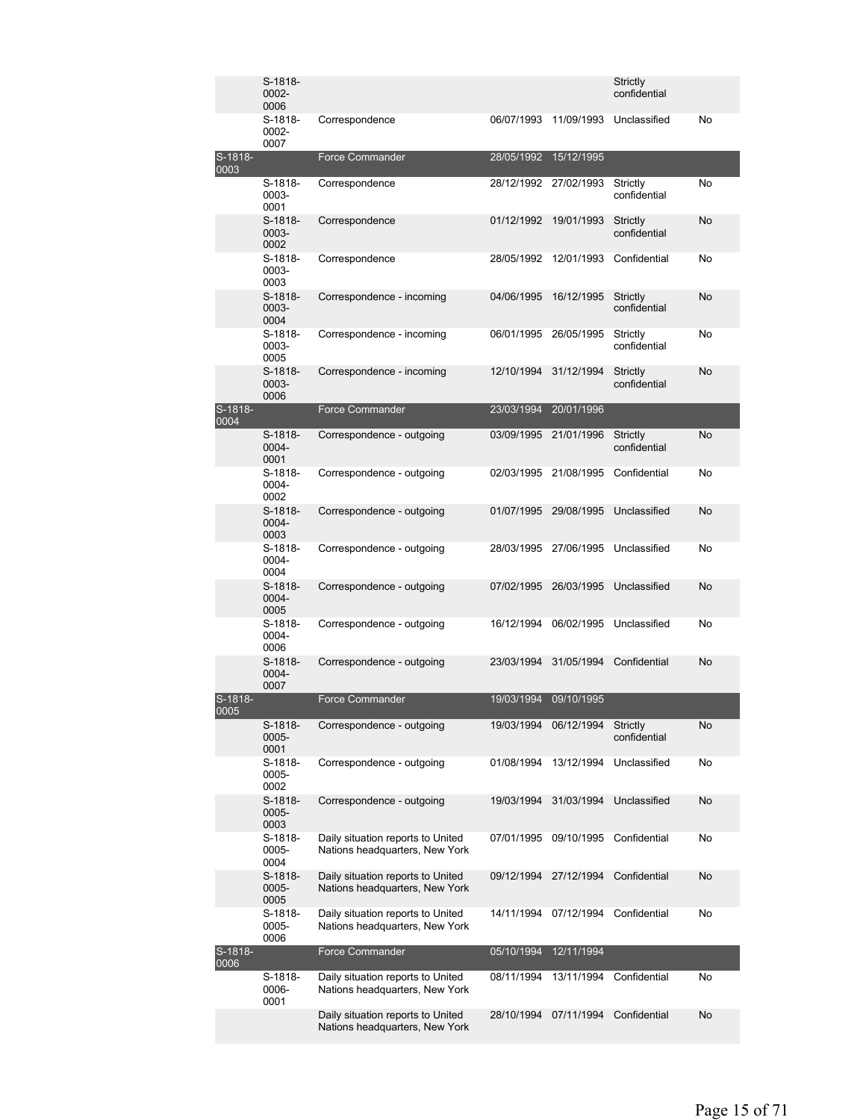|                 | S-1818-<br>0002-<br>0006   |                                                                     |            |            | Strictly<br>confidential |           |
|-----------------|----------------------------|---------------------------------------------------------------------|------------|------------|--------------------------|-----------|
|                 | S-1818-<br>0002-<br>0007   | Correspondence                                                      | 06/07/1993 | 11/09/1993 | Unclassified             | No        |
| S-1818-<br>0003 |                            | <b>Force Commander</b>                                              | 28/05/1992 | 15/12/1995 |                          |           |
|                 | S-1818-<br>0003-<br>0001   | Correspondence                                                      | 28/12/1992 | 27/02/1993 | Strictly<br>confidential | No        |
|                 | $S-1818-$<br>0003-<br>0002 | Correspondence                                                      | 01/12/1992 | 19/01/1993 | Strictly<br>confidential | No        |
|                 | S-1818-<br>0003-<br>0003   | Correspondence                                                      | 28/05/1992 | 12/01/1993 | Confidential             | No        |
|                 | $S-1818-$<br>0003-<br>0004 | Correspondence - incoming                                           | 04/06/1995 | 16/12/1995 | Strictly<br>confidential | No        |
|                 | $S-1818-$<br>0003-<br>0005 | Correspondence - incoming                                           | 06/01/1995 | 26/05/1995 | Strictly<br>confidential | No        |
|                 | S-1818-<br>0003-<br>0006   | Correspondence - incoming                                           | 12/10/1994 | 31/12/1994 | Strictly<br>confidential | No        |
| S-1818-<br>0004 |                            | <b>Force Commander</b>                                              | 23/03/1994 | 20/01/1996 |                          |           |
|                 | S-1818-<br>0004-<br>0001   | Correspondence - outgoing                                           | 03/09/1995 | 21/01/1996 | Strictly<br>confidential | <b>No</b> |
|                 | S-1818-<br>0004-<br>0002   | Correspondence - outgoing                                           | 02/03/1995 | 21/08/1995 | Confidential             | No        |
|                 | $S-1818-$<br>0004-<br>0003 | Correspondence - outgoing                                           | 01/07/1995 | 29/08/1995 | Unclassified             | No        |
|                 | S-1818-<br>0004-<br>0004   | Correspondence - outgoing                                           | 28/03/1995 | 27/06/1995 | Unclassified             | No        |
|                 | $S-1818-$<br>0004-<br>0005 | Correspondence - outgoing                                           | 07/02/1995 | 26/03/1995 | Unclassified             | No        |
|                 | S-1818-<br>0004-<br>0006   | Correspondence - outgoing                                           | 16/12/1994 | 06/02/1995 | Unclassified             | No        |
|                 | S-1818-<br>0004-<br>0007   | Correspondence - outgoing                                           | 23/03/1994 | 31/05/1994 | Confidential             | No        |
| S-1818-<br>0005 |                            | <b>Force Commander</b>                                              | 19/03/1994 | 09/10/1995 |                          |           |
|                 | S-1818-<br>0005-<br>0001   | Correspondence - outgoing                                           | 19/03/1994 | 06/12/1994 | Strictly<br>confidential | No        |
|                 | S-1818-<br>0005-<br>0002   | Correspondence - outgoing                                           | 01/08/1994 | 13/12/1994 | Unclassified             | No        |
|                 | S-1818-<br>0005-<br>0003   | Correspondence - outgoing                                           | 19/03/1994 | 31/03/1994 | Unclassified             | <b>No</b> |
|                 | S-1818-<br>0005-<br>0004   | Daily situation reports to United<br>Nations headquarters, New York | 07/01/1995 | 09/10/1995 | Confidential             | No        |
|                 | S-1818-<br>0005-<br>0005   | Daily situation reports to United<br>Nations headquarters, New York | 09/12/1994 | 27/12/1994 | Confidential             | No        |
|                 | S-1818-<br>0005-<br>0006   | Daily situation reports to United<br>Nations headquarters, New York | 14/11/1994 | 07/12/1994 | Confidential             | No        |
| S-1818-<br>0006 |                            | Force Commander                                                     | 05/10/1994 | 12/11/1994 |                          |           |
|                 | S-1818-<br>0006-<br>0001   | Daily situation reports to United<br>Nations headquarters, New York | 08/11/1994 | 13/11/1994 | Confidential             | No        |
|                 |                            | Daily situation reports to United<br>Nations headquarters, New York | 28/10/1994 | 07/11/1994 | Confidential             | No        |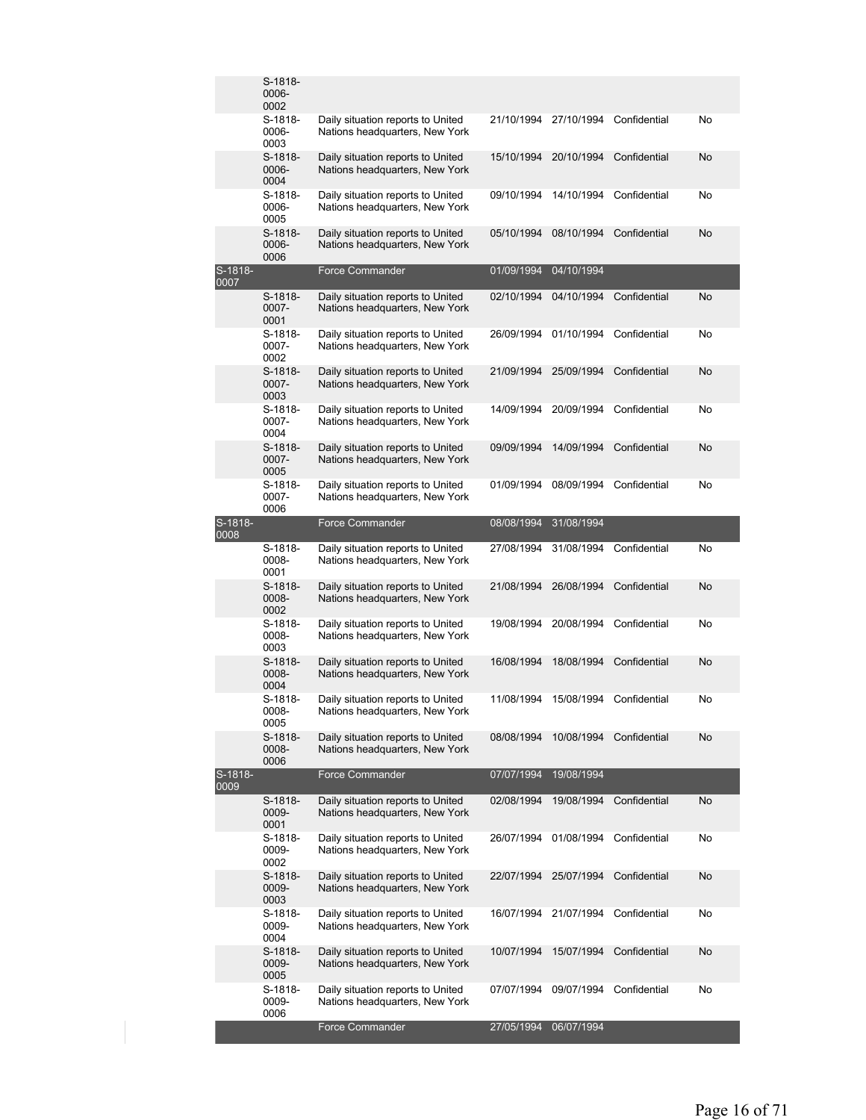|                 | S-1818-<br>0006-<br>0002   |                                                                     |            |            |              |    |
|-----------------|----------------------------|---------------------------------------------------------------------|------------|------------|--------------|----|
|                 | S-1818-<br>0006-<br>0003   | Daily situation reports to United<br>Nations headquarters, New York | 21/10/1994 | 27/10/1994 | Confidential | No |
|                 | $S-1818-$<br>0006-<br>0004 | Daily situation reports to United<br>Nations headquarters, New York | 15/10/1994 | 20/10/1994 | Confidential | No |
|                 | S-1818-<br>0006-<br>0005   | Daily situation reports to United<br>Nations headquarters, New York | 09/10/1994 | 14/10/1994 | Confidential | No |
|                 | S-1818-<br>0006-<br>0006   | Daily situation reports to United<br>Nations headquarters, New York | 05/10/1994 | 08/10/1994 | Confidential | No |
| S-1818-<br>0007 |                            | <b>Force Commander</b>                                              | 01/09/1994 | 04/10/1994 |              |    |
|                 | S-1818-<br>0007-<br>0001   | Daily situation reports to United<br>Nations headquarters, New York | 02/10/1994 | 04/10/1994 | Confidential | No |
|                 | S-1818-<br>0007-<br>0002   | Daily situation reports to United<br>Nations headquarters, New York | 26/09/1994 | 01/10/1994 | Confidential | No |
|                 | S-1818-<br>0007-<br>0003   | Daily situation reports to United<br>Nations headquarters, New York | 21/09/1994 | 25/09/1994 | Confidential | No |
|                 | S-1818-<br>0007-<br>0004   | Daily situation reports to United<br>Nations headquarters, New York | 14/09/1994 | 20/09/1994 | Confidential | No |
|                 | S-1818-<br>0007-<br>0005   | Daily situation reports to United<br>Nations headquarters, New York | 09/09/1994 | 14/09/1994 | Confidential | No |
|                 | S-1818-<br>0007-<br>0006   | Daily situation reports to United<br>Nations headquarters, New York | 01/09/1994 | 08/09/1994 | Confidential | No |
| S-1818-<br>0008 |                            | <b>Force Commander</b>                                              | 08/08/1994 | 31/08/1994 |              |    |
|                 | S-1818-<br>0008-<br>0001   | Daily situation reports to United<br>Nations headquarters, New York | 27/08/1994 | 31/08/1994 | Confidential | No |
|                 | S-1818-<br>0008-<br>0002   | Daily situation reports to United<br>Nations headquarters, New York | 21/08/1994 | 26/08/1994 | Confidential | No |
|                 | S-1818-<br>0008-<br>0003   | Daily situation reports to United<br>Nations headquarters, New York | 19/08/1994 | 20/08/1994 | Confidential | No |
|                 | S-1818-<br>0008-<br>0004   | Daily situation reports to United<br>Nations headquarters, New York | 16/08/1994 | 18/08/1994 | Confidential | No |
|                 | S-1818-<br>0008-<br>0005   | Daily situation reports to United<br>Nations headquarters, New York | 11/08/1994 | 15/08/1994 | Confidential | No |
|                 | S-1818-<br>0008-<br>0006   | Daily situation reports to United<br>Nations headquarters, New York | 08/08/1994 | 10/08/1994 | Confidential | No |
| S-1818-<br>0009 |                            | <b>Force Commander</b>                                              | 07/07/1994 | 19/08/1994 |              |    |
|                 | S-1818-<br>0009-<br>0001   | Daily situation reports to United<br>Nations headquarters, New York | 02/08/1994 | 19/08/1994 | Confidential | No |
|                 | S-1818-<br>0009-<br>0002   | Daily situation reports to United<br>Nations headquarters, New York | 26/07/1994 | 01/08/1994 | Confidential | No |
|                 | S-1818-<br>0009-<br>0003   | Daily situation reports to United<br>Nations headquarters, New York | 22/07/1994 | 25/07/1994 | Confidential | No |
|                 | S-1818-<br>0009-<br>0004   | Daily situation reports to United<br>Nations headquarters, New York | 16/07/1994 | 21/07/1994 | Confidential | No |
|                 | S-1818-<br>0009-<br>0005   | Daily situation reports to United<br>Nations headquarters, New York | 10/07/1994 | 15/07/1994 | Confidential | No |
|                 | S-1818-<br>0009-<br>0006   | Daily situation reports to United<br>Nations headquarters, New York | 07/07/1994 | 09/07/1994 | Confidential | No |
|                 |                            | <b>Force Commander</b>                                              | 27/05/1994 | 06/07/1994 |              |    |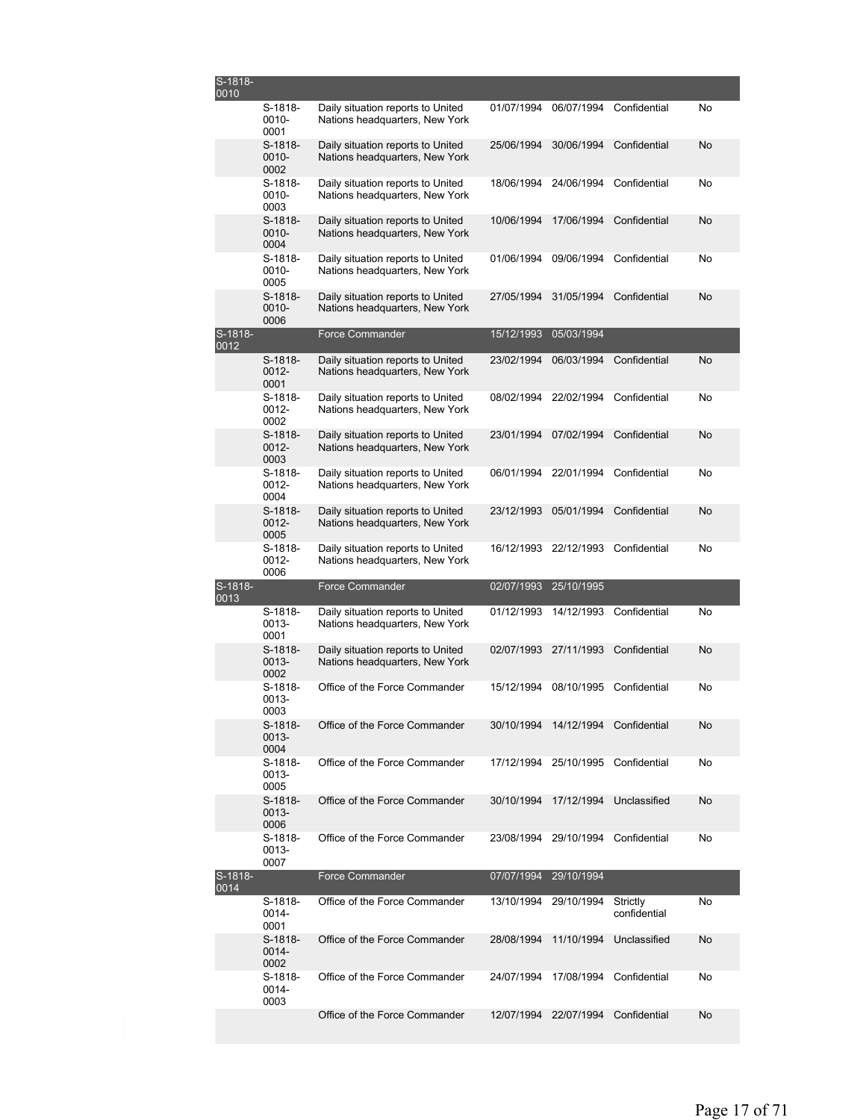| S-1818-<br>0010 |                               |                                                                     |            |                                    |                          |    |
|-----------------|-------------------------------|---------------------------------------------------------------------|------------|------------------------------------|--------------------------|----|
|                 | S-1818-<br>0010-<br>0001      | Daily situation reports to United<br>Nations headquarters, New York | 01/07/1994 | 06/07/1994                         | Confidential             | No |
|                 | S-1818-<br>0010-<br>0002      | Daily situation reports to United<br>Nations headquarters, New York | 25/06/1994 | 30/06/1994                         | Confidential             | No |
|                 | $S-1818-$<br>$0010 -$<br>0003 | Daily situation reports to United<br>Nations headquarters, New York | 18/06/1994 | 24/06/1994                         | Confidential             | No |
|                 | S-1818-<br>$0010 -$<br>0004   | Daily situation reports to United<br>Nations headquarters, New York | 10/06/1994 | 17/06/1994                         | Confidential             | No |
|                 | S-1818-<br>0010-<br>0005      | Daily situation reports to United<br>Nations headquarters, New York | 01/06/1994 | 09/06/1994                         | Confidential             | No |
|                 | $S-1818-$<br>$0010 -$<br>0006 | Daily situation reports to United<br>Nations headquarters, New York | 27/05/1994 | 31/05/1994                         | Confidential             | No |
| S-1818-<br>0012 |                               | <b>Force Commander</b>                                              | 15/12/1993 | 05/03/1994                         |                          |    |
|                 | S-1818-<br>0012-<br>0001      | Daily situation reports to United<br>Nations headquarters, New York | 23/02/1994 | 06/03/1994                         | Confidential             | No |
|                 | S-1818-<br>0012-<br>0002      | Daily situation reports to United<br>Nations headquarters, New York | 08/02/1994 | 22/02/1994                         | Confidential             | No |
|                 | S-1818-<br>$0012 -$<br>0003   | Daily situation reports to United<br>Nations headquarters, New York | 23/01/1994 | 07/02/1994                         | Confidential             | No |
|                 | S-1818-<br>$0012 -$<br>0004   | Daily situation reports to United<br>Nations headquarters, New York | 06/01/1994 | 22/01/1994                         | Confidential             | No |
|                 | $S-1818-$<br>$0012 -$<br>0005 | Daily situation reports to United<br>Nations headquarters, New York | 23/12/1993 | 05/01/1994                         | Confidential             | No |
|                 | S-1818-<br>0012-<br>0006      | Daily situation reports to United<br>Nations headquarters, New York | 16/12/1993 | 22/12/1993                         | Confidential             | No |
| S-1818-<br>0013 |                               | <b>Force Commander</b>                                              | 02/07/1993 | 25/10/1995                         |                          |    |
|                 | S-1818-<br>0013-<br>0001      | Daily situation reports to United<br>Nations headquarters, New York | 01/12/1993 | 14/12/1993                         | Confidential             | No |
|                 | S-1818-<br>0013-<br>0002      | Daily situation reports to United<br>Nations headquarters, New York | 02/07/1993 | 27/11/1993                         | Confidential             | No |
|                 | S-1818-<br>0013-<br>0003      | Office of the Force Commander                                       | 15/12/1994 | 08/10/1995                         | Confidential             | No |
|                 | $S-1818-$<br>0013-<br>0004    | Office of the Force Commander                                       | 30/10/1994 | 14/12/1994 Confidential            |                          | No |
|                 | $S-1818-$<br>0013-<br>0005    | Office of the Force Commander                                       |            | 17/12/1994 25/10/1995 Confidential |                          | No |
|                 | S-1818-<br>0013-<br>0006      | Office of the Force Commander                                       | 30/10/1994 | 17/12/1994                         | Unclassified             | No |
|                 | S-1818-<br>0013-<br>0007      | Office of the Force Commander                                       | 23/08/1994 | 29/10/1994                         | Confidential             | No |
| S-1818-<br>0014 |                               | <b>Force Commander</b>                                              |            | 07/07/1994 29/10/1994              |                          |    |
|                 | S-1818-<br>0014-<br>0001      | Office of the Force Commander                                       | 13/10/1994 | 29/10/1994                         | Strictly<br>confidential | No |
|                 | S-1818-<br>$0014 -$<br>0002   | Office of the Force Commander                                       | 28/08/1994 | 11/10/1994                         | Unclassified             | No |
|                 | S-1818-                       | Office of the Force Commander                                       | 24/07/1994 | 17/08/1994                         | Confidential             | No |
|                 | 0014-<br>0003                 |                                                                     |            |                                    |                          |    |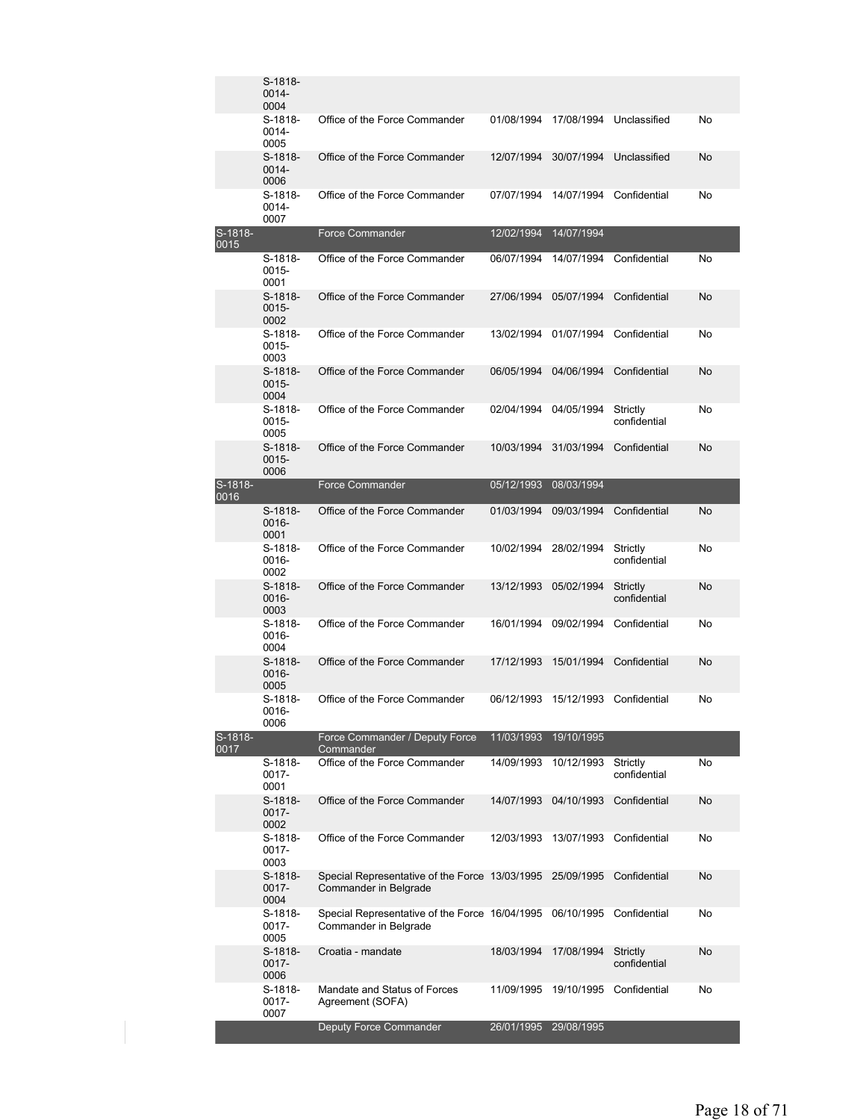|                 | S-1818-<br>$0014 -$<br>0004   |                                                                         |            |            |                          |    |
|-----------------|-------------------------------|-------------------------------------------------------------------------|------------|------------|--------------------------|----|
|                 | S-1818-<br>0014-<br>0005      | Office of the Force Commander                                           | 01/08/1994 | 17/08/1994 | Unclassified             | No |
|                 | $S-1818-$<br>0014-<br>0006    | Office of the Force Commander                                           | 12/07/1994 | 30/07/1994 | Unclassified             | No |
|                 | S-1818-<br>0014-<br>0007      | Office of the Force Commander                                           | 07/07/1994 | 14/07/1994 | Confidential             | No |
| S-1818-<br>0015 |                               | <b>Force Commander</b>                                                  | 12/02/1994 | 14/07/1994 |                          |    |
|                 | S-1818-<br>0015-<br>0001      | Office of the Force Commander                                           | 06/07/1994 | 14/07/1994 | Confidential             | No |
|                 | S-1818-<br>$0015 -$<br>0002   | Office of the Force Commander                                           | 27/06/1994 | 05/07/1994 | Confidential             | No |
|                 | S-1818-<br>0015-<br>0003      | Office of the Force Commander                                           | 13/02/1994 | 01/07/1994 | Confidential             | No |
|                 | $S-1818-$<br>$0015 -$<br>0004 | Office of the Force Commander                                           | 06/05/1994 | 04/06/1994 | Confidential             | No |
|                 | S-1818-<br>0015-<br>0005      | Office of the Force Commander                                           | 02/04/1994 | 04/05/1994 | Strictly<br>confidential | No |
|                 | S-1818-<br>0015-<br>0006      | Office of the Force Commander                                           | 10/03/1994 | 31/03/1994 | Confidential             | No |
| S-1818-<br>0016 |                               | <b>Force Commander</b>                                                  | 05/12/1993 | 08/03/1994 |                          |    |
|                 | $S-1818-$<br>0016-<br>0001    | Office of the Force Commander                                           | 01/03/1994 | 09/03/1994 | Confidential             | No |
|                 | S-1818-<br>0016-<br>0002      | Office of the Force Commander                                           | 10/02/1994 | 28/02/1994 | Strictly<br>confidential | No |
|                 | S-1818-<br>0016-<br>0003      | Office of the Force Commander                                           | 13/12/1993 | 05/02/1994 | Strictly<br>confidential | No |
|                 | S-1818-<br>0016-<br>0004      | Office of the Force Commander                                           | 16/01/1994 | 09/02/1994 | Confidential             | No |
|                 | $S-1818-$<br>0016-<br>0005    | Office of the Force Commander                                           | 17/12/1993 | 15/01/1994 | Confidential             | No |
|                 | S-1818-<br>0016-<br>0006      | Office of the Force Commander                                           | 06/12/1993 | 15/12/1993 | Confidential             | No |
| S-1818-<br>0017 |                               | Force Commander / Deputy Force<br>Commander                             | 11/03/1993 | 19/10/1995 |                          |    |
|                 | S-1818-<br>0017-<br>0001      | Office of the Force Commander                                           | 14/09/1993 | 10/12/1993 | Strictly<br>confidential | No |
|                 | S-1818-<br>0017-<br>0002      | Office of the Force Commander                                           | 14/07/1993 | 04/10/1993 | Confidential             | No |
|                 | S-1818-<br>0017-<br>0003      | Office of the Force Commander                                           | 12/03/1993 | 13/07/1993 | Confidential             | No |
|                 | S-1818-<br>0017-<br>0004      | Special Representative of the Force 13/03/1995<br>Commander in Belgrade |            | 25/09/1995 | Confidential             | No |
|                 | S-1818-<br>0017-<br>0005      | Special Representative of the Force 16/04/1995<br>Commander in Belgrade |            | 06/10/1995 | Confidential             | No |
|                 | S-1818-<br>0017-<br>0006      | Croatia - mandate                                                       | 18/03/1994 | 17/08/1994 | Strictly<br>confidential | No |
|                 | S-1818-<br>0017-<br>0007      | Mandate and Status of Forces<br>Agreement (SOFA)                        | 11/09/1995 | 19/10/1995 | Confidential             | No |
|                 |                               | Deputy Force Commander                                                  | 26/01/1995 | 29/08/1995 |                          |    |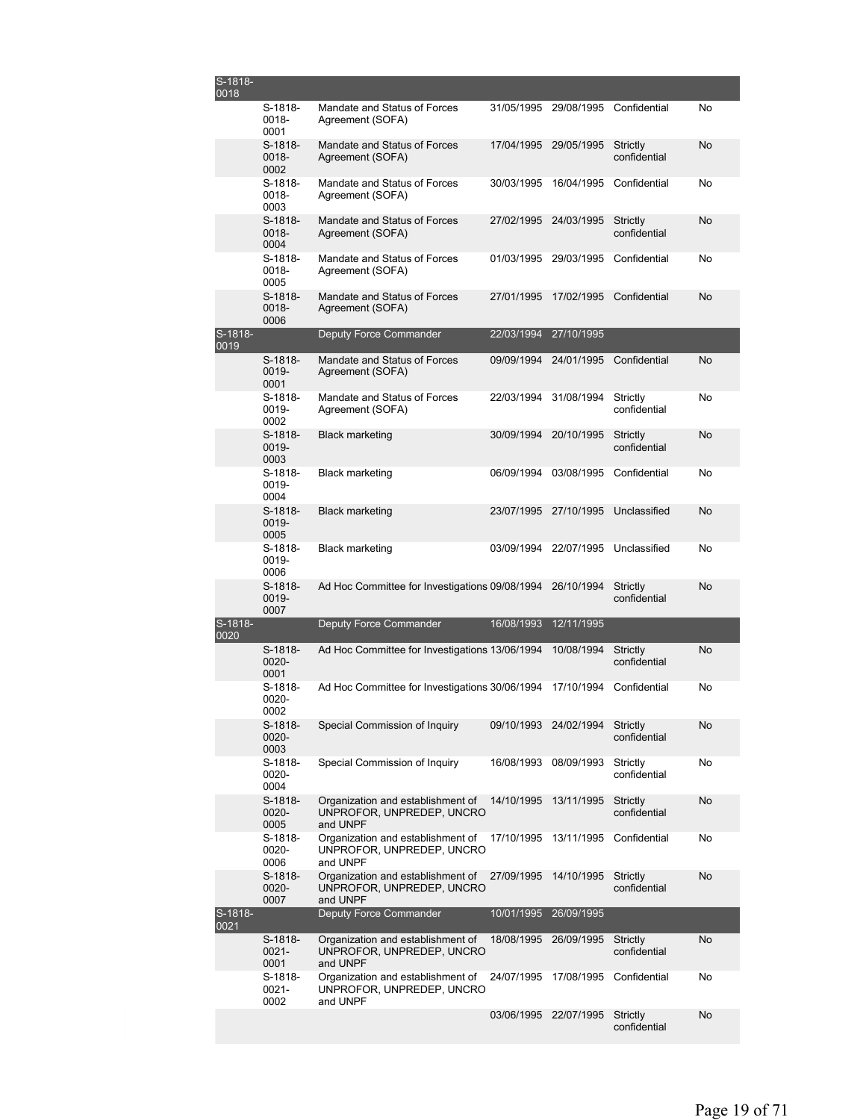| S-1818-<br>0018 |                             |                                                                            |                       |            |                          |           |
|-----------------|-----------------------------|----------------------------------------------------------------------------|-----------------------|------------|--------------------------|-----------|
|                 | S-1818-<br>0018-<br>0001    | Mandate and Status of Forces<br>Agreement (SOFA)                           | 31/05/1995            | 29/08/1995 | Confidential             | No        |
|                 | $S-1818-$<br>0018-<br>0002  | Mandate and Status of Forces<br>Agreement (SOFA)                           | 17/04/1995            | 29/05/1995 | Strictly<br>confidential | No        |
|                 | S-1818-<br>0018-<br>0003    | Mandate and Status of Forces<br>Agreement (SOFA)                           | 30/03/1995            | 16/04/1995 | Confidential             | No        |
|                 | S-1818-<br>0018-<br>0004    | Mandate and Status of Forces<br>Agreement (SOFA)                           | 27/02/1995            | 24/03/1995 | Strictly<br>confidential | No        |
|                 | S-1818-<br>0018-<br>0005    | Mandate and Status of Forces<br>Agreement (SOFA)                           | 01/03/1995            | 29/03/1995 | Confidential             | No        |
|                 | $S-1818-$<br>0018-<br>0006  | Mandate and Status of Forces<br>Agreement (SOFA)                           | 27/01/1995            | 17/02/1995 | Confidential             | No        |
| S-1818-<br>0019 |                             | Deputy Force Commander                                                     | 22/03/1994            | 27/10/1995 |                          |           |
|                 | S-1818-<br>0019-<br>0001    | Mandate and Status of Forces<br>Agreement (SOFA)                           | 09/09/1994            | 24/01/1995 | Confidential             | No        |
|                 | S-1818-<br>0019-<br>0002    | Mandate and Status of Forces<br>Agreement (SOFA)                           | 22/03/1994            | 31/08/1994 | Strictly<br>confidential | No        |
|                 | S-1818-<br>0019-<br>0003    | <b>Black marketing</b>                                                     | 30/09/1994            | 20/10/1995 | Strictly<br>confidential | No        |
|                 | S-1818-<br>0019-<br>0004    | <b>Black marketing</b>                                                     | 06/09/1994            | 03/08/1995 | Confidential             | No        |
|                 | S-1818-<br>0019-<br>0005    | <b>Black marketing</b>                                                     | 23/07/1995            | 27/10/1995 | Unclassified             | No        |
|                 | $S-1818-$<br>0019-<br>0006  | <b>Black marketing</b>                                                     | 03/09/1994            | 22/07/1995 | Unclassified             | No        |
|                 | S-1818-<br>0019-<br>0007    | Ad Hoc Committee for Investigations 09/08/1994                             |                       | 26/10/1994 | Strictly<br>confidential | No        |
| S-1818-<br>0020 |                             | Deputy Force Commander                                                     | 16/08/1993            | 12/11/1995 |                          |           |
|                 | S-1818-<br>$0020 -$<br>0001 | Ad Hoc Committee for Investigations 13/06/1994                             |                       | 10/08/1994 | Strictly<br>confidential | <b>No</b> |
|                 | S-1818-<br>0020-<br>0002    | Ad Hoc Committee for Investigations 30/06/1994                             |                       | 17/10/1994 | Confidential             | No        |
|                 | S-1818-<br>0020-<br>0003    | Special Commission of Inquiry                                              | 09/10/1993 24/02/1994 |            | Strictly<br>confidential | No        |
|                 | S-1818-<br>0020-<br>0004    | Special Commission of Inquiry                                              | 16/08/1993            | 08/09/1993 | Strictly<br>confidential | No        |
|                 | S-1818-<br>0020-<br>0005    | Organization and establishment of<br>UNPROFOR, UNPREDEP, UNCRO<br>and UNPF | 14/10/1995            | 13/11/1995 | Strictly<br>confidential | No        |
|                 | S-1818-<br>0020-<br>0006    | Organization and establishment of<br>UNPROFOR, UNPREDEP, UNCRO<br>and UNPF | 17/10/1995            | 13/11/1995 | Confidential             | No        |
|                 | S-1818-<br>0020-<br>0007    | Organization and establishment of<br>UNPROFOR, UNPREDEP, UNCRO<br>and UNPF | 27/09/1995            | 14/10/1995 | Strictly<br>confidential | No        |
| S-1818-<br>0021 |                             | Deputy Force Commander                                                     | 10/01/1995            | 26/09/1995 |                          |           |
|                 | S-1818-<br>$0021 -$<br>0001 | Organization and establishment of<br>UNPROFOR, UNPREDEP, UNCRO<br>and UNPF | 18/08/1995            | 26/09/1995 | Strictly<br>confidential | No        |
|                 | S-1818-<br>$0021 -$<br>0002 | Organization and establishment of<br>UNPROFOR, UNPREDEP, UNCRO<br>and UNPF | 24/07/1995            | 17/08/1995 | Confidential             | No        |
|                 |                             |                                                                            | 03/06/1995            | 22/07/1995 | Strictly<br>confidential | No        |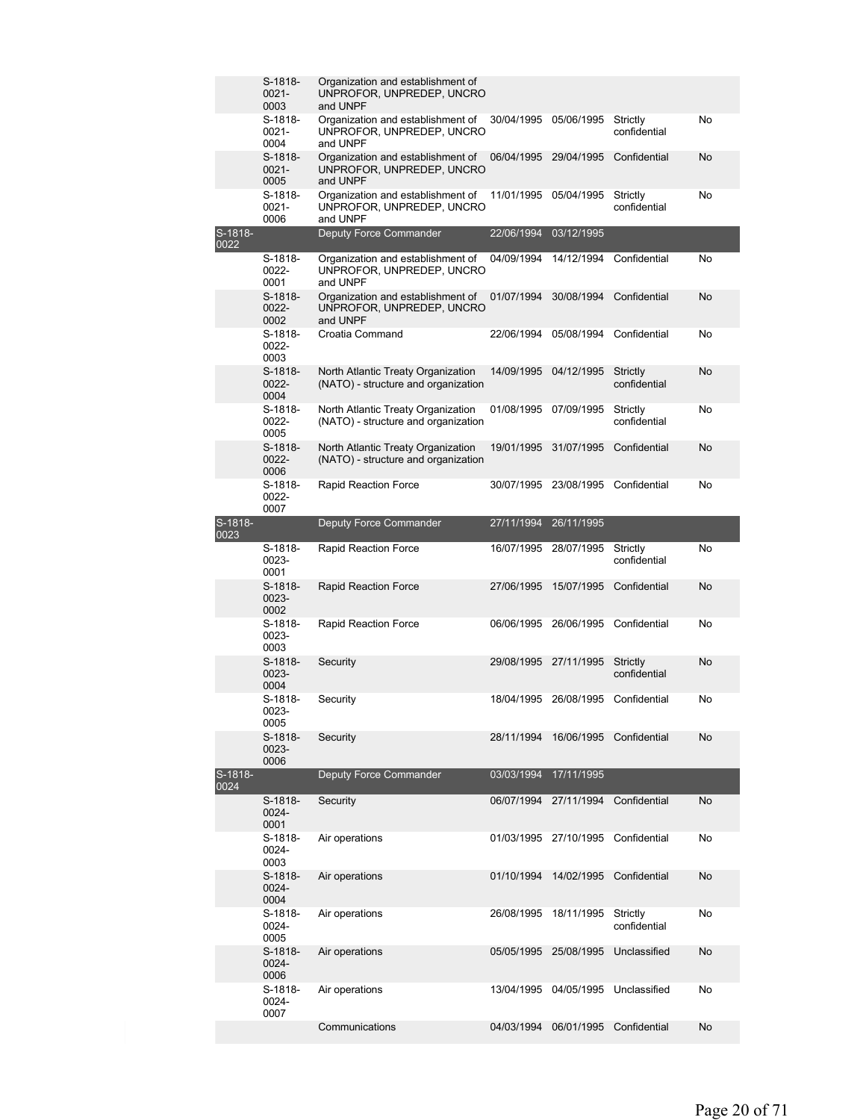|                 | $S-1818-$                     |                                                                            |                       |            |                          |    |
|-----------------|-------------------------------|----------------------------------------------------------------------------|-----------------------|------------|--------------------------|----|
|                 | $0021 -$<br>0003              | Organization and establishment of<br>UNPROFOR, UNPREDEP, UNCRO<br>and UNPF |                       |            |                          |    |
|                 | $S-1818-$<br>$0021 -$<br>0004 | Organization and establishment of<br>UNPROFOR, UNPREDEP, UNCRO<br>and UNPF | 30/04/1995            | 05/06/1995 | Strictly<br>confidential | No |
|                 | S-1818-<br>$0021 -$<br>0005   | Organization and establishment of<br>UNPROFOR, UNPREDEP, UNCRO<br>and UNPF | 06/04/1995            | 29/04/1995 | Confidential             | No |
|                 | $S-1818-$<br>$0021 -$<br>0006 | Organization and establishment of<br>UNPROFOR, UNPREDEP, UNCRO<br>and UNPF | 11/01/1995            | 05/04/1995 | Strictly<br>confidential | No |
| S-1818-<br>0022 |                               | <b>Deputy Force Commander</b>                                              | 22/06/1994            | 03/12/1995 |                          |    |
|                 | S-1818-                       | Organization and establishment of                                          | 04/09/1994            | 14/12/1994 | Confidential             | No |
|                 | 0022-<br>0001                 | UNPROFOR, UNPREDEP, UNCRO<br>and UNPF                                      |                       |            |                          |    |
|                 | $S-1818-$<br>0022-<br>0002    | Organization and establishment of<br>UNPROFOR, UNPREDEP, UNCRO<br>and UNPF | 01/07/1994            | 30/08/1994 | Confidential             | No |
|                 | S-1818-<br>0022-<br>0003      | Croatia Command                                                            | 22/06/1994            | 05/08/1994 | Confidential             | No |
|                 | S-1818-<br>0022-<br>0004      | North Atlantic Treaty Organization<br>(NATO) - structure and organization  | 14/09/1995            | 04/12/1995 | Strictly<br>confidential | No |
|                 | S-1818-<br>$0022 -$<br>0005   | North Atlantic Treaty Organization<br>(NATO) - structure and organization  | 01/08/1995            | 07/09/1995 | Strictly<br>confidential | No |
|                 | S-1818-<br>0022-<br>0006      | North Atlantic Treaty Organization<br>(NATO) - structure and organization  | 19/01/1995            | 31/07/1995 | Confidential             | No |
|                 | S-1818-<br>0022-<br>0007      | <b>Rapid Reaction Force</b>                                                | 30/07/1995            | 23/08/1995 | Confidential             | No |
| S-1818-<br>0023 |                               | <b>Deputy Force Commander</b>                                              | 27/11/1994            | 26/11/1995 |                          |    |
|                 | S-1818-<br>0023-<br>0001      | <b>Rapid Reaction Force</b>                                                | 16/07/1995            | 28/07/1995 | Strictly<br>confidential | No |
|                 | S-1818-<br>0023-<br>0002      | <b>Rapid Reaction Force</b>                                                | 27/06/1995            | 15/07/1995 | Confidential             | No |
|                 | S-1818-<br>0023-<br>0003      | <b>Rapid Reaction Force</b>                                                | 06/06/1995            | 26/06/1995 | Confidential             | No |
|                 | S-1818-<br>0023-<br>0004      | Security                                                                   | 29/08/1995 27/11/1995 |            | Strictly<br>confidential | No |
|                 | S-1818-<br>0023-<br>0005      | Security                                                                   | 18/04/1995 26/08/1995 |            | Confidential             | No |
|                 | S-1818-<br>0023-<br>0006      | Security                                                                   | 28/11/1994            | 16/06/1995 | Confidential             | No |
| S-1818-<br>0024 |                               | Deputy Force Commander                                                     | 03/03/1994            | 17/11/1995 |                          |    |
|                 | S-1818-<br>0024-<br>0001      | Security                                                                   | 06/07/1994 27/11/1994 |            | Confidential             | No |
|                 | S-1818-<br>0024-<br>0003      | Air operations                                                             | 01/03/1995 27/10/1995 |            | Confidential             | No |
|                 | S-1818-<br>0024-<br>0004      | Air operations                                                             | 01/10/1994            | 14/02/1995 | Confidential             | No |
|                 | S-1818-<br>0024-<br>0005      | Air operations                                                             | 26/08/1995            | 18/11/1995 | Strictly<br>confidential | No |
|                 | S-1818-<br>0024-<br>0006      | Air operations                                                             | 05/05/1995            | 25/08/1995 | Unclassified             | No |
|                 | S-1818-<br>0024-<br>0007      | Air operations                                                             | 13/04/1995 04/05/1995 |            | Unclassified             | No |
|                 |                               | Communications                                                             | 04/03/1994            | 06/01/1995 | Confidential             | No |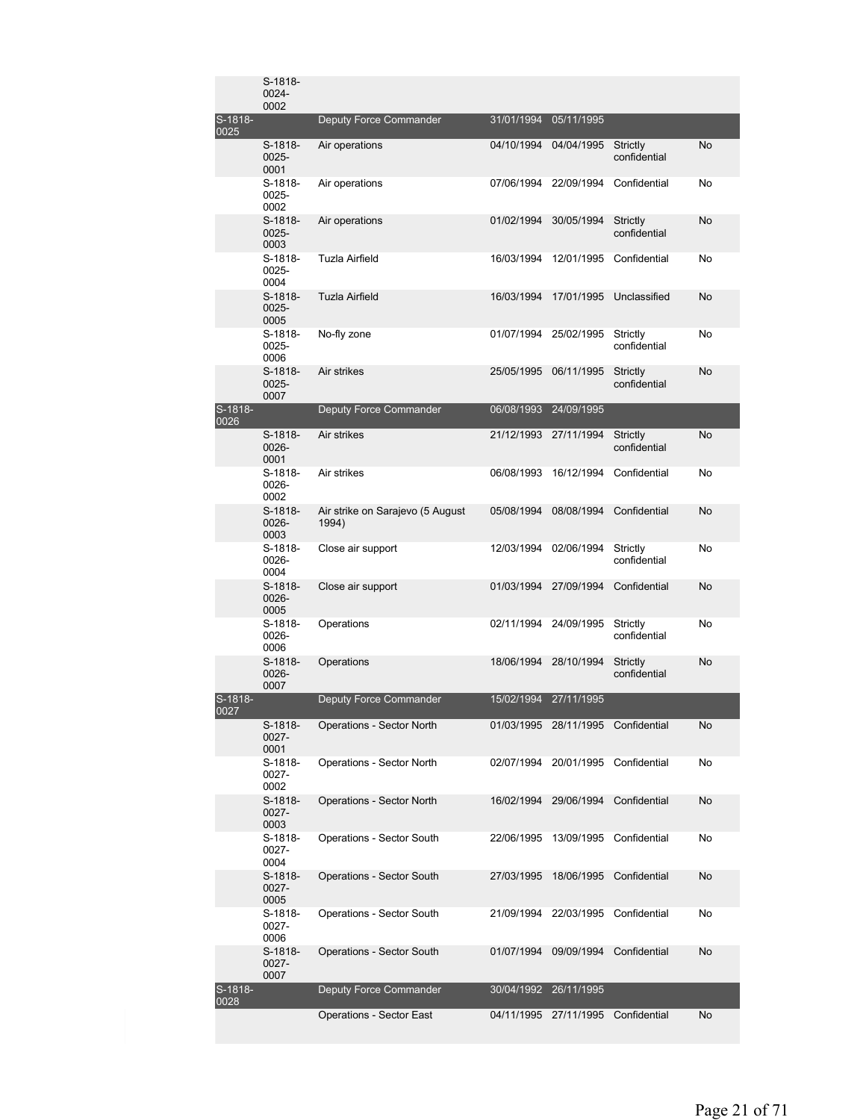|                   | S-1818-<br>0024-<br>0002    |                                           |            |                       |                                    |           |
|-------------------|-----------------------------|-------------------------------------------|------------|-----------------------|------------------------------------|-----------|
| S-1818-<br>0025   |                             | Deputy Force Commander                    | 31/01/1994 | 05/11/1995            |                                    |           |
|                   | S-1818-<br>0025-<br>0001    | Air operations                            | 04/10/1994 | 04/04/1995            | Strictly<br>confidential           | No        |
|                   | S-1818-<br>0025-<br>0002    | Air operations                            | 07/06/1994 | 22/09/1994            | Confidential                       | No        |
|                   | $S-1818-$<br>0025-<br>0003  | Air operations                            | 01/02/1994 | 30/05/1994            | Strictly<br>confidential           | No        |
|                   | S-1818-<br>0025-<br>0004    | Tuzla Airfield                            | 16/03/1994 | 12/01/1995            | Confidential                       | No        |
|                   | S-1818-<br>$0025 -$<br>0005 | Tuzla Airfield                            | 16/03/1994 | 17/01/1995            | Unclassified                       | No        |
|                   | S-1818-<br>0025-<br>0006    | No-fly zone                               | 01/07/1994 | 25/02/1995            | Strictly<br>confidential           | No        |
|                   | S-1818-<br>0025-<br>0007    | Air strikes                               | 25/05/1995 | 06/11/1995            | Strictly<br>confidential           | No        |
| $S-1818-$<br>0026 |                             | Deputy Force Commander                    | 06/08/1993 | 24/09/1995            |                                    |           |
|                   | $S-1818-$<br>0026-<br>0001  | Air strikes                               | 21/12/1993 | 27/11/1994            | Strictly<br>confidential           | <b>No</b> |
|                   | S-1818-<br>0026-<br>0002    | Air strikes                               | 06/08/1993 | 16/12/1994            | Confidential                       | No        |
|                   | S-1818-<br>0026-<br>0003    | Air strike on Sarajevo (5 August<br>1994) | 05/08/1994 | 08/08/1994            | Confidential                       | No        |
|                   | S-1818-<br>0026-<br>0004    | Close air support                         |            | 12/03/1994 02/06/1994 | Strictly<br>confidential           | No        |
|                   | S-1818-<br>0026-<br>0005    | Close air support                         | 01/03/1994 | 27/09/1994            | Confidential                       | No        |
|                   | S-1818-<br>0026-<br>0006    | Operations                                | 02/11/1994 | 24/09/1995            | Strictly<br>confidential           | No        |
|                   | S-1818-<br>0026-<br>0007    | Operations                                | 18/06/1994 | 28/10/1994            | Strictly<br>confidential           | No        |
| S-1818-<br>UUZ7   |                             | <b>Deputy Force Commander</b>             |            | 15/02/1994 27/11/1995 |                                    |           |
|                   | S-1818-<br>0027-<br>0001    | Operations - Sector North                 |            | 01/03/1995 28/11/1995 | Confidential                       | No        |
|                   | S-1818-<br>0027-<br>0002    | Operations - Sector North                 |            |                       | 02/07/1994 20/01/1995 Confidential | No        |
|                   | S-1818-<br>0027-<br>0003    | <b>Operations - Sector North</b>          | 16/02/1994 | 29/06/1994            | Confidential                       | No        |
|                   | S-1818-<br>0027-<br>0004    | Operations - Sector South                 | 22/06/1995 | 13/09/1995            | Confidential                       | No        |
|                   | S-1818-<br>0027-<br>0005    | <b>Operations - Sector South</b>          | 27/03/1995 | 18/06/1995            | Confidential                       | No        |
|                   | S-1818-<br>0027-<br>0006    | Operations - Sector South                 |            | 21/09/1994 22/03/1995 | Confidential                       | No        |
|                   | S-1818-<br>$0027 -$<br>0007 | <b>Operations - Sector South</b>          | 01/07/1994 | 09/09/1994            | Confidential                       | No        |
| S-1818-<br>0028   |                             | Deputy Force Commander                    | 30/04/1992 | 26/11/1995            |                                    |           |
|                   |                             | <b>Operations - Sector East</b>           | 04/11/1995 | 27/11/1995            | Confidential                       | No        |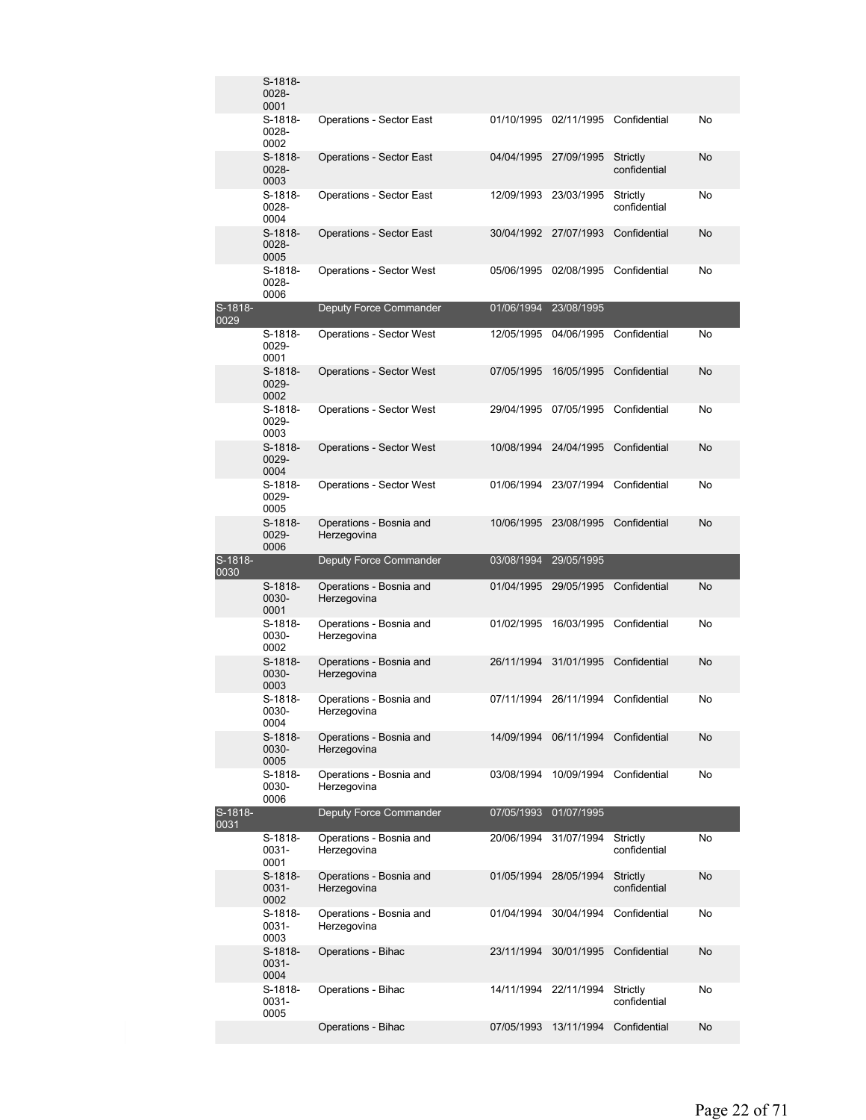|                 | S-1818-<br>0028-<br>0001 |                                        |            |                       |                          |    |
|-----------------|--------------------------|----------------------------------------|------------|-----------------------|--------------------------|----|
|                 | S-1818-<br>0028-<br>0002 | <b>Operations - Sector East</b>        | 01/10/1995 | 02/11/1995            | Confidential             | No |
|                 | S-1818-<br>0028-<br>0003 | <b>Operations - Sector East</b>        | 04/04/1995 | 27/09/1995            | Strictly<br>confidential | No |
|                 | S-1818-<br>0028-<br>0004 | Operations - Sector East               | 12/09/1993 | 23/03/1995            | Strictly<br>confidential | No |
|                 | S-1818-<br>0028-<br>0005 | <b>Operations - Sector East</b>        | 30/04/1992 | 27/07/1993            | Confidential             | No |
|                 | S-1818-<br>0028-<br>0006 | Operations - Sector West               | 05/06/1995 | 02/08/1995            | Confidential             | No |
| S-1818-<br>0029 |                          | Deputy Force Commander                 | 01/06/1994 | 23/08/1995            |                          |    |
|                 | S-1818-<br>0029-<br>0001 | <b>Operations - Sector West</b>        | 12/05/1995 | 04/06/1995            | Confidential             | No |
|                 | S-1818-<br>0029-<br>0002 | <b>Operations - Sector West</b>        | 07/05/1995 | 16/05/1995            | Confidential             | No |
|                 | S-1818-<br>0029-<br>0003 | <b>Operations - Sector West</b>        |            | 29/04/1995 07/05/1995 | Confidential             | No |
|                 | S-1818-<br>0029-<br>0004 | <b>Operations - Sector West</b>        | 10/08/1994 | 24/04/1995            | Confidential             | No |
|                 | S-1818-<br>0029-<br>0005 | <b>Operations - Sector West</b>        | 01/06/1994 | 23/07/1994            | Confidential             | No |
|                 | S-1818-<br>0029-<br>0006 | Operations - Bosnia and<br>Herzegovina | 10/06/1995 | 23/08/1995            | Confidential             | No |
|                 |                          |                                        |            |                       |                          |    |
| S-1818-         |                          | Deputy Force Commander                 | 03/08/1994 | 29/05/1995            |                          |    |
| 0030            | S-1818-<br>0030-<br>0001 | Operations - Bosnia and<br>Herzegovina | 01/04/1995 | 29/05/1995            | Confidential             | No |
|                 | S-1818-<br>0030-<br>0002 | Operations - Bosnia and<br>Herzegovina | 01/02/1995 | 16/03/1995            | Confidential             | No |
|                 | S-1818-<br>0030-<br>0003 | Operations - Bosnia and<br>Herzegovina | 26/11/1994 | 31/01/1995            | Confidential             | No |
|                 | S-1818-<br>0030-<br>0004 | Operations - Bosnia and<br>Herzegovina |            | 07/11/1994 26/11/1994 | Confidential             | No |
|                 | S-1818-<br>0030-<br>0005 | Operations - Bosnia and<br>Herzegovina | 14/09/1994 | 06/11/1994            | Confidential             | No |
|                 | S-1818-<br>0030-<br>0006 | Operations - Bosnia and<br>Herzegovina | 03/08/1994 | 10/09/1994            | Confidential             | No |
| S-1818-<br>0031 |                          | <b>Deputy Force Commander</b>          | 07/05/1993 | 01/07/1995            |                          |    |
|                 | S-1818-<br>0031-<br>0001 | Operations - Bosnia and<br>Herzegovina | 20/06/1994 | 31/07/1994            | Strictly<br>confidential | No |
|                 | S-1818-<br>0031-<br>0002 | Operations - Bosnia and<br>Herzegovina | 01/05/1994 | 28/05/1994            | Strictly<br>confidential | No |
|                 | S-1818-<br>0031-<br>0003 | Operations - Bosnia and<br>Herzegovina | 01/04/1994 | 30/04/1994            | Confidential             | No |
|                 | S-1818-<br>0031-<br>0004 | Operations - Bihac                     | 23/11/1994 | 30/01/1995            | Confidential             | No |
|                 | S-1818-<br>0031-<br>0005 | Operations - Bihac                     | 14/11/1994 | 22/11/1994            | Strictly<br>confidential | No |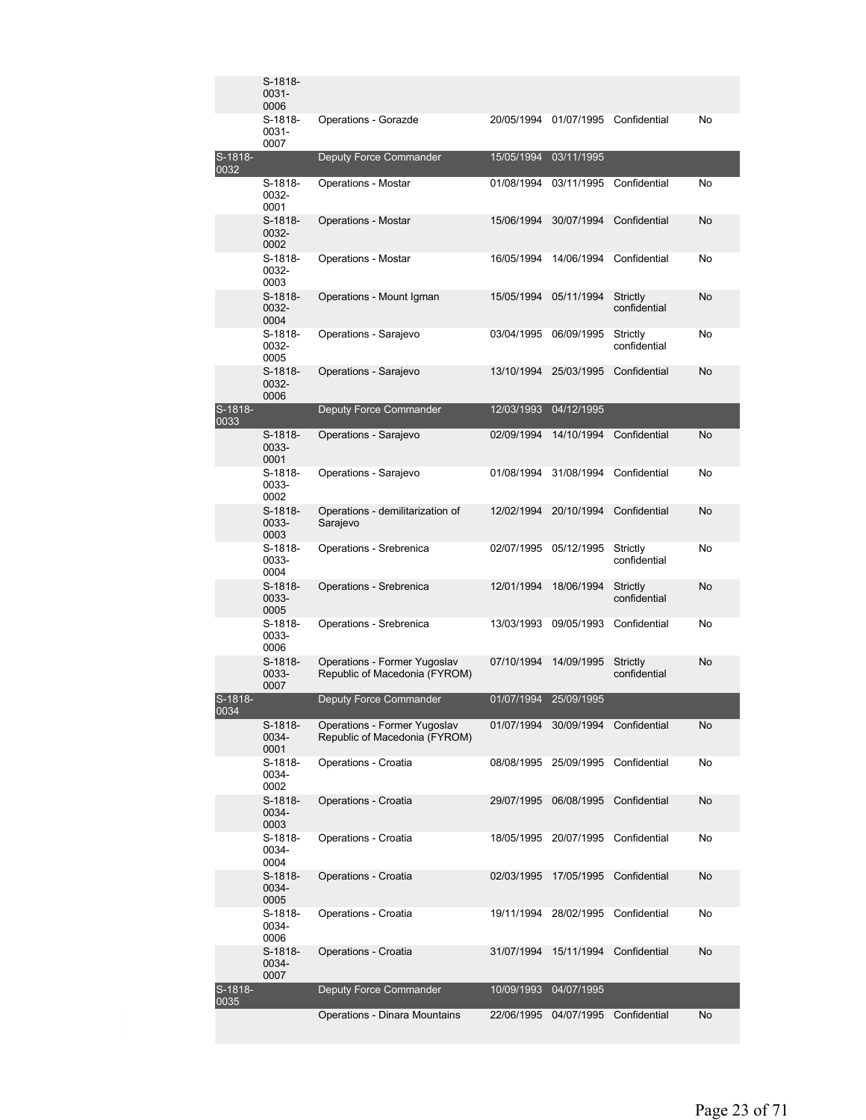|                   | S-1818-<br>0031-<br>0006 |                                                               |            |                       |                          |           |
|-------------------|--------------------------|---------------------------------------------------------------|------------|-----------------------|--------------------------|-----------|
|                   | S-1818-<br>0031-<br>0007 | Operations - Gorazde                                          | 20/05/1994 | 01/07/1995            | Confidential             | No        |
| S-1818-<br>0032   |                          | Deputy Force Commander                                        | 15/05/1994 | 03/11/1995            |                          |           |
|                   | S-1818-<br>0032-<br>0001 | Operations - Mostar                                           | 01/08/1994 | 03/11/1995            | Confidential             | No        |
|                   | S-1818-<br>0032-<br>0002 | Operations - Mostar                                           | 15/06/1994 | 30/07/1994            | Confidential             | No        |
|                   | S-1818-<br>0032-<br>0003 | Operations - Mostar                                           | 16/05/1994 | 14/06/1994            | Confidential             | No        |
|                   | S-1818-<br>0032-<br>0004 | Operations - Mount Igman                                      | 15/05/1994 | 05/11/1994            | Strictly<br>confidential | No        |
|                   | S-1818-<br>0032-<br>0005 | Operations - Sarajevo                                         | 03/04/1995 | 06/09/1995            | Strictly<br>confidential | No        |
|                   | S-1818-<br>0032-<br>0006 | Operations - Sarajevo                                         | 13/10/1994 | 25/03/1995            | Confidential             | No        |
| S-1818-<br>0033   |                          | Deputy Force Commander                                        | 12/03/1993 | 04/12/1995            |                          |           |
|                   | S-1818-<br>0033-<br>0001 | Operations - Sarajevo                                         | 02/09/1994 | 14/10/1994            | Confidential             | No        |
|                   | S-1818-<br>0033-<br>0002 | Operations - Sarajevo                                         | 01/08/1994 | 31/08/1994            | Confidential             | No        |
|                   | S-1818-<br>0033-<br>0003 | Operations - demilitarization of<br>Sarajevo                  | 12/02/1994 | 20/10/1994            | Confidential             | No        |
|                   | S-1818-<br>0033-<br>0004 | Operations - Srebrenica                                       | 02/07/1995 | 05/12/1995            | Strictly<br>confidential | No        |
|                   | S-1818-<br>0033-<br>0005 | Operations - Srebrenica                                       | 12/01/1994 | 18/06/1994            | Strictly<br>confidential | No        |
|                   | S-1818-<br>0033-<br>0006 | Operations - Srebrenica                                       | 13/03/1993 | 09/05/1993            | Confidential             | No        |
|                   | S-1818-<br>0033-<br>0007 | Operations - Former Yugoslav<br>Republic of Macedonia (FYROM) | 07/10/1994 | 14/09/1995            | Strictly<br>confidential | No        |
| $S-1818-$<br>0034 |                          | Deputy Force Commander                                        |            | 01/07/1994 25/09/1995 |                          |           |
|                   | S-1818-<br>0034-<br>0001 | Operations - Former Yugoslav<br>Republic of Macedonia (FYROM) |            | 01/07/1994 30/09/1994 | Confidential             | No        |
|                   | S-1818-<br>0034-<br>0002 | Operations - Croatia                                          |            | 08/08/1995 25/09/1995 | Confidential             | No        |
|                   | S-1818-<br>0034-<br>0003 | Operations - Croatia                                          | 29/07/1995 | 06/08/1995            | Confidential             | <b>No</b> |
|                   | S-1818-<br>0034-<br>0004 | Operations - Croatia                                          | 18/05/1995 | 20/07/1995            | Confidential             | No        |
|                   | S-1818-<br>0034-<br>0005 | Operations - Croatia                                          | 02/03/1995 | 17/05/1995            | Confidential             | No        |
|                   | S-1818-<br>0034-<br>0006 | Operations - Croatia                                          | 19/11/1994 | 28/02/1995            | Confidential             | No        |
|                   | S-1818-<br>0034-<br>0007 | Operations - Croatia                                          | 31/07/1994 | 15/11/1994            | Confidential             | No        |
| S-1818-<br>0035   |                          | Deputy Force Commander                                        | 10/09/1993 | 04/07/1995            |                          |           |
|                   |                          | Operations - Dinara Mountains                                 | 22/06/1995 | 04/07/1995            | Confidential             | <b>No</b> |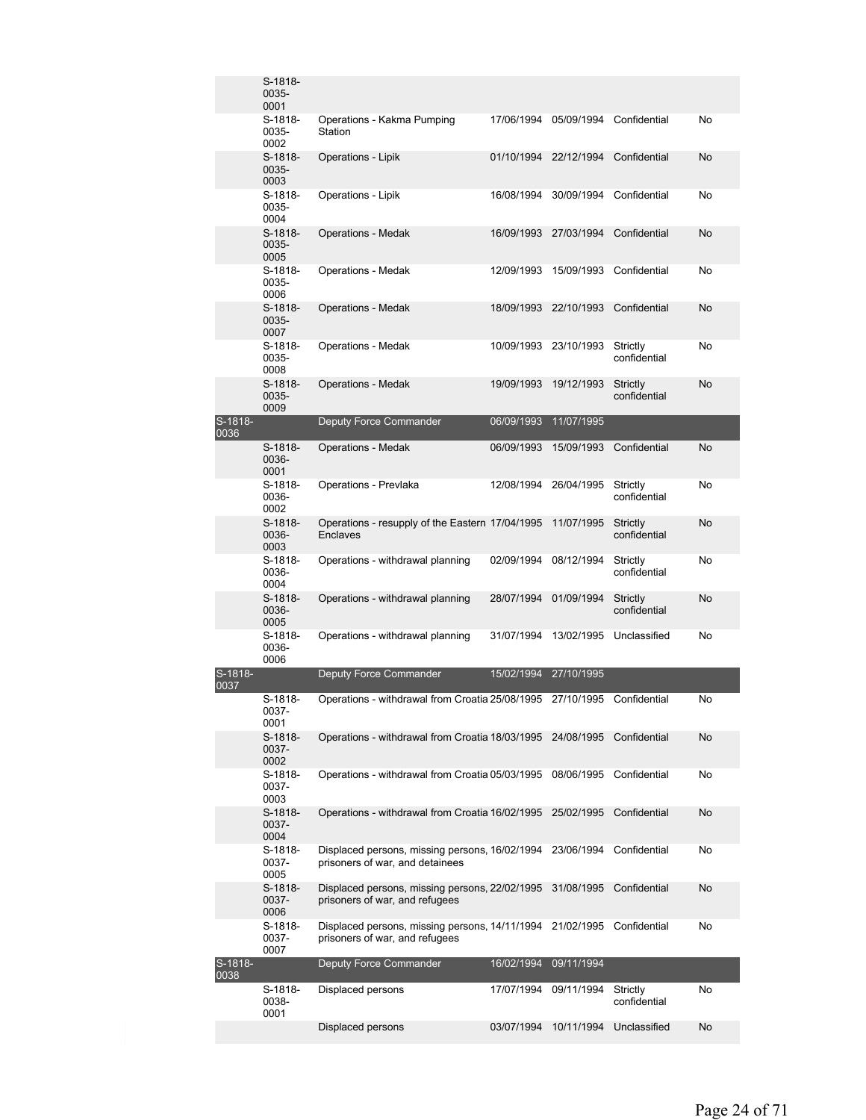|                   | S-1818-<br>0035-<br>0001   |                                                                                             |            |                       |                          |           |
|-------------------|----------------------------|---------------------------------------------------------------------------------------------|------------|-----------------------|--------------------------|-----------|
|                   | S-1818-<br>0035-<br>0002   | Operations - Kakma Pumping<br>Station                                                       | 17/06/1994 | 05/09/1994            | Confidential             | No        |
|                   | S-1818-<br>0035-<br>0003   | Operations - Lipik                                                                          | 01/10/1994 | 22/12/1994            | Confidential             | No        |
|                   | S-1818-<br>0035-<br>0004   | Operations - Lipik                                                                          | 16/08/1994 | 30/09/1994            | Confidential             | No        |
|                   | S-1818-<br>0035-<br>0005   | <b>Operations - Medak</b>                                                                   | 16/09/1993 | 27/03/1994            | Confidential             | No        |
|                   | S-1818-<br>0035-<br>0006   | <b>Operations - Medak</b>                                                                   | 12/09/1993 | 15/09/1993            | Confidential             | No        |
|                   | $S-1818-$<br>0035-<br>0007 | <b>Operations - Medak</b>                                                                   | 18/09/1993 | 22/10/1993            | Confidential             | No        |
|                   | S-1818-<br>0035-<br>0008   | Operations - Medak                                                                          |            | 10/09/1993 23/10/1993 | Strictly<br>confidential | No        |
|                   | S-1818-<br>0035-<br>0009   | <b>Operations - Medak</b>                                                                   | 19/09/1993 | 19/12/1993            | Strictly<br>confidential | No        |
| S-1818-<br>0036   |                            | Deputy Force Commander                                                                      | 06/09/1993 | 11/07/1995            |                          |           |
|                   | S-1818-<br>0036-<br>0001   | <b>Operations - Medak</b>                                                                   | 06/09/1993 | 15/09/1993            | Confidential             | <b>No</b> |
|                   | S-1818-<br>0036-<br>0002   | Operations - Prevlaka                                                                       | 12/08/1994 | 26/04/1995            | Strictly<br>confidential | No        |
|                   | S-1818-<br>0036-<br>0003   | Operations - resupply of the Eastern 17/04/1995<br>Enclaves                                 |            | 11/07/1995            | Strictly<br>confidential | No        |
|                   | S-1818-<br>0036-<br>0004   | Operations - withdrawal planning                                                            | 02/09/1994 | 08/12/1994            | Strictly<br>confidential | No        |
|                   | S-1818-<br>0036-<br>0005   | Operations - withdrawal planning                                                            | 28/07/1994 | 01/09/1994            | Strictly<br>confidential | No        |
|                   | S-1818-<br>0036-<br>0006   | Operations - withdrawal planning                                                            | 31/07/1994 | 13/02/1995            | Unclassified             | No        |
| $S-1818-$<br>0037 |                            | Deputy Force Commander                                                                      | 15/02/1994 | 27/10/1995            |                          |           |
|                   | S-1818-<br>0037-<br>0001   | Operations - withdrawal from Croatia 25/08/1995 27/10/1995                                  |            |                       | Confidential             | No        |
|                   | S-1818-<br>0037-<br>0002   | Operations - withdrawal from Croatia 18/03/1995 24/08/1995                                  |            |                       | Confidential             | No        |
|                   | S-1818-<br>0037-<br>0003   | Operations - withdrawal from Croatia 05/03/1995                                             |            | 08/06/1995            | Confidential             | No        |
|                   | S-1818-<br>0037-<br>0004   | Operations - withdrawal from Croatia 16/02/1995                                             |            | 25/02/1995            | Confidential             | No        |
|                   | S-1818-<br>0037-<br>0005   | Displaced persons, missing persons, 16/02/1994<br>prisoners of war, and detainees           |            | 23/06/1994            | Confidential             | No        |
|                   | S-1818-<br>0037-<br>0006   | Displaced persons, missing persons, 22/02/1995<br>prisoners of war, and refugees            |            | 31/08/1995            | Confidential             | No        |
|                   | S-1818-<br>0037-<br>0007   | Displaced persons, missing persons, 14/11/1994 21/02/1995<br>prisoners of war, and refugees |            |                       | Confidential             | No        |
| S-1818-<br>0038   |                            | Deputy Force Commander                                                                      | 16/02/1994 | 09/11/1994            |                          |           |
|                   | S-1818-<br>0038-<br>0001   | Displaced persons                                                                           | 17/07/1994 | 09/11/1994            | Strictly<br>confidential | No        |
|                   |                            | Displaced persons                                                                           | 03/07/1994 | 10/11/1994            | Unclassified             | No        |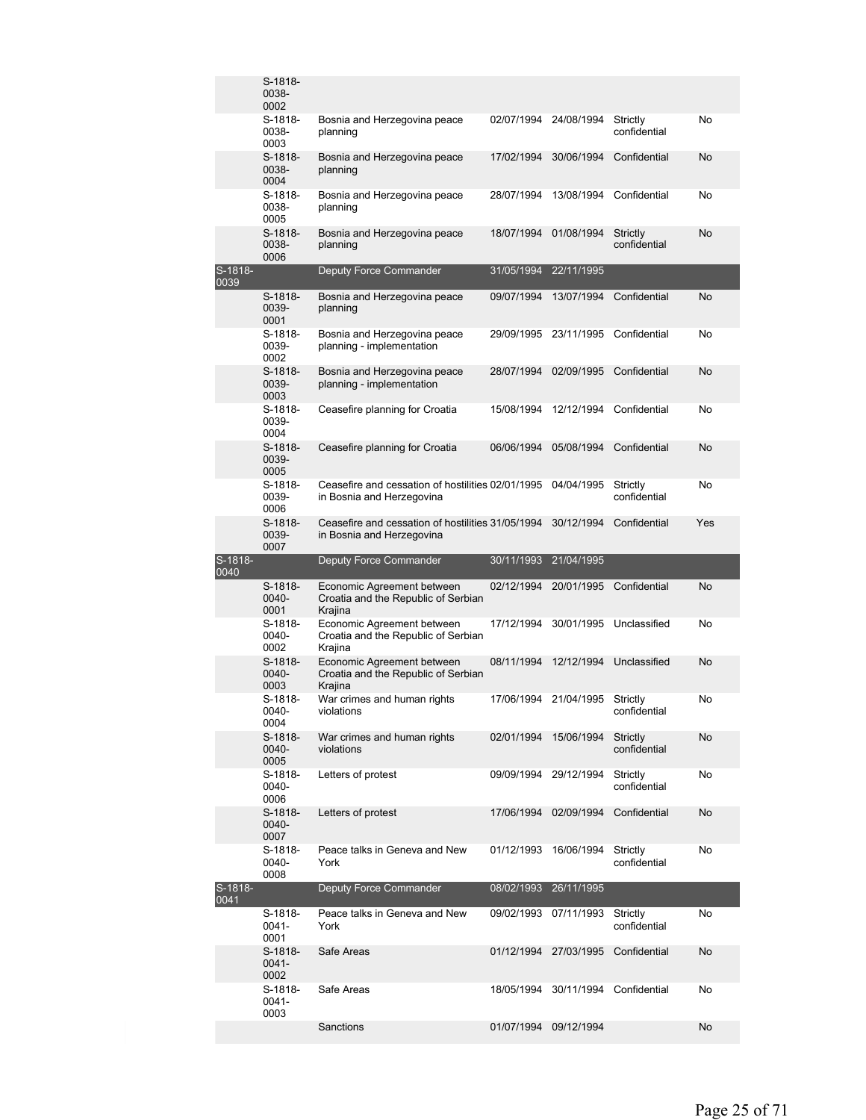|                 | S-1818-<br>0038-<br>0002      |                                                                                |                       |            |                          |           |
|-----------------|-------------------------------|--------------------------------------------------------------------------------|-----------------------|------------|--------------------------|-----------|
|                 | S-1818-<br>0038-<br>0003      | Bosnia and Herzegovina peace<br>planning                                       | 02/07/1994            | 24/08/1994 | Strictly<br>confidential | No        |
|                 | S-1818-<br>0038-<br>0004      | Bosnia and Herzegovina peace<br>planning                                       | 17/02/1994            | 30/06/1994 | Confidential             | No        |
|                 | S-1818-<br>0038-<br>0005      | Bosnia and Herzegovina peace<br>planning                                       | 28/07/1994            | 13/08/1994 | Confidential             | No        |
|                 | S-1818-<br>0038-<br>0006      | Bosnia and Herzegovina peace<br>planning                                       | 18/07/1994            | 01/08/1994 | Strictly<br>confidential | No        |
| S-1818-<br>0039 |                               | Deputy Force Commander                                                         | 31/05/1994            | 22/11/1995 |                          |           |
|                 | S-1818-<br>0039-<br>0001      | Bosnia and Herzegovina peace<br>planning                                       | 09/07/1994            | 13/07/1994 | Confidential             | <b>No</b> |
|                 | S-1818-<br>0039-<br>0002      | Bosnia and Herzegovina peace<br>planning - implementation                      | 29/09/1995            | 23/11/1995 | Confidential             | No        |
|                 | S-1818-<br>0039-<br>0003      | Bosnia and Herzegovina peace<br>planning - implementation                      | 28/07/1994            | 02/09/1995 | Confidential             | No        |
|                 | S-1818-<br>0039-<br>0004      | Ceasefire planning for Croatia                                                 | 15/08/1994            | 12/12/1994 | Confidential             | No        |
|                 | S-1818-<br>0039-<br>0005      | Ceasefire planning for Croatia                                                 | 06/06/1994            | 05/08/1994 | Confidential             | No        |
|                 | S-1818-<br>0039-<br>0006      | Ceasefire and cessation of hostilities 02/01/1995<br>in Bosnia and Herzegovina |                       | 04/04/1995 | Strictly<br>confidential | No        |
|                 | S-1818-<br>0039-<br>0007      | Ceasefire and cessation of hostilities 31/05/1994<br>in Bosnia and Herzegovina |                       | 30/12/1994 | Confidential             | Yes       |
|                 |                               |                                                                                |                       |            |                          |           |
| S-1818-         |                               | Deputy Force Commander                                                         | 30/11/1993            | 21/04/1995 |                          |           |
|                 | S-1818-<br>0040-<br>0001      | Economic Agreement between<br>Croatia and the Republic of Serbian<br>Krajina   | 02/12/1994            | 20/01/1995 | Confidential             | No        |
| 0040            | S-1818-<br>0040-<br>0002      | Economic Agreement between<br>Croatia and the Republic of Serbian<br>Krajina   | 17/12/1994            | 30/01/1995 | Unclassified             | No        |
|                 | S-1818-<br>0040-<br>0003      | Economic Agreement between<br>Croatia and the Republic of Serbian<br>Krajina   | 08/11/1994            | 12/12/1994 | Unclassified             | No        |
|                 | S-1818-<br>0040-<br>0004      | War crimes and human rights<br>violations                                      | 17/06/1994            | 21/04/1995 | Strictly<br>confidential | No        |
|                 | S-1818-<br>0040-<br>0005      | War crimes and human rights<br>violations                                      | 02/01/1994 15/06/1994 |            | Strictly<br>confidential | No        |
|                 | S-1818-<br>0040-<br>0006      | Letters of protest                                                             | 09/09/1994 29/12/1994 |            | Strictly<br>confidential | No        |
|                 | S-1818-<br>0040-<br>0007      | Letters of protest                                                             | 17/06/1994 02/09/1994 |            | Confidential             | No        |
|                 | S-1818-<br>0040-<br>0008      | Peace talks in Geneva and New<br>York                                          | 01/12/1993            | 16/06/1994 | Strictly<br>confidential | No        |
| S-1818-<br>0041 |                               | Deputy Force Commander                                                         | 08/02/1993            | 26/11/1995 |                          |           |
|                 | S-1818-<br>0041-<br>0001      | Peace talks in Geneva and New<br>York                                          | 09/02/1993            | 07/11/1993 | Strictly<br>confidential | No        |
|                 | $S-1818-$<br>$0041 -$<br>0002 | Safe Areas                                                                     | 01/12/1994 27/03/1995 |            | Confidential             | No        |
|                 | S-1818-<br>0041-<br>0003      | Safe Areas                                                                     | 18/05/1994            | 30/11/1994 | Confidential             | No        |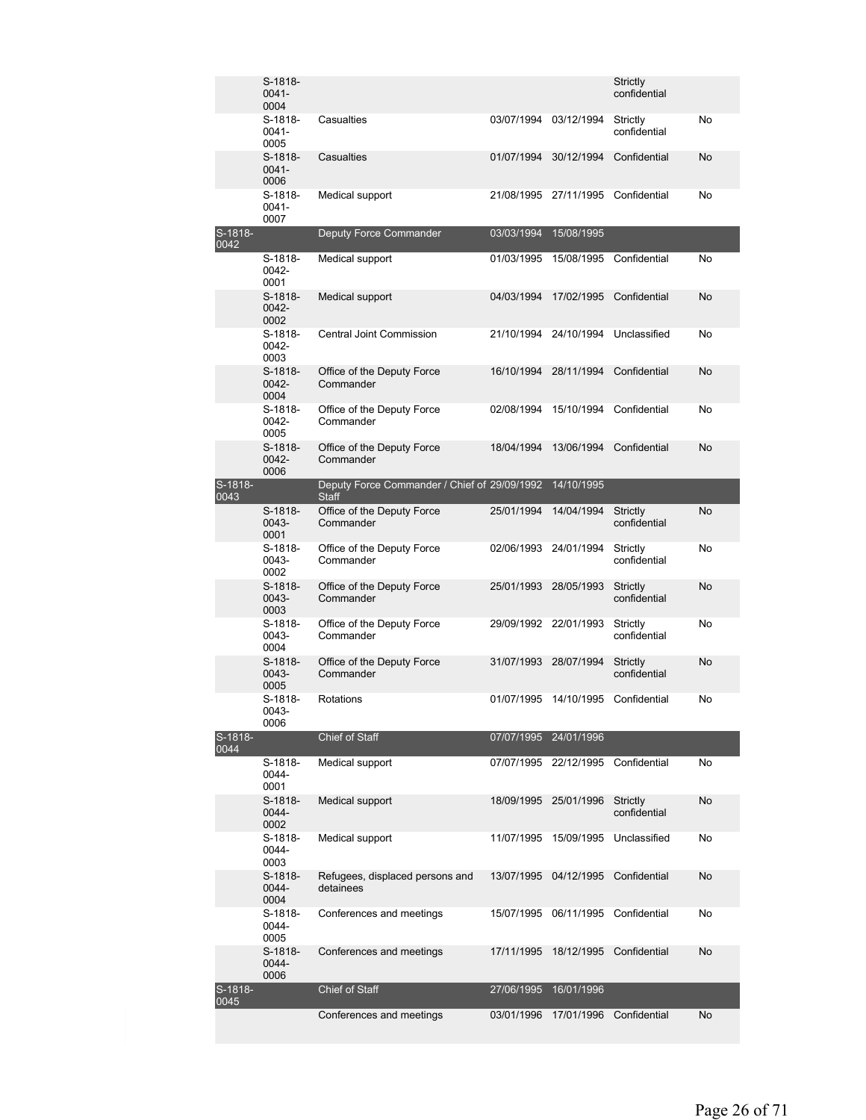|                   | S-1818-<br>$0041 -$           |                                                              |            |                       | Strictly<br>confidential |           |
|-------------------|-------------------------------|--------------------------------------------------------------|------------|-----------------------|--------------------------|-----------|
|                   | 0004                          |                                                              |            |                       |                          |           |
|                   | S-1818-<br>$0041 -$<br>0005   | Casualties                                                   |            | 03/07/1994 03/12/1994 | Strictly<br>confidential | No        |
|                   | $S-1818-$<br>$0041 -$<br>0006 | Casualties                                                   | 01/07/1994 | 30/12/1994            | Confidential             | No        |
|                   | S-1818-<br>$0041 -$<br>0007   | Medical support                                              |            | 21/08/1995 27/11/1995 | Confidential             | No        |
| S-1818-           |                               | Deputy Force Commander                                       | 03/03/1994 | 15/08/1995            |                          |           |
| 0042              | S-1818-<br>0042-<br>0001      | Medical support                                              | 01/03/1995 | 15/08/1995            | Confidential             | No        |
|                   | S-1818-<br>0042-<br>0002      | Medical support                                              | 04/03/1994 | 17/02/1995            | Confidential             | No        |
|                   | S-1818-<br>0042-<br>0003      | Central Joint Commission                                     | 21/10/1994 | 24/10/1994            | Unclassified             | No        |
|                   | $S-1818-$<br>0042-<br>0004    | Office of the Deputy Force<br>Commander                      | 16/10/1994 | 28/11/1994            | Confidential             | No        |
|                   | S-1818-<br>0042-<br>0005      | Office of the Deputy Force<br>Commander                      | 02/08/1994 | 15/10/1994            | Confidential             | No        |
|                   | $S-1818-$<br>0042-<br>0006    | Office of the Deputy Force<br>Commander                      | 18/04/1994 | 13/06/1994            | Confidential             | No        |
| $S-1818-$<br>0043 |                               | Deputy Force Commander / Chief of 29/09/1992<br><b>Staff</b> |            | 14/10/1995            |                          |           |
|                   | S-1818-<br>0043-<br>0001      | Office of the Deputy Force<br>Commander                      | 25/01/1994 | 14/04/1994            | Strictly<br>confidential | <b>No</b> |
|                   | S-1818-<br>0043-<br>0002      | Office of the Deputy Force<br>Commander                      |            | 02/06/1993 24/01/1994 | Strictly<br>confidential | No        |
|                   | $S-1818-$<br>0043-<br>0003    | Office of the Deputy Force<br>Commander                      | 25/01/1993 | 28/05/1993            | Strictly<br>confidential | No        |
|                   | S-1818-<br>0043-<br>0004      | Office of the Deputy Force<br>Commander                      |            | 29/09/1992 22/01/1993 | Strictly<br>confidential | No        |
|                   | $S-1818-$<br>0043-<br>0005    | Office of the Deputy Force<br>Commander                      | 31/07/1993 | 28/07/1994            | Strictly<br>confidential | No        |
|                   | S-1818-<br>0043-<br>0006      | Rotations                                                    |            | 01/07/1995 14/10/1995 | Confidential             | No        |
| S-1818-<br>0044   |                               | Chief of Staff                                               |            | 07/07/1995 24/01/1996 |                          |           |
|                   | $S-1818-$<br>0044-<br>0001    | Medical support                                              |            | 07/07/1995 22/12/1995 | Confidential             | No        |
|                   | S-1818-<br>0044-<br>0002      | Medical support                                              | 18/09/1995 | 25/01/1996            | Strictly<br>confidential | No        |
|                   | S-1818-<br>$0044 -$<br>0003   | Medical support                                              | 11/07/1995 | 15/09/1995            | Unclassified             | No        |
|                   | S-1818-<br>0044-<br>0004      | Refugees, displaced persons and<br>detainees                 | 13/07/1995 | 04/12/1995            | Confidential             | No        |
|                   | S-1818-<br>0044-<br>0005      | Conferences and meetings                                     | 15/07/1995 | 06/11/1995            | Confidential             | No        |
|                   | S-1818-<br>0044-<br>0006      | Conferences and meetings                                     | 17/11/1995 | 18/12/1995            | Confidential             | No        |
| S-1818-<br>0045   |                               | Chief of Staff                                               | 27/06/1995 | 16/01/1996            |                          |           |
|                   |                               | Conferences and meetings                                     | 03/01/1996 | 17/01/1996            | Confidential             | No        |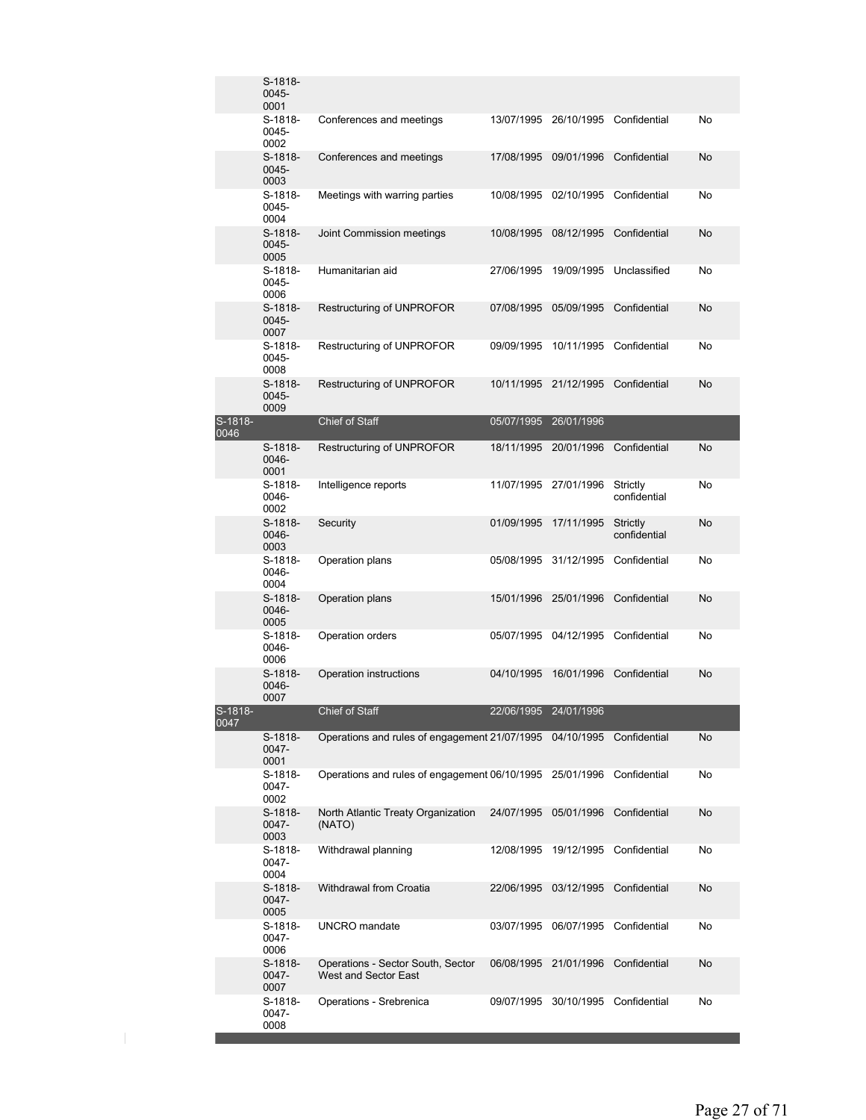|                 | S-1818-<br>0045-<br>0001      |                                                           |                       |                                    |                          |           |
|-----------------|-------------------------------|-----------------------------------------------------------|-----------------------|------------------------------------|--------------------------|-----------|
|                 | S-1818-<br>0045-<br>0002      | Conferences and meetings                                  | 13/07/1995            | 26/10/1995                         | Confidential             | No        |
|                 | S-1818-<br>$0045 -$<br>0003   | Conferences and meetings                                  | 17/08/1995            | 09/01/1996                         | Confidential             | No        |
|                 | S-1818-<br>0045-<br>0004      | Meetings with warring parties                             | 10/08/1995            | 02/10/1995                         | Confidential             | No        |
|                 | S-1818-<br>0045-<br>0005      | Joint Commission meetings                                 | 10/08/1995            | 08/12/1995                         | Confidential             | No        |
|                 | S-1818-<br>0045-<br>0006      | Humanitarian aid                                          | 27/06/1995            | 19/09/1995                         | Unclassified             | No        |
|                 | S-1818-<br>0045-<br>0007      | Restructuring of UNPROFOR                                 | 07/08/1995            | 05/09/1995                         | Confidential             | No        |
|                 | S-1818-<br>0045-<br>0008      | Restructuring of UNPROFOR                                 | 09/09/1995            | 10/11/1995                         | Confidential             | No        |
|                 | $S-1818-$<br>$0045 -$<br>0009 | Restructuring of UNPROFOR                                 | 10/11/1995            | 21/12/1995                         | Confidential             | No        |
| S-1818-<br>0046 |                               | Chief of Staff                                            | 05/07/1995            | 26/01/1996                         |                          |           |
|                 | S-1818-<br>0046-<br>0001      | Restructuring of UNPROFOR                                 | 18/11/1995            | 20/01/1996                         | Confidential             | <b>No</b> |
|                 | S-1818-<br>0046-<br>0002      | Intelligence reports                                      | 11/07/1995            | 27/01/1996                         | Strictly<br>confidential | No        |
|                 | $S-1818-$<br>0046-<br>0003    | Security                                                  | 01/09/1995            | 17/11/1995                         | Strictly<br>confidential | No        |
|                 | S-1818-<br>0046-<br>0004      | Operation plans                                           | 05/08/1995            | 31/12/1995                         | Confidential             | No        |
|                 | $S-1818-$<br>0046-<br>0005    | Operation plans                                           | 15/01/1996            | 25/01/1996                         | Confidential             | No        |
|                 | S-1818-<br>0046-<br>0006      | Operation orders                                          | 05/07/1995            | 04/12/1995                         | Confidential             | No        |
|                 | S-1818-<br>0046-<br>0007      | Operation instructions                                    | 04/10/1995            | 16/01/1996                         | Confidential             | No        |
| S-1818-<br>0047 |                               | Chief of Staff                                            | 22/06/1995 24/01/1996 |                                    |                          |           |
|                 | S-1818-<br>0047-<br>0001      | Operations and rules of engagement 21/07/1995 04/10/1995  |                       |                                    | Confidential             | No        |
|                 | S-1818-<br>0047-<br>0002      | Operations and rules of engagement 06/10/1995             |                       | 25/01/1996                         | Confidential             | No        |
|                 | S-1818-<br>0047-<br>0003      | North Atlantic Treaty Organization<br>(NATO)              | 24/07/1995            | 05/01/1996                         | Confidential             | No        |
|                 | S-1818-<br>0047-<br>0004      | Withdrawal planning                                       | 12/08/1995            | 19/12/1995                         | Confidential             | No        |
|                 | S-1818-<br>0047-<br>0005      | Withdrawal from Croatia                                   | 22/06/1995            | 03/12/1995                         | Confidential             | No        |
|                 | S-1818-<br>0047-<br>0006      | <b>UNCRO</b> mandate                                      | 03/07/1995            | 06/07/1995                         | Confidential             | No        |
|                 | S-1818-<br>0047-<br>0007      | Operations - Sector South, Sector<br>West and Sector East | 06/08/1995            | 21/01/1996                         | Confidential             | No        |
|                 | S-1818-<br>0047-<br>0008      | Operations - Srebrenica                                   |                       | 09/07/1995 30/10/1995 Confidential |                          | No        |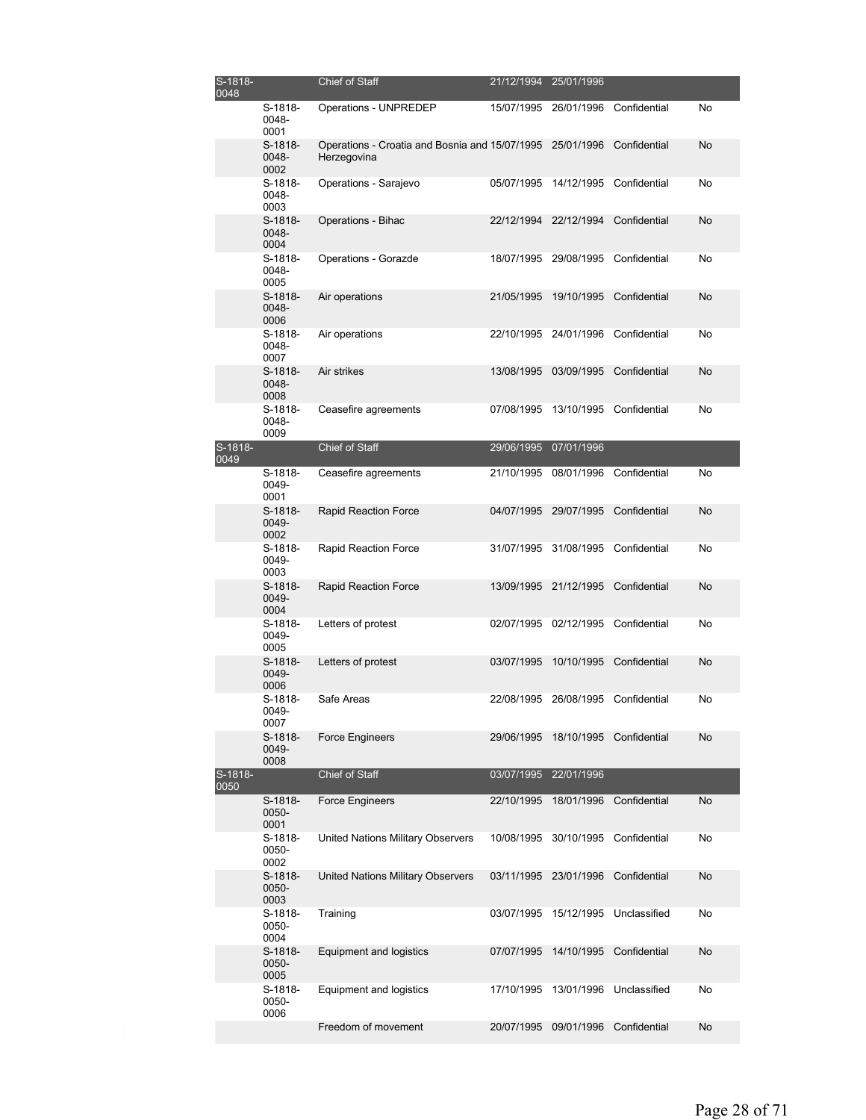| S-1818-<br>0048 |                            | Chief of Staff                                                           | 21/12/1994 | 25/01/1996                         |                         |    |
|-----------------|----------------------------|--------------------------------------------------------------------------|------------|------------------------------------|-------------------------|----|
|                 | S-1818-<br>0048-<br>0001   | Operations - UNPREDEP                                                    | 15/07/1995 |                                    | 26/01/1996 Confidential | No |
|                 | $S-1818-$<br>0048-<br>0002 | Operations - Croatia and Bosnia and 15/07/1995 25/01/1996<br>Herzegovina |            |                                    | Confidential            | No |
|                 | S-1818-<br>0048-<br>0003   | Operations - Sarajevo                                                    | 05/07/1995 | 14/12/1995                         | Confidential            | No |
|                 | S-1818-<br>0048-<br>0004   | Operations - Bihac                                                       | 22/12/1994 | 22/12/1994                         | Confidential            | No |
|                 | S-1818-<br>0048-<br>0005   | Operations - Gorazde                                                     | 18/07/1995 |                                    | 29/08/1995 Confidential | No |
|                 | S-1818-<br>0048-<br>0006   | Air operations                                                           | 21/05/1995 | 19/10/1995                         | Confidential            | No |
|                 | S-1818-<br>0048-<br>0007   | Air operations                                                           |            | 22/10/1995 24/01/1996              | Confidential            | No |
|                 | S-1818-<br>0048-<br>0008   | Air strikes                                                              | 13/08/1995 | 03/09/1995                         | Confidential            | No |
|                 | S-1818-<br>0048-<br>0009   | Ceasefire agreements                                                     | 07/08/1995 | 13/10/1995                         | Confidential            | No |
| S-1818-<br>0049 |                            | Chief of Staff                                                           | 29/06/1995 | 07/01/1996                         |                         |    |
|                 | S-1818-<br>0049-<br>0001   | Ceasefire agreements                                                     | 21/10/1995 | 08/01/1996                         | Confidential            | No |
|                 | S-1818-<br>0049-<br>0002   | Rapid Reaction Force                                                     | 04/07/1995 | 29/07/1995                         | Confidential            | No |
|                 | S-1818-<br>0049-<br>0003   | Rapid Reaction Force                                                     | 31/07/1995 | 31/08/1995                         | Confidential            | No |
|                 | $S-1818-$<br>0049-<br>0004 | Rapid Reaction Force                                                     | 13/09/1995 | 21/12/1995                         | Confidential            | No |
|                 | S-1818-<br>0049-<br>0005   | Letters of protest                                                       |            | 02/07/1995 02/12/1995              | Confidential            | No |
|                 | S-1818-<br>0049-<br>0006   | Letters of protest                                                       | 03/07/1995 | 10/10/1995                         | Confidential            | No |
|                 | S-1818-<br>0049-<br>0007   | Safe Areas                                                               |            | 22/08/1995 26/08/1995 Confidential |                         | No |
|                 | S-1818-<br>0049-<br>0008   | <b>Force Engineers</b>                                                   | 29/06/1995 |                                    | 18/10/1995 Confidential | No |
| S-1818-<br>0050 |                            | Chief of Staff                                                           | 03/07/1995 | 22/01/1996                         |                         |    |
|                 | S-1818-<br>0050-<br>0001   | Force Engineers                                                          | 22/10/1995 | 18/01/1996                         | Confidential            | No |
|                 | S-1818-<br>0050-<br>0002   | United Nations Military Observers                                        | 10/08/1995 | 30/10/1995                         | Confidential            | No |
|                 | S-1818-<br>0050-<br>0003   | United Nations Military Observers                                        | 03/11/1995 | 23/01/1996                         | Confidential            | No |
|                 | S-1818-<br>0050-<br>0004   | Training                                                                 | 03/07/1995 | 15/12/1995                         | Unclassified            | No |
|                 | S-1818-<br>0050-<br>0005   | Equipment and logistics                                                  | 07/07/1995 | 14/10/1995                         | Confidential            | No |
|                 | S-1818-<br>0050-<br>0006   | Equipment and logistics                                                  | 17/10/1995 | 13/01/1996                         | Unclassified            | No |
|                 |                            | Freedom of movement                                                      | 20/07/1995 | 09/01/1996                         | Confidential            | No |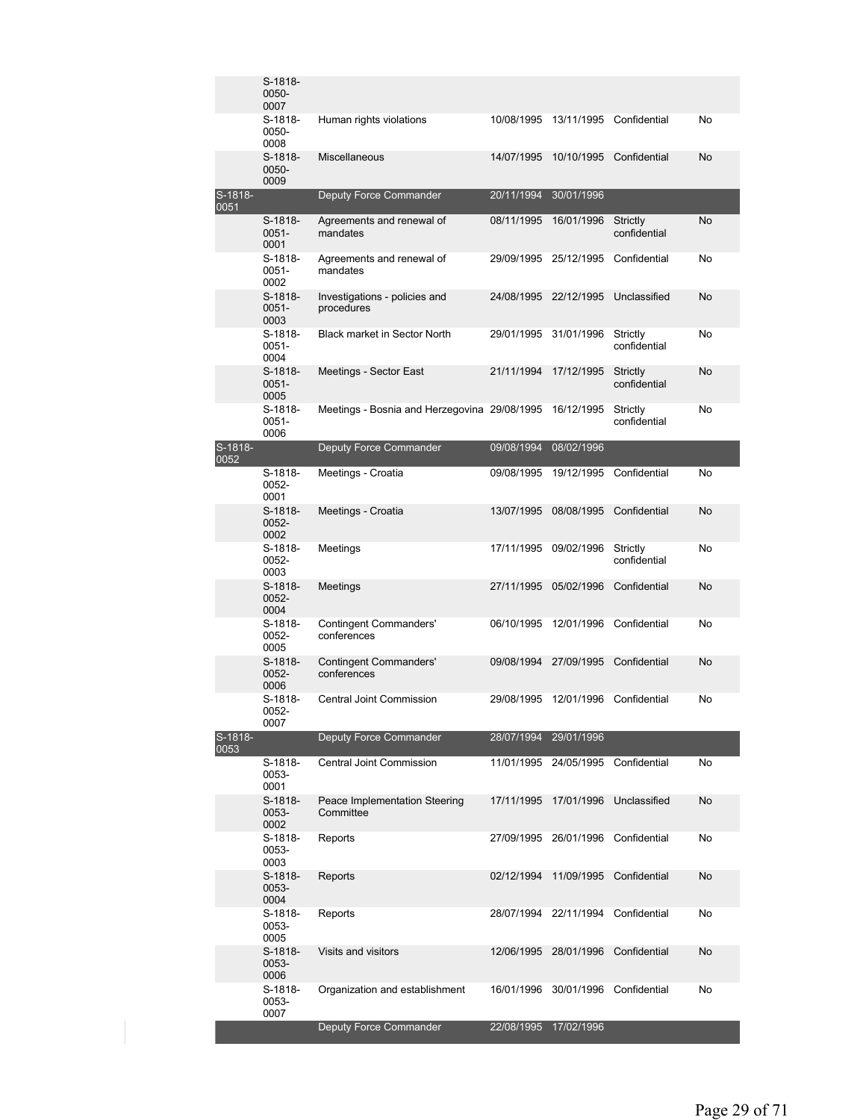|                 | S-1818-<br>0050-<br>0007   |                                              |            |                       |                          |    |
|-----------------|----------------------------|----------------------------------------------|------------|-----------------------|--------------------------|----|
|                 | S-1818-<br>0050-<br>0008   | Human rights violations                      | 10/08/1995 | 13/11/1995            | Confidential             | No |
|                 | S-1818-<br>0050-<br>0009   | Miscellaneous                                | 14/07/1995 | 10/10/1995            | Confidential             | No |
| S-1818-<br>0051 |                            | Deputy Force Commander                       | 20/11/1994 | 30/01/1996            |                          |    |
|                 | S-1818-<br>0051-<br>0001   | Agreements and renewal of<br>mandates        | 08/11/1995 | 16/01/1996            | Strictly<br>confidential | No |
|                 | S-1818-<br>0051-<br>0002   | Agreements and renewal of<br>mandates        | 29/09/1995 | 25/12/1995            | Confidential             | No |
|                 | S-1818-<br>0051-<br>0003   | Investigations - policies and<br>procedures  | 24/08/1995 | 22/12/1995            | Unclassified             | No |
|                 | S-1818-<br>0051-<br>0004   | <b>Black market in Sector North</b>          | 29/01/1995 | 31/01/1996            | Strictly<br>confidential | No |
|                 | $S-1818-$<br>0051-<br>0005 | Meetings - Sector East                       | 21/11/1994 | 17/12/1995            | Strictly<br>confidential | No |
|                 | S-1818-<br>0051-<br>0006   | Meetings - Bosnia and Herzegovina 29/08/1995 |            | 16/12/1995            | Strictly<br>confidential | No |
| S-1818-<br>0052 |                            | Deputy Force Commander                       | 09/08/1994 | 08/02/1996            |                          |    |
|                 | S-1818-<br>0052-<br>0001   | Meetings - Croatia                           | 09/08/1995 | 19/12/1995            | Confidential             | No |
|                 | S-1818-<br>0052-<br>0002   | Meetings - Croatia                           | 13/07/1995 | 08/08/1995            | Confidential             | No |
|                 | S-1818-<br>0052-<br>0003   | Meetings                                     |            | 17/11/1995 09/02/1996 | Strictly<br>confidential | No |
|                 | S-1818-<br>0052-<br>0004   | Meetings                                     | 27/11/1995 | 05/02/1996            | Confidential             | No |
|                 | S-1818-<br>0052-<br>0005   | <b>Contingent Commanders'</b><br>conferences | 06/10/1995 | 12/01/1996            | Confidential             | No |
|                 | S-1818-<br>0052-<br>0006   | <b>Contingent Commanders'</b><br>conferences | 09/08/1994 | 27/09/1995            | Confidential             | No |
|                 | S-1818-<br>0052-<br>0007   | Central Joint Commission                     | 29/08/1995 | 12/01/1996            | Confidential             | No |
| S-1818-<br>0053 |                            | <b>Deputy Force Commander</b>                |            | 28/07/1994 29/01/1996 |                          |    |
|                 | S-1818-<br>0053-<br>0001   | Central Joint Commission                     | 11/01/1995 | 24/05/1995            | Confidential             | No |
|                 | S-1818-<br>0053-<br>0002   | Peace Implementation Steering<br>Committee   | 17/11/1995 | 17/01/1996            | Unclassified             | No |
|                 | S-1818-<br>0053-<br>0003   | Reports                                      |            | 27/09/1995 26/01/1996 | Confidential             | No |
|                 | S-1818-<br>0053-<br>0004   | Reports                                      | 02/12/1994 | 11/09/1995            | Confidential             | No |
|                 | S-1818-<br>0053-<br>0005   | Reports                                      |            | 28/07/1994 22/11/1994 | Confidential             | No |
|                 | S-1818-<br>0053-<br>0006   | Visits and visitors                          | 12/06/1995 | 28/01/1996            | Confidential             | No |
|                 | S-1818-<br>0053-<br>0007   | Organization and establishment               | 16/01/1996 | 30/01/1996            | Confidential             | No |
|                 |                            | Deputy Force Commander                       | 22/08/1995 | 17/02/1996            |                          |    |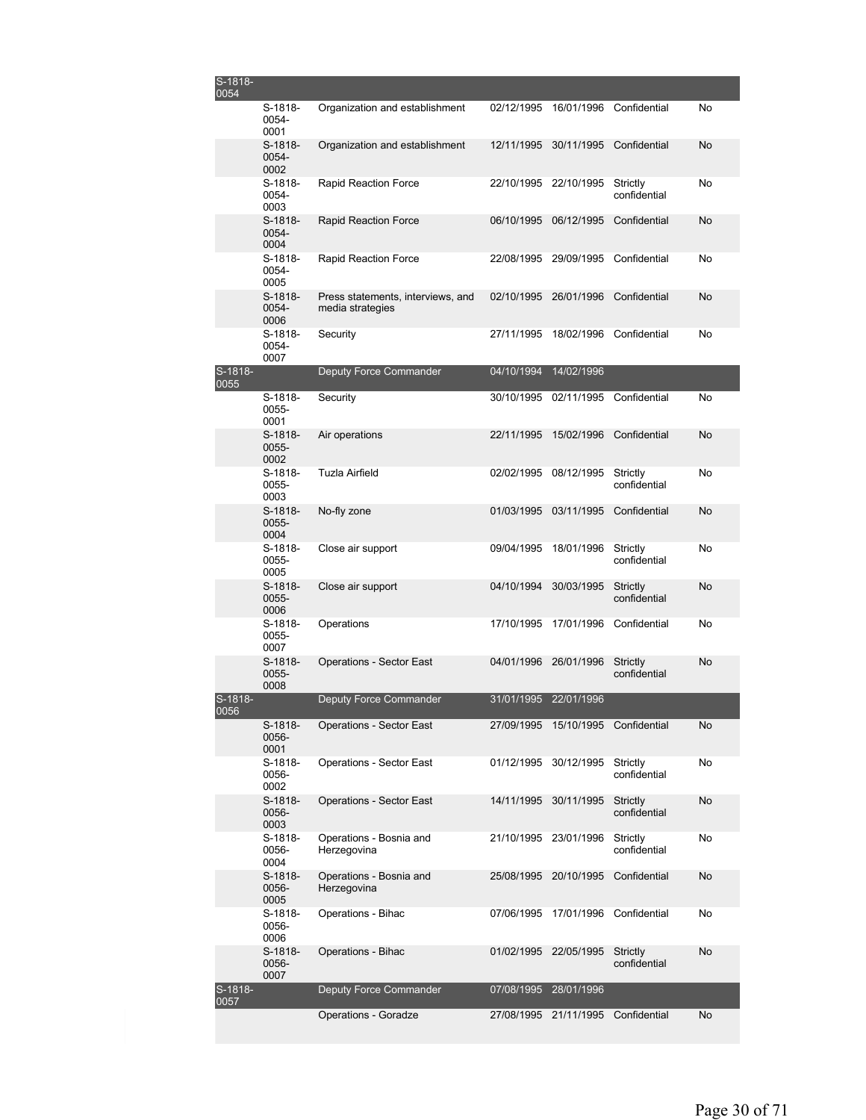| S-1818-<br>0054 |                            |                                                       |            |                       |                                 |    |
|-----------------|----------------------------|-------------------------------------------------------|------------|-----------------------|---------------------------------|----|
|                 | S-1818-<br>0054-<br>0001   | Organization and establishment                        | 02/12/1995 | 16/01/1996            | Confidential                    | No |
|                 | S-1818-<br>0054-<br>0002   | Organization and establishment                        | 12/11/1995 | 30/11/1995            | Confidential                    | No |
|                 | S-1818-<br>0054-<br>0003   | Rapid Reaction Force                                  | 22/10/1995 | 22/10/1995            | Strictly<br>confidential        | No |
|                 | $S-1818-$<br>0054-<br>0004 | Rapid Reaction Force                                  | 06/10/1995 | 06/12/1995            | Confidential                    | No |
|                 | $S-1818-$<br>0054-<br>0005 | <b>Rapid Reaction Force</b>                           | 22/08/1995 | 29/09/1995            | Confidential                    | No |
|                 | $S-1818-$<br>0054-<br>0006 | Press statements, interviews, and<br>media strategies | 02/10/1995 | 26/01/1996            | Confidential                    | No |
|                 | S-1818-<br>0054-<br>0007   | Security                                              | 27/11/1995 | 18/02/1996            | Confidential                    | No |
| S-1818-<br>0055 |                            | Deputy Force Commander                                | 04/10/1994 | 14/02/1996            |                                 |    |
|                 | S-1818-<br>0055-<br>0001   | Security                                              | 30/10/1995 | 02/11/1995            | Confidential                    | No |
|                 | S-1818-<br>0055-<br>0002   | Air operations                                        | 22/11/1995 | 15/02/1996            | Confidential                    | No |
|                 | S-1818-<br>0055-<br>0003   | <b>Tuzla Airfield</b>                                 | 02/02/1995 | 08/12/1995            | Strictly<br>confidential        | No |
|                 | $S-1818-$<br>0055-<br>0004 | No-fly zone                                           | 01/03/1995 | 03/11/1995            | Confidential                    | No |
|                 | S-1818-<br>0055-<br>0005   | Close air support                                     | 09/04/1995 | 18/01/1996            | Strictly<br>confidential        | No |
|                 | S-1818-<br>0055-<br>0006   | Close air support                                     | 04/10/1994 | 30/03/1995            | Strictly<br>confidential        | No |
|                 | S-1818-<br>0055-<br>0007   | Operations                                            | 17/10/1995 | 17/01/1996            | Confidential                    | No |
|                 | $S-1818-$<br>0055-<br>0008 | <b>Operations - Sector East</b>                       | 04/01/1996 | 26/01/1996            | Strictly<br>confidential        | No |
| S-1818-<br>0056 |                            | Deputy Force Commander                                |            | 31/01/1995 22/01/1996 |                                 |    |
|                 | S-1818-<br>0056-<br>0001   | <b>Operations - Sector East</b>                       | 27/09/1995 | 15/10/1995            | Confidential                    | No |
|                 | S-1818-<br>0056-<br>0002   | Operations - Sector East                              | 01/12/1995 | 30/12/1995            | Strictly<br>confidential        | No |
|                 | S-1818-<br>0056-<br>0003   | <b>Operations - Sector East</b>                       | 14/11/1995 | 30/11/1995            | <b>Strictly</b><br>confidential | No |
|                 | S-1818-<br>0056-<br>0004   | Operations - Bosnia and<br>Herzegovina                |            | 21/10/1995 23/01/1996 | Strictly<br>confidential        | No |
|                 | S-1818-<br>0056-<br>0005   | Operations - Bosnia and<br>Herzegovina                | 25/08/1995 | 20/10/1995            | Confidential                    | No |
|                 | S-1818-<br>0056-<br>0006   | Operations - Bihac                                    | 07/06/1995 | 17/01/1996            | Confidential                    | No |
|                 | S-1818-<br>0056-<br>0007   | Operations - Bihac                                    | 01/02/1995 | 22/05/1995            | Strictly<br>confidential        | No |
| S-1818-<br>0057 |                            | Deputy Force Commander                                | 07/08/1995 | 28/01/1996            |                                 |    |
|                 |                            | Operations - Goradze                                  |            | 27/08/1995 21/11/1995 | Confidential                    | No |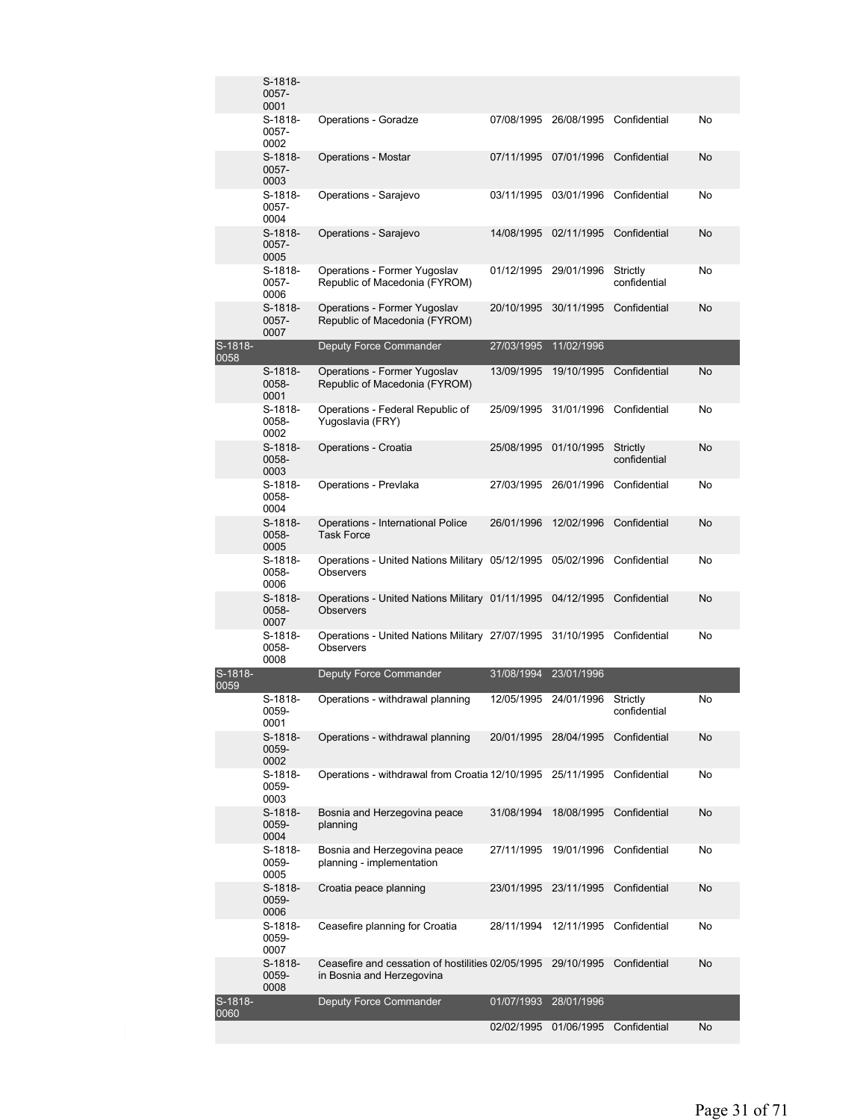|                 | S-1818-<br>0057-<br>0001 |                                                                                |            |                       |                          |    |
|-----------------|--------------------------|--------------------------------------------------------------------------------|------------|-----------------------|--------------------------|----|
|                 | S-1818-<br>0057-<br>0002 | <b>Operations - Goradze</b>                                                    | 07/08/1995 | 26/08/1995            | Confidential             | No |
|                 | S-1818-<br>0057-<br>0003 | <b>Operations - Mostar</b>                                                     | 07/11/1995 | 07/01/1996            | Confidential             | No |
|                 | S-1818-<br>0057-<br>0004 | Operations - Sarajevo                                                          | 03/11/1995 | 03/01/1996            | Confidential             | No |
|                 | S-1818-<br>0057-<br>0005 | Operations - Sarajevo                                                          | 14/08/1995 | 02/11/1995            | Confidential             | No |
|                 | S-1818-<br>0057-<br>0006 | Operations - Former Yugoslav<br>Republic of Macedonia (FYROM)                  | 01/12/1995 | 29/01/1996            | Strictly<br>confidential | No |
|                 | S-1818-<br>0057-<br>0007 | Operations - Former Yugoslav<br>Republic of Macedonia (FYROM)                  | 20/10/1995 | 30/11/1995            | Confidential             | No |
| S-1818-<br>0058 |                          | <b>Deputy Force Commander</b>                                                  | 27/03/1995 | 11/02/1996            |                          |    |
|                 | S-1818-<br>0058-<br>0001 | Operations - Former Yugoslav<br>Republic of Macedonia (FYROM)                  | 13/09/1995 | 19/10/1995            | Confidential             | No |
|                 | S-1818-<br>0058-<br>0002 | Operations - Federal Republic of<br>Yugoslavia (FRY)                           | 25/09/1995 | 31/01/1996            | Confidential             | No |
|                 | S-1818-<br>0058-<br>0003 | Operations - Croatia                                                           | 25/08/1995 | 01/10/1995            | Strictly<br>confidential | No |
|                 | S-1818-<br>0058-<br>0004 | Operations - Prevlaka                                                          |            | 27/03/1995 26/01/1996 | Confidential             | No |
|                 | S-1818-<br>0058-<br>0005 | Operations - International Police<br><b>Task Force</b>                         | 26/01/1996 | 12/02/1996            | Confidential             | No |
|                 | S-1818-<br>0058-<br>0006 | Operations - United Nations Military 05/12/1995<br><b>Observers</b>            |            | 05/02/1996            | Confidential             | No |
|                 | S-1818-<br>0058-<br>0007 | Operations - United Nations Military 01/11/1995<br><b>Observers</b>            |            | 04/12/1995            | Confidential             | No |
|                 | S-1818-<br>0058-<br>0008 | Operations - United Nations Military 27/07/1995 31/10/1995<br>Observers        |            |                       | Confidential             | No |
| S-1818-<br>0059 |                          | Deputy Force Commander                                                         | 31/08/1994 | 23/01/1996            |                          |    |
|                 | S-1818-<br>0059-<br>0001 | Operations - withdrawal planning                                               |            | 12/05/1995 24/01/1996 | Strictly<br>confidential | No |
|                 | S-1818-<br>0059-<br>0002 | Operations - withdrawal planning                                               | 20/01/1995 | 28/04/1995            | Confidential             | No |
|                 | S-1818-<br>0059-<br>0003 | Operations - withdrawal from Croatia 12/10/1995 25/11/1995                     |            |                       | Confidential             | No |
|                 | S-1818-<br>0059-<br>0004 | Bosnia and Herzegovina peace<br>planning                                       | 31/08/1994 | 18/08/1995            | Confidential             | No |
|                 | S-1818-<br>0059-<br>0005 | Bosnia and Herzegovina peace<br>planning - implementation                      | 27/11/1995 | 19/01/1996            | Confidential             | No |
|                 | S-1818-<br>0059-<br>0006 | Croatia peace planning                                                         | 23/01/1995 | 23/11/1995            | Confidential             | No |
|                 | S-1818-<br>0059-<br>0007 | Ceasefire planning for Croatia                                                 | 28/11/1994 | 12/11/1995            | Confidential             | No |
|                 | S-1818-<br>0059-<br>0008 | Ceasefire and cessation of hostilities 02/05/1995<br>in Bosnia and Herzegovina |            | 29/10/1995            | Confidential             | No |
| S-1818-<br>0060 |                          | <b>Deputy Force Commander</b>                                                  | 01/07/1993 | 28/01/1996            |                          |    |
|                 |                          |                                                                                | 02/02/1995 |                       | 01/06/1995 Confidential  | No |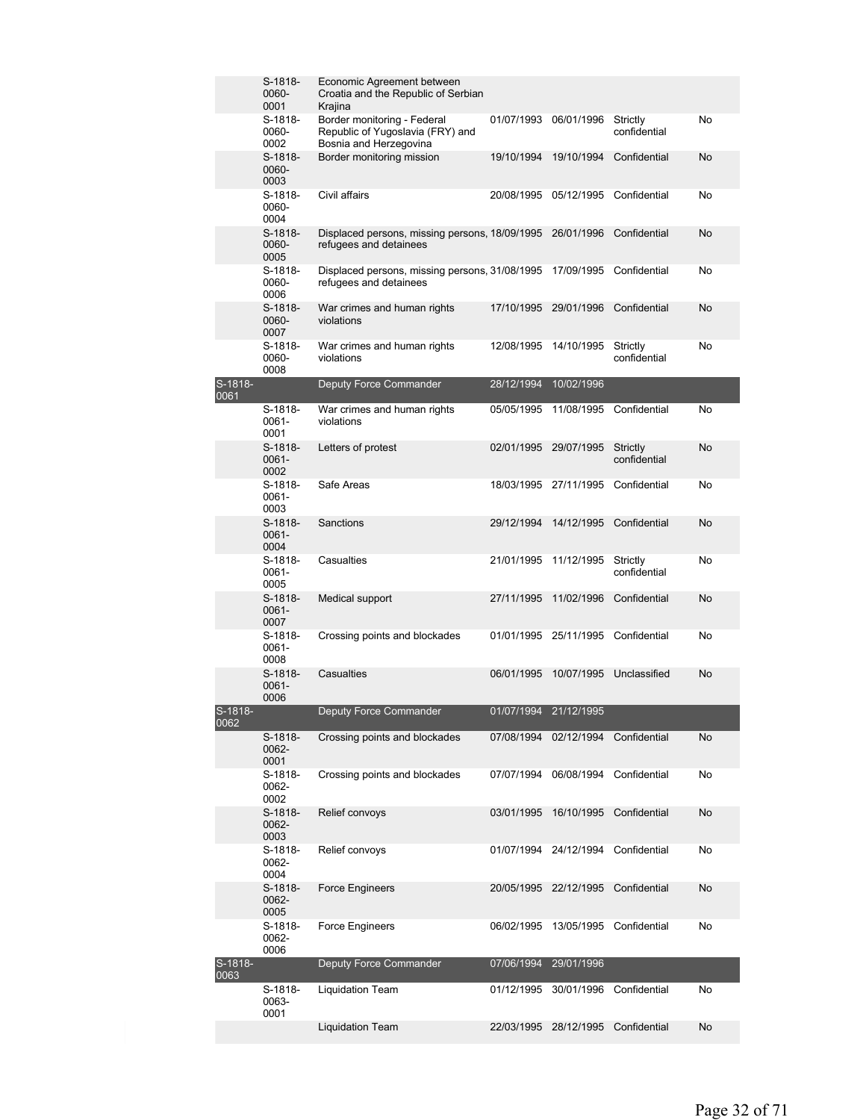|                 | S-1818-<br>0060-<br>0001      | Economic Agreement between<br>Croatia and the Republic of Serbian<br>Krajina              |                       |                       |                          |           |
|-----------------|-------------------------------|-------------------------------------------------------------------------------------------|-----------------------|-----------------------|--------------------------|-----------|
|                 | S-1818-<br>0060-<br>0002      | Border monitoring - Federal<br>Republic of Yugoslavia (FRY) and<br>Bosnia and Herzegovina | 01/07/1993            | 06/01/1996            | Strictly<br>confidential | No        |
|                 | S-1818-<br>0060-<br>0003      | Border monitoring mission                                                                 | 19/10/1994            | 19/10/1994            | Confidential             | No        |
|                 | S-1818-<br>0060-<br>0004      | Civil affairs                                                                             | 20/08/1995            | 05/12/1995            | Confidential             | No        |
|                 | S-1818-<br>0060-<br>0005      | Displaced persons, missing persons, 18/09/1995<br>refugees and detainees                  |                       | 26/01/1996            | Confidential             | No        |
|                 | S-1818-<br>0060-<br>0006      | Displaced persons, missing persons, 31/08/1995<br>refugees and detainees                  |                       | 17/09/1995            | Confidential             | No        |
|                 | $S-1818-$<br>0060-<br>0007    | War crimes and human rights<br>violations                                                 | 17/10/1995            | 29/01/1996            | Confidential             | No        |
|                 | S-1818-<br>0060-<br>0008      | War crimes and human rights<br>violations                                                 | 12/08/1995            | 14/10/1995            | Strictly<br>confidential | No        |
| S-1818-<br>0061 |                               | Deputy Force Commander                                                                    | 28/12/1994            | 10/02/1996            |                          |           |
|                 | S-1818-<br>0061-<br>0001      | War crimes and human rights<br>violations                                                 | 05/05/1995            | 11/08/1995            | Confidential             | No        |
|                 | $S-1818-$<br>0061-<br>0002    | Letters of protest                                                                        | 02/01/1995            | 29/07/1995            | Strictly<br>confidential | <b>No</b> |
|                 | S-1818-<br>0061-<br>0003      | Safe Areas                                                                                |                       | 18/03/1995 27/11/1995 | Confidential             | No        |
|                 | $S-1818-$<br>$0061 -$<br>0004 | Sanctions                                                                                 | 29/12/1994            | 14/12/1995            | Confidential             | No        |
|                 | S-1818-<br>0061-<br>0005      | Casualties                                                                                | 21/01/1995            | 11/12/1995            | Strictly<br>confidential | No        |
|                 | $S-1818-$<br>0061-<br>0007    | Medical support                                                                           | 27/11/1995            | 11/02/1996            | Confidential             | No        |
|                 | S-1818-<br>0061-<br>0008      | Crossing points and blockades                                                             | 01/01/1995            | 25/11/1995            | Confidential             | No        |
|                 | S-1818-<br>0061-<br>0006      | Casualties                                                                                | 06/01/1995            | 10/07/1995            | Unclassified             | No        |
| S-1818-<br>0062 |                               | Deputy Force Commander                                                                    | 01/07/1994 21/12/1995 |                       |                          |           |
|                 | S-1818-<br>0062-<br>0001      | Crossing points and blockades                                                             |                       | 07/08/1994 02/12/1994 | Confidential             | No        |
|                 | S-1818-<br>0062-<br>0002      | Crossing points and blockades                                                             | 07/07/1994            | 06/08/1994            | Confidential             | No        |
|                 | S-1818-<br>0062-<br>0003      | Relief convoys                                                                            | 03/01/1995            | 16/10/1995            | Confidential             | No        |
|                 | S-1818-<br>0062-<br>0004      | Relief convoys                                                                            | 01/07/1994            | 24/12/1994            | Confidential             | No        |
|                 | S-1818-<br>0062-<br>0005      | Force Engineers                                                                           | 20/05/1995            | 22/12/1995            | Confidential             | No        |
|                 | S-1818-<br>0062-<br>0006      | Force Engineers                                                                           | 06/02/1995            | 13/05/1995            | Confidential             | No        |
| S-1818-<br>0063 |                               | Deputy Force Commander                                                                    | 07/06/1994            | 29/01/1996            |                          |           |
|                 | S-1818-<br>0063-<br>0001      | <b>Liquidation Team</b>                                                                   | 01/12/1995            | 30/01/1996            | Confidential             | No        |
|                 |                               | <b>Liquidation Team</b>                                                                   | 22/03/1995            | 28/12/1995            | Confidential             | No        |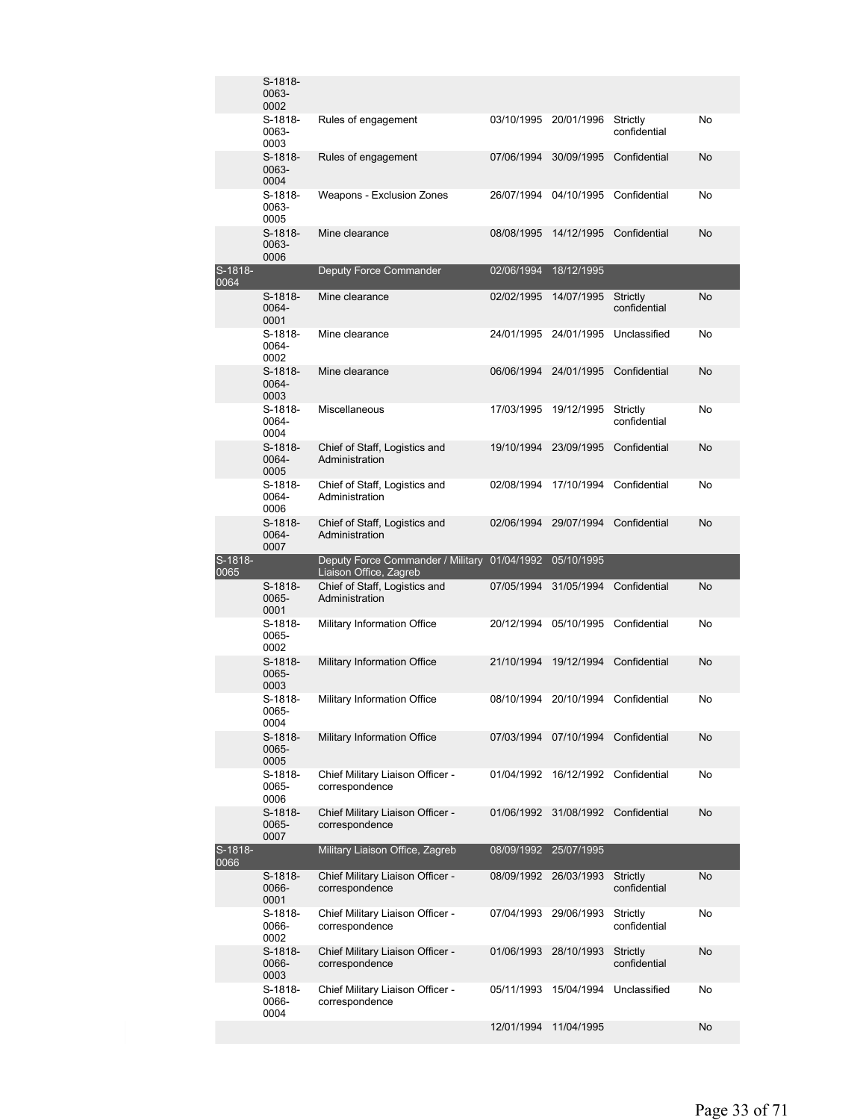|                 | S-1818-<br>0063-<br>0002   |                                                                           |            |                       |                          |    |
|-----------------|----------------------------|---------------------------------------------------------------------------|------------|-----------------------|--------------------------|----|
|                 | S-1818-<br>0063-<br>0003   | Rules of engagement                                                       | 03/10/1995 | 20/01/1996            | Strictly<br>confidential | No |
|                 | $S-1818-$<br>0063-<br>0004 | Rules of engagement                                                       | 07/06/1994 | 30/09/1995            | Confidential             | No |
|                 | S-1818-<br>0063-<br>0005   | Weapons - Exclusion Zones                                                 | 26/07/1994 | 04/10/1995            | Confidential             | No |
|                 | $S-1818-$<br>0063-<br>0006 | Mine clearance                                                            | 08/08/1995 | 14/12/1995            | Confidential             | No |
| S-1818-<br>0064 |                            | Deputy Force Commander                                                    | 02/06/1994 | 18/12/1995            |                          |    |
|                 | $S-1818-$<br>0064-<br>0001 | Mine clearance                                                            | 02/02/1995 | 14/07/1995            | Strictly<br>confidential | No |
|                 | S-1818-<br>0064-<br>0002   | Mine clearance                                                            |            | 24/01/1995 24/01/1995 | Unclassified             | No |
|                 | $S-1818-$<br>0064-<br>0003 | Mine clearance                                                            | 06/06/1994 | 24/01/1995            | Confidential             | No |
|                 | S-1818-<br>0064-<br>0004   | <b>Miscellaneous</b>                                                      | 17/03/1995 | 19/12/1995            | Strictly<br>confidential | No |
|                 | S-1818-<br>0064-<br>0005   | Chief of Staff, Logistics and<br>Administration                           | 19/10/1994 | 23/09/1995            | Confidential             | No |
|                 | S-1818-<br>0064-<br>0006   | Chief of Staff, Logistics and<br>Administration                           | 02/08/1994 | 17/10/1994            | Confidential             | No |
|                 | $S-1818-$<br>0064-<br>0007 | Chief of Staff, Logistics and<br>Administration                           | 02/06/1994 | 29/07/1994            | Confidential             | No |
|                 |                            |                                                                           |            |                       |                          |    |
| S-1818-<br>0065 |                            | Deputy Force Commander / Military 01/04/1992                              |            | 05/10/1995            |                          |    |
|                 | S-1818-<br>0065-<br>0001   | Liaison Office, Zagreb<br>Chief of Staff, Logistics and<br>Administration | 07/05/1994 | 31/05/1994            | Confidential             | No |
|                 | S-1818-<br>0065-<br>0002   | Military Information Office                                               | 20/12/1994 | 05/10/1995            | Confidential             | No |
|                 | S-1818-<br>0065-<br>0003   | Military Information Office                                               | 21/10/1994 | 19/12/1994            | Confidential             | No |
|                 | S-1818-<br>0065-<br>0004   | Military Information Office                                               |            | 08/10/1994 20/10/1994 | Confidential             | No |
|                 | S-1818-<br>0065-<br>0005   | Military Information Office                                               | 07/03/1994 | 07/10/1994            | Confidential             | No |
|                 | S-1818-<br>0065-<br>0006   | Chief Military Liaison Officer -<br>correspondence                        | 01/04/1992 | 16/12/1992            | Confidential             | No |
|                 | S-1818-<br>0065-<br>0007   | Chief Military Liaison Officer -<br>correspondence                        | 01/06/1992 | 31/08/1992            | Confidential             | No |
| S-1818-<br>0066 |                            | Military Liaison Office, Zagreb                                           | 08/09/1992 | 25/07/1995            |                          |    |
|                 | S-1818-<br>0066-<br>0001   | Chief Military Liaison Officer -<br>correspondence                        | 08/09/1992 | 26/03/1993            | Strictly<br>confidential | No |
|                 | S-1818-<br>0066-<br>0002   | Chief Military Liaison Officer -<br>correspondence                        | 07/04/1993 | 29/06/1993            | Strictly<br>confidential | No |
|                 | S-1818-<br>0066-<br>0003   | Chief Military Liaison Officer -<br>correspondence                        | 01/06/1993 | 28/10/1993            | Strictly<br>confidential | No |
|                 | S-1818-<br>0066-<br>0004   | Chief Military Liaison Officer -<br>correspondence                        | 05/11/1993 | 15/04/1994            | Unclassified             | No |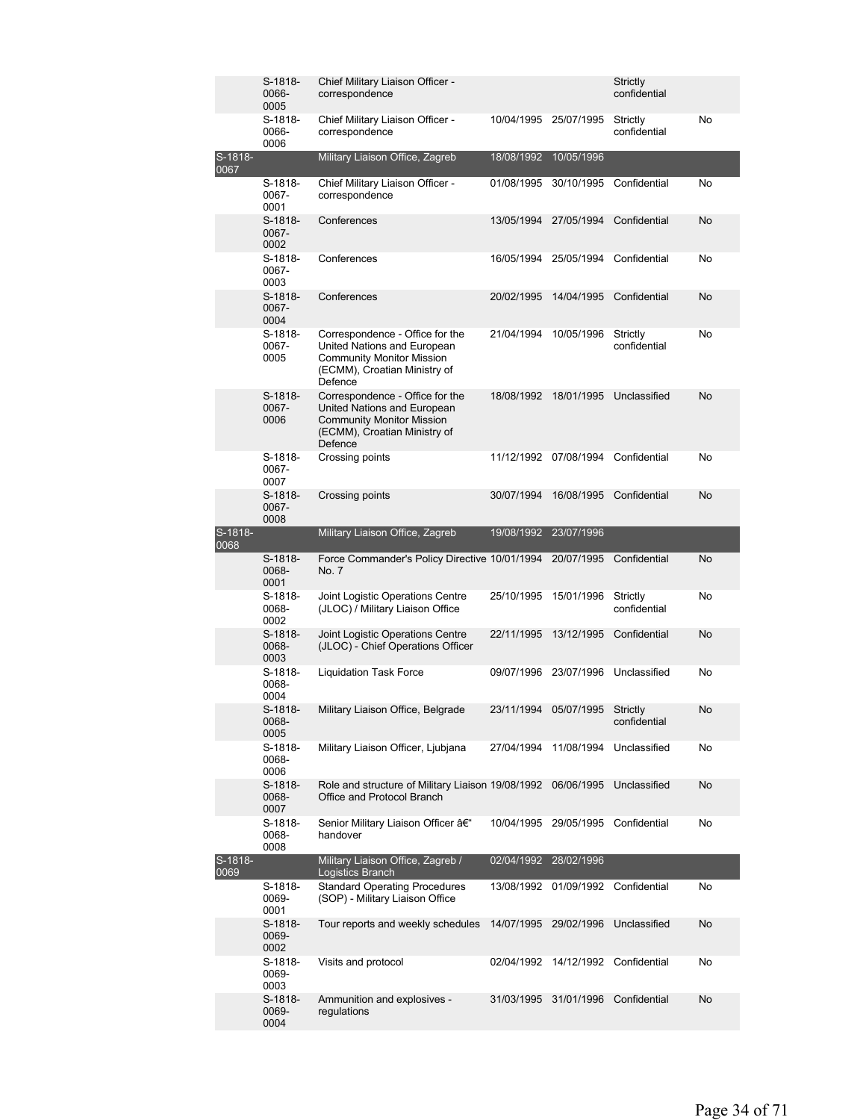|                 | S-1818-<br>0066-<br>0005 | Chief Military Liaison Officer -<br>correspondence                                                                                            |                       |                       | Strictly<br>confidential |    |
|-----------------|--------------------------|-----------------------------------------------------------------------------------------------------------------------------------------------|-----------------------|-----------------------|--------------------------|----|
|                 | S-1818-<br>0066-<br>0006 | Chief Military Liaison Officer -<br>correspondence                                                                                            | 10/04/1995 25/07/1995 |                       | Strictly<br>confidential | No |
| S-1818-<br>0067 |                          | Military Liaison Office, Zagreb                                                                                                               | 18/08/1992            | 10/05/1996            |                          |    |
|                 | S-1818-<br>0067-<br>0001 | Chief Military Liaison Officer -<br>correspondence                                                                                            | 01/08/1995            | 30/10/1995            | Confidential             | No |
|                 | S-1818-<br>0067-<br>0002 | Conferences                                                                                                                                   | 13/05/1994            | 27/05/1994            | Confidential             | No |
|                 | S-1818-<br>0067-<br>0003 | Conferences                                                                                                                                   | 16/05/1994            | 25/05/1994            | Confidential             | No |
|                 | S-1818-<br>0067-<br>0004 | Conferences                                                                                                                                   | 20/02/1995            | 14/04/1995            | Confidential             | No |
|                 | S-1818-<br>0067-<br>0005 | Correspondence - Office for the<br>United Nations and European<br><b>Community Monitor Mission</b><br>(ECMM), Croatian Ministry of<br>Defence | 21/04/1994            | 10/05/1996            | Strictly<br>confidential | No |
|                 | S-1818-<br>0067-<br>0006 | Correspondence - Office for the<br>United Nations and European<br><b>Community Monitor Mission</b><br>(ECMM), Croatian Ministry of<br>Defence | 18/08/1992            | 18/01/1995            | Unclassified             | No |
|                 | S-1818-<br>0067-<br>0007 | Crossing points                                                                                                                               | 11/12/1992 07/08/1994 |                       | Confidential             | No |
|                 | S-1818-<br>0067-<br>0008 | Crossing points                                                                                                                               | 30/07/1994            | 16/08/1995            | Confidential             | No |
| S-1818-<br>0068 |                          | Military Liaison Office, Zagreb                                                                                                               | 19/08/1992            | 23/07/1996            |                          |    |
|                 | S-1818-<br>0068-<br>0001 | Force Commander's Policy Directive 10/01/1994<br>No. 7                                                                                        |                       | 20/07/1995            | Confidential             | No |
|                 | S-1818-<br>0068-<br>0002 | Joint Logistic Operations Centre<br>(JLOC) / Military Liaison Office                                                                          | 25/10/1995            | 15/01/1996            | Strictly<br>confidential | No |
|                 | S-1818-<br>0068-<br>0003 | Joint Logistic Operations Centre<br>(JLOC) - Chief Operations Officer                                                                         | 22/11/1995            | 13/12/1995            | Confidential             | No |
|                 | S-1818-<br>0068-<br>0004 | Liquidation Task Force                                                                                                                        | 09/07/1996 23/07/1996 |                       | Unclassified             | No |
|                 | S-1818-<br>0068-<br>0005 | Military Liaison Office, Belgrade                                                                                                             |                       | 23/11/1994 05/07/1995 | Strictly<br>confidential | No |
|                 | S-1818-<br>0068-<br>0006 | Military Liaison Officer, Ljubjana                                                                                                            | 27/04/1994            | 11/08/1994            | Unclassified             | No |
|                 | S-1818-<br>0068-<br>0007 | Role and structure of Military Liaison 19/08/1992<br>Office and Protocol Branch                                                               |                       | 06/06/1995            | Unclassified             | No |
|                 | S-1818-<br>0068-<br>8000 | Senior Military Liaison Officer –<br>handover                                                                                                 | 10/04/1995            | 29/05/1995            | Confidential             | No |
| S-1818-<br>0069 |                          | Military Liaison Office, Zagreb /<br>Logistics Branch                                                                                         | 02/04/1992            | 28/02/1996            |                          |    |
|                 | S-1818-<br>0069-<br>0001 | <b>Standard Operating Procedures</b><br>(SOP) - Military Liaison Office                                                                       | 13/08/1992            | 01/09/1992            | Confidential             | No |
|                 | S-1818-<br>0069-<br>0002 | Tour reports and weekly schedules                                                                                                             | 14/07/1995            | 29/02/1996            | Unclassified             | No |
|                 | S-1818-<br>0069-<br>0003 | Visits and protocol                                                                                                                           | 02/04/1992            | 14/12/1992            | Confidential             | No |
|                 | S-1818-<br>0069-         | Ammunition and explosives -<br>regulations                                                                                                    | 31/03/1995            | 31/01/1996            | Confidential             | No |
|                 | 0004                     |                                                                                                                                               |                       |                       |                          |    |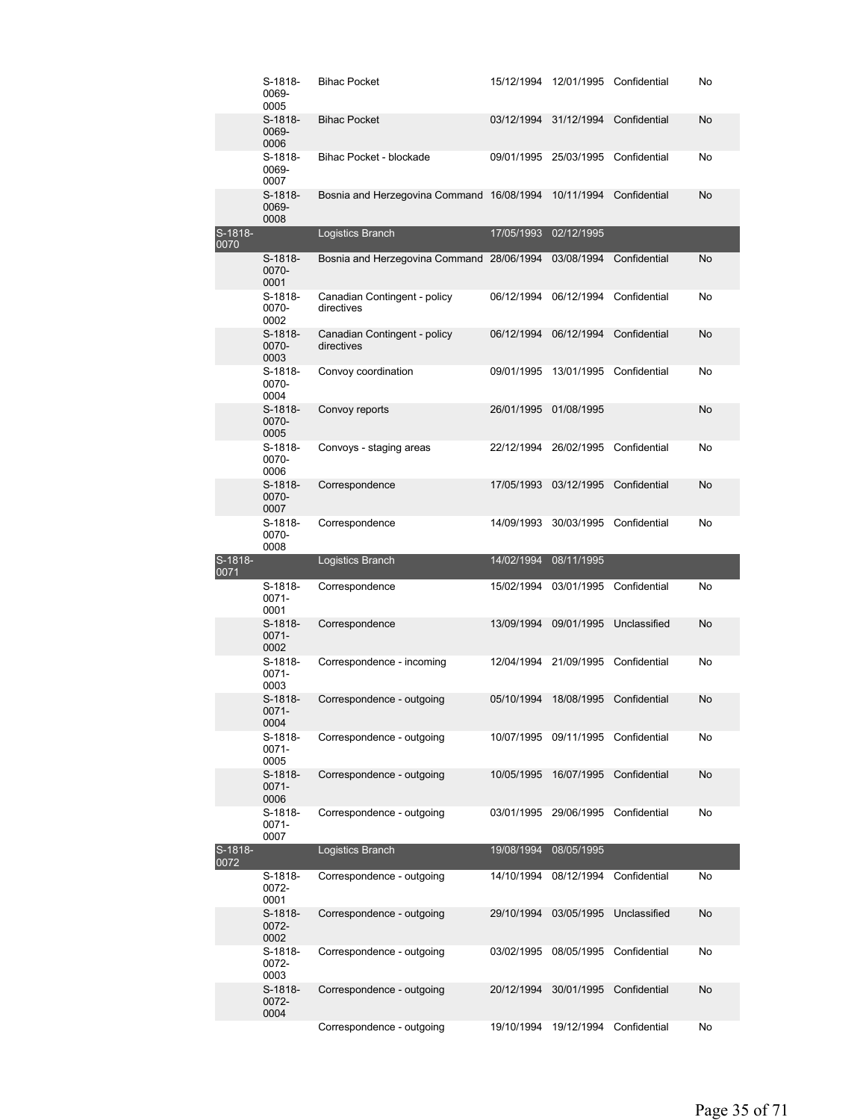|                 | S-1818-<br>0069-<br>0005   | <b>Bihac Pocket</b>                                    | 15/12/1994               |                          | 12/01/1995 Confidential      | No        |
|-----------------|----------------------------|--------------------------------------------------------|--------------------------|--------------------------|------------------------------|-----------|
|                 | $S-1818-$<br>0069-<br>0006 | <b>Bihac Pocket</b>                                    | 03/12/1994               | 31/12/1994               | Confidential                 | No        |
|                 | S-1818-<br>0069-<br>0007   | Bihac Pocket - blockade                                | 09/01/1995               | 25/03/1995               | Confidential                 | No        |
|                 | S-1818-<br>0069-<br>0008   | Bosnia and Herzegovina Command 16/08/1994              |                          | 10/11/1994               | Confidential                 | No        |
| S-1818-<br>0070 |                            | Logistics Branch                                       | 17/05/1993               | 02/12/1995               |                              |           |
|                 | S-1818-<br>0070-<br>0001   | Bosnia and Herzegovina Command 28/06/1994              |                          | 03/08/1994               | Confidential                 | No        |
|                 | S-1818-<br>0070-<br>0002   | Canadian Contingent - policy<br>directives             | 06/12/1994               | 06/12/1994               | Confidential                 | No        |
|                 | $S-1818-$<br>0070-<br>0003 | Canadian Contingent - policy<br>directives             | 06/12/1994               | 06/12/1994               | Confidential                 | <b>No</b> |
|                 | S-1818-<br>0070-<br>0004   | Convoy coordination                                    | 09/01/1995               |                          | 13/01/1995 Confidential      | No        |
|                 | S-1818-<br>0070-<br>0005   | Convoy reports                                         | 26/01/1995               | 01/08/1995               |                              | <b>No</b> |
|                 | S-1818-<br>0070-<br>0006   | Convoys - staging areas                                | 22/12/1994               |                          | 26/02/1995 Confidential      | No        |
|                 | S-1818-<br>0070-<br>0007   | Correspondence                                         | 17/05/1993               | 03/12/1995               | Confidential                 | No        |
|                 | S-1818-<br>0070-<br>0008   | Correspondence                                         | 14/09/1993               |                          | 30/03/1995 Confidential      | No        |
|                 |                            |                                                        |                          |                          |                              |           |
| S-1818-<br>0071 |                            | Logistics Branch                                       | 14/02/1994               | 08/11/1995               |                              |           |
|                 | S-1818-<br>0071-<br>0001   | Correspondence                                         | 15/02/1994               | 03/01/1995               | Confidential                 | No        |
|                 | S-1818-<br>0071-<br>0002   | Correspondence                                         | 13/09/1994               | 09/01/1995               | Unclassified                 | No        |
|                 | S-1818-<br>0071-<br>0003   | Correspondence - incoming                              |                          | 12/04/1994 21/09/1995    | Confidential                 | No        |
|                 | S-1818-<br>0071-<br>0004   | Correspondence - outgoing                              | 05/10/1994               | 18/08/1995               | Confidential                 | No        |
|                 | S-1818-<br>0071-<br>0005   | Correspondence - outgoing                              | 10/07/1995               | 09/11/1995               | Confidential                 | No        |
|                 | S-1818-<br>0071-<br>0006   | Correspondence - outgoing                              | 10/05/1995               | 16/07/1995               | Confidential                 | No        |
|                 | S-1818-<br>0071-<br>0007   | Correspondence - outgoing                              | 03/01/1995               | 29/06/1995               | Confidential                 | No        |
| S-1818-<br>0072 |                            | Logistics Branch                                       | 19/08/1994               | 08/05/1995               |                              |           |
|                 | S-1818-<br>0072-<br>0001   | Correspondence - outgoing                              | 14/10/1994               | 08/12/1994               | Confidential                 | No        |
|                 | S-1818-<br>0072-<br>0002   | Correspondence - outgoing                              | 29/10/1994               | 03/05/1995               | Unclassified                 | No        |
|                 | S-1818-<br>0072-<br>0003   | Correspondence - outgoing                              | 03/02/1995               | 08/05/1995               | Confidential                 | No        |
|                 | S-1818-<br>0072-<br>0004   | Correspondence - outgoing<br>Correspondence - outgoing | 20/12/1994<br>19/10/1994 | 30/01/1995<br>19/12/1994 | Confidential<br>Confidential | No<br>No  |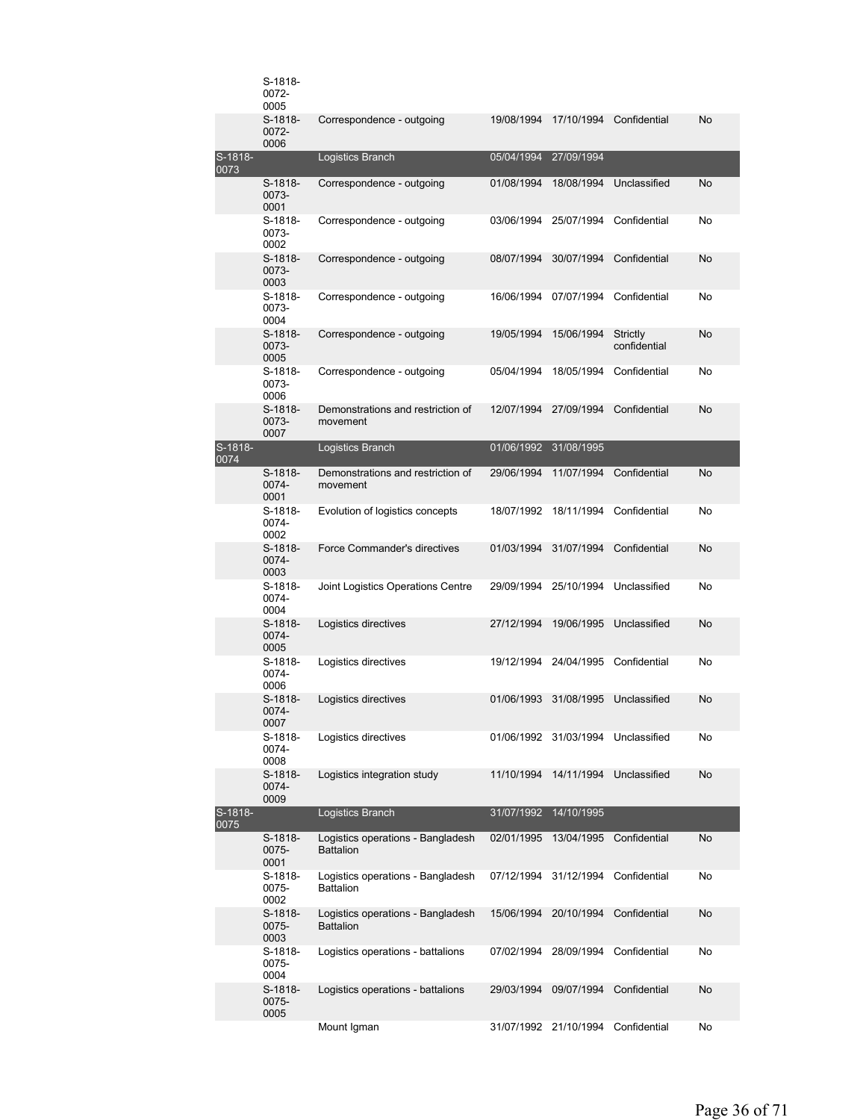|                         | S-1818-<br>0072-<br>0005   |                                                       |            |                       |                          |    |
|-------------------------|----------------------------|-------------------------------------------------------|------------|-----------------------|--------------------------|----|
|                         | $S-1818-$<br>0072-<br>0006 | Correspondence - outgoing                             | 19/08/1994 | 17/10/1994            | Confidential             | No |
| S-1818-<br>0073         |                            | Logistics Branch                                      | 05/04/1994 | 27/09/1994            |                          |    |
|                         | $S-1818-$<br>0073-<br>0001 | Correspondence - outgoing                             | 01/08/1994 | 18/08/1994            | Unclassified             | No |
|                         | S-1818-<br>0073-<br>0002   | Correspondence - outgoing                             | 03/06/1994 | 25/07/1994            | Confidential             | No |
|                         | $S-1818-$<br>0073-<br>0003 | Correspondence - outgoing                             | 08/07/1994 | 30/07/1994            | Confidential             | No |
|                         | S-1818-<br>0073-<br>0004   | Correspondence - outgoing                             | 16/06/1994 | 07/07/1994            | Confidential             | No |
|                         | $S-1818-$<br>0073-<br>0005 | Correspondence - outgoing                             | 19/05/1994 | 15/06/1994            | Strictly<br>confidential | No |
|                         | S-1818-<br>0073-<br>0006   | Correspondence - outgoing                             | 05/04/1994 | 18/05/1994            | Confidential             | No |
|                         | $S-1818-$<br>0073-<br>0007 | Demonstrations and restriction of<br>movement         | 12/07/1994 | 27/09/1994            | Confidential             | No |
| S-181 <u>8-</u><br>0074 |                            | Logistics Branch                                      | 01/06/1992 | 31/08/1995            |                          |    |
|                         | S-1818-<br>0074-<br>0001   | Demonstrations and restriction of<br>movement         | 29/06/1994 | 11/07/1994            | Confidential             | No |
|                         | S-1818-<br>0074-<br>0002   | Evolution of logistics concepts                       | 18/07/1992 | 18/11/1994            | Confidential             | No |
|                         | $S-1818-$<br>0074-<br>0003 | Force Commander's directives                          | 01/03/1994 | 31/07/1994            | Confidential             | No |
|                         | S-1818-<br>0074-<br>0004   | Joint Logistics Operations Centre                     | 29/09/1994 | 25/10/1994            | Unclassified             | No |
|                         | S-1818-<br>0074-<br>0005   | Logistics directives                                  | 27/12/1994 | 19/06/1995            | Unclassified             | No |
|                         | S-1818-<br>0074-<br>0006   | Logistics directives                                  | 19/12/1994 | 24/04/1995            | Confidential             | No |
|                         | $S-1818-$<br>0074-<br>0007 | Logistics directives                                  | 01/06/1993 | 31/08/1995            | Unclassified             | No |
|                         | S-1818-<br>0074-<br>0008   | Logistics directives                                  |            | 01/06/1992 31/03/1994 | Unclassified             | No |
|                         | S-1818-<br>0074-<br>0009   | Logistics integration study                           | 11/10/1994 | 14/11/1994            | Unclassified             | No |
| S-1818-<br>0075         |                            | Logistics Branch                                      | 31/07/1992 | 14/10/1995            |                          |    |
|                         | S-1818-<br>0075-<br>0001   | Logistics operations - Bangladesh<br><b>Battalion</b> | 02/01/1995 | 13/04/1995            | Confidential             | No |
|                         | S-1818-<br>0075-<br>0002   | Logistics operations - Bangladesh<br><b>Battalion</b> | 07/12/1994 | 31/12/1994            | Confidential             | No |
|                         | S-1818-<br>0075-<br>0003   | Logistics operations - Bangladesh<br><b>Battalion</b> | 15/06/1994 | 20/10/1994            | Confidential             | No |
|                         | S-1818-<br>0075-<br>0004   | Logistics operations - battalions                     | 07/02/1994 | 28/09/1994            | Confidential             | No |
|                         | S-1818-<br>0075-<br>0005   | Logistics operations - battalions                     | 29/03/1994 | 09/07/1994            | Confidential             | No |
|                         |                            | Mount Igman                                           |            | 31/07/1992 21/10/1994 | Confidential             | No |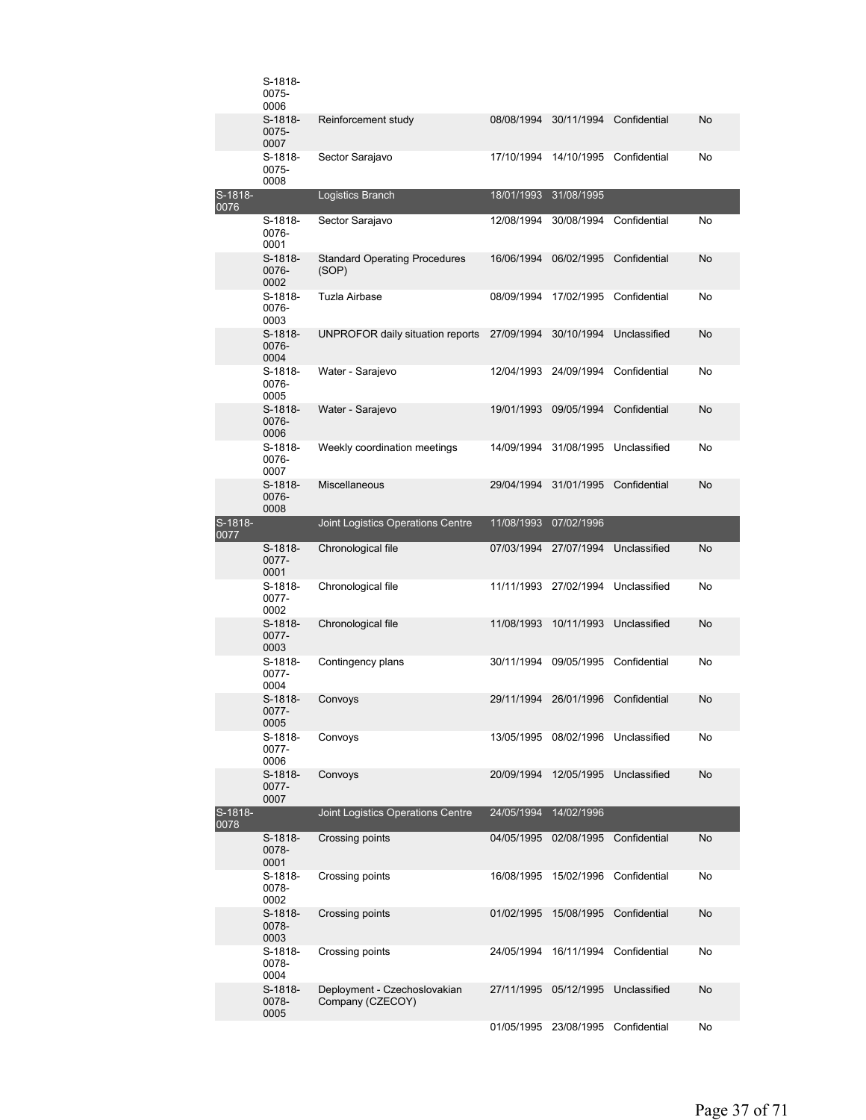|                 | S-1818-<br>0075-<br>0006   |                                                  |            |                       |              |           |
|-----------------|----------------------------|--------------------------------------------------|------------|-----------------------|--------------|-----------|
|                 | S-1818-<br>0075-<br>0007   | Reinforcement study                              | 08/08/1994 | 30/11/1994            | Confidential | No        |
|                 | S-1818-<br>0075-<br>0008   | Sector Sarajavo                                  | 17/10/1994 | 14/10/1995            | Confidential | No        |
| S-1818-<br>0076 |                            | Logistics Branch                                 | 18/01/1993 | 31/08/1995            |              |           |
|                 | S-1818-<br>0076-<br>0001   | Sector Sarajavo                                  | 12/08/1994 | 30/08/1994            | Confidential | No        |
|                 | $S-1818-$<br>0076-<br>0002 | <b>Standard Operating Procedures</b><br>(SOP)    | 16/06/1994 | 06/02/1995            | Confidential | No        |
|                 | S-1818-<br>0076-<br>0003   | Tuzla Airbase                                    | 08/09/1994 | 17/02/1995            | Confidential | No        |
|                 | S-1818-<br>0076-<br>0004   | UNPROFOR daily situation reports 27/09/1994      |            | 30/10/1994            | Unclassified | No        |
|                 | S-1818-<br>0076-<br>0005   | Water - Sarajevo                                 | 12/04/1993 | 24/09/1994            | Confidential | No        |
|                 | S-1818-<br>0076-<br>0006   | Water - Sarajevo                                 | 19/01/1993 | 09/05/1994            | Confidential | No        |
|                 | S-1818-<br>0076-<br>0007   | Weekly coordination meetings                     | 14/09/1994 | 31/08/1995            | Unclassified | No        |
|                 | S-1818-<br>0076-<br>0008   | <b>Miscellaneous</b>                             | 29/04/1994 | 31/01/1995            | Confidential | No        |
| S-1818-<br>0077 |                            | Joint Logistics Operations Centre                | 11/08/1993 | 07/02/1996            |              |           |
|                 | S-1818-<br>0077-<br>0001   | Chronological file                               | 07/03/1994 | 27/07/1994            | Unclassified | <b>No</b> |
|                 | S-1818-<br>0077-<br>0002   | Chronological file                               | 11/11/1993 | 27/02/1994            | Unclassified | No        |
|                 | S-1818-<br>0077-<br>0003   | Chronological file                               | 11/08/1993 | 10/11/1993            | Unclassified | No        |
|                 | S-1818-<br>0077-<br>0004   | Contingency plans                                | 30/11/1994 | 09/05/1995            | Confidential | No        |
|                 | $S-1818-$<br>0077-<br>0005 | Convoys                                          | 29/11/1994 | 26/01/1996            | Confidential | No        |
|                 | S-1818-<br>0077-<br>0006   | Convoys                                          |            | 13/05/1995 08/02/1996 | Unclassified | No        |
|                 | S-1818-<br>0077-<br>0007   | Convoys                                          | 20/09/1994 | 12/05/1995            | Unclassified | No        |
| S-1818-<br>0078 |                            | Joint Logistics Operations Centre                | 24/05/1994 | 14/02/1996            |              |           |
|                 | S-1818-<br>0078-<br>0001   | Crossing points                                  | 04/05/1995 | 02/08/1995            | Confidential | No        |
|                 | S-1818-<br>0078-<br>0002   | Crossing points                                  | 16/08/1995 | 15/02/1996            | Confidential | No        |
|                 | S-1818-<br>0078-<br>0003   | Crossing points                                  | 01/02/1995 | 15/08/1995            | Confidential | No        |
|                 | S-1818-<br>0078-<br>0004   | Crossing points                                  | 24/05/1994 | 16/11/1994            | Confidential | No        |
|                 | S-1818-<br>0078-<br>0005   | Deployment - Czechoslovakian<br>Company (CZECOY) | 27/11/1995 | 05/12/1995            | Unclassified | No        |
|                 |                            |                                                  |            | 01/05/1995 23/08/1995 | Confidential | No        |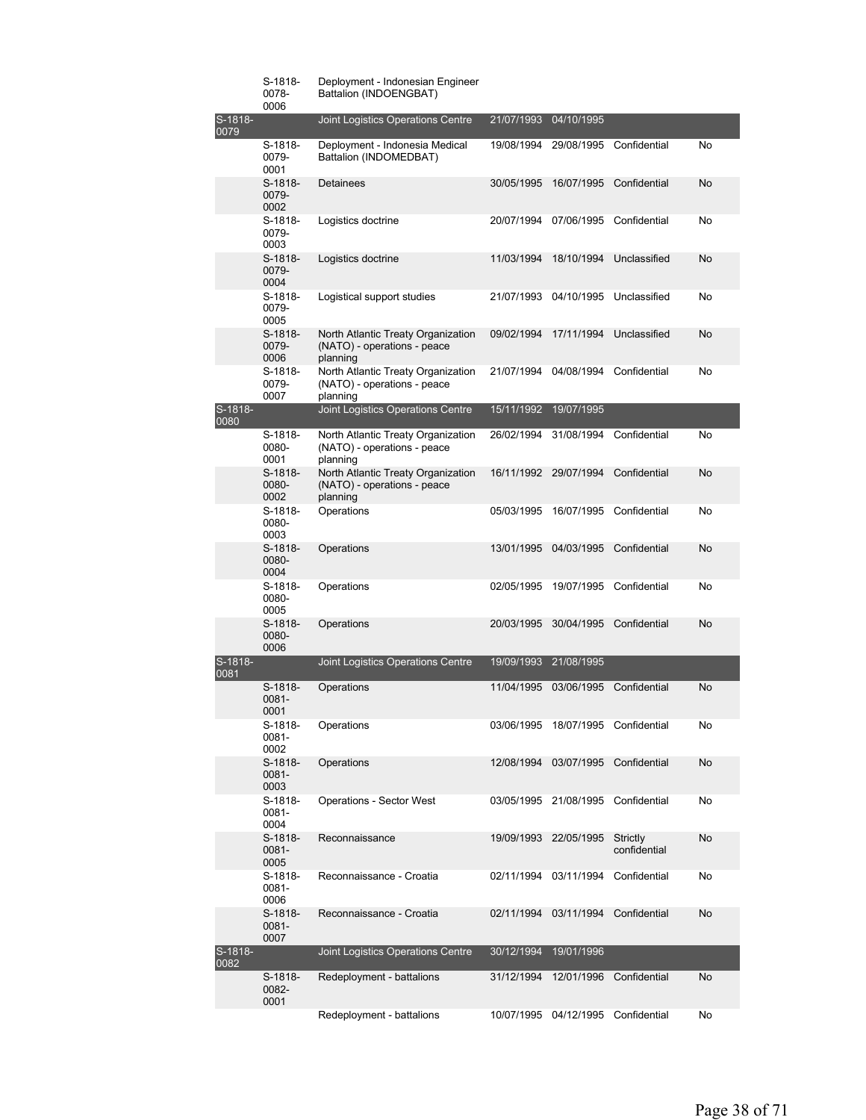|                 | S-1818-<br>0078-<br>0006 | Deployment - Indonesian Engineer<br>Battalion (INDOENGBAT)                    |            |                       |                          |           |
|-----------------|--------------------------|-------------------------------------------------------------------------------|------------|-----------------------|--------------------------|-----------|
| S-1818-<br>0079 |                          | Joint Logistics Operations Centre                                             | 21/07/1993 | 04/10/1995            |                          |           |
|                 | S-1818-<br>0079-<br>0001 | Deployment - Indonesia Medical<br>Battalion (INDOMEDBAT)                      | 19/08/1994 | 29/08/1995            | Confidential             | No        |
|                 | S-1818-<br>0079-<br>0002 | Detainees                                                                     | 30/05/1995 | 16/07/1995            | Confidential             | <b>No</b> |
|                 | S-1818-<br>0079-<br>0003 | Logistics doctrine                                                            | 20/07/1994 | 07/06/1995            | Confidential             | No        |
|                 | S-1818-<br>0079-<br>0004 | Logistics doctrine                                                            | 11/03/1994 | 18/10/1994            | Unclassified             | No        |
|                 | S-1818-<br>0079-<br>0005 | Logistical support studies                                                    | 21/07/1993 | 04/10/1995            | Unclassified             | No        |
|                 | S-1818-<br>0079-<br>0006 | North Atlantic Treaty Organization<br>(NATO) - operations - peace<br>planning | 09/02/1994 | 17/11/1994            | Unclassified             | No        |
|                 | S-1818-<br>0079-<br>0007 | North Atlantic Treaty Organization<br>(NATO) - operations - peace<br>planning | 21/07/1994 | 04/08/1994            | Confidential             | No        |
| S-1818-<br>0000 |                          | Joint Logistics Operations Centre                                             | 15/11/1992 | 19/07/1995            |                          |           |
|                 | S-1818-<br>0080-<br>0001 | North Atlantic Treaty Organization<br>(NATO) - operations - peace<br>planning | 26/02/1994 | 31/08/1994            | Confidential             | No        |
|                 | S-1818-<br>0080-<br>0002 | North Atlantic Treaty Organization<br>(NATO) - operations - peace<br>planning | 16/11/1992 | 29/07/1994            | Confidential             | No        |
|                 | S-1818-<br>0080-<br>0003 | Operations                                                                    | 05/03/1995 | 16/07/1995            | Confidential             | No        |
|                 | S-1818-<br>0080-<br>0004 | Operations                                                                    | 13/01/1995 | 04/03/1995            | Confidential             | <b>No</b> |
|                 | S-1818-<br>0080-<br>0005 | Operations                                                                    | 02/05/1995 | 19/07/1995            | Confidential             | No        |
|                 | S-1818-<br>0080-<br>0006 | Operations                                                                    | 20/03/1995 | 30/04/1995            | Confidential             | <b>No</b> |
| S-1818-<br>0081 |                          | Joint Logistics Operations Centre                                             | 19/09/1993 | 21/08/1995            |                          |           |
|                 | S-1818-<br>0081-<br>0001 | Operations                                                                    | 11/04/1995 | 03/06/1995            | Confidential             | No        |
|                 | S-1818-<br>0081-<br>0002 | Operations                                                                    | 03/06/1995 |                       | 18/07/1995 Confidential  | No        |
|                 | S-1818-<br>0081-<br>0003 | Operations                                                                    |            | 12/08/1994 03/07/1995 | Confidential             | No        |
|                 | S-1818-<br>0081-<br>0004 | <b>Operations - Sector West</b>                                               |            | 03/05/1995 21/08/1995 | Confidential             | No        |
|                 | S-1818-<br>0081-<br>0005 | Reconnaissance                                                                | 19/09/1993 | 22/05/1995            | Strictly<br>confidential | No        |
|                 | S-1818-<br>0081-<br>0006 | Reconnaissance - Croatia                                                      | 02/11/1994 | 03/11/1994            | Confidential             | No        |
|                 | S-1818-<br>0081-<br>0007 | Reconnaissance - Croatia                                                      | 02/11/1994 | 03/11/1994            | Confidential             | No        |
| S-1818-<br>0082 |                          | Joint Logistics Operations Centre                                             | 30/12/1994 | 19/01/1996            |                          |           |
|                 | S-1818-<br>0082-<br>0001 | Redeployment - battalions                                                     | 31/12/1994 | 12/01/1996            | Confidential             | No        |
|                 |                          | Redeployment - battalions                                                     |            | 10/07/1995 04/12/1995 | Confidential             | No        |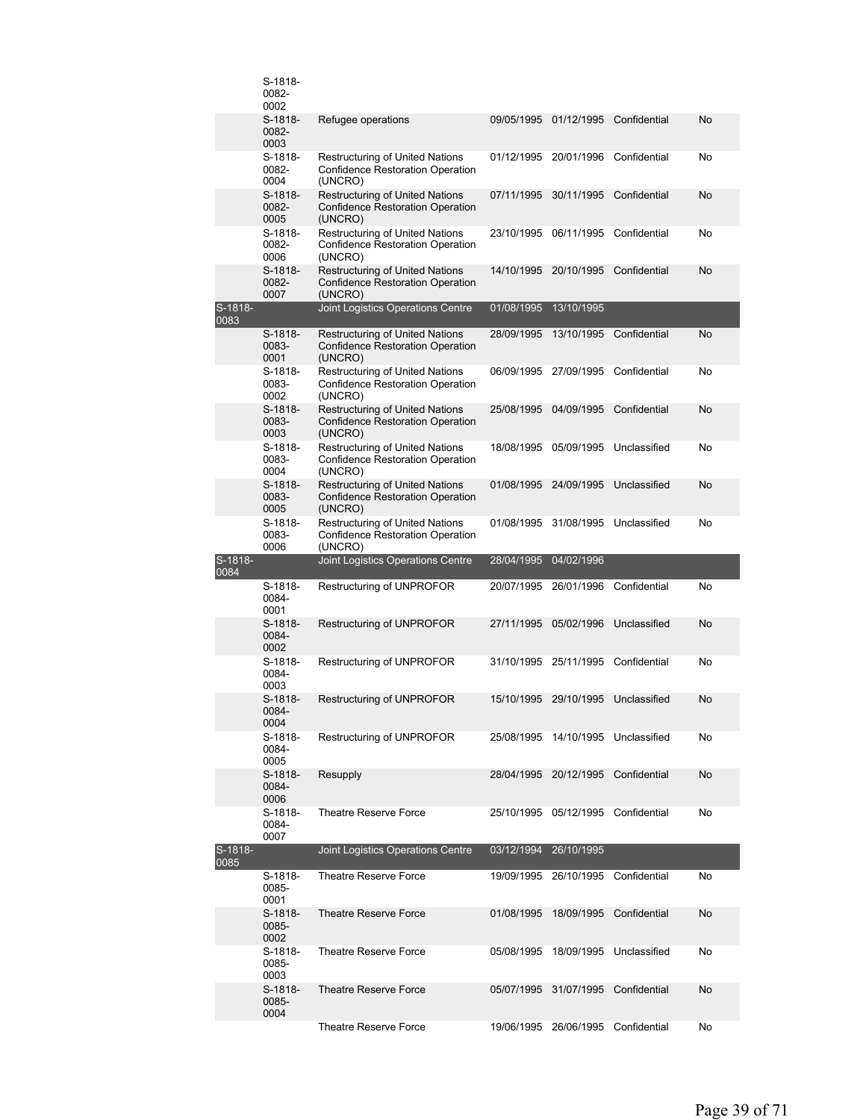|                 | S-1818-<br>0082-<br>0002   |                                                                                              |            |                                    |                         |    |
|-----------------|----------------------------|----------------------------------------------------------------------------------------------|------------|------------------------------------|-------------------------|----|
|                 | S-1818-<br>0082-<br>0003   | Refugee operations                                                                           | 09/05/1995 | 01/12/1995                         | Confidential            | No |
|                 | S-1818-<br>0082-<br>0004   | Restructuring of United Nations<br><b>Confidence Restoration Operation</b><br>(UNCRO)        | 01/12/1995 | 20/01/1996                         | Confidential            | No |
|                 | S-1818-<br>0082-<br>0005   | <b>Restructuring of United Nations</b><br><b>Confidence Restoration Operation</b><br>(UNCRO) | 07/11/1995 | 30/11/1995                         | Confidential            | No |
|                 | S-1818-<br>0082-<br>0006   | <b>Restructuring of United Nations</b><br><b>Confidence Restoration Operation</b><br>(UNCRO) | 23/10/1995 | 06/11/1995                         | Confidential            | No |
|                 | S-1818-<br>0082-<br>0007   | <b>Restructuring of United Nations</b><br><b>Confidence Restoration Operation</b><br>(UNCRO) | 14/10/1995 | 20/10/1995                         | Confidential            | No |
| S-1818-<br>0083 |                            | Joint Logistics Operations Centre                                                            | 01/08/1995 | 13/10/1995                         |                         |    |
|                 | $S-1818-$<br>0083-<br>0001 | Restructuring of United Nations<br><b>Confidence Restoration Operation</b><br>(UNCRO)        | 28/09/1995 | 13/10/1995                         | Confidential            | No |
|                 | S-1818-<br>0083-<br>0002   | <b>Restructuring of United Nations</b><br><b>Confidence Restoration Operation</b><br>(UNCRO) | 06/09/1995 | 27/09/1995                         | Confidential            | No |
|                 | S-1818-<br>0083-<br>0003   | <b>Restructuring of United Nations</b><br><b>Confidence Restoration Operation</b><br>(UNCRO) | 25/08/1995 | 04/09/1995                         | Confidential            | No |
|                 | S-1818-<br>0083-<br>0004   | <b>Restructuring of United Nations</b><br><b>Confidence Restoration Operation</b><br>(UNCRO) | 18/08/1995 | 05/09/1995                         | Unclassified            | No |
|                 | S-1818-<br>0083-<br>0005   | <b>Restructuring of United Nations</b><br>Confidence Restoration Operation<br>(UNCRO)        | 01/08/1995 | 24/09/1995                         | Unclassified            | No |
|                 | S-1818-<br>0083-<br>0006   | <b>Restructuring of United Nations</b><br><b>Confidence Restoration Operation</b><br>(UNCRO) | 01/08/1995 | 31/08/1995                         | Unclassified            | No |
|                 |                            |                                                                                              |            |                                    |                         |    |
| S-1818-         |                            | Joint Logistics Operations Centre                                                            | 28/04/1995 | 04/02/1996                         |                         |    |
| 0084            | S-1818-<br>0084-<br>0001   | Restructuring of UNPROFOR                                                                    | 20/07/1995 | 26/01/1996                         | Confidential            | No |
|                 | $S-1818-$<br>0084-<br>0002 | Restructuring of UNPROFOR                                                                    | 27/11/1995 | 05/02/1996                         | Unclassified            | No |
|                 | S-1818-<br>0084-<br>0003   | <b>Restructuring of UNPROFOR</b>                                                             |            | 31/10/1995 25/11/1995 Confidential |                         | No |
|                 | S-1818-<br>0084-<br>0004   | Restructuring of UNPROFOR                                                                    |            | 15/10/1995 29/10/1995 Unclassified |                         | No |
|                 | S-1818-<br>0084-<br>0005   | Restructuring of UNPROFOR                                                                    | 25/08/1995 |                                    | 14/10/1995 Unclassified | No |
|                 | S-1818-<br>0084-<br>0006   | Resupply                                                                                     | 28/04/1995 | 20/12/1995                         | Confidential            | No |
|                 | S-1818-<br>0084-<br>0007   | Theatre Reserve Force                                                                        | 25/10/1995 | 05/12/1995                         | Confidential            | No |
| S-1818-<br>0085 |                            | Joint Logistics Operations Centre                                                            | 03/12/1994 | 26/10/1995                         |                         |    |
|                 | S-1818-<br>0085-<br>0001   | Theatre Reserve Force                                                                        | 19/09/1995 | 26/10/1995                         | Confidential            | No |
|                 | S-1818-<br>0085-<br>0002   | <b>Theatre Reserve Force</b>                                                                 | 01/08/1995 | 18/09/1995                         | Confidential            | No |
|                 | S-1818-<br>0085-<br>0003   | Theatre Reserve Force                                                                        | 05/08/1995 | 18/09/1995                         | Unclassified            | No |
|                 | S-1818-<br>0085-<br>0004   | <b>Theatre Reserve Force</b><br>Theatre Reserve Force                                        | 05/07/1995 | 31/07/1995                         | Confidential            | No |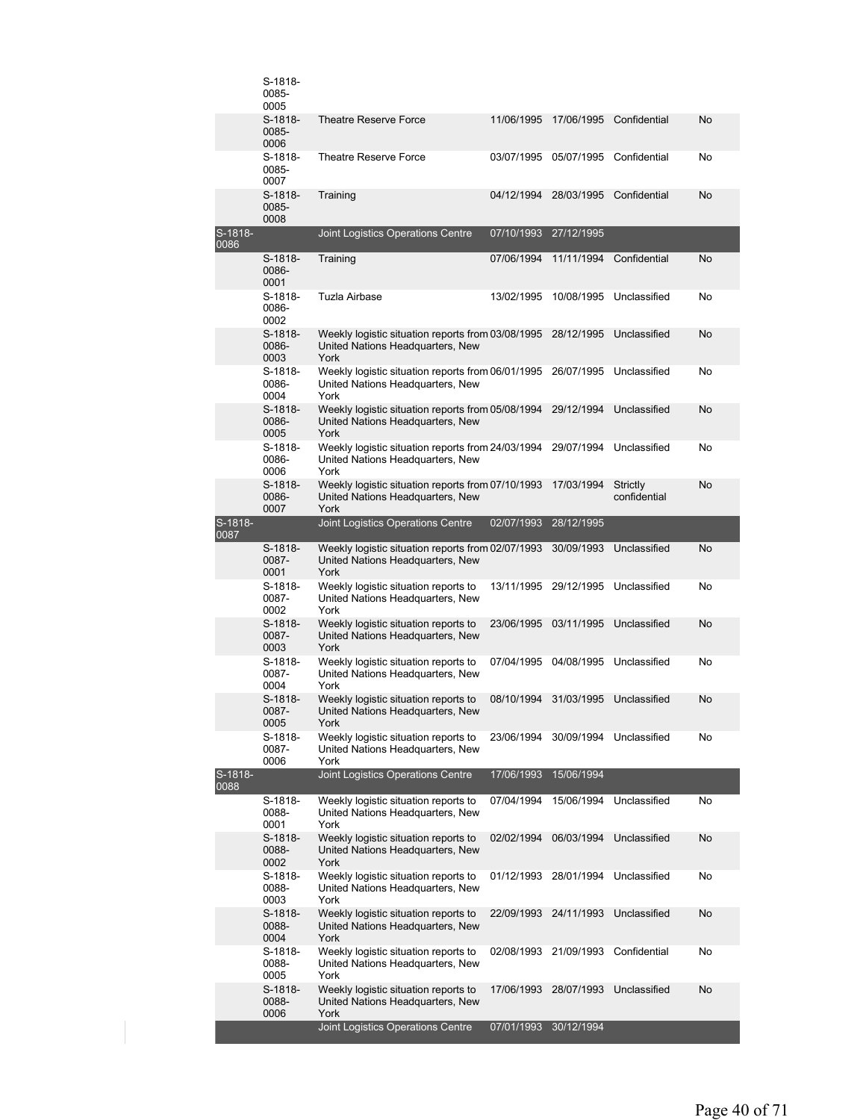|                 | $S-1818-$                  |                                                                                               |            |            |                          |    |
|-----------------|----------------------------|-----------------------------------------------------------------------------------------------|------------|------------|--------------------------|----|
|                 | 0085-<br>0006              | <b>Theatre Reserve Force</b>                                                                  | 11/06/1995 | 17/06/1995 | Confidential             | No |
|                 | S-1818-<br>0085-<br>0007   | <b>Theatre Reserve Force</b>                                                                  | 03/07/1995 | 05/07/1995 | Confidential             | No |
|                 | S-1818-<br>0085-<br>0008   | Training                                                                                      | 04/12/1994 | 28/03/1995 | Confidential             | No |
| S-1818-<br>0086 |                            | Joint Logistics Operations Centre                                                             | 07/10/1993 | 27/12/1995 |                          |    |
|                 | S-1818-<br>0086-<br>0001   | Training                                                                                      | 07/06/1994 | 11/11/1994 | Confidential             | No |
|                 | S-1818-<br>0086-<br>0002   | Tuzla Airbase                                                                                 | 13/02/1995 | 10/08/1995 | Unclassified             | No |
|                 | $S-1818-$<br>0086-<br>0003 | Weekly logistic situation reports from 03/08/1995<br>United Nations Headquarters, New<br>York |            | 28/12/1995 | Unclassified             | No |
|                 | S-1818-<br>0086-<br>0004   | Weekly logistic situation reports from 06/01/1995<br>United Nations Headquarters, New<br>York |            | 26/07/1995 | Unclassified             | No |
|                 | S-1818-<br>0086-<br>0005   | Weekly logistic situation reports from 05/08/1994<br>United Nations Headquarters, New<br>York |            | 29/12/1994 | Unclassified             | No |
|                 | S-1818-<br>0086-<br>0006   | Weekly logistic situation reports from 24/03/1994<br>United Nations Headquarters, New<br>York |            | 29/07/1994 | Unclassified             | No |
|                 | S-1818-<br>0086-<br>0007   | Weekly logistic situation reports from 07/10/1993<br>United Nations Headquarters, New<br>York |            | 17/03/1994 | Strictly<br>confidential | No |
| S-1818-<br>0087 |                            | Joint Logistics Operations Centre                                                             | 02/07/1993 | 28/12/1995 |                          |    |
|                 | S-1818-<br>0087-<br>0001   | Weekly logistic situation reports from 02/07/1993<br>United Nations Headquarters, New<br>York |            | 30/09/1993 | Unclassified             | No |
|                 | S-1818-<br>0087-<br>0002   | Weekly logistic situation reports to<br>United Nations Headquarters, New<br>York              | 13/11/1995 | 29/12/1995 | Unclassified             | No |
|                 | $S-1818-$<br>0087-<br>0003 | Weekly logistic situation reports to<br>United Nations Headquarters, New<br>York              | 23/06/1995 | 03/11/1995 | Unclassified             | No |
|                 | S-1818-<br>0087-<br>0004   | Weekly logistic situation reports to<br>United Nations Headquarters, New<br>York              | 07/04/1995 | 04/08/1995 | Unclassified             | No |
|                 | S-1818-<br>0087-<br>0005   | Weekly logistic situation reports to<br>United Nations Headquarters, New<br>York              | 08/10/1994 | 31/03/1995 | Unclassified             | No |
|                 | S-1818-<br>0087-<br>0006   | Weekly logistic situation reports to<br>United Nations Headquarters, New<br>York              | 23/06/1994 |            | 30/09/1994 Unclassified  | No |
| S-1818-<br>0088 |                            | Joint Logistics Operations Centre                                                             | 17/06/1993 | 15/06/1994 |                          |    |
|                 | S-1818-<br>0088-<br>0001   | Weekly logistic situation reports to<br>United Nations Headquarters, New<br>York              | 07/04/1994 | 15/06/1994 | Unclassified             | No |
|                 | S-1818-<br>0088-<br>0002   | Weekly logistic situation reports to<br>United Nations Headquarters, New<br>York              | 02/02/1994 | 06/03/1994 | Unclassified             | No |
|                 | S-1818-<br>0088-<br>0003   | Weekly logistic situation reports to<br>United Nations Headquarters, New<br>York              | 01/12/1993 | 28/01/1994 | Unclassified             | No |
|                 | S-1818-<br>0088-<br>0004   | Weekly logistic situation reports to<br>United Nations Headquarters, New<br>York              | 22/09/1993 | 24/11/1993 | Unclassified             | No |
|                 | S-1818-<br>0088-<br>0005   | Weekly logistic situation reports to<br>United Nations Headquarters, New<br>York              | 02/08/1993 | 21/09/1993 | Confidential             | No |
|                 | S-1818-<br>0088-<br>0006   | Weekly logistic situation reports to<br>United Nations Headquarters, New<br>York              | 17/06/1993 | 28/07/1993 | Unclassified             | No |
|                 |                            | Joint Logistics Operations Centre                                                             | 07/01/1993 | 30/12/1994 |                          |    |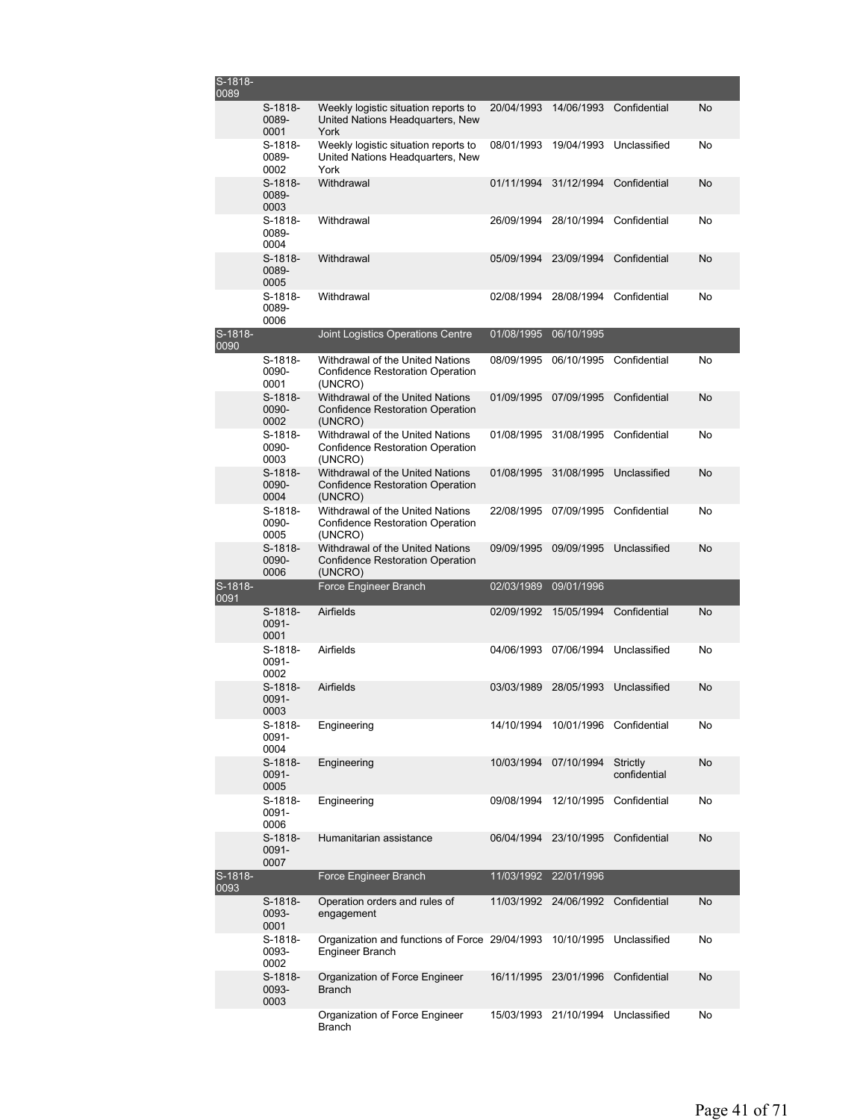| S-1818-<br>0089 |                          |                                                                                        |            |                       |                          |    |
|-----------------|--------------------------|----------------------------------------------------------------------------------------|------------|-----------------------|--------------------------|----|
|                 | S-1818-<br>0089-<br>0001 | Weekly logistic situation reports to<br>United Nations Headquarters, New<br>York       | 20/04/1993 |                       | 14/06/1993 Confidential  | No |
|                 | S-1818-<br>0089-<br>0002 | Weekly logistic situation reports to<br>United Nations Headquarters, New<br>York       | 08/01/1993 | 19/04/1993            | Unclassified             | No |
|                 | S-1818-<br>0089-<br>0003 | Withdrawal                                                                             | 01/11/1994 | 31/12/1994            | Confidential             | No |
|                 | S-1818-<br>0089-<br>0004 | Withdrawal                                                                             | 26/09/1994 | 28/10/1994            | Confidential             | No |
|                 | S-1818-<br>0089-<br>0005 | Withdrawal                                                                             | 05/09/1994 | 23/09/1994            | Confidential             | No |
|                 | S-1818-<br>0089-<br>0006 | Withdrawal                                                                             | 02/08/1994 | 28/08/1994            | Confidential             | No |
| S-1818-<br>0090 |                          | Joint Logistics Operations Centre                                                      | 01/08/1995 | 06/10/1995            |                          |    |
|                 | S-1818-<br>0090-<br>0001 | Withdrawal of the United Nations<br>Confidence Restoration Operation<br>(UNCRO)        | 08/09/1995 | 06/10/1995            | Confidential             | No |
|                 | S-1818-<br>0090-<br>0002 | Withdrawal of the United Nations<br><b>Confidence Restoration Operation</b><br>(UNCRO) | 01/09/1995 | 07/09/1995            | Confidential             | No |
|                 | S-1818-<br>0090-<br>0003 | Withdrawal of the United Nations<br><b>Confidence Restoration Operation</b><br>(UNCRO) | 01/08/1995 | 31/08/1995            | Confidential             | No |
|                 | S-1818-<br>0090-<br>0004 | Withdrawal of the United Nations<br><b>Confidence Restoration Operation</b><br>(UNCRO) | 01/08/1995 | 31/08/1995            | Unclassified             | No |
|                 | S-1818-<br>0090-<br>0005 | Withdrawal of the United Nations<br>Confidence Restoration Operation<br>(UNCRO)        | 22/08/1995 | 07/09/1995            | Confidential             | No |
|                 | S-1818-<br>0090-<br>0006 | Withdrawal of the United Nations<br>Confidence Restoration Operation<br>(UNCRO)        | 09/09/1995 | 09/09/1995            | Unclassified             | No |
| S-1818-<br>0091 |                          | Force Engineer Branch                                                                  | 02/03/1989 | 09/01/1996            |                          |    |
|                 | S-1818-<br>0091-<br>0001 | Airfields                                                                              | 02/09/1992 | 15/05/1994            | Confidential             | No |
|                 | S-1818-<br>0091-<br>0002 | Airfields                                                                              | 04/06/1993 | 07/06/1994            | Unclassified             | No |
|                 | S-1818-<br>0091-<br>0003 | Airfields                                                                              | 03/03/1989 | 28/05/1993            | Unclassified             | No |
|                 | S-1818-<br>0091-<br>0004 | Engineering                                                                            | 14/10/1994 |                       | 10/01/1996 Confidential  | No |
|                 | S-1818-<br>0091-<br>0005 | Engineering                                                                            | 10/03/1994 | 07/10/1994            | Strictly<br>confidential | No |
|                 | S-1818-<br>0091-<br>0006 | Engineering                                                                            | 09/08/1994 | 12/10/1995            | Confidential             | No |
|                 | S-1818-<br>0091-<br>0007 | Humanitarian assistance                                                                | 06/04/1994 | 23/10/1995            | Confidential             | No |
| S-1818-<br>0093 |                          | Force Engineer Branch                                                                  | 11/03/1992 | 22/01/1996            |                          |    |
|                 | S-1818-<br>0093-<br>0001 | Operation orders and rules of<br>engagement                                            | 11/03/1992 | 24/06/1992            | Confidential             | No |
|                 | S-1818-<br>0093-<br>0002 | Organization and functions of Force 29/04/1993<br>Engineer Branch                      |            | 10/10/1995            | Unclassified             | No |
|                 | S-1818-<br>0093-<br>0003 | Organization of Force Engineer<br>Branch                                               | 16/11/1995 | 23/01/1996            | Confidential             | No |
|                 |                          | Organization of Force Engineer<br>Branch                                               |            | 15/03/1993 21/10/1994 | Unclassified             | No |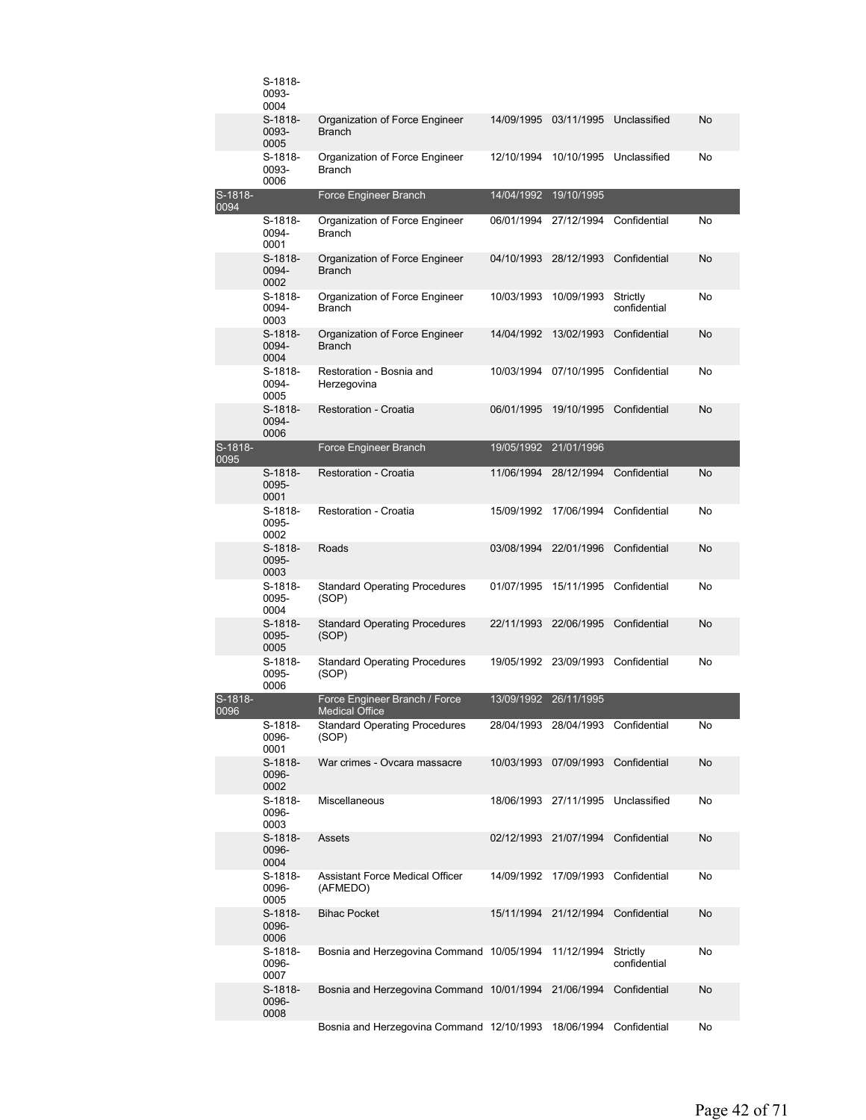|                 | S-1818-<br>0093-<br>0004   |                                                        |            |                       |                                    |    |
|-----------------|----------------------------|--------------------------------------------------------|------------|-----------------------|------------------------------------|----|
|                 | S-1818-<br>0093-<br>0005   | Organization of Force Engineer<br><b>Branch</b>        | 14/09/1995 | 03/11/1995            | Unclassified                       | No |
|                 | S-1818-<br>0093-<br>0006   | Organization of Force Engineer<br><b>Branch</b>        | 12/10/1994 | 10/10/1995            | Unclassified                       | No |
| S-1818-<br>0094 |                            | Force Engineer Branch                                  | 14/04/1992 | 19/10/1995            |                                    |    |
|                 | S-1818-<br>0094-<br>0001   | Organization of Force Engineer<br><b>Branch</b>        | 06/01/1994 | 27/12/1994            | Confidential                       | No |
|                 | $S-1818-$<br>0094-<br>0002 | Organization of Force Engineer<br><b>Branch</b>        | 04/10/1993 | 28/12/1993            | Confidential                       | No |
|                 | $S-1818-$<br>0094-<br>0003 | Organization of Force Engineer<br><b>Branch</b>        | 10/03/1993 | 10/09/1993            | Strictly<br>confidential           | No |
|                 | S-1818-<br>0094-<br>0004   | Organization of Force Engineer<br><b>Branch</b>        | 14/04/1992 | 13/02/1993            | Confidential                       | No |
|                 | S-1818-<br>0094-<br>0005   | Restoration - Bosnia and<br>Herzegovina                | 10/03/1994 | 07/10/1995            | Confidential                       | No |
|                 | S-1818-<br>0094-<br>0006   | Restoration - Croatia                                  | 06/01/1995 | 19/10/1995            | Confidential                       | No |
| S-1818-<br>0095 |                            | Force Engineer Branch                                  | 19/05/1992 | 21/01/1996            |                                    |    |
|                 | S-1818-<br>0095-<br>0001   | <b>Restoration - Croatia</b>                           | 11/06/1994 | 28/12/1994            | Confidential                       | No |
|                 | S-1818-<br>0095-<br>0002   | Restoration - Croatia                                  | 15/09/1992 | 17/06/1994            | Confidential                       | No |
|                 | S-1818-<br>0095-<br>0003   | Roads                                                  | 03/08/1994 | 22/01/1996            | Confidential                       | No |
|                 | S-1818-<br>0095-<br>0004   | <b>Standard Operating Procedures</b><br>(SOP)          | 01/07/1995 | 15/11/1995            | Confidential                       | No |
|                 | S-1818-<br>0095-<br>0005   | <b>Standard Operating Procedures</b><br>(SOP)          | 22/11/1993 | 22/06/1995            | Confidential                       | No |
|                 | S-1818-<br>0095-<br>0006   | <b>Standard Operating Procedures</b><br>(SOP)          |            | 19/05/1992 23/09/1993 | Confidential                       | No |
| S-1818-<br>0096 |                            | Force Engineer Branch / Force<br><b>Medical Office</b> | 13/09/1992 | 26/11/1995            |                                    |    |
|                 | S-1818-<br>0096-<br>0001   | <b>Standard Operating Procedures</b><br>(SOP)          | 28/04/1993 | 28/04/1993            | Confidential                       | No |
|                 | S-1818-<br>0096-<br>0002   | War crimes - Ovcara massacre                           | 10/03/1993 | 07/09/1993            | Confidential                       | No |
|                 | S-1818-<br>0096-<br>0003   | Miscellaneous                                          |            |                       | 18/06/1993 27/11/1995 Unclassified | No |
|                 | S-1818-<br>0096-<br>0004   | Assets                                                 |            | 02/12/1993 21/07/1994 | Confidential                       | No |
|                 | S-1818-<br>0096-<br>0005   | Assistant Force Medical Officer<br>(AFMEDO)            | 14/09/1992 | 17/09/1993            | Confidential                       | No |
|                 | S-1818-<br>0096-<br>0006   | <b>Bihac Pocket</b>                                    | 15/11/1994 | 21/12/1994            | Confidential                       | No |
|                 | S-1818-<br>0096-<br>0007   | Bosnia and Herzegovina Command 10/05/1994              |            | 11/12/1994            | Strictly<br>confidential           | No |
|                 | S-1818-<br>0096-<br>0008   | Bosnia and Herzegovina Command 10/01/1994              |            | 21/06/1994            | Confidential                       | No |
|                 |                            | Bosnia and Herzegovina Command 12/10/1993              |            | 18/06/1994            | Confidential                       | No |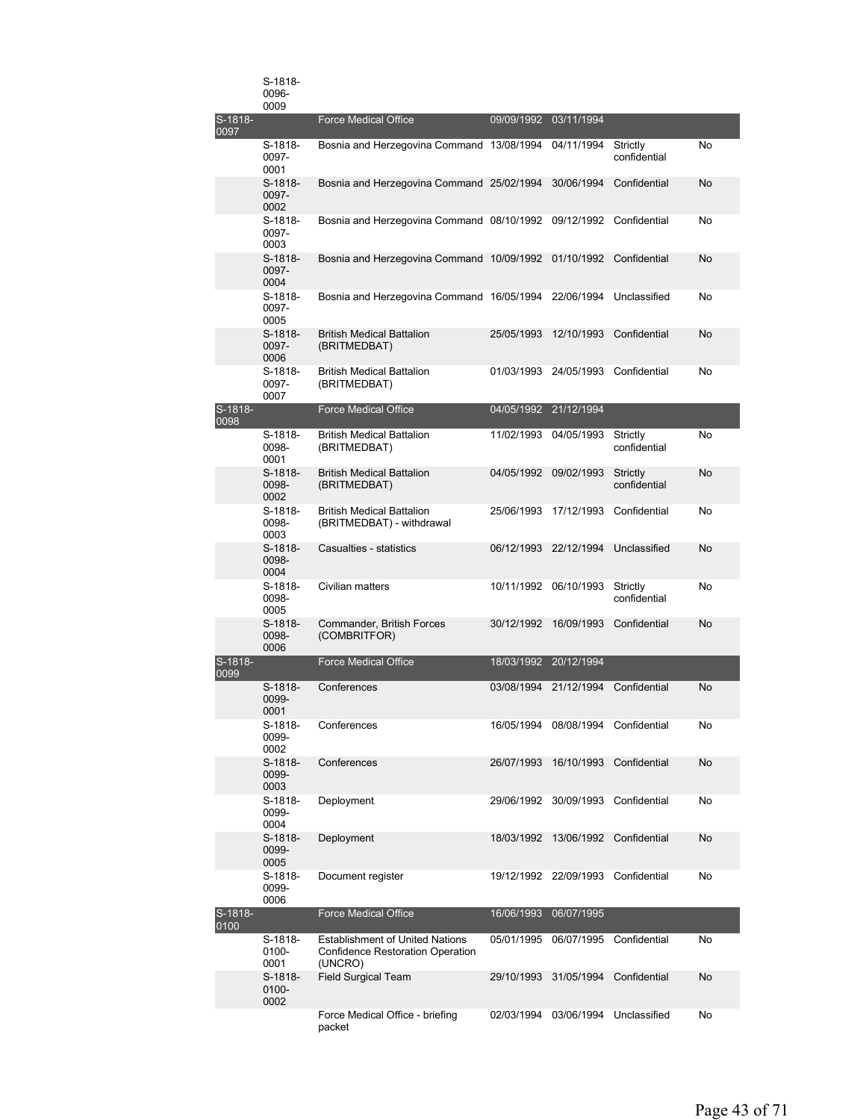|                 | S-1818-<br>0096-<br>0009   |                                                                                              |                       |                                    |                          |    |
|-----------------|----------------------------|----------------------------------------------------------------------------------------------|-----------------------|------------------------------------|--------------------------|----|
| S-1818-<br>0097 |                            | <b>Force Medical Office</b>                                                                  | 09/09/1992            | 03/11/1994                         |                          |    |
|                 | S-1818-<br>0097-<br>0001   | Bosnia and Herzegovina Command 13/08/1994                                                    |                       | 04/11/1994                         | Strictly<br>confidential | No |
|                 | $S-1818-$<br>0097-<br>0002 | Bosnia and Herzegovina Command 25/02/1994                                                    |                       | 30/06/1994                         | Confidential             | No |
|                 | S-1818-<br>0097-<br>0003   | Bosnia and Herzegovina Command 08/10/1992                                                    |                       | 09/12/1992                         | Confidential             | No |
|                 | S-1818-<br>0097-<br>0004   | Bosnia and Herzegovina Command 10/09/1992                                                    |                       |                                    | 01/10/1992 Confidential  | No |
|                 | S-1818-<br>0097-<br>0005   | Bosnia and Herzegovina Command 16/05/1994                                                    |                       | 22/06/1994                         | Unclassified             | No |
|                 | $S-1818-$<br>0097-<br>0006 | <b>British Medical Battalion</b><br>(BRITMEDBAT)                                             | 25/05/1993            | 12/10/1993                         | Confidential             | No |
|                 | S-1818-<br>0097-<br>0007   | <b>British Medical Battalion</b><br>(BRITMEDBAT)                                             |                       | 01/03/1993 24/05/1993              | Confidential             | No |
| S-1818-<br>0098 |                            | <b>Force Medical Office</b>                                                                  | 04/05/1992 21/12/1994 |                                    |                          |    |
|                 | S-1818-<br>0098-<br>0001   | <b>British Medical Battalion</b><br>(BRITMEDBAT)                                             | 11/02/1993            | 04/05/1993                         | Strictly<br>confidential | No |
|                 | S-1818-<br>0098-<br>0002   | <b>British Medical Battalion</b><br>(BRITMEDBAT)                                             | 04/05/1992            | 09/02/1993                         | Strictly<br>confidential | No |
|                 | S-1818-<br>0098-<br>0003   | <b>British Medical Battalion</b><br>(BRITMEDBAT) - withdrawal                                |                       | 25/06/1993 17/12/1993              | Confidential             | No |
|                 | S-1818-<br>0098-<br>0004   | Casualties - statistics                                                                      | 06/12/1993 22/12/1994 |                                    | Unclassified             | No |
|                 | S-1818-<br>0098-<br>0005   | Civilian matters                                                                             |                       | 10/11/1992 06/10/1993              | Strictly<br>confidential | No |
|                 | $S-1818-$<br>0098-<br>0006 | Commander, British Forces<br>(COMBRITFOR)                                                    |                       | 30/12/1992 16/09/1993              | Confidential             | No |
| S-1818-<br>0099 |                            | <b>Force Medical Office</b>                                                                  | 18/03/1992            | 20/12/1994                         |                          |    |
|                 | S-1818-<br>0099-<br>0001   | Conferences                                                                                  | 03/08/1994            | 21/12/1994                         | Confidential             | No |
|                 | S-1818-<br>0099-<br>0002   | Conferences                                                                                  |                       | 16/05/1994 08/08/1994 Confidential |                          | No |
|                 | S-1818-<br>0099-<br>0003   | Conferences                                                                                  | 26/07/1993            | 16/10/1993                         | Confidential             | No |
|                 | S-1818-<br>0099-<br>0004   | Deployment                                                                                   |                       | 29/06/1992 30/09/1993              | Confidential             | No |
|                 | S-1818-<br>0099-<br>0005   | Deployment                                                                                   | 18/03/1992            | 13/06/1992                         | Confidential             | No |
|                 | S-1818-<br>0099-<br>0006   | Document register                                                                            |                       | 19/12/1992 22/09/1993              | Confidential             | No |
| S-1818-<br>0100 |                            | <b>Force Medical Office</b>                                                                  | 16/06/1993            | 06/07/1995                         |                          |    |
|                 | S-1818-<br>0100-<br>0001   | <b>Establishment of United Nations</b><br><b>Confidence Restoration Operation</b><br>(UNCRO) | 05/01/1995            | 06/07/1995                         | Confidential             | No |
|                 | S-1818-<br>0100-<br>0002   | <b>Field Surgical Team</b>                                                                   | 29/10/1993            | 31/05/1994                         | Confidential             | No |
|                 |                            | Force Medical Office - briefing<br>packet                                                    | 02/03/1994            | 03/06/1994                         | Unclassified             | No |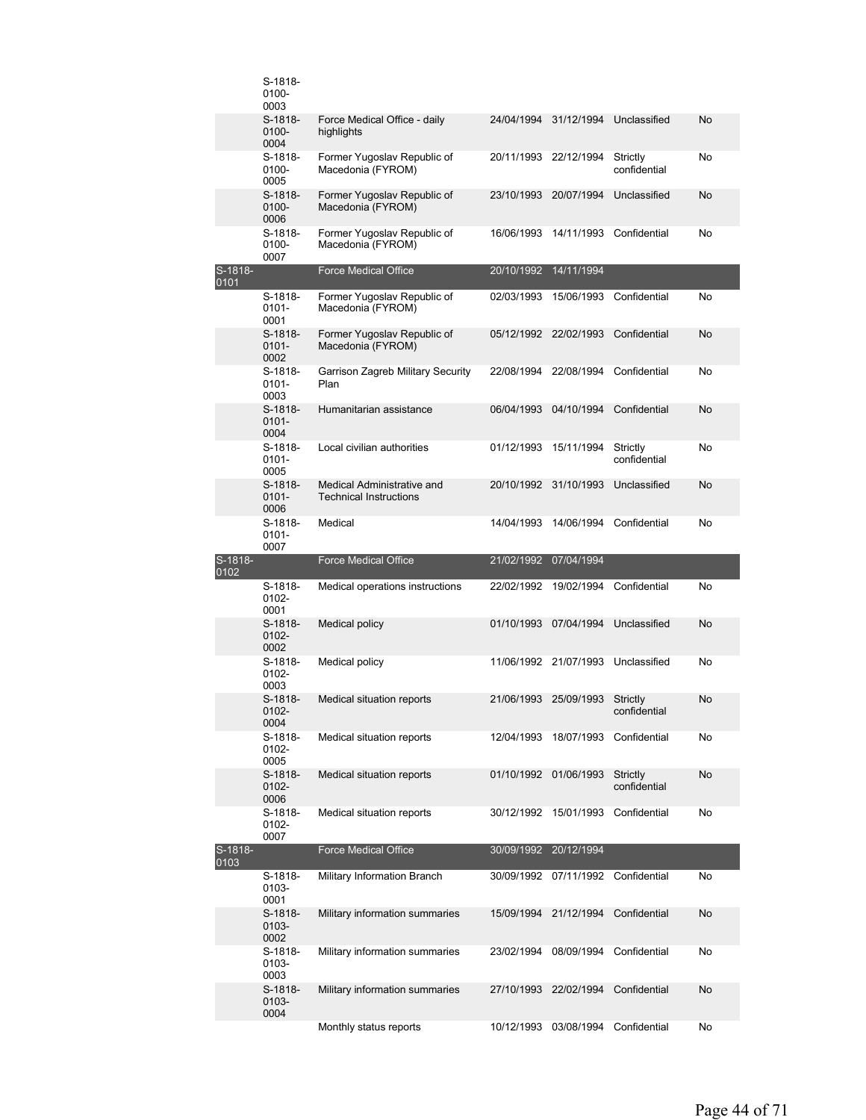|                 | S-1818-<br>0100-<br>0003      |                                                             |            |                                     |                              |          |
|-----------------|-------------------------------|-------------------------------------------------------------|------------|-------------------------------------|------------------------------|----------|
|                 | S-1818-<br>0100-<br>0004      | Force Medical Office - daily<br>highlights                  | 24/04/1994 | 31/12/1994                          | Unclassified                 | No       |
|                 | S-1818-<br>0100-<br>0005      | Former Yugoslav Republic of<br>Macedonia (FYROM)            |            | 20/11/1993 22/12/1994               | Strictly<br>confidential     | No       |
|                 | $S-1818-$<br>0100-<br>0006    | Former Yugoslav Republic of<br>Macedonia (FYROM)            | 23/10/1993 | 20/07/1994                          | Unclassified                 | No       |
|                 | S-1818-<br>0100-<br>0007      | Former Yugoslav Republic of<br>Macedonia (FYROM)            | 16/06/1993 |                                     | 14/11/1993 Confidential      | No       |
| S-1818-<br>0101 |                               | <b>Force Medical Office</b>                                 | 20/10/1992 | 14/11/1994                          |                              |          |
|                 | S-1818-<br>0101-<br>0001      | Former Yugoslav Republic of<br>Macedonia (FYROM)            | 02/03/1993 | 15/06/1993                          | Confidential                 | No       |
|                 | S-1818-<br>$0101 -$<br>0002   | Former Yugoslav Republic of<br>Macedonia (FYROM)            | 05/12/1992 | 22/02/1993                          | Confidential                 | No       |
|                 | S-1818-<br>$0101 -$<br>0003   | <b>Garrison Zagreb Military Security</b><br>Plan            | 22/08/1994 | 22/08/1994                          | Confidential                 | No       |
|                 | $S-1818-$<br>$0101 -$<br>0004 | Humanitarian assistance                                     | 06/04/1993 | 04/10/1994                          | Confidential                 | No       |
|                 | S-1818-<br>0101-<br>0005      | Local civilian authorities                                  | 01/12/1993 | 15/11/1994                          | Strictly<br>confidential     | No       |
|                 | S-1818-<br>$0101 -$<br>0006   | Medical Administrative and<br><b>Technical Instructions</b> | 20/10/1992 | 31/10/1993                          | Unclassified                 | No       |
|                 | S-1818-<br>0101-<br>0007      | Medical                                                     | 14/04/1993 | 14/06/1994                          | Confidential                 | No       |
|                 |                               |                                                             |            |                                     |                              |          |
| S-1818-         |                               | <b>Force Medical Office</b>                                 |            | 21/02/1992 07/04/1994               |                              |          |
| 0102            | S-1818-<br>0102-<br>0001      | Medical operations instructions                             | 22/02/1992 | 19/02/1994                          | Confidential                 | No       |
|                 | $S-1818-$<br>0102-<br>0002    | <b>Medical policy</b>                                       | 01/10/1993 | 07/04/1994                          | Unclassified                 | No       |
|                 | S-1818-<br>0102-<br>0003      | Medical policy                                              |            | 11/06/1992 21/07/1993               | Unclassified                 | No       |
|                 | $S-1818-$<br>0102-<br>0004    | Medical situation reports                                   | 21/06/1993 | 25/09/1993                          | Strictly<br>confidential     | No       |
|                 | S-1818-<br>0102-<br>0005      | Medical situation reports                                   |            | 12/04/1993 18/07/1993               | Confidential                 | No       |
|                 | S-1818-<br>0102-<br>0006      | Medical situation reports                                   |            | 01/10/1992 01/06/1993               | Strictly<br>confidential     | No       |
|                 | S-1818-<br>0102-<br>0007      | Medical situation reports                                   | 30/12/1992 | 15/01/1993                          | Confidential                 | No       |
| S-1818-<br>0103 |                               | <b>Force Medical Office</b>                                 | 30/09/1992 | 20/12/1994                          |                              |          |
|                 | S-1818-<br>0103-<br>0001      | Military Information Branch                                 |            | 30/09/1992 07/11/1992               | Confidential                 | No       |
|                 | S-1818-<br>0103-<br>0002      | Military information summaries                              | 15/09/1994 | 21/12/1994                          | Confidential                 | No       |
|                 | S-1818-<br>0103-<br>0003      | Military information summaries                              | 23/02/1994 | 08/09/1994                          | Confidential                 | No       |
|                 | S-1818-<br>0103-<br>0004      | Military information summaries<br>Monthly status reports    | 27/10/1993 | 22/02/1994<br>10/12/1993 03/08/1994 | Confidential<br>Confidential | No<br>No |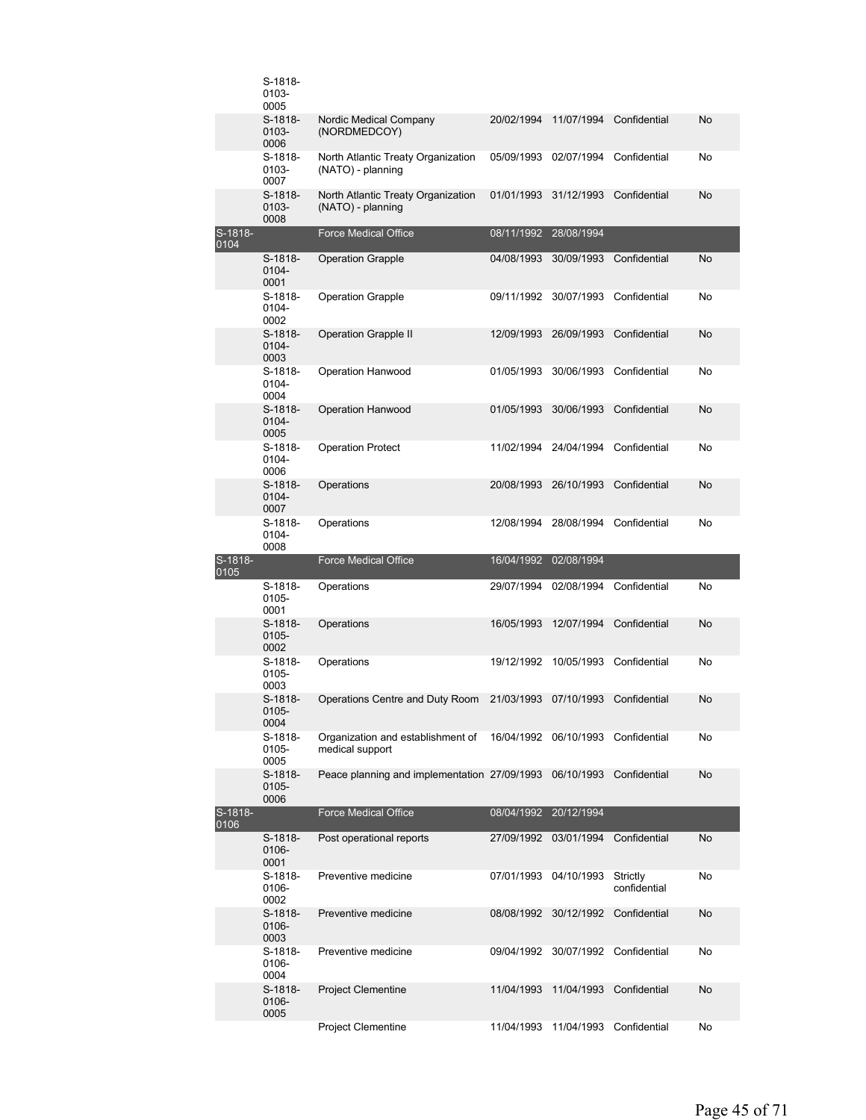|                 | S-1818-<br>0103-<br>0005   |                                                         |            |                                    |                          |    |
|-----------------|----------------------------|---------------------------------------------------------|------------|------------------------------------|--------------------------|----|
|                 | $S-1818-$<br>0103-<br>0006 | Nordic Medical Company<br>(NORDMEDCOY)                  | 20/02/1994 | 11/07/1994                         | Confidential             | No |
|                 | S-1818-<br>0103-<br>0007   | North Atlantic Treaty Organization<br>(NATO) - planning | 05/09/1993 | 02/07/1994                         | Confidential             | No |
|                 | S-1818-<br>0103-<br>0008   | North Atlantic Treaty Organization<br>(NATO) - planning | 01/01/1993 | 31/12/1993                         | Confidential             | No |
| S-1818-<br>0104 |                            | <b>Force Medical Office</b>                             | 08/11/1992 | 28/08/1994                         |                          |    |
|                 | $S-1818-$<br>0104-<br>0001 | <b>Operation Grapple</b>                                | 04/08/1993 | 30/09/1993                         | Confidential             | No |
|                 | S-1818-<br>0104-<br>0002   | <b>Operation Grapple</b>                                | 09/11/1992 | 30/07/1993                         | Confidential             | No |
|                 | $S-1818-$<br>0104-<br>0003 | <b>Operation Grapple II</b>                             | 12/09/1993 | 26/09/1993                         | Confidential             | No |
|                 | S-1818-<br>0104-<br>0004   | Operation Hanwood                                       | 01/05/1993 | 30/06/1993                         | Confidential             | No |
|                 | S-1818-<br>0104-<br>0005   | <b>Operation Hanwood</b>                                | 01/05/1993 | 30/06/1993                         | Confidential             | No |
|                 | S-1818-<br>0104-<br>0006   | <b>Operation Protect</b>                                | 11/02/1994 | 24/04/1994                         | Confidential             | No |
|                 | S-1818-<br>0104-<br>0007   | Operations                                              | 20/08/1993 | 26/10/1993                         | Confidential             | No |
|                 | S-1818-<br>0104-<br>0008   | Operations                                              | 12/08/1994 | 28/08/1994                         | Confidential             | No |
|                 |                            |                                                         |            |                                    |                          |    |
| S-1818-         |                            | <b>Force Medical Office</b>                             | 16/04/1992 | 02/08/1994                         |                          |    |
| 0105            | S-1818-<br>0105-<br>0001   | Operations                                              | 29/07/1994 | 02/08/1994                         | Confidential             | No |
|                 | $S-1818-$<br>0105-<br>0002 | Operations                                              | 16/05/1993 | 12/07/1994                         | Confidential             | No |
|                 | S-1818-<br>0105-<br>0003   | Operations                                              | 19/12/1992 | 10/05/1993                         | Confidential             | No |
|                 | S-1818-<br>0105-<br>0004   | Operations Centre and Duty Room                         |            | 21/03/1993 07/10/1993              | Confidential             | No |
|                 | S-1818-<br>0105-<br>0005   | Organization and establishment of<br>medical support    |            | 16/04/1992 06/10/1993 Confidential |                          | No |
|                 | S-1818-<br>0105-<br>0006   | Peace planning and implementation 27/09/1993            |            | 06/10/1993                         | Confidential             | No |
| S-1818-<br>0106 |                            | <b>Force Medical Office</b>                             | 08/04/1992 | 20/12/1994                         |                          |    |
|                 | S-1818-<br>0106-<br>0001   | Post operational reports                                | 27/09/1992 | 03/01/1994                         | Confidential             | No |
|                 | S-1818-<br>0106-<br>0002   | Preventive medicine                                     | 07/01/1993 | 04/10/1993                         | Strictly<br>confidential | No |
|                 | S-1818-<br>0106-<br>0003   | Preventive medicine                                     | 08/08/1992 | 30/12/1992                         | Confidential             | No |
|                 | S-1818-<br>0106-<br>0004   | Preventive medicine                                     | 09/04/1992 | 30/07/1992                         | Confidential             | No |
|                 | S-1818-<br>0106-<br>0005   | <b>Project Clementine</b><br>Project Clementine         | 11/04/1993 | 11/04/1993                         | Confidential             | No |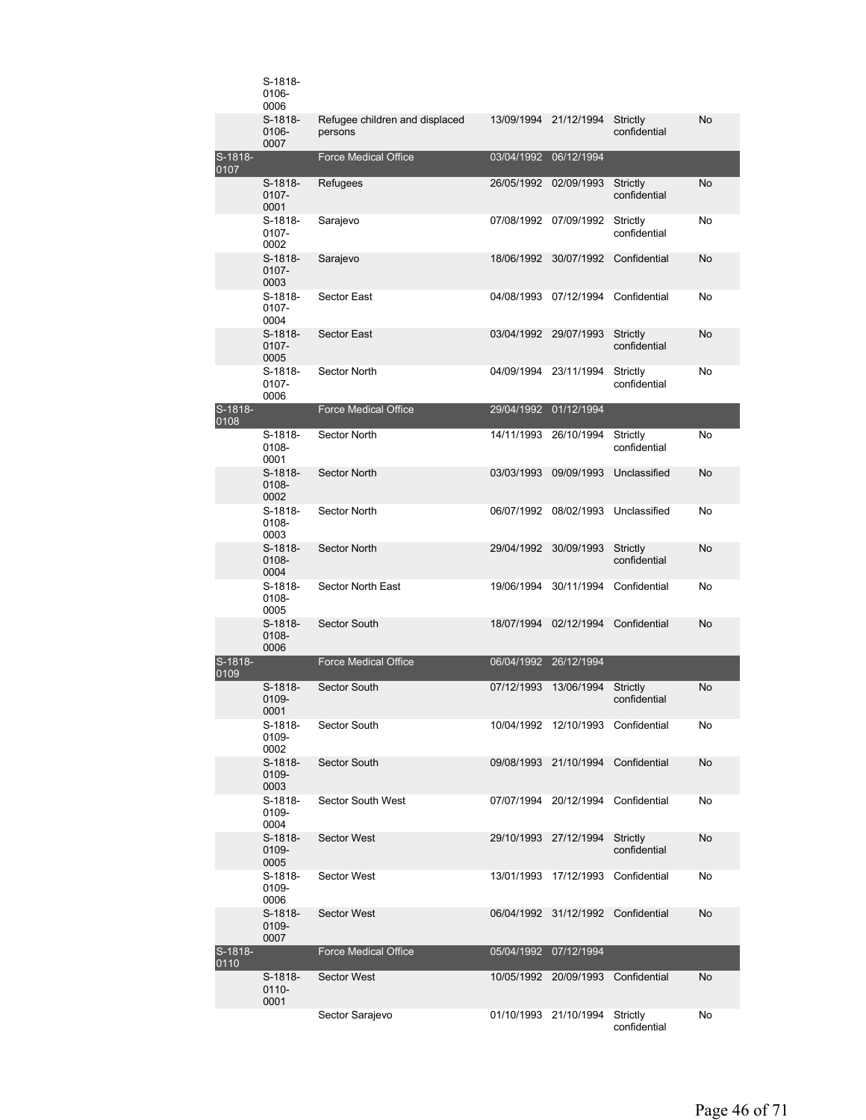|                 | S-1818-<br>0106-<br>0006      |                                           |            |                                    |                          |    |
|-----------------|-------------------------------|-------------------------------------------|------------|------------------------------------|--------------------------|----|
|                 | $S-1818-$<br>0106-<br>0007    | Refugee children and displaced<br>persons |            | 13/09/1994 21/12/1994              | Strictly<br>confidential | No |
| S-1818-<br>0107 |                               | <b>Force Medical Office</b>               | 03/04/1992 | 06/12/1994                         |                          |    |
|                 | S-1818-<br>0107-<br>0001      | Refugees                                  |            | 26/05/1992 02/09/1993              | Strictly<br>confidential | No |
|                 | S-1818-<br>0107-<br>0002      | Sarajevo                                  |            | 07/08/1992 07/09/1992              | Strictly<br>confidential | No |
|                 | S-1818-<br>$0107 -$<br>0003   | Sarajevo                                  | 18/06/1992 | 30/07/1992                         | Confidential             | No |
|                 | S-1818-<br>$0107 -$<br>0004   | Sector East                               | 04/08/1993 | 07/12/1994                         | Confidential             | No |
|                 | $S-1818-$<br>$0107 -$<br>0005 | <b>Sector East</b>                        |            | 03/04/1992 29/07/1993              | Strictly<br>confidential | No |
|                 | $S-1818-$<br>0107-<br>0006    | Sector North                              |            | 04/09/1994 23/11/1994              | Strictly<br>confidential | No |
| S-1818-<br>0108 |                               | <b>Force Medical Office</b>               | 29/04/1992 | 01/12/1994                         |                          |    |
|                 | $S-1818-$<br>0108-<br>0001    | Sector North                              | 14/11/1993 | 26/10/1994                         | Strictly<br>confidential | No |
|                 | $S-1818-$<br>0108-<br>0002    | <b>Sector North</b>                       | 03/03/1993 | 09/09/1993                         | Unclassified             | No |
|                 | $S-1818-$<br>0108-<br>0003    | Sector North                              |            | 06/07/1992 08/02/1993              | Unclassified             | No |
|                 | $S-1818-$<br>0108-<br>0004    | Sector North                              | 29/04/1992 | 30/09/1993                         | Strictly<br>confidential | No |
|                 | $S-1818-$<br>0108-<br>0005    | Sector North East                         | 19/06/1994 | 30/11/1994                         | Confidential             | No |
|                 | $S-1818-$<br>0108-<br>0006    | Sector South                              |            | 18/07/1994 02/12/1994              | Confidential             | No |
| S-1818-<br>0109 |                               | <b>Force Medical Office</b>               | 06/04/1992 | 26/12/1994                         |                          |    |
|                 | S-1818-<br>0109-<br>0001      | Sector South                              | 07/12/1993 | 13/06/1994                         | Strictly<br>confidential | No |
|                 | S-1818-<br>0109-<br>0002      | Sector South                              |            | 10/04/1992 12/10/1993 Confidential |                          | No |
|                 | S-1818-<br>0109-<br>0003      | Sector South                              |            | 09/08/1993 21/10/1994              | Confidential             | No |
|                 | S-1818-<br>0109-<br>0004      | Sector South West                         |            | 07/07/1994 20/12/1994              | Confidential             | No |
|                 | $S-1818-$<br>0109-<br>0005    | <b>Sector West</b>                        |            | 29/10/1993 27/12/1994              | Strictly<br>confidential | No |
|                 | S-1818-<br>0109-<br>0006      | Sector West                               |            | 13/01/1993 17/12/1993 Confidential |                          | No |
|                 | S-1818-<br>0109-<br>0007      | <b>Sector West</b>                        |            | 06/04/1992 31/12/1992 Confidential |                          | No |
| S-1818-<br>0110 |                               | <b>Force Medical Office</b>               | 05/04/1992 | 07/12/1994                         |                          |    |
|                 | S-1818-<br>$0110 -$<br>0001   | <b>Sector West</b>                        |            | 10/05/1992 20/09/1993              | Confidential             | No |
|                 |                               | Sector Sarajevo                           |            | 01/10/1993 21/10/1994              | Strictly<br>confidential | No |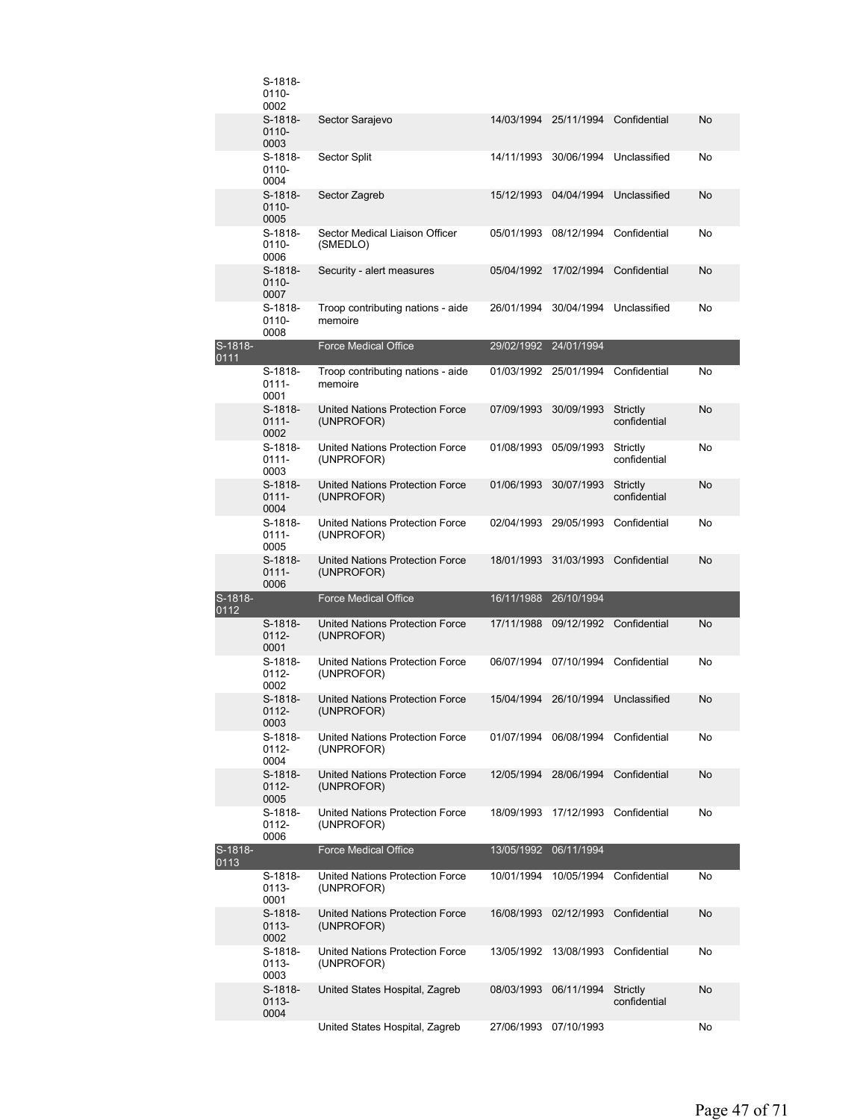|                   | S-1818-<br>0110-<br>0002      |                                                      |            |                                    |                          |    |
|-------------------|-------------------------------|------------------------------------------------------|------------|------------------------------------|--------------------------|----|
|                   | S-1818-<br>$0110 -$<br>0003   | Sector Sarajevo                                      | 14/03/1994 | 25/11/1994                         | Confidential             | No |
|                   | S-1818-<br>$0110 -$<br>0004   | Sector Split                                         | 14/11/1993 | 30/06/1994                         | Unclassified             | No |
|                   | S-1818-<br>$0110 -$<br>0005   | Sector Zagreb                                        | 15/12/1993 | 04/04/1994                         | Unclassified             | No |
|                   | $S-1818-$<br>0110-<br>0006    | Sector Medical Liaison Officer<br>(SMEDLO)           | 05/01/1993 | 08/12/1994                         | Confidential             | No |
|                   | $S-1818-$<br>0110-<br>0007    | Security - alert measures                            | 05/04/1992 | 17/02/1994                         | Confidential             | No |
|                   | S-1818-<br>$0110 -$<br>0008   | Troop contributing nations - aide<br>memoire         | 26/01/1994 | 30/04/1994                         | Unclassified             | No |
| $S-1818-$<br>0111 |                               | <b>Force Medical Office</b>                          | 29/02/1992 | 24/01/1994                         |                          |    |
|                   | $S-1818-$<br>$0111 -$<br>0001 | Troop contributing nations - aide<br>memoire         |            | 01/03/1992 25/01/1994              | Confidential             | No |
|                   | S-1818-<br>$0111 -$<br>0002   | United Nations Protection Force<br>(UNPROFOR)        | 07/09/1993 | 30/09/1993                         | Strictly<br>confidential | No |
|                   | S-1818-<br>$0111 -$<br>0003   | United Nations Protection Force<br>(UNPROFOR)        | 01/08/1993 | 05/09/1993                         | Strictly<br>confidential | No |
|                   | S-1818-<br>$0111 -$<br>0004   | <b>United Nations Protection Force</b><br>(UNPROFOR) | 01/06/1993 | 30/07/1993                         | Strictly<br>confidential | No |
|                   | S-1818-<br>$0111 -$<br>0005   | United Nations Protection Force<br>(UNPROFOR)        | 02/04/1993 | 29/05/1993                         | Confidential             | No |
|                   | S-1818-<br>$0111 -$<br>0006   | United Nations Protection Force<br>(UNPROFOR)        | 18/01/1993 | 31/03/1993                         | Confidential             | No |
| S-1818-<br>0112   |                               | <b>Force Medical Office</b>                          |            | 16/11/1988 26/10/1994              |                          |    |
|                   | $S-1818-$<br>$0112 -$<br>0001 | United Nations Protection Force<br>(UNPROFOR)        | 17/11/1988 | 09/12/1992                         | Confidential             | No |
|                   | S-1818-<br>$0112 -$<br>0002   | United Nations Protection Force<br>(UNPROFOR)        |            | 06/07/1994 07/10/1994              | Confidential             | No |
|                   | $S-1818-$<br>0112-<br>0003    | <b>United Nations Protection Force</b><br>(UNPROFOR) | 15/04/1994 | 26/10/1994                         | Unclassified             | No |
|                   | S-1818-<br>$0112 -$<br>0004   | United Nations Protection Force<br>(UNPROFOR)        |            | 01/07/1994 06/08/1994 Confidential |                          | No |
|                   | S-1818-<br>$0112 -$<br>0005   | United Nations Protection Force<br>(UNPROFOR)        | 12/05/1994 | 28/06/1994                         | Confidential             | No |
|                   | S-1818-<br>$0112 -$<br>0006   | United Nations Protection Force<br>(UNPROFOR)        | 18/09/1993 |                                    | 17/12/1993 Confidential  | No |
| S-1818-<br>0113   |                               | <b>Force Medical Office</b>                          | 13/05/1992 | 06/11/1994                         |                          |    |
|                   | S-1818-<br>0113-<br>0001      | United Nations Protection Force<br>(UNPROFOR)        | 10/01/1994 | 10/05/1994                         | Confidential             | No |
|                   | S-1818-<br>0113-<br>0002      | United Nations Protection Force<br>(UNPROFOR)        | 16/08/1993 | 02/12/1993                         | Confidential             | No |
|                   | S-1818-<br>0113-<br>0003      | United Nations Protection Force<br>(UNPROFOR)        | 13/05/1992 | 13/08/1993                         | Confidential             | No |
|                   | S-1818-<br>0113-<br>0004      | United States Hospital, Zagreb                       | 08/03/1993 | 06/11/1994                         | Strictly<br>confidential | No |
|                   |                               | United States Hospital, Zagreb                       | 27/06/1993 | 07/10/1993                         |                          | No |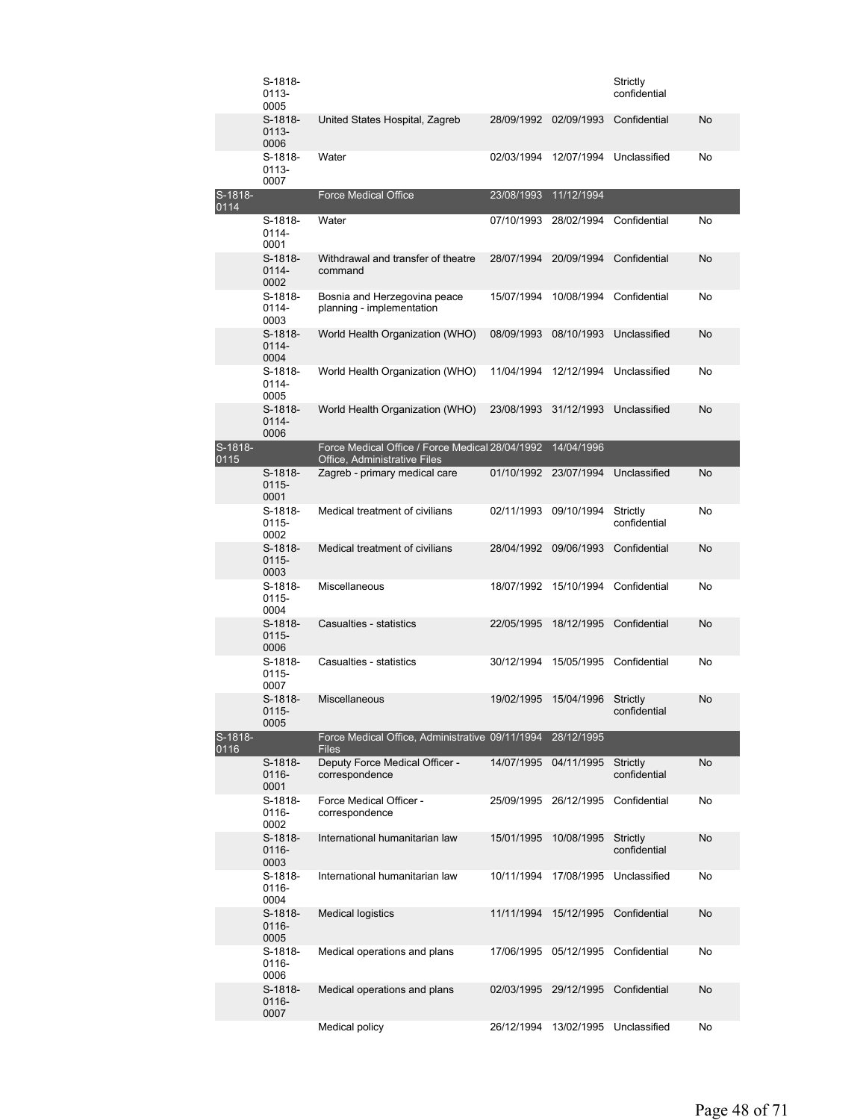|                 | S-1818-<br>0113-<br>0005      |                                                                                 |                       |            | Strictly<br>confidential |    |
|-----------------|-------------------------------|---------------------------------------------------------------------------------|-----------------------|------------|--------------------------|----|
|                 | $S-1818-$<br>$0113 -$<br>0006 | United States Hospital, Zagreb                                                  | 28/09/1992            | 02/09/1993 | Confidential             | No |
|                 | S-1818-<br>0113-<br>0007      | Water                                                                           | 02/03/1994            | 12/07/1994 | Unclassified             | No |
| S-1818-<br>0114 |                               | <b>Force Medical Office</b>                                                     | 23/08/1993            | 11/12/1994 |                          |    |
|                 | S-1818-<br>0114-<br>0001      | Water                                                                           | 07/10/1993            | 28/02/1994 | Confidential             | No |
|                 | $S-1818-$<br>0114-<br>0002    | Withdrawal and transfer of theatre<br>command                                   | 28/07/1994            | 20/09/1994 | Confidential             | No |
|                 | S-1818-<br>0114-<br>0003      | Bosnia and Herzegovina peace<br>planning - implementation                       | 15/07/1994            | 10/08/1994 | Confidential             | No |
|                 | S-1818-<br>$0114 -$<br>0004   | World Health Organization (WHO)                                                 | 08/09/1993            | 08/10/1993 | Unclassified             | No |
|                 | S-1818-<br>0114-<br>0005      | World Health Organization (WHO)                                                 | 11/04/1994            | 12/12/1994 | Unclassified             | No |
|                 | S-1818-<br>0114-<br>0006      | World Health Organization (WHO)                                                 | 23/08/1993            | 31/12/1993 | Unclassified             | No |
| S-1818-<br>0115 |                               | Force Medical Office / Force Medical 28/04/1992<br>Office, Administrative Files |                       | 14/04/1996 |                          |    |
|                 | S-1818-<br>$0115 -$<br>0001   | Zagreb - primary medical care                                                   | 01/10/1992 23/07/1994 |            | Unclassified             | No |
|                 | S-1818-<br>0115-<br>0002      | Medical treatment of civilians                                                  | 02/11/1993            | 09/10/1994 | Strictly<br>confidential | No |
|                 | $S-1818-$<br>$0115 -$<br>0003 | Medical treatment of civilians                                                  | 28/04/1992            | 09/06/1993 | Confidential             | No |
|                 | S-1818-<br>0115-<br>0004      | Miscellaneous                                                                   | 18/07/1992            | 15/10/1994 | Confidential             | No |
|                 | S-1818-<br>$0115 -$<br>0006   | Casualties - statistics                                                         | 22/05/1995            | 18/12/1995 | Confidential             | No |
|                 | S-1818-<br>0115-<br>0007      | Casualties - statistics                                                         | 30/12/1994            | 15/05/1995 | Confidential             | No |
|                 | $S-1818-$<br>0115-<br>0005    | Miscellaneous                                                                   | 19/02/1995            | 15/04/1996 | Strictly<br>confidential | No |
| S-1818-<br>0116 |                               | Force Medical Office, Administrative 09/11/1994<br><b>Files</b>                 |                       | 28/12/1995 |                          |    |
|                 | S-1818-<br>$0116 -$<br>0001   | Deputy Force Medical Officer -<br>correspondence                                | 14/07/1995            | 04/11/1995 | Strictly<br>confidential | No |
|                 | S-1818-<br>0116-<br>0002      | Force Medical Officer -<br>correspondence                                       | 25/09/1995            | 26/12/1995 | Confidential             | No |
|                 | S-1818-<br>0116-<br>0003      | International humanitarian law                                                  | 15/01/1995            | 10/08/1995 | Strictly<br>confidential | No |
|                 | S-1818-<br>0116-<br>0004      | International humanitarian law                                                  | 10/11/1994            | 17/08/1995 | Unclassified             | No |
|                 | S-1818-<br>0116-<br>0005      | <b>Medical logistics</b>                                                        | 11/11/1994            | 15/12/1995 | Confidential             | No |
|                 | S-1818-<br>0116-<br>0006      | Medical operations and plans                                                    | 17/06/1995            | 05/12/1995 | Confidential             | No |
|                 | S-1818-<br>0116-<br>0007      | Medical operations and plans                                                    | 02/03/1995            | 29/12/1995 | Confidential             | No |
|                 |                               | Medical policy                                                                  | 26/12/1994            | 13/02/1995 | Unclassified             | No |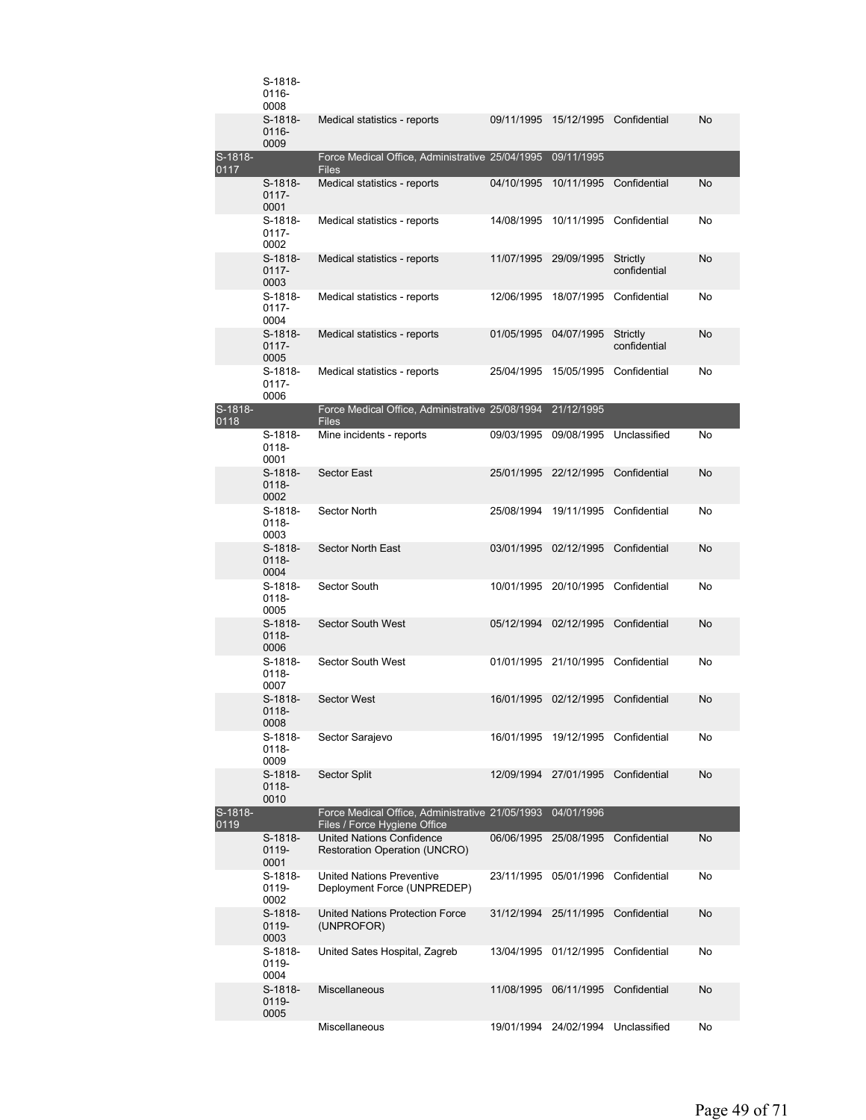|                 | S-1818-<br>0116-<br>0008    |                                                                                 |            |                                    |                          |    |
|-----------------|-----------------------------|---------------------------------------------------------------------------------|------------|------------------------------------|--------------------------|----|
|                 | S-1818-<br>0116-<br>0009    | Medical statistics - reports                                                    | 09/11/1995 | 15/12/1995                         | Confidential             | No |
| S-1818-<br>0117 |                             | Force Medical Office, Administrative 25/04/1995 09/11/1995<br><b>Files</b>      |            |                                    |                          |    |
|                 | S-1818-<br>$0117 -$<br>0001 | Medical statistics - reports                                                    | 04/10/1995 | 10/11/1995                         | Confidential             | No |
|                 | S-1818-<br>$0117 -$<br>0002 | Medical statistics - reports                                                    | 14/08/1995 | 10/11/1995                         | Confidential             | No |
|                 | S-1818-<br>$0117 -$<br>0003 | Medical statistics - reports                                                    | 11/07/1995 | 29/09/1995                         | Strictly<br>confidential | No |
|                 | S-1818-<br>$0117 -$<br>0004 | Medical statistics - reports                                                    | 12/06/1995 |                                    | 18/07/1995 Confidential  | No |
|                 | S-1818-<br>$0117 -$<br>0005 | Medical statistics - reports                                                    |            | 01/05/1995 04/07/1995              | Strictly<br>confidential | No |
|                 | S-1818-<br>0117-<br>0006    | Medical statistics - reports                                                    | 25/04/1995 | 15/05/1995                         | Confidential             | No |
| S-1818-<br>0118 |                             | Force Medical Office, Administrative 25/08/1994<br><b>Files</b>                 |            | 21/12/1995                         |                          |    |
|                 | S-1818-<br>0118-<br>0001    | Mine incidents - reports                                                        | 09/03/1995 | 09/08/1995                         | Unclassified             | No |
|                 | S-1818-<br>0118-<br>0002    | <b>Sector East</b>                                                              | 25/01/1995 | 22/12/1995                         | Confidential             | No |
|                 | S-1818-<br>0118-<br>0003    | Sector North                                                                    | 25/08/1994 | 19/11/1995                         | Confidential             | No |
|                 | $S-1818-$<br>0118-<br>0004  | Sector North East                                                               | 03/01/1995 | 02/12/1995                         | Confidential             | No |
|                 | S-1818-<br>0118-<br>0005    | Sector South                                                                    | 10/01/1995 | 20/10/1995                         | Confidential             | No |
|                 | S-1818-<br>$0118 -$<br>0006 | <b>Sector South West</b>                                                        | 05/12/1994 | 02/12/1995                         | Confidential             | No |
|                 | S-1818-<br>0118-<br>0007    | <b>Sector South West</b>                                                        |            | 01/01/1995 21/10/1995 Confidential |                          | No |
|                 | S-1818-<br>0118-<br>0008    | <b>Sector West</b>                                                              |            | 16/01/1995 02/12/1995 Confidential |                          | No |
|                 | S-1818-<br>0118-<br>0009    | Sector Sarajevo                                                                 | 16/01/1995 |                                    | 19/12/1995 Confidential  | No |
|                 | S-1818-<br>0118-<br>0010    | Sector Split                                                                    | 12/09/1994 | 27/01/1995                         | Confidential             | No |
| S-1818-<br>0119 |                             | Force Medical Office, Administrative 21/05/1993<br>Files / Force Hygiene Office |            | 04/01/1996                         |                          |    |
|                 | S-1818-<br>0119-<br>0001    | United Nations Confidence<br><b>Restoration Operation (UNCRO)</b>               | 06/06/1995 | 25/08/1995                         | Confidential             | No |
|                 | S-1818-<br>0119-<br>0002    | <b>United Nations Preventive</b><br>Deployment Force (UNPREDEP)                 | 23/11/1995 | 05/01/1996                         | Confidential             | No |
|                 | S-1818-<br>0119-<br>0003    | United Nations Protection Force<br>(UNPROFOR)                                   | 31/12/1994 | 25/11/1995                         | Confidential             | No |
|                 | S-1818-<br>0119-<br>0004    | United Sates Hospital, Zagreb                                                   | 13/04/1995 | 01/12/1995                         | Confidential             | No |
|                 | S-1818-<br>0119-<br>0005    | Miscellaneous                                                                   | 11/08/1995 | 06/11/1995                         | Confidential             | No |
|                 |                             | Miscellaneous                                                                   | 19/01/1994 | 24/02/1994                         | Unclassified             | No |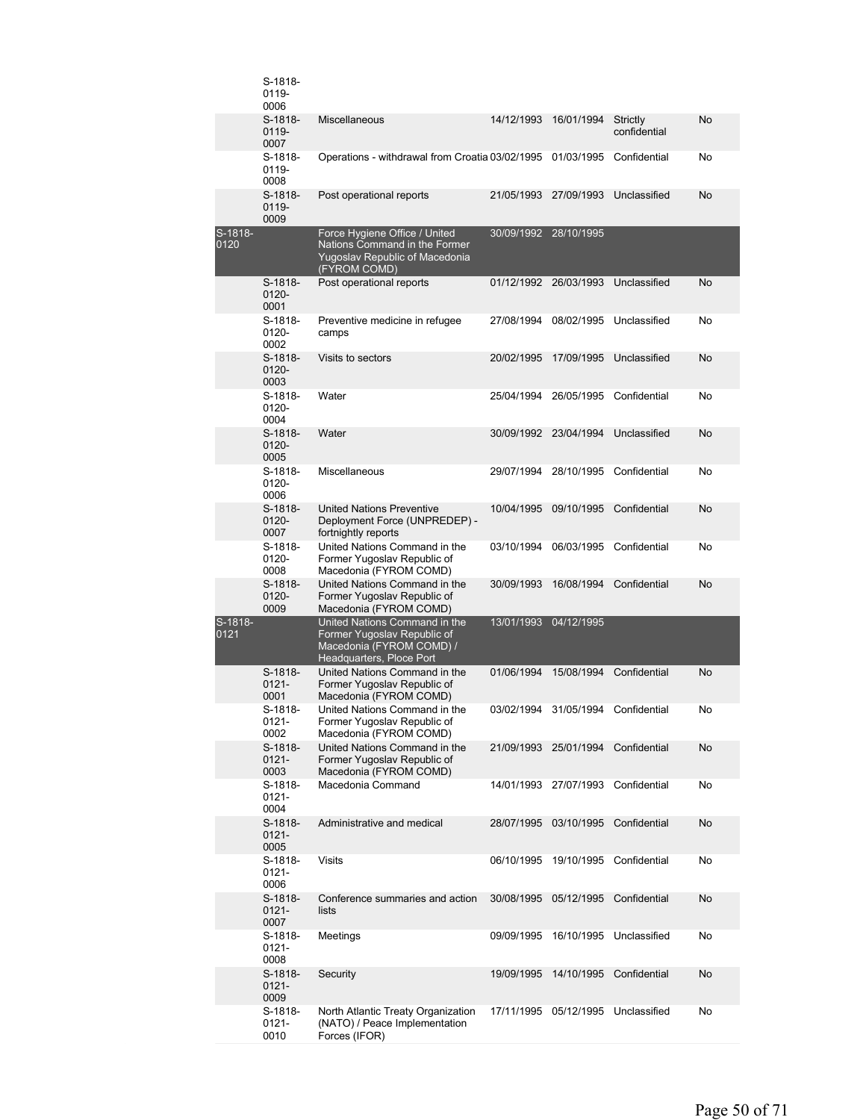|                 | S-1818-<br>0119-<br>0006      |                                                                                                                      |                       |                                    |                          |    |
|-----------------|-------------------------------|----------------------------------------------------------------------------------------------------------------------|-----------------------|------------------------------------|--------------------------|----|
|                 | S-1818-<br>0119-<br>0007      | Miscellaneous                                                                                                        | 14/12/1993            | 16/01/1994                         | Strictly<br>confidential | No |
|                 | S-1818-<br>0119-<br>0008      | Operations - withdrawal from Croatia 03/02/1995 01/03/1995                                                           |                       |                                    | Confidential             | No |
|                 | $S-1818-$<br>0119-<br>0009    | Post operational reports                                                                                             | 21/05/1993            | 27/09/1993                         | Unclassified             | No |
| S-1818-<br>0120 |                               | Force Hygiene Office / United<br>Nations Command in the Former<br>Yugoslav Republic of Macedonia<br>(FYROM COMD)     | 30/09/1992 28/10/1995 |                                    |                          |    |
|                 | $S-1818-$<br>$0120 -$<br>0001 | Post operational reports                                                                                             | 01/12/1992 26/03/1993 |                                    | Unclassified             | No |
|                 | S-1818-<br>0120-<br>0002      | Preventive medicine in refugee<br>camps                                                                              |                       | 27/08/1994 08/02/1995              | Unclassified             | No |
|                 | $S-1818-$<br>$0120 -$<br>0003 | Visits to sectors                                                                                                    | 20/02/1995            | 17/09/1995                         | Unclassified             | No |
|                 | S-1818-<br>0120-<br>0004      | Water                                                                                                                | 25/04/1994            | 26/05/1995                         | Confidential             | No |
|                 | $S-1818-$<br>$0120 -$<br>0005 | Water                                                                                                                | 30/09/1992 23/04/1994 |                                    | Unclassified             | No |
|                 | S-1818-<br>0120-<br>0006      | Miscellaneous                                                                                                        | 29/07/1994 28/10/1995 |                                    | Confidential             | No |
|                 | $S-1818-$<br>$0120 -$<br>0007 | <b>United Nations Preventive</b><br>Deployment Force (UNPREDEP) -<br>fortnightly reports                             | 10/04/1995            | 09/10/1995                         | Confidential             | No |
|                 | S-1818-<br>$0120 -$<br>0008   | United Nations Command in the<br>Former Yugoslav Republic of<br>Macedonia (FYROM COMD)                               | 03/10/1994            | 06/03/1995                         | Confidential             | No |
|                 | $S-1818-$<br>$0120 -$<br>0009 | United Nations Command in the<br>Former Yugoslav Republic of<br>Macedonia (FYROM COMD)                               | 30/09/1993            | 16/08/1994                         | Confidential             | No |
| S-1818-<br>0121 |                               | United Nations Command in the<br>Former Yugoslav Republic of<br>Macedonia (FYROM COMD) /<br>Headquarters, Ploce Port | 13/01/1993 04/12/1995 |                                    |                          |    |
|                 | S-1818-<br>$0121 -$<br>0001   | United Nations Command in the<br>Former Yugoslav Republic of<br>Macedonia (FYROM COMD)                               | 01/06/1994            |                                    | 15/08/1994 Confidential  | No |
|                 | S-1818-<br>$0121 -$<br>0002   | United Nations Command in the<br>Former Yugoslav Republic of<br>Macedonia (FYROM COMD)                               |                       | 03/02/1994 31/05/1994 Confidential |                          | No |
|                 | S-1818-<br>$0121 -$<br>0003   | United Nations Command in the<br>Former Yugoslav Republic of<br>Macedonia (FYROM COMD)                               | 21/09/1993            | 25/01/1994                         | Confidential             | No |
|                 | S-1818-<br>0121-<br>0004      | Macedonia Command                                                                                                    | 14/01/1993            | 27/07/1993                         | Confidential             | No |
|                 | S-1818-<br>$0121 -$<br>0005   | Administrative and medical                                                                                           | 28/07/1995            | 03/10/1995                         | Confidential             | No |
|                 | S-1818-<br>$0121 -$<br>0006   | Visits                                                                                                               | 06/10/1995            | 19/10/1995                         | Confidential             | No |
|                 | S-1818-<br>0121-<br>0007      | Conference summaries and action<br>lists                                                                             | 30/08/1995            | 05/12/1995                         | Confidential             | No |
|                 | S-1818-<br>$0121 -$<br>0008   | Meetings                                                                                                             | 09/09/1995            | 16/10/1995                         | Unclassified             | No |
|                 | S-1818-<br>0121-<br>0009      | Security                                                                                                             | 19/09/1995            | 14/10/1995                         | Confidential             | No |
|                 | S-1818-<br>$0121 -$<br>0010   | North Atlantic Treaty Organization<br>(NATO) / Peace Implementation<br>Forces (IFOR)                                 |                       | 17/11/1995 05/12/1995 Unclassified |                          | No |
|                 |                               |                                                                                                                      |                       |                                    |                          |    |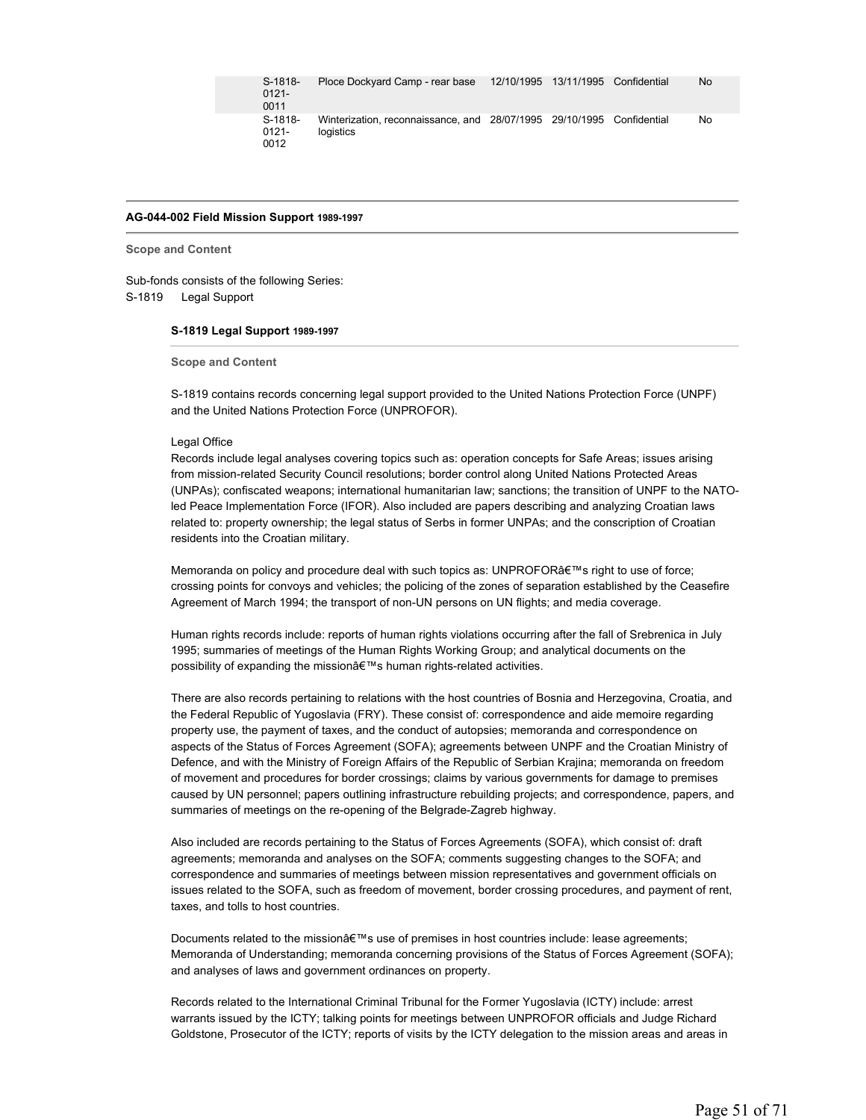| S-1818-<br>$0121 -$<br>0011 | Ploce Dockvard Camp - rear base                                                    | 12/10/1995 13/11/1995 Confidential | No |
|-----------------------------|------------------------------------------------------------------------------------|------------------------------------|----|
| S-1818-<br>0121-<br>0012    | Winterization, reconnaissance, and 28/07/1995 29/10/1995 Confidential<br>logistics |                                    | No |

# **AG-044-002 Field Mission Support 1989-1997**

**Scope and Content** 

Sub-fonds consists of the following Series: S-1819 Legal Support

#### **S-1819 Legal Support 1989-1997**

**Scope and Content** 

S-1819 contains records concerning legal support provided to the United Nations Protection Force (UNPF) and the United Nations Protection Force (UNPROFOR).

#### Legal Office

Records include legal analyses covering topics such as: operation concepts for Safe Areas; issues arising from mission-related Security Council resolutions; border control along United Nations Protected Areas (UNPAs); confiscated weapons; international humanitarian law; sanctions; the transition of UNPF to the NATOled Peace Implementation Force (IFOR). Also included are papers describing and analyzing Croatian laws related to: property ownership; the legal status of Serbs in former UNPAs; and the conscription of Croatian residents into the Croatian military.

Memoranda on policy and procedure deal with such topics as: UNPROFOR's right to use of force; crossing points for convoys and vehicles; the policing of the zones of separation established by the Ceasefire Agreement of March 1994; the transport of non-UN persons on UN flights; and media coverage.

Human rights records include: reports of human rights violations occurring after the fall of Srebrenica in July 1995; summaries of meetings of the Human Rights Working Group; and analytical documents on the possibility of expanding the mission's human rights-related activities.

There are also records pertaining to relations with the host countries of Bosnia and Herzegovina, Croatia, and the Federal Republic of Yugoslavia (FRY). These consist of: correspondence and aide memoire regarding property use, the payment of taxes, and the conduct of autopsies; memoranda and correspondence on aspects of the Status of Forces Agreement (SOFA); agreements between UNPF and the Croatian Ministry of Defence, and with the Ministry of Foreign Affairs of the Republic of Serbian Krajina; memoranda on freedom of movement and procedures for border crossings; claims by various governments for damage to premises caused by UN personnel; papers outlining infrastructure rebuilding projects; and correspondence, papers, and summaries of meetings on the re-opening of the Belgrade-Zagreb highway.

Also included are records pertaining to the Status of Forces Agreements (SOFA), which consist of: draft agreements; memoranda and analyses on the SOFA; comments suggesting changes to the SOFA; and correspondence and summaries of meetings between mission representatives and government officials on issues related to the SOFA, such as freedom of movement, border crossing procedures, and payment of rent, taxes, and tolls to host countries.

Documents related to the mission's use of premises in host countries include: lease agreements; Memoranda of Understanding; memoranda concerning provisions of the Status of Forces Agreement (SOFA); and analyses of laws and government ordinances on property.

Records related to the International Criminal Tribunal for the Former Yugoslavia (ICTY) include: arrest warrants issued by the ICTY; talking points for meetings between UNPROFOR officials and Judge Richard Goldstone, Prosecutor of the ICTY; reports of visits by the ICTY delegation to the mission areas and areas in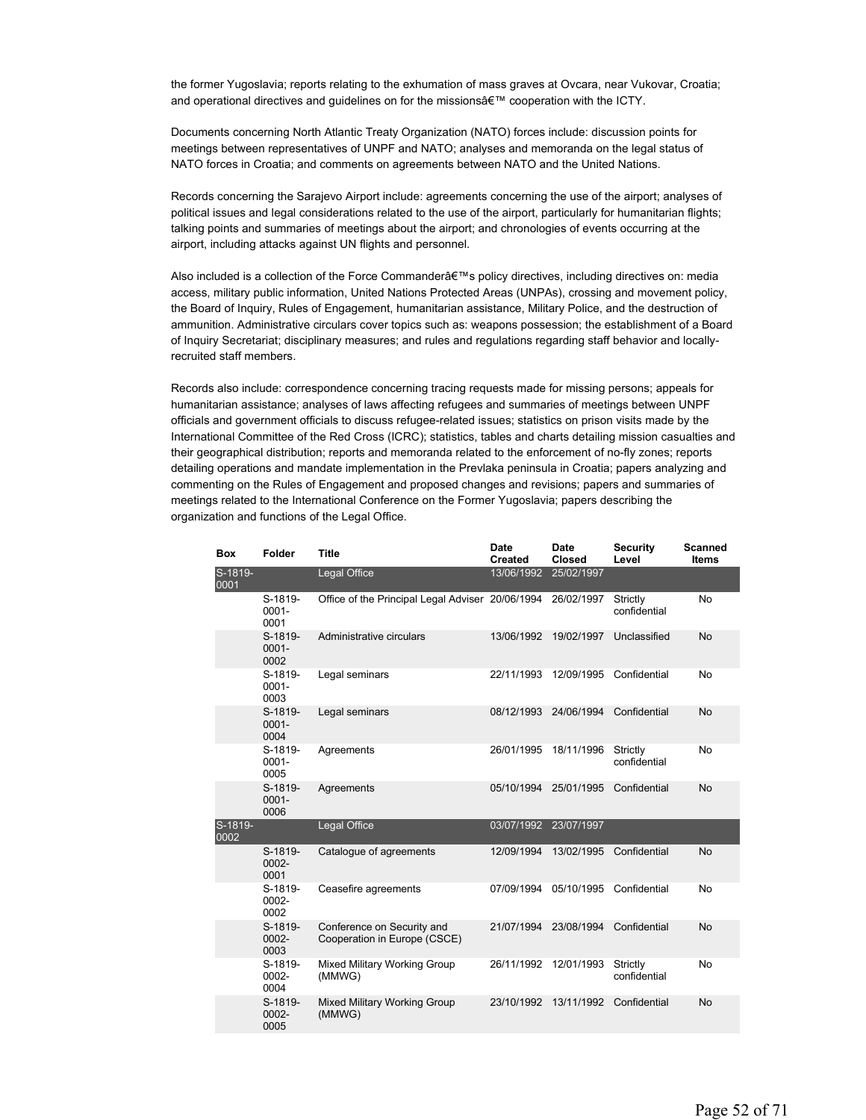the former Yugoslavia; reports relating to the exhumation of mass graves at Ovcara, near Vukovar, Croatia; and operational directives and guidelines on for the missions' cooperation with the ICTY.

Documents concerning North Atlantic Treaty Organization (NATO) forces include: discussion points for meetings between representatives of UNPF and NATO; analyses and memoranda on the legal status of NATO forces in Croatia; and comments on agreements between NATO and the United Nations.

Records concerning the Sarajevo Airport include: agreements concerning the use of the airport; analyses of political issues and legal considerations related to the use of the airport, particularly for humanitarian flights; talking points and summaries of meetings about the airport; and chronologies of events occurring at the airport, including attacks against UN flights and personnel.

Also included is a collection of the Force Commander's policy directives, including directives on: media access, military public information, United Nations Protected Areas (UNPAs), crossing and movement policy, the Board of Inquiry, Rules of Engagement, humanitarian assistance, Military Police, and the destruction of ammunition. Administrative circulars cover topics such as: weapons possession; the establishment of a Board of Inquiry Secretariat; disciplinary measures; and rules and regulations regarding staff behavior and locallyrecruited staff members.

Records also include: correspondence concerning tracing requests made for missing persons; appeals for humanitarian assistance; analyses of laws affecting refugees and summaries of meetings between UNPF officials and government officials to discuss refugee-related issues; statistics on prison visits made by the International Committee of the Red Cross (ICRC); statistics, tables and charts detailing mission casualties and their geographical distribution; reports and memoranda related to the enforcement of no-fly zones; reports detailing operations and mandate implementation in the Prevlaka peninsula in Croatia; papers analyzing and commenting on the Rules of Engagement and proposed changes and revisions; papers and summaries of meetings related to the International Conference on the Former Yugoslavia; papers describing the organization and functions of the Legal Office.

| <b>Box</b>      | Folder                      | <b>Title</b>                                               | <b>Date</b><br><b>Created</b> | <b>Date</b><br>Closed | <b>Security</b><br>Level | <b>Scanned</b><br>Items |
|-----------------|-----------------------------|------------------------------------------------------------|-------------------------------|-----------------------|--------------------------|-------------------------|
| S-1819-<br>0001 |                             | Legal Office                                               | 13/06/1992                    | 25/02/1997            |                          |                         |
|                 | S-1819-<br>$0001 -$<br>0001 | Office of the Principal Legal Adviser 20/06/1994           |                               | 26/02/1997            | Strictly<br>confidential | No                      |
|                 | S-1819-<br>$0001 -$<br>0002 | Administrative circulars                                   | 13/06/1992                    | 19/02/1997            | Unclassified             | <b>No</b>               |
|                 | S-1819-<br>$0001 -$<br>0003 | Legal seminars                                             | 22/11/1993                    | 12/09/1995            | Confidential             | <b>No</b>               |
|                 | S-1819-<br>$0001 -$<br>0004 | Legal seminars                                             | 08/12/1993                    | 24/06/1994            | Confidential             | <b>No</b>               |
|                 | S-1819-<br>$0001 -$<br>0005 | Agreements                                                 | 26/01/1995                    | 18/11/1996            | Strictly<br>confidential | No                      |
|                 | S-1819-<br>$0001 -$<br>0006 | Agreements                                                 | 05/10/1994                    | 25/01/1995            | Confidential             | <b>No</b>               |
| S-1819-<br>0002 |                             | Legal Office                                               | 03/07/1992                    | 23/07/1997            |                          |                         |
|                 | S-1819-<br>0002-<br>0001    | Catalogue of agreements                                    | 12/09/1994                    | 13/02/1995            | Confidential             | <b>No</b>               |
|                 | S-1819-<br>0002-<br>0002    | Ceasefire agreements                                       | 07/09/1994                    | 05/10/1995            | Confidential             | No                      |
|                 | S-1819-<br>0002-<br>0003    | Conference on Security and<br>Cooperation in Europe (CSCE) | 21/07/1994                    | 23/08/1994            | Confidential             | <b>No</b>               |
|                 | S-1819-<br>0002-<br>0004    | Mixed Military Working Group<br>(MMWG)                     | 26/11/1992                    | 12/01/1993            | Strictly<br>confidential | No                      |
|                 | S-1819-<br>0002-<br>0005    | Mixed Military Working Group<br>(MMWG)                     | 23/10/1992                    | 13/11/1992            | Confidential             | <b>No</b>               |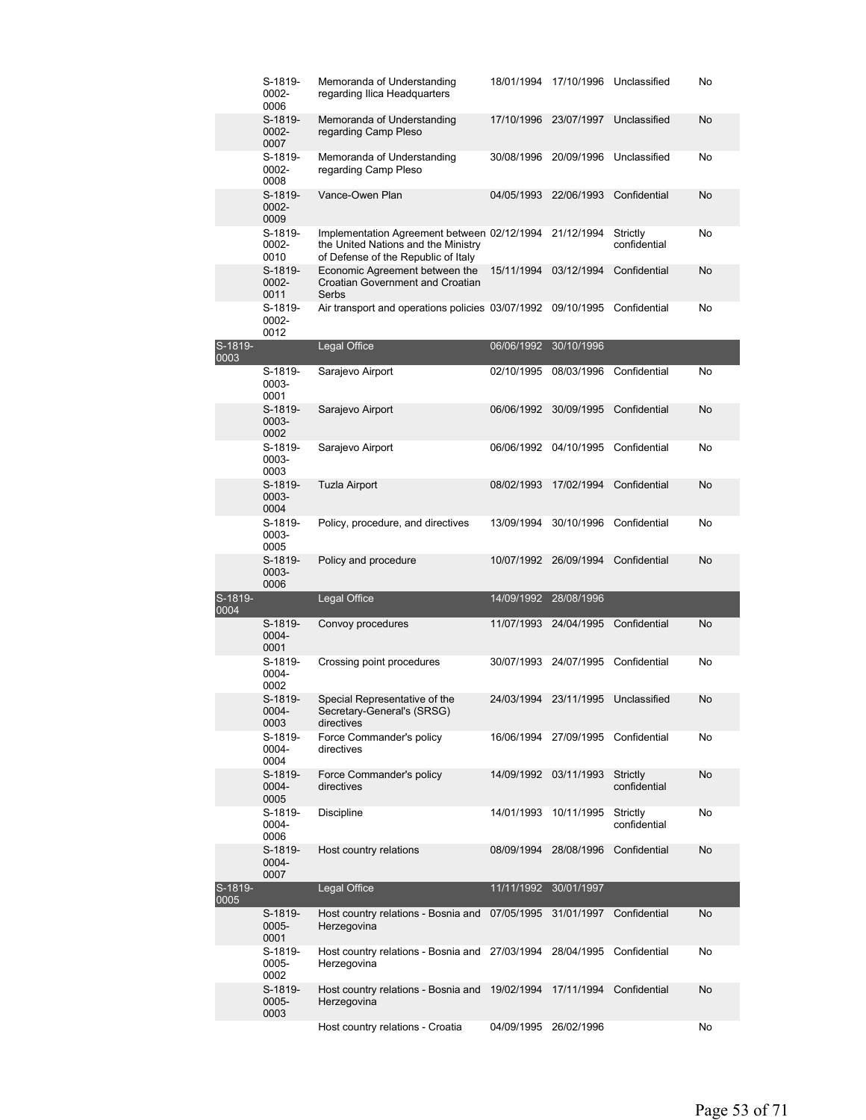|                 | S-1819-<br>0002-<br>0006    | Memoranda of Understanding<br>regarding Ilica Headquarters                                                                | 18/01/1994            | 17/10/1996                         | Unclassified             | No        |
|-----------------|-----------------------------|---------------------------------------------------------------------------------------------------------------------------|-----------------------|------------------------------------|--------------------------|-----------|
|                 | S-1819-<br>0002-<br>0007    | Memoranda of Understanding<br>regarding Camp Pleso                                                                        | 17/10/1996            | 23/07/1997                         | Unclassified             | No        |
|                 | S-1819-<br>0002-<br>0008    | Memoranda of Understanding<br>regarding Camp Pleso                                                                        | 30/08/1996            | 20/09/1996                         | Unclassified             | No        |
|                 | S-1819-<br>0002-<br>0009    | Vance-Owen Plan                                                                                                           | 04/05/1993            | 22/06/1993                         | Confidential             | No        |
|                 | S-1819-<br>0002-<br>0010    | Implementation Agreement between 02/12/1994<br>the United Nations and the Ministry<br>of Defense of the Republic of Italy |                       | 21/12/1994                         | Strictly<br>confidential | No        |
|                 | S-1819-<br>$0002 -$<br>0011 | Economic Agreement between the<br><b>Croatian Government and Croatian</b><br>Serbs                                        | 15/11/1994            | 03/12/1994                         | Confidential             | No        |
|                 | S-1819-<br>0002-<br>0012    | Air transport and operations policies 03/07/1992 09/10/1995                                                               |                       |                                    | Confidential             | No        |
| S-1819-<br>0003 |                             | Legal Office                                                                                                              | 06/06/1992            | 30/10/1996                         |                          |           |
|                 | S-1819-<br>0003-<br>0001    | Sarajevo Airport                                                                                                          | 02/10/1995            | 08/03/1996                         | Confidential             | No        |
|                 | S-1819-<br>0003-<br>0002    | Sarajevo Airport                                                                                                          | 06/06/1992            | 30/09/1995                         | Confidential             | <b>No</b> |
|                 | S-1819-<br>0003-<br>0003    | Sarajevo Airport                                                                                                          |                       | 06/06/1992 04/10/1995              | Confidential             | No        |
|                 | S-1819-<br>0003-<br>0004    | <b>Tuzla Airport</b>                                                                                                      | 08/02/1993            | 17/02/1994                         | Confidential             | No        |
|                 | S-1819-<br>0003-<br>0005    | Policy, procedure, and directives                                                                                         | 13/09/1994            | 30/10/1996                         | Confidential             | No        |
|                 |                             |                                                                                                                           |                       |                                    |                          |           |
|                 | S-1819-<br>0003-<br>0006    | Policy and procedure                                                                                                      | 10/07/1992 26/09/1994 |                                    | Confidential             | No        |
|                 |                             | Legal Office                                                                                                              | 14/09/1992            | 28/08/1996                         |                          |           |
| S-1819-<br>0004 | S-1819-<br>0004-<br>0001    | Convoy procedures                                                                                                         | 11/07/1993            | 24/04/1995                         | Confidential             | <b>No</b> |
|                 | S-1819-<br>0004-<br>0002    | Crossing point procedures                                                                                                 |                       | 30/07/1993 24/07/1995              | Confidential             | No        |
|                 | S-1819-<br>0004-<br>0003    | Special Representative of the<br>Secretary-General's (SRSG)<br>directives                                                 | 24/03/1994 23/11/1995 |                                    | Unclassified             | No        |
|                 | S-1819-<br>0004-<br>0004    | Force Commander's policy<br>directives                                                                                    |                       | 16/06/1994 27/09/1995 Confidential |                          | No        |
|                 | S-1819-<br>0004-<br>0005    | Force Commander's policy<br>directives                                                                                    |                       | 14/09/1992 03/11/1993              | Strictly<br>confidential | <b>No</b> |
|                 | S-1819-<br>0004-<br>0006    | <b>Discipline</b>                                                                                                         | 14/01/1993            | 10/11/1995                         | Strictly<br>confidential | No        |
|                 | S-1819-<br>0004-<br>0007    | Host country relations                                                                                                    | 08/09/1994            | 28/08/1996                         | Confidential             | No        |
|                 |                             | Legal Office                                                                                                              | 11/11/1992            | 30/01/1997                         |                          |           |
|                 | S-1819-<br>0005-<br>0001    | Host country relations - Bosnia and 07/05/1995<br>Herzegovina                                                             |                       | 31/01/1997                         | Confidential             | No        |
|                 | S-1819-<br>0005-<br>0002    | Host country relations - Bosnia and 27/03/1994 28/04/1995 Confidential<br>Herzegovina                                     |                       |                                    |                          | No        |
| S-1819-<br>0005 | S-1819-<br>0005-<br>0003    | Host country relations - Bosnia and<br>Herzegovina                                                                        | 19/02/1994            | 17/11/1994                         | Confidential             | No        |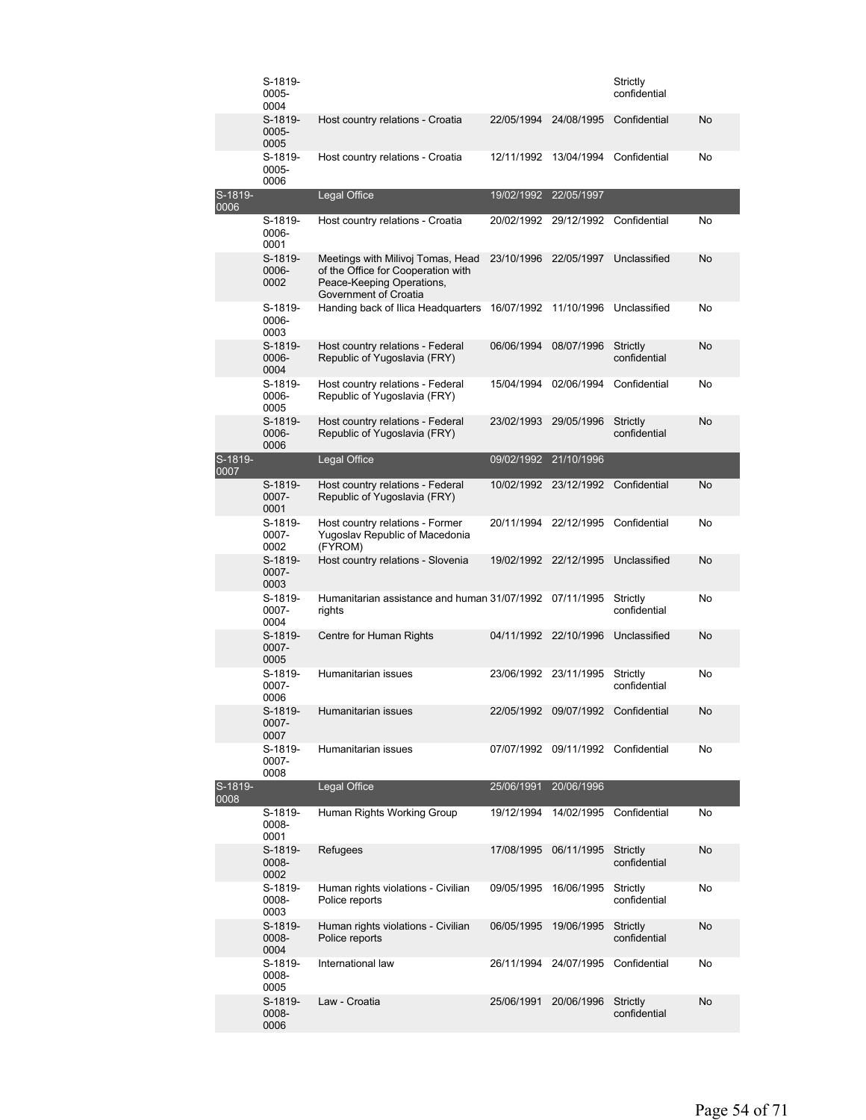|                   | S-1819-<br>0005-<br>0004 |                                                                                                                               |            |                                    | Strictly<br>confidential |    |
|-------------------|--------------------------|-------------------------------------------------------------------------------------------------------------------------------|------------|------------------------------------|--------------------------|----|
|                   | S-1819-<br>0005-<br>0005 | Host country relations - Croatia                                                                                              | 22/05/1994 | 24/08/1995                         | Confidential             | No |
|                   | S-1819-<br>0005-<br>0006 | Host country relations - Croatia                                                                                              | 12/11/1992 | 13/04/1994                         | Confidential             | No |
| $S-1819-$<br>0006 |                          | Legal Office                                                                                                                  | 19/02/1992 | 22/05/1997                         |                          |    |
|                   | S-1819-<br>0006-<br>0001 | Host country relations - Croatia                                                                                              | 20/02/1992 | 29/12/1992                         | Confidential             | No |
|                   | S-1819-<br>0006-<br>0002 | Meetings with Milivoj Tomas, Head<br>of the Office for Cooperation with<br>Peace-Keeping Operations,<br>Government of Croatia | 23/10/1996 | 22/05/1997                         | Unclassified             | No |
|                   | S-1819-<br>0006-<br>0003 | Handing back of Ilica Headquarters                                                                                            | 16/07/1992 | 11/10/1996                         | Unclassified             | No |
|                   | S-1819-<br>0006-<br>0004 | Host country relations - Federal<br>Republic of Yugoslavia (FRY)                                                              | 06/06/1994 | 08/07/1996                         | Strictly<br>confidential | No |
|                   | S-1819-<br>0006-<br>0005 | Host country relations - Federal<br>Republic of Yugoslavia (FRY)                                                              | 15/04/1994 | 02/06/1994                         | Confidential             | No |
|                   | S-1819-<br>0006-<br>0006 | Host country relations - Federal<br>Republic of Yugoslavia (FRY)                                                              | 23/02/1993 | 29/05/1996                         | Strictly<br>confidential | No |
| S-1819-<br>0007   |                          | Legal Office                                                                                                                  | 09/02/1992 | 21/10/1996                         |                          |    |
|                   | S-1819-<br>0007-<br>0001 | Host country relations - Federal<br>Republic of Yugoslavia (FRY)                                                              |            | 10/02/1992 23/12/1992              | Confidential             | No |
|                   | S-1819-<br>0007-<br>0002 | Host country relations - Former<br>Yugoslav Republic of Macedonia<br>(FYROM)                                                  |            | 20/11/1994 22/12/1995              | Confidential             | No |
|                   | S-1819-<br>0007-<br>0003 | Host country relations - Slovenia                                                                                             |            | 19/02/1992 22/12/1995              | Unclassified             | No |
|                   | S-1819-<br>0007-<br>0004 | Humanitarian assistance and human 31/07/1992 07/11/1995<br>rights                                                             |            |                                    | Strictly<br>confidential | No |
|                   | S-1819-<br>0007-<br>0005 | Centre for Human Rights                                                                                                       | 04/11/1992 | 22/10/1996                         | Unclassified             | No |
|                   | S-1819-<br>0007-<br>0006 | Humanitarian issues                                                                                                           |            | 23/06/1992 23/11/1995              | Strictly<br>confidential | No |
|                   | S-1819-<br>0007-<br>0007 | Humanitarian issues                                                                                                           |            | 22/05/1992 09/07/1992 Confidential |                          | No |
|                   | S-1819-<br>0007-<br>0008 | Humanitarian issues                                                                                                           |            | 07/07/1992 09/11/1992 Confidential |                          | No |
| S-1819-<br>8000   |                          | Legal Office                                                                                                                  | 25/06/1991 | 20/06/1996                         |                          |    |
|                   | S-1819-<br>0008-<br>0001 | Human Rights Working Group                                                                                                    | 19/12/1994 | 14/02/1995                         | Confidential             | No |
|                   | S-1819-<br>0008-<br>0002 | Refugees                                                                                                                      | 17/08/1995 | 06/11/1995                         | Strictly<br>confidential | No |
|                   | S-1819-<br>0008-<br>0003 | Human rights violations - Civilian<br>Police reports                                                                          | 09/05/1995 | 16/06/1995                         | Strictly<br>confidential | No |
|                   | S-1819-<br>0008-<br>0004 | Human rights violations - Civilian<br>Police reports                                                                          | 06/05/1995 | 19/06/1995                         | Strictly<br>confidential | No |
|                   | S-1819-<br>0008-<br>0005 | International law                                                                                                             |            | 26/11/1994 24/07/1995              | Confidential             | No |
|                   | S-1819-<br>0008-<br>0006 | Law - Croatia                                                                                                                 | 25/06/1991 | 20/06/1996                         | Strictly<br>confidential | No |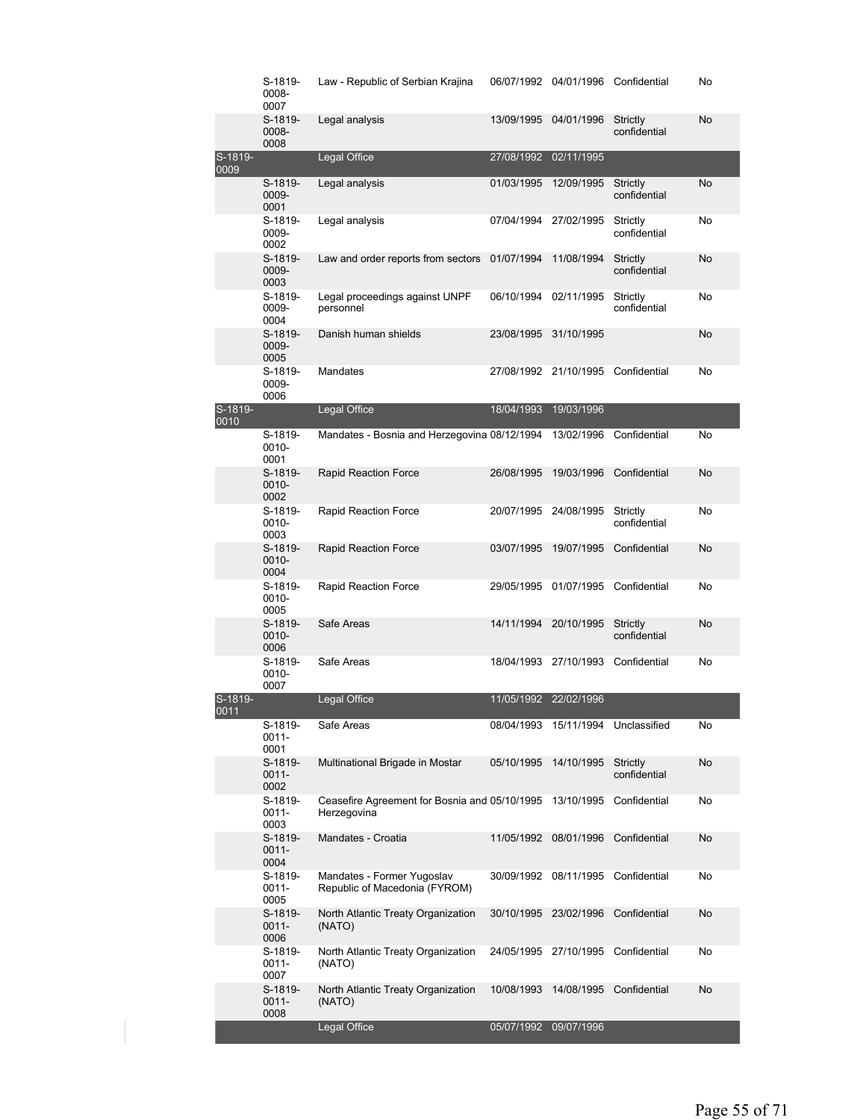|                   | S-1819-<br>0008-<br>0007    | Law - Republic of Serbian Krajina                            |                       | 06/07/1992 04/01/1996 Confidential |                          | No        |
|-------------------|-----------------------------|--------------------------------------------------------------|-----------------------|------------------------------------|--------------------------|-----------|
|                   | S-1819-<br>0008-<br>0008    | Legal analysis                                               | 13/09/1995            | 04/01/1996                         | Strictly<br>confidential | No        |
| S-1819-<br>0009   |                             | Legal Office                                                 | 27/08/1992            | 02/11/1995                         |                          |           |
|                   | S-1819-<br>0009-<br>0001    | Legal analysis                                               | 01/03/1995            | 12/09/1995                         | Strictly<br>confidential | <b>No</b> |
|                   | S-1819-<br>0009-<br>0002    | Legal analysis                                               | 07/04/1994            | 27/02/1995                         | Strictly<br>confidential | No        |
|                   | S-1819-<br>0009-<br>0003    | Law and order reports from sectors 01/07/1994                |                       | 11/08/1994                         | Strictly<br>confidential | No        |
|                   | S-1819-<br>0009-<br>0004    | Legal proceedings against UNPF<br>personnel                  | 06/10/1994            | 02/11/1995                         | Strictly<br>confidential | No        |
|                   | S-1819-<br>0009-<br>0005    | Danish human shields                                         | 23/08/1995            | 31/10/1995                         |                          | No        |
|                   | S-1819-<br>0009-<br>0006    | Mandates                                                     |                       | 27/08/1992 21/10/1995 Confidential |                          | No        |
| S-1819-<br>0010   |                             | Legal Office                                                 | 18/04/1993            | 19/03/1996                         |                          |           |
|                   | S-1819-<br>0010-<br>0001    | Mandates - Bosnia and Herzegovina 08/12/1994                 |                       | 13/02/1996                         | Confidential             | No        |
|                   | S-1819-<br>0010-<br>0002    | Rapid Reaction Force                                         | 26/08/1995            | 19/03/1996                         | Confidential             | No        |
|                   | S-1819-<br>0010-<br>0003    | Rapid Reaction Force                                         | 20/07/1995 24/08/1995 |                                    | Strictly<br>confidential | No        |
|                   | S-1819-<br>0010-<br>0004    | Rapid Reaction Force                                         | 03/07/1995            | 19/07/1995                         | Confidential             | No        |
|                   | S-1819-<br>0010-<br>0005    | Rapid Reaction Force                                         | 29/05/1995            | 01/07/1995                         | Confidential             | No        |
|                   | S-1819-<br>0010-<br>0006    | Safe Areas                                                   |                       | 14/11/1994 20/10/1995              | Strictly<br>confidential | No        |
|                   | S-1819-<br>0010-<br>0007    | Safe Areas                                                   | 18/04/1993            | 27/10/1993                         | Confidential             | No        |
| $S-1819-$<br>0011 |                             | Legal Office                                                 | 11/05/1992 22/02/1996 |                                    |                          |           |
|                   | S-1819-<br>$0011 -$<br>0001 | Safe Areas                                                   |                       | 08/04/1993 15/11/1994 Unclassified |                          | No        |
|                   | S-1819-<br>0011-<br>0002    | Multinational Brigade in Mostar                              | 05/10/1995            | 14/10/1995                         | Strictly<br>confidential | No        |
|                   | S-1819-<br>$0011 -$<br>0003 | Ceasefire Agreement for Bosnia and 05/10/1995<br>Herzegovina |                       | 13/10/1995                         | Confidential             | No        |
|                   | S-1819-<br>0011-<br>0004    | Mandates - Croatia                                           | 11/05/1992            | 08/01/1996                         | Confidential             | No        |
|                   | S-1819-<br>0011-<br>0005    | Mandates - Former Yugoslav<br>Republic of Macedonia (FYROM)  |                       | 30/09/1992 08/11/1995              | Confidential             | No        |
|                   | S-1819-<br>$0011 -$<br>0006 | North Atlantic Treaty Organization<br>(NATO)                 | 30/10/1995            | 23/02/1996                         | Confidential             | No        |
|                   | S-1819-<br>0011-<br>0007    | North Atlantic Treaty Organization<br>(NATO)                 |                       | 24/05/1995 27/10/1995              | Confidential             | No        |
|                   | S-1819-<br>$0011 -$<br>0008 | North Atlantic Treaty Organization<br>(NATO)                 | 10/08/1993            | 14/08/1995                         | Confidential             | No        |
|                   |                             | Legal Office                                                 | 05/07/1992            | 09/07/1996                         |                          |           |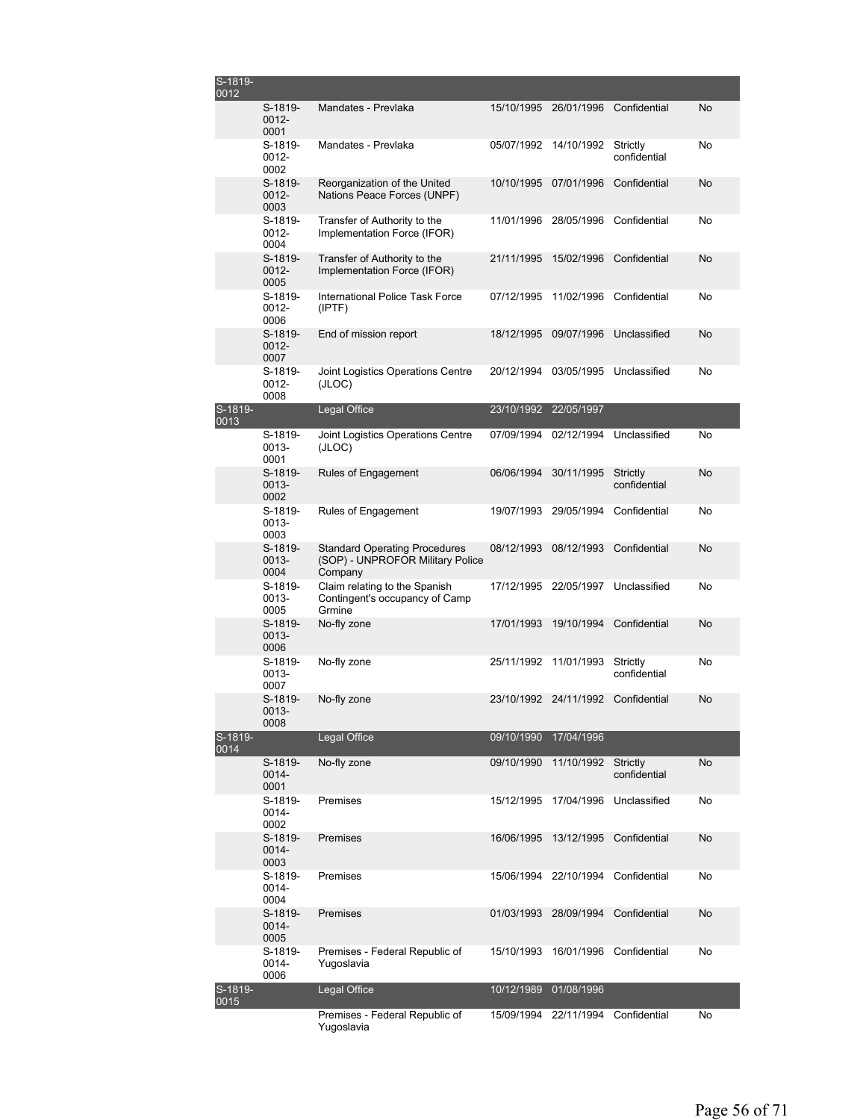| S-1819-<br>0012 |                               |                                                                                     |            |                       |                          |           |
|-----------------|-------------------------------|-------------------------------------------------------------------------------------|------------|-----------------------|--------------------------|-----------|
|                 | S-1819-<br>$0012 -$<br>0001   | Mandates - Prevlaka                                                                 | 15/10/1995 | 26/01/1996            | Confidential             | No        |
|                 | S-1819-<br>0012-<br>0002      | Mandates - Prevlaka                                                                 | 05/07/1992 | 14/10/1992            | Strictly<br>confidential | No        |
|                 | S-1819-<br>$0012 -$<br>0003   | Reorganization of the United<br>Nations Peace Forces (UNPF)                         | 10/10/1995 | 07/01/1996            | Confidential             | No        |
|                 | S-1819-<br>$0012 -$<br>0004   | Transfer of Authority to the<br>Implementation Force (IFOR)                         | 11/01/1996 | 28/05/1996            | Confidential             | No        |
|                 | S-1819-<br>$0012 -$<br>0005   | Transfer of Authority to the<br>Implementation Force (IFOR)                         | 21/11/1995 | 15/02/1996            | Confidential             | No        |
|                 | S-1819-<br>$0012 -$<br>0006   | International Police Task Force<br>(IPTF)                                           | 07/12/1995 | 11/02/1996            | Confidential             | No        |
|                 | S-1819-<br>$0012 -$<br>0007   | End of mission report                                                               | 18/12/1995 | 09/07/1996            | Unclassified             | No        |
|                 | $S-1819-$<br>$0012 -$<br>0008 | Joint Logistics Operations Centre<br>(JLOC)                                         | 20/12/1994 | 03/05/1995            | Unclassified             | No        |
| S-1819-<br>0013 |                               | Legal Office                                                                        | 23/10/1992 | 22/05/1997            |                          |           |
|                 | S-1819-<br>0013-<br>0001      | Joint Logistics Operations Centre<br>(JLOC)                                         | 07/09/1994 | 02/12/1994            | Unclassified             | No        |
|                 | S-1819-<br>0013-<br>0002      | <b>Rules of Engagement</b>                                                          | 06/06/1994 | 30/11/1995            | Strictly<br>confidential | <b>No</b> |
|                 | S-1819-<br>0013-<br>0003      | Rules of Engagement                                                                 | 19/07/1993 | 29/05/1994            | Confidential             | No        |
|                 | $S-1819-$<br>0013-<br>0004    | <b>Standard Operating Procedures</b><br>(SOP) - UNPROFOR Military Police<br>Company | 08/12/1993 | 08/12/1993            | Confidential             | No        |
|                 | S-1819-<br>$0013 -$<br>0005   | Claim relating to the Spanish<br>Contingent's occupancy of Camp<br>Grmine           | 17/12/1995 | 22/05/1997            | Unclassified             | No        |
|                 | S-1819-<br>0013-<br>0006      | No-fly zone                                                                         | 17/01/1993 | 19/10/1994            | Confidential             | No        |
|                 | S-1819-<br>0013-<br>0007      | No-fly zone                                                                         | 25/11/1992 | 11/01/1993            | Strictly<br>confidential | No        |
|                 | S-1819-<br>0013-<br>0008      | No-fly zone                                                                         |            | 23/10/1992 24/11/1992 | Confidential             | No        |
| S-1819-<br>0014 |                               | Legal Office                                                                        | 09/10/1990 | 17/04/1996            |                          |           |
|                 | S-1819-<br>0014-<br>0001      | No-fly zone                                                                         | 09/10/1990 | 11/10/1992            | Strictly<br>confidential | No        |
|                 | S-1819-<br>0014-<br>0002      | Premises                                                                            | 15/12/1995 | 17/04/1996            | Unclassified             | No        |
|                 | S-1819-<br>$0014 -$<br>0003   | Premises                                                                            | 16/06/1995 | 13/12/1995            | Confidential             | <b>No</b> |
|                 | S-1819-<br>0014-<br>0004      | Premises                                                                            |            | 15/06/1994 22/10/1994 | Confidential             | No        |
|                 | S-1819-<br>0014-<br>0005      | Premises                                                                            | 01/03/1993 | 28/09/1994            | Confidential             | No        |
|                 | S-1819-<br>0014-<br>0006      | Premises - Federal Republic of<br>Yugoslavia                                        | 15/10/1993 | 16/01/1996            | Confidential             | No        |
| S-1819-<br>0015 |                               | Legal Office                                                                        | 10/12/1989 | 01/08/1996            |                          |           |
|                 |                               | Premises - Federal Republic of<br>Yugoslavia                                        | 15/09/1994 | 22/11/1994            | Confidential             | No        |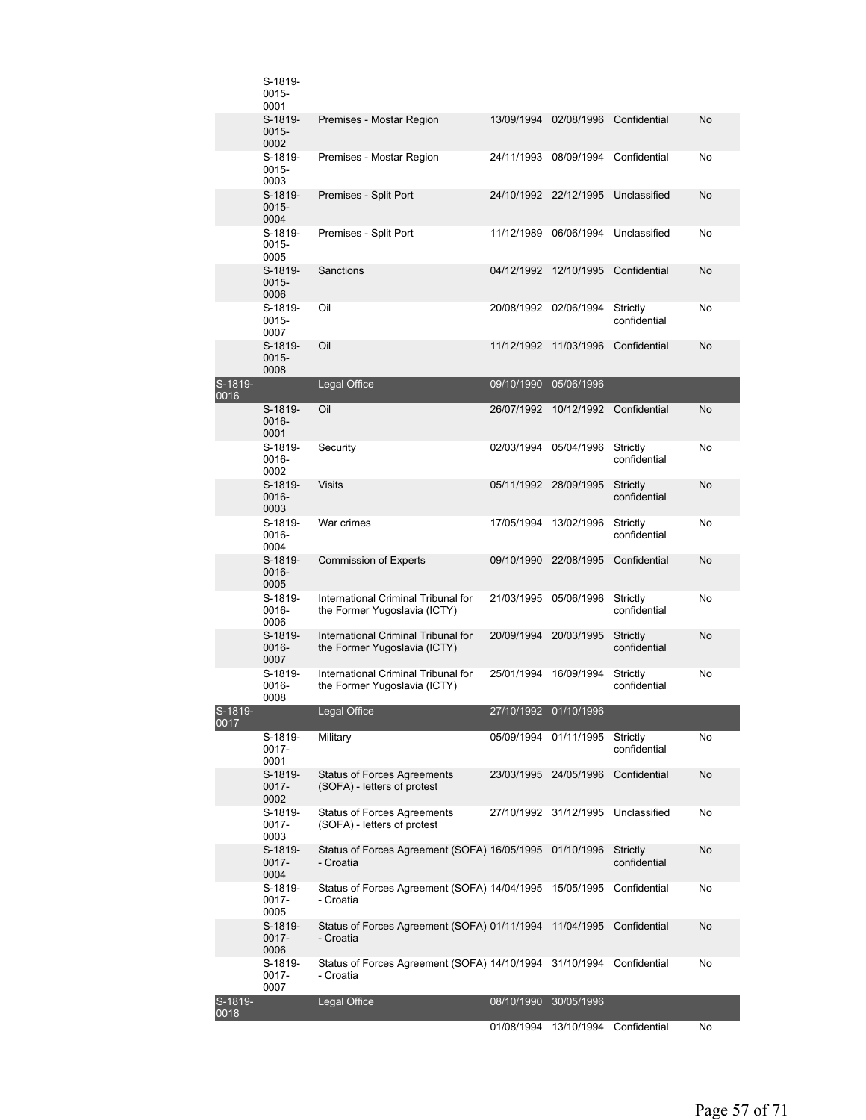|                   | S-1819-<br>0015-<br>0001    |                                                                     |                       |                         |                          |           |
|-------------------|-----------------------------|---------------------------------------------------------------------|-----------------------|-------------------------|--------------------------|-----------|
|                   | S-1819-<br>$0015 -$<br>0002 | Premises - Mostar Region                                            | 13/09/1994            | 02/08/1996              | Confidential             | No        |
|                   | S-1819-<br>0015-<br>0003    | Premises - Mostar Region                                            | 24/11/1993            | 08/09/1994              | Confidential             | No        |
|                   | S-1819-<br>0015-<br>0004    | Premises - Split Port                                               | 24/10/1992 22/12/1995 |                         | Unclassified             | No        |
|                   | S-1819-<br>0015-<br>0005    | Premises - Split Port                                               | 11/12/1989            | 06/06/1994              | Unclassified             | No        |
|                   | S-1819-<br>$0015 -$<br>0006 | Sanctions                                                           | 04/12/1992            | 12/10/1995              | Confidential             | No        |
|                   | S-1819-<br>0015-<br>0007    | Oil                                                                 | 20/08/1992 02/06/1994 |                         | Strictly<br>confidential | No        |
|                   | S-1819-<br>0015-<br>0008    | Oil                                                                 | 11/12/1992            | 11/03/1996              | Confidential             | No        |
| S-1819-<br>0016   |                             | Legal Office                                                        | 09/10/1990            | 05/06/1996              |                          |           |
|                   | S-1819-<br>0016-<br>0001    | Oil                                                                 | 26/07/1992            | 10/12/1992              | Confidential             | <b>No</b> |
|                   | S-1819-<br>0016-<br>0002    | Security                                                            | 02/03/1994            | 05/04/1996              | Strictly<br>confidential | No        |
|                   | S-1819-<br>0016-<br>0003    | <b>Visits</b>                                                       | 05/11/1992 28/09/1995 |                         | Strictly<br>confidential | No        |
|                   | S-1819-<br>0016-<br>0004    | War crimes                                                          | 17/05/1994            | 13/02/1996              | Strictly<br>confidential | No        |
|                   | S-1819-<br>0016-<br>0005    | <b>Commission of Experts</b>                                        | 09/10/1990            | 22/08/1995              | Confidential             | No        |
|                   | S-1819-<br>0016-<br>0006    | International Criminal Tribunal for<br>the Former Yugoslavia (ICTY) | 21/03/1995            | 05/06/1996              | Strictly<br>confidential | No        |
|                   | S-1819-<br>0016-<br>0007    | International Criminal Tribunal for<br>the Former Yugoslavia (ICTY) | 20/09/1994            | 20/03/1995              | Strictly<br>confidential | No        |
|                   | S-1819-<br>0016-<br>0008    | International Criminal Tribunal for<br>the Former Yugoslavia (ICTY) | 25/01/1994            | 16/09/1994              | Strictly<br>confidential | No        |
| $S-1819-$<br>0017 |                             | Legal Office                                                        | 27/10/1992 01/10/1996 |                         |                          |           |
|                   | S-1819-<br>$0017 -$<br>0001 | Military                                                            | 05/09/1994 01/11/1995 |                         | Strictly<br>confidential | No        |
|                   | S-1819-<br>0017-<br>0002    | <b>Status of Forces Agreements</b><br>(SOFA) - letters of protest   | 23/03/1995 24/05/1996 |                         | Confidential             | No        |
|                   | S-1819-<br>0017-<br>0003    | <b>Status of Forces Agreements</b><br>(SOFA) - letters of protest   | 27/10/1992            | 31/12/1995              | Unclassified             | No        |
|                   | S-1819-<br>0017-<br>0004    | Status of Forces Agreement (SOFA) 16/05/1995<br>- Croatia           |                       | 01/10/1996              | Strictly<br>confidential | No        |
|                   | S-1819-<br>0017-<br>0005    | Status of Forces Agreement (SOFA) 14/04/1995<br>- Croatia           |                       | 15/05/1995              | Confidential             | No        |
|                   | S-1819-<br>0017-<br>0006    | Status of Forces Agreement (SOFA) 01/11/1994<br>- Croatia           |                       | 11/04/1995              | Confidential             | No        |
|                   | S-1819-<br>0017-<br>0007    | Status of Forces Agreement (SOFA) 14/10/1994<br>- Croatia           |                       | 31/10/1994 Confidential |                          | No        |
| S-1819-<br>0018   |                             | Legal Office                                                        | 08/10/1990 30/05/1996 |                         |                          |           |
|                   |                             |                                                                     |                       |                         |                          |           |

01/08/1994 13/10/1994 Confidential No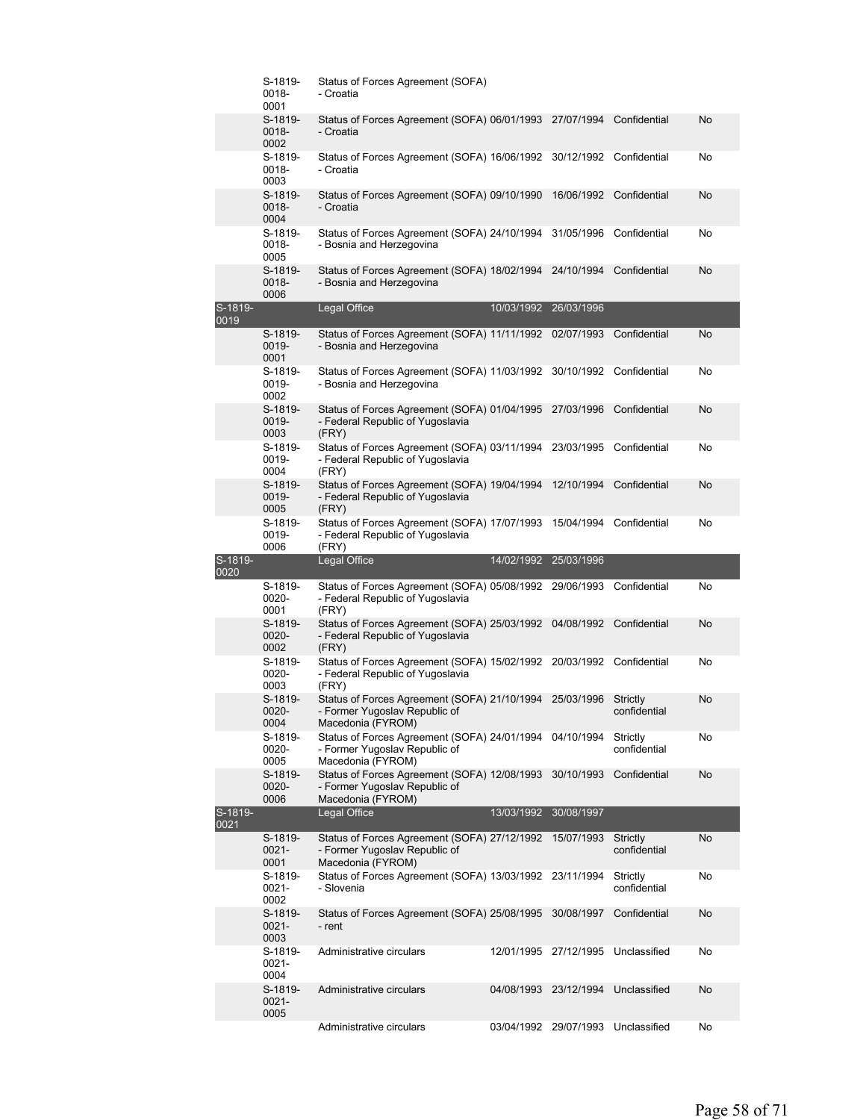|                 | S-1819-<br>0018-<br>0001    | Status of Forces Agreement (SOFA)<br>- Croatia                                                                    |            |                       |                          |    |
|-----------------|-----------------------------|-------------------------------------------------------------------------------------------------------------------|------------|-----------------------|--------------------------|----|
|                 | S-1819-<br>0018-<br>0002    | Status of Forces Agreement (SOFA) 06/01/1993 27/07/1994<br>- Croatia                                              |            |                       | Confidential             | No |
|                 | S-1819-<br>0018-<br>0003    | Status of Forces Agreement (SOFA) 16/06/1992 30/12/1992<br>- Croatia                                              |            |                       | Confidential             | No |
|                 | S-1819-<br>0018-<br>0004    | Status of Forces Agreement (SOFA) 09/10/1990<br>- Croatia                                                         |            | 16/06/1992            | Confidential             | No |
|                 | S-1819-<br>0018-<br>0005    | Status of Forces Agreement (SOFA) 24/10/1994 31/05/1996<br>- Bosnia and Herzegovina                               |            |                       | Confidential             | No |
|                 | S-1819-<br>0018-<br>0006    | Status of Forces Agreement (SOFA) 18/02/1994<br>- Bosnia and Herzegovina                                          |            | 24/10/1994            | Confidential             | No |
| S-1819-<br>0019 |                             | Legal Office                                                                                                      | 10/03/1992 | 26/03/1996            |                          |    |
|                 | S-1819-<br>0019-<br>0001    | Status of Forces Agreement (SOFA) 11/11/1992 02/07/1993<br>- Bosnia and Herzegovina                               |            |                       | Confidential             | No |
|                 | S-1819-<br>0019-<br>0002    | Status of Forces Agreement (SOFA) 11/03/1992<br>- Bosnia and Herzegovina                                          |            | 30/10/1992            | Confidential             | No |
|                 | S-1819-<br>0019-<br>0003    | Status of Forces Agreement (SOFA) 01/04/1995 27/03/1996<br>- Federal Republic of Yugoslavia<br>(FRY)              |            |                       | Confidential             | No |
|                 | S-1819-<br>0019-<br>0004    | Status of Forces Agreement (SOFA) 03/11/1994 23/03/1995<br>- Federal Republic of Yugoslavia<br>(FRY)              |            |                       | Confidential             | No |
|                 | S-1819-<br>0019-<br>0005    | Status of Forces Agreement (SOFA) 19/04/1994<br>- Federal Republic of Yugoslavia<br>(FRY)                         |            | 12/10/1994            | Confidential             | No |
|                 | S-1819-<br>0019-<br>0006    | Status of Forces Agreement (SOFA) 17/07/1993<br>- Federal Republic of Yugoslavia<br>(FRY)                         |            | 15/04/1994            | Confidential             | No |
|                 |                             |                                                                                                                   |            |                       |                          |    |
| S-1819-<br>0020 |                             | Legal Office                                                                                                      | 14/02/1992 | 25/03/1996            |                          |    |
|                 | S-1819-<br>0020-<br>0001    | Status of Forces Agreement (SOFA) 05/08/1992 29/06/1993<br>- Federal Republic of Yugoslavia<br>(FRY)              |            |                       | Confidential             | No |
|                 | S-1819-<br>0020-<br>0002    | Status of Forces Agreement (SOFA) 25/03/1992 04/08/1992<br>- Federal Republic of Yugoslavia<br>(FRY)              |            |                       | Confidential             | No |
|                 | S-1819-<br>0020-<br>0003    | Status of Forces Agreement (SOFA) 15/02/1992 20/03/1992 Confidential<br>- Federal Republic of Yugoslavia<br>(FRY) |            |                       |                          | No |
|                 | S-1819-<br>0020-<br>0004    | Status of Forces Agreement (SOFA) 21/10/1994 25/03/1996<br>- Former Yugoslav Republic of<br>Macedonia (FYROM)     |            |                       | Strictly<br>confidential | No |
|                 | S-1819-<br>0020-<br>0005    | Status of Forces Agreement (SOFA) 24/01/1994 04/10/1994<br>- Former Yugoslav Republic of<br>Macedonia (FYROM)     |            |                       | Strictly<br>confidential | No |
|                 | S-1819-<br>0020-<br>0006    | Status of Forces Agreement (SOFA) 12/08/1993 30/10/1993<br>- Former Yugoslav Republic of<br>Macedonia (FYROM)     |            |                       | Confidential             | No |
| S-1819-<br>0021 |                             | Legal Office                                                                                                      | 13/03/1992 | 30/08/1997            |                          |    |
|                 | S-1819-<br>$0021 -$<br>0001 | Status of Forces Agreement (SOFA) 27/12/1992<br>- Former Yugoslav Republic of<br>Macedonia (FYROM)                |            | 15/07/1993            | Strictly<br>confidential | No |
|                 | S-1819-<br>$0021 -$<br>0002 | Status of Forces Agreement (SOFA) 13/03/1992 23/11/1994<br>- Slovenia                                             |            |                       | Strictly<br>confidential | No |
|                 | S-1819-<br>$0021 -$<br>0003 | Status of Forces Agreement (SOFA) 25/08/1995<br>- rent                                                            |            | 30/08/1997            | Confidential             | No |
|                 | S-1819-<br>0021-<br>0004    | Administrative circulars                                                                                          |            | 12/01/1995 27/12/1995 | Unclassified             | No |
|                 | S-1819-<br>$0021 -$<br>0005 | Administrative circulars                                                                                          | 04/08/1993 | 23/12/1994            | Unclassified             | No |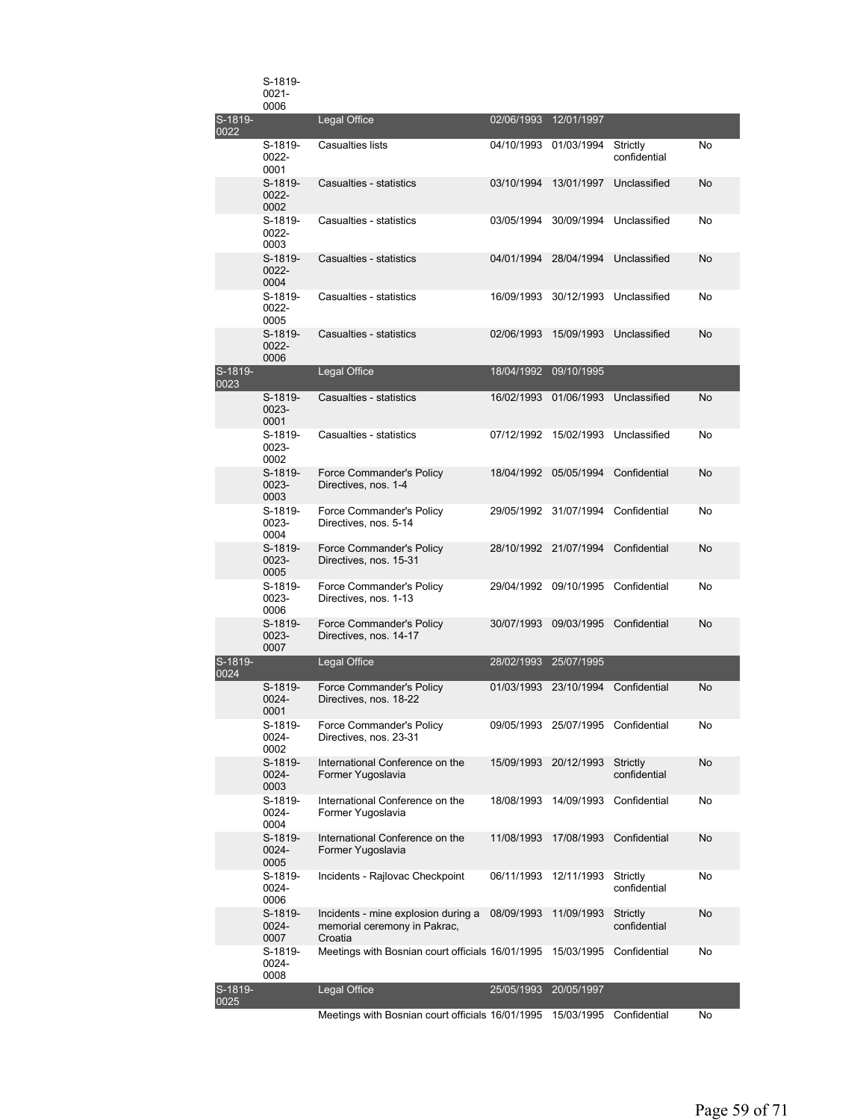|                 | S-1819-<br>$0021 -$<br>0006 |                                                                                |                       |                                    |                          |           |
|-----------------|-----------------------------|--------------------------------------------------------------------------------|-----------------------|------------------------------------|--------------------------|-----------|
| S-1819-<br>0022 |                             | Legal Office                                                                   | 02/06/1993            | 12/01/1997                         |                          |           |
|                 | S-1819-<br>0022-<br>0001    | Casualties lists                                                               | 04/10/1993            | 01/03/1994                         | Strictly<br>confidential | No        |
|                 | S-1819-<br>0022-<br>0002    | Casualties - statistics                                                        | 03/10/1994            | 13/01/1997                         | Unclassified             | No        |
|                 | S-1819-<br>$0022 -$<br>0003 | Casualties - statistics                                                        | 03/05/1994            | 30/09/1994                         | Unclassified             | No        |
|                 | S-1819-<br>$0022 -$<br>0004 | Casualties - statistics                                                        | 04/01/1994            | 28/04/1994                         | Unclassified             | No        |
|                 | S-1819-<br>0022-<br>0005    | Casualties - statistics                                                        | 16/09/1993            | 30/12/1993                         | Unclassified             | No        |
|                 | S-1819-<br>0022-<br>0006    | Casualties - statistics                                                        | 02/06/1993            | 15/09/1993                         | Unclassified             | No        |
| S-1819-<br>0023 |                             | Legal Office                                                                   | 18/04/1992            | 09/10/1995                         |                          |           |
|                 | S-1819-<br>0023-<br>0001    | Casualties - statistics                                                        | 16/02/1993            | 01/06/1993                         | Unclassified             | <b>No</b> |
|                 | S-1819-<br>0023-<br>0002    | Casualties - statistics                                                        |                       | 07/12/1992 15/02/1993              | Unclassified             | No        |
|                 | S-1819-<br>0023-<br>0003    | Force Commander's Policy<br>Directives, nos. 1-4                               | 18/04/1992            | 05/05/1994                         | Confidential             | No        |
|                 | S-1819-<br>0023-<br>0004    | Force Commander's Policy<br>Directives, nos. 5-14                              |                       | 29/05/1992 31/07/1994              | Confidential             | No        |
|                 | S-1819-<br>0023-<br>0005    | Force Commander's Policy<br>Directives, nos. 15-31                             | 28/10/1992 21/07/1994 |                                    | Confidential             | No        |
|                 | S-1819-<br>0023-<br>0006    | Force Commander's Policy<br>Directives, nos. 1-13                              | 29/04/1992 09/10/1995 |                                    | Confidential             | No        |
|                 | S-1819-<br>0023-<br>0007    | Force Commander's Policy<br>Directives, nos. 14-17                             | 30/07/1993            | 09/03/1995                         | Confidential             | No        |
| S-1819-<br>0024 |                             | Legal Office                                                                   | 28/02/1993            | 25/07/1995                         |                          |           |
|                 | S-1819-<br>0024-<br>0001    | Force Commander's Policy<br>Directives, nos. 18-22                             | 01/03/1993            | 23/10/1994                         | Confidential             | No        |
|                 | S-1819-<br>0024-<br>0002    | Force Commander's Policy<br>Directives, nos. 23-31                             |                       | 09/05/1993 25/07/1995 Confidential |                          | No        |
|                 | S-1819-<br>0024-<br>0003    | International Conference on the<br>Former Yugoslavia                           | 15/09/1993            | 20/12/1993                         | Strictly<br>confidential | <b>No</b> |
|                 | S-1819-<br>$0024 -$<br>0004 | International Conference on the<br>Former Yugoslavia                           | 18/08/1993            | 14/09/1993                         | Confidential             | No        |
|                 | S-1819-<br>0024-<br>0005    | International Conference on the<br>Former Yugoslavia                           | 11/08/1993            | 17/08/1993                         | Confidential             | <b>No</b> |
|                 | S-1819-<br>0024-<br>0006    | Incidents - Rajlovac Checkpoint                                                | 06/11/1993            | 12/11/1993                         | Strictly<br>confidential | No        |
|                 | S-1819-<br>0024-<br>0007    | Incidents - mine explosion during a<br>memorial ceremony in Pakrac,<br>Croatia | 08/09/1993            | 11/09/1993                         | Strictly<br>confidential | No        |
|                 | S-1819-<br>0024-<br>0008    | Meetings with Bosnian court officials 16/01/1995                               |                       | 15/03/1995                         | Confidential             | No        |
| S-1819-<br>0025 |                             | Legal Office                                                                   | 25/05/1993            | 20/05/1997                         |                          |           |
|                 |                             | Meetings with Bosnian court officials 16/01/1995                               |                       | 15/03/1995                         | Confidential             | No        |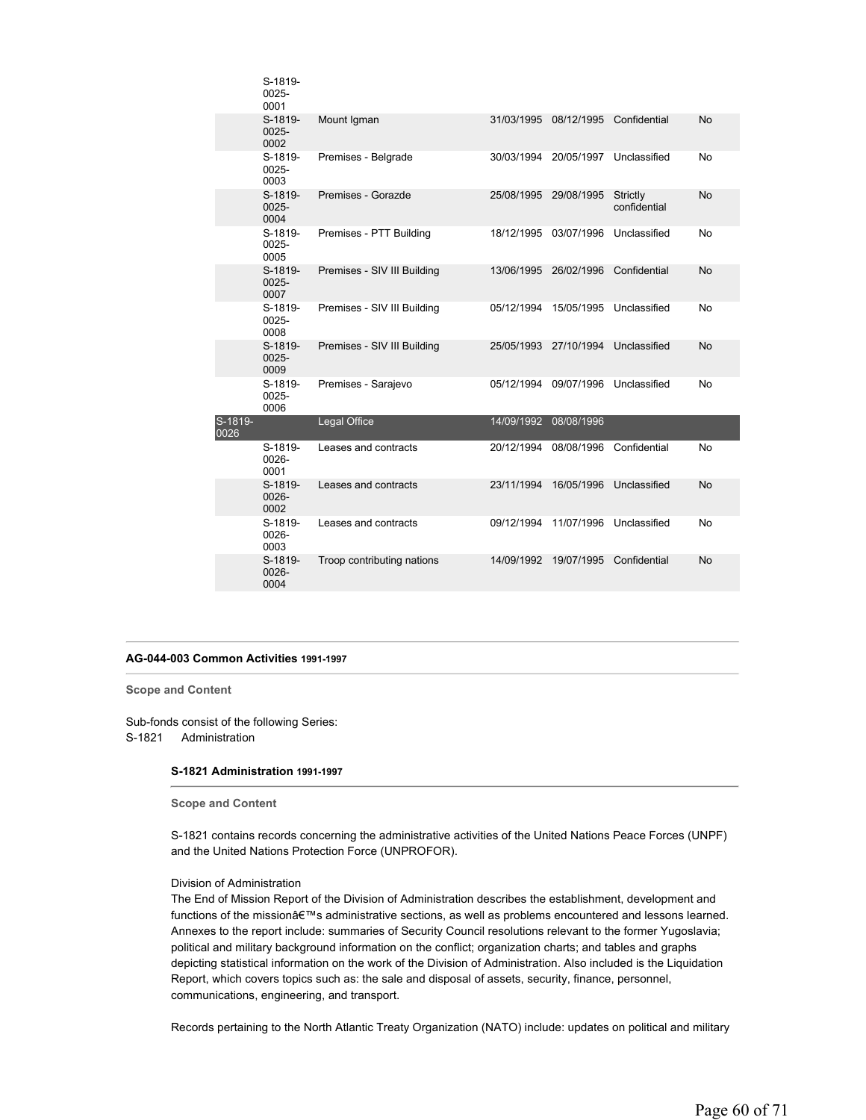|                 | S-1819-<br>0025-<br>0001    |                             |            |            |                          |           |
|-----------------|-----------------------------|-----------------------------|------------|------------|--------------------------|-----------|
|                 | S-1819-<br>$0025 -$<br>0002 | Mount Igman                 | 31/03/1995 |            | 08/12/1995 Confidential  | <b>No</b> |
|                 | S-1819-<br>0025-<br>0003    | Premises - Belgrade         | 30/03/1994 | 20/05/1997 | Unclassified             | No        |
|                 | S-1819-<br>$0025 -$<br>0004 | Premises - Gorazde          | 25/08/1995 | 29/08/1995 | Strictly<br>confidential | No        |
|                 | S-1819-<br>0025-<br>0005    | Premises - PTT Building     | 18/12/1995 | 03/07/1996 | Unclassified             | No        |
|                 | S-1819-<br>$0025 -$<br>0007 | Premises - SIV III Building | 13/06/1995 | 26/02/1996 | Confidential             | No        |
|                 | S-1819-<br>0025-<br>0008    | Premises - SIV III Building | 05/12/1994 | 15/05/1995 | Unclassified             | No        |
|                 | S-1819-<br>$0025 -$<br>0009 | Premises - SIV III Building | 25/05/1993 | 27/10/1994 | Unclassified             | <b>No</b> |
|                 | S-1819-<br>0025-<br>0006    | Premises - Sarajevo         | 05/12/1994 | 09/07/1996 | Unclassified             | No        |
| S-1819-<br>0026 |                             | Legal Office                | 14/09/1992 | 08/08/1996 |                          |           |
|                 | S-1819-<br>$0026 -$<br>0001 | Leases and contracts        | 20/12/1994 | 08/08/1996 | Confidential             | No        |
|                 | S-1819-<br>0026-<br>0002    | Leases and contracts        | 23/11/1994 | 16/05/1996 | Unclassified             | <b>No</b> |
|                 | S-1819-<br>$0026 -$<br>0003 | Leases and contracts        | 09/12/1994 | 11/07/1996 | Unclassified             | <b>No</b> |
|                 | S-1819-<br>0026-<br>0004    | Troop contributing nations  | 14/09/1992 | 19/07/1995 | Confidential             | <b>No</b> |
|                 |                             |                             |            |            |                          |           |

# **AG-044-003 Common Activities 1991-1997**

**Scope and Content** 

Sub-fonds consist of the following Series: S-1821 Administration

# **S-1821 Administration 1991-1997**

**Scope and Content** 

S-1821 contains records concerning the administrative activities of the United Nations Peace Forces (UNPF) and the United Nations Protection Force (UNPROFOR).

# Division of Administration

The End of Mission Report of the Division of Administration describes the establishment, development and functions of the mission's administrative sections, as well as problems encountered and lessons learned. Annexes to the report include: summaries of Security Council resolutions relevant to the former Yugoslavia; political and military background information on the conflict; organization charts; and tables and graphs depicting statistical information on the work of the Division of Administration. Also included is the Liquidation Report, which covers topics such as: the sale and disposal of assets, security, finance, personnel, communications, engineering, and transport.

Records pertaining to the North Atlantic Treaty Organization (NATO) include: updates on political and military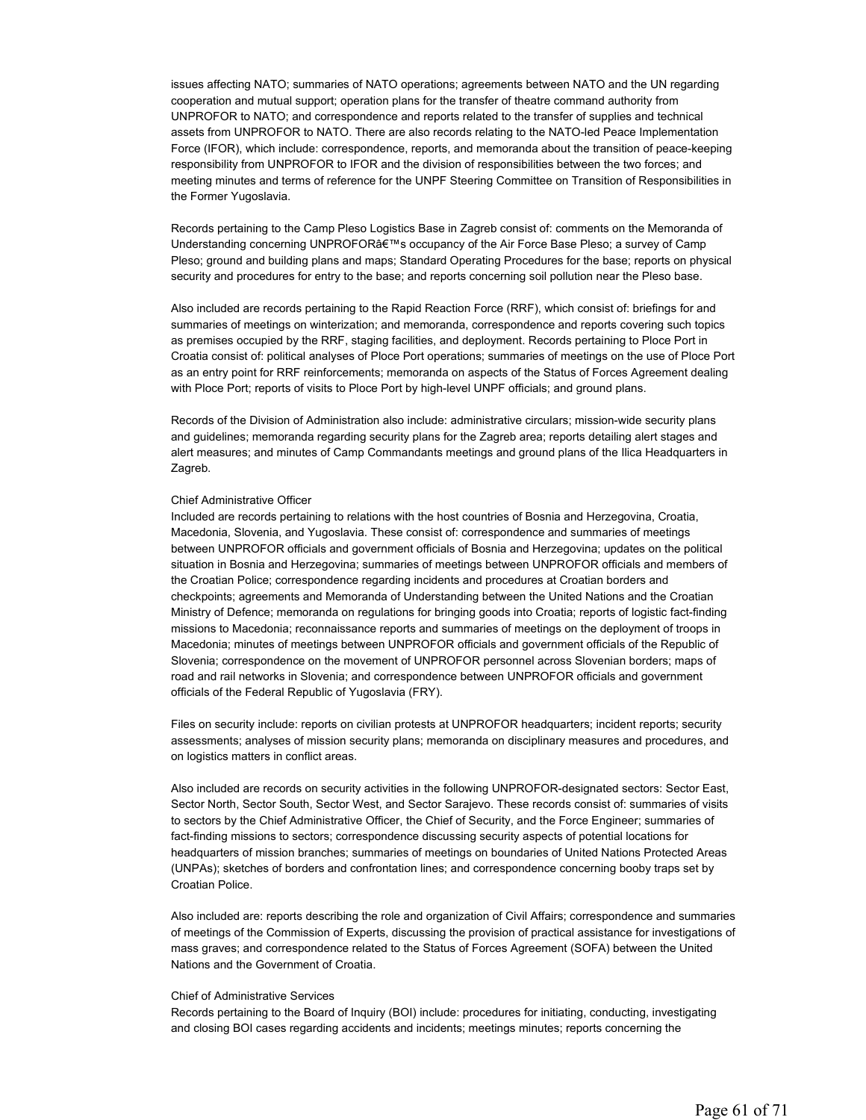issues affecting NATO; summaries of NATO operations; agreements between NATO and the UN regarding cooperation and mutual support; operation plans for the transfer of theatre command authority from UNPROFOR to NATO; and correspondence and reports related to the transfer of supplies and technical assets from UNPROFOR to NATO. There are also records relating to the NATO-led Peace Implementation Force (IFOR), which include: correspondence, reports, and memoranda about the transition of peace-keeping responsibility from UNPROFOR to IFOR and the division of responsibilities between the two forces; and meeting minutes and terms of reference for the UNPF Steering Committee on Transition of Responsibilities in the Former Yugoslavia.

Records pertaining to the Camp Pleso Logistics Base in Zagreb consist of: comments on the Memoranda of Understanding concerning UNPROFOR's occupancy of the Air Force Base Pleso; a survey of Camp Pleso; ground and building plans and maps; Standard Operating Procedures for the base; reports on physical security and procedures for entry to the base; and reports concerning soil pollution near the Pleso base.

Also included are records pertaining to the Rapid Reaction Force (RRF), which consist of: briefings for and summaries of meetings on winterization; and memoranda, correspondence and reports covering such topics as premises occupied by the RRF, staging facilities, and deployment. Records pertaining to Ploce Port in Croatia consist of: political analyses of Ploce Port operations; summaries of meetings on the use of Ploce Port as an entry point for RRF reinforcements; memoranda on aspects of the Status of Forces Agreement dealing with Ploce Port; reports of visits to Ploce Port by high-level UNPF officials; and ground plans.

Records of the Division of Administration also include: administrative circulars; mission-wide security plans and guidelines; memoranda regarding security plans for the Zagreb area; reports detailing alert stages and alert measures; and minutes of Camp Commandants meetings and ground plans of the Ilica Headquarters in Zagreb.

#### Chief Administrative Officer

Included are records pertaining to relations with the host countries of Bosnia and Herzegovina, Croatia, Macedonia, Slovenia, and Yugoslavia. These consist of: correspondence and summaries of meetings between UNPROFOR officials and government officials of Bosnia and Herzegovina; updates on the political situation in Bosnia and Herzegovina; summaries of meetings between UNPROFOR officials and members of the Croatian Police; correspondence regarding incidents and procedures at Croatian borders and checkpoints; agreements and Memoranda of Understanding between the United Nations and the Croatian Ministry of Defence; memoranda on regulations for bringing goods into Croatia; reports of logistic fact-finding missions to Macedonia; reconnaissance reports and summaries of meetings on the deployment of troops in Macedonia; minutes of meetings between UNPROFOR officials and government officials of the Republic of Slovenia; correspondence on the movement of UNPROFOR personnel across Slovenian borders; maps of road and rail networks in Slovenia; and correspondence between UNPROFOR officials and government officials of the Federal Republic of Yugoslavia (FRY).

Files on security include: reports on civilian protests at UNPROFOR headquarters; incident reports; security assessments; analyses of mission security plans; memoranda on disciplinary measures and procedures, and on logistics matters in conflict areas.

Also included are records on security activities in the following UNPROFOR-designated sectors: Sector East, Sector North, Sector South, Sector West, and Sector Sarajevo. These records consist of: summaries of visits to sectors by the Chief Administrative Officer, the Chief of Security, and the Force Engineer; summaries of fact-finding missions to sectors; correspondence discussing security aspects of potential locations for headquarters of mission branches; summaries of meetings on boundaries of United Nations Protected Areas (UNPAs); sketches of borders and confrontation lines; and correspondence concerning booby traps set by Croatian Police.

Also included are: reports describing the role and organization of Civil Affairs; correspondence and summaries of meetings of the Commission of Experts, discussing the provision of practical assistance for investigations of mass graves; and correspondence related to the Status of Forces Agreement (SOFA) between the United Nations and the Government of Croatia.

# Chief of Administrative Services

Records pertaining to the Board of Inquiry (BOI) include: procedures for initiating, conducting, investigating and closing BOI cases regarding accidents and incidents; meetings minutes; reports concerning the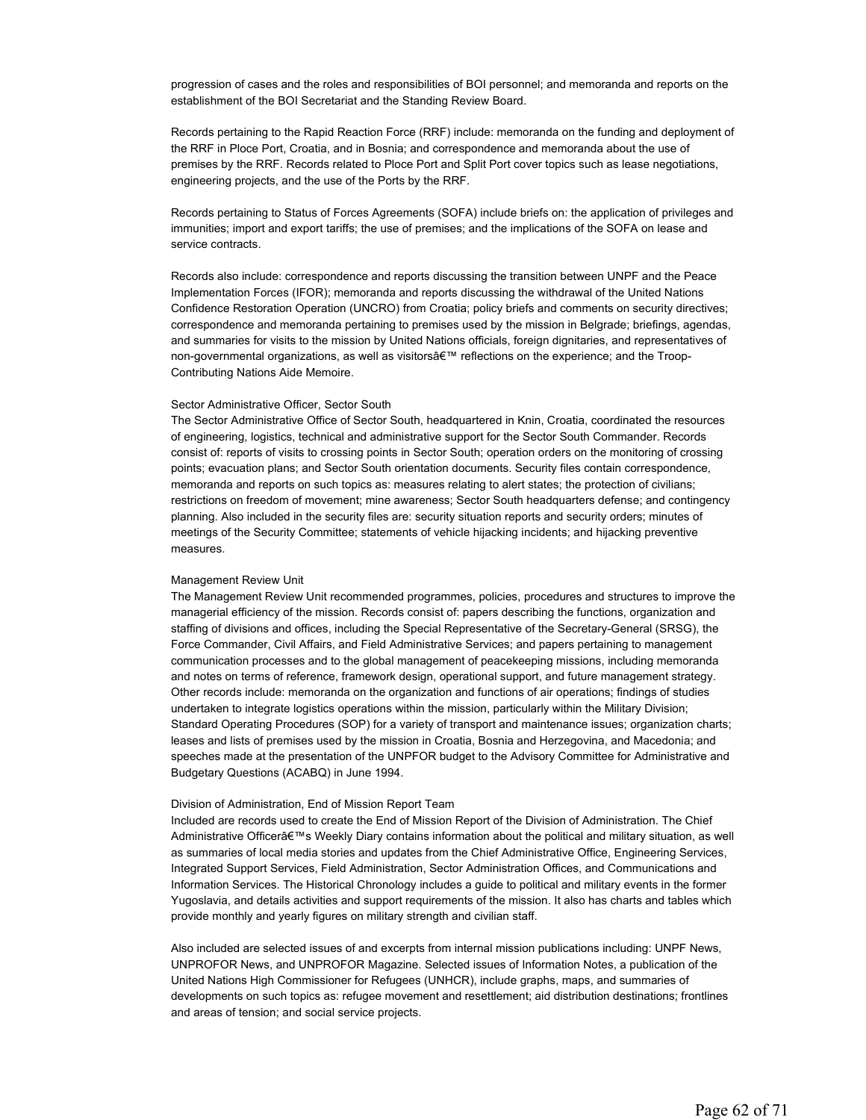progression of cases and the roles and responsibilities of BOI personnel; and memoranda and reports on the establishment of the BOI Secretariat and the Standing Review Board.

Records pertaining to the Rapid Reaction Force (RRF) include: memoranda on the funding and deployment of the RRF in Ploce Port, Croatia, and in Bosnia; and correspondence and memoranda about the use of premises by the RRF. Records related to Ploce Port and Split Port cover topics such as lease negotiations, engineering projects, and the use of the Ports by the RRF.

Records pertaining to Status of Forces Agreements (SOFA) include briefs on: the application of privileges and immunities; import and export tariffs; the use of premises; and the implications of the SOFA on lease and service contracts.

Records also include: correspondence and reports discussing the transition between UNPF and the Peace Implementation Forces (IFOR); memoranda and reports discussing the withdrawal of the United Nations Confidence Restoration Operation (UNCRO) from Croatia; policy briefs and comments on security directives; correspondence and memoranda pertaining to premises used by the mission in Belgrade; briefings, agendas, and summaries for visits to the mission by United Nations officials, foreign dignitaries, and representatives of non-governmental organizations, as well as visitors' reflections on the experience; and the Troop-Contributing Nations Aide Memoire.

# Sector Administrative Officer, Sector South

The Sector Administrative Office of Sector South, headquartered in Knin, Croatia, coordinated the resources of engineering, logistics, technical and administrative support for the Sector South Commander. Records consist of: reports of visits to crossing points in Sector South; operation orders on the monitoring of crossing points; evacuation plans; and Sector South orientation documents. Security files contain correspondence, memoranda and reports on such topics as: measures relating to alert states; the protection of civilians; restrictions on freedom of movement; mine awareness; Sector South headquarters defense; and contingency planning. Also included in the security files are: security situation reports and security orders; minutes of meetings of the Security Committee; statements of vehicle hijacking incidents; and hijacking preventive measures.

#### Management Review Unit

The Management Review Unit recommended programmes, policies, procedures and structures to improve the managerial efficiency of the mission. Records consist of: papers describing the functions, organization and staffing of divisions and offices, including the Special Representative of the Secretary-General (SRSG), the Force Commander, Civil Affairs, and Field Administrative Services; and papers pertaining to management communication processes and to the global management of peacekeeping missions, including memoranda and notes on terms of reference, framework design, operational support, and future management strategy. Other records include: memoranda on the organization and functions of air operations; findings of studies undertaken to integrate logistics operations within the mission, particularly within the Military Division; Standard Operating Procedures (SOP) for a variety of transport and maintenance issues; organization charts; leases and lists of premises used by the mission in Croatia, Bosnia and Herzegovina, and Macedonia; and speeches made at the presentation of the UNPFOR budget to the Advisory Committee for Administrative and Budgetary Questions (ACABQ) in June 1994.

#### Division of Administration, End of Mission Report Team

Included are records used to create the End of Mission Report of the Division of Administration. The Chief Administrative Officer's Weekly Diary contains information about the political and military situation, as well as summaries of local media stories and updates from the Chief Administrative Office, Engineering Services, Integrated Support Services, Field Administration, Sector Administration Offices, and Communications and Information Services. The Historical Chronology includes a guide to political and military events in the former Yugoslavia, and details activities and support requirements of the mission. It also has charts and tables which provide monthly and yearly figures on military strength and civilian staff.

Also included are selected issues of and excerpts from internal mission publications including: UNPF News, UNPROFOR News, and UNPROFOR Magazine. Selected issues of Information Notes, a publication of the United Nations High Commissioner for Refugees (UNHCR), include graphs, maps, and summaries of developments on such topics as: refugee movement and resettlement; aid distribution destinations; frontlines and areas of tension; and social service projects.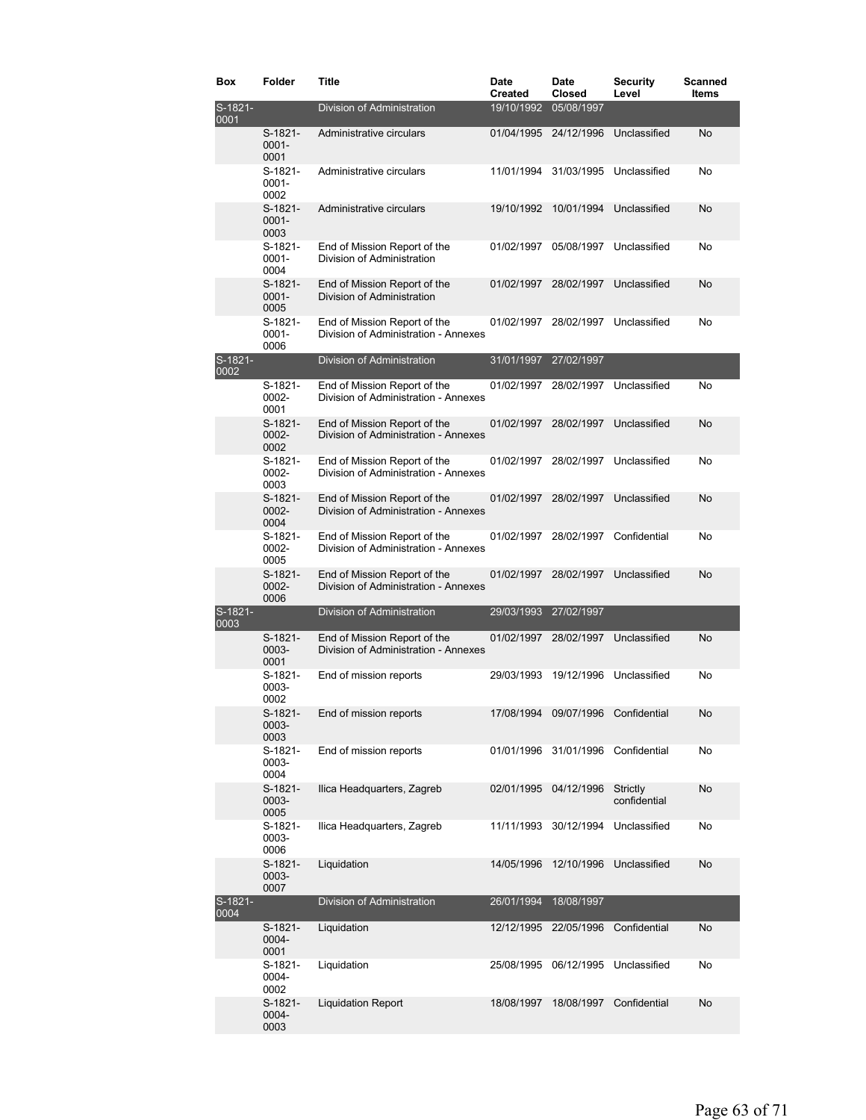| Box             | Folder                        | <b>Title</b>                                                         | Date<br><b>Created</b> | <b>Date</b><br>Closed              | <b>Security</b><br>Level | Scanned<br>Items |
|-----------------|-------------------------------|----------------------------------------------------------------------|------------------------|------------------------------------|--------------------------|------------------|
| S-1821-<br>0001 |                               | Division of Administration                                           | 19/10/1992             | 05/08/1997                         |                          |                  |
|                 | $S-1821-$<br>$0001 -$<br>0001 | Administrative circulars                                             | 01/04/1995 24/12/1996  |                                    | Unclassified             | No               |
|                 | S-1821-<br>$0001 -$<br>0002   | Administrative circulars                                             | 11/01/1994             | 31/03/1995                         | Unclassified             | No               |
|                 | $S-1821-$<br>$0001 -$<br>0003 | Administrative circulars                                             | 19/10/1992             | 10/01/1994                         | Unclassified             | No               |
|                 | S-1821-<br>$0001 -$<br>0004   | End of Mission Report of the<br>Division of Administration           | 01/02/1997             | 05/08/1997                         | Unclassified             | No               |
|                 | $S-1821-$<br>$0001 -$<br>0005 | End of Mission Report of the<br>Division of Administration           | 01/02/1997             | 28/02/1997                         | Unclassified             | No               |
|                 | S-1821-<br>$0001 -$<br>0006   | End of Mission Report of the<br>Division of Administration - Annexes | 01/02/1997             | 28/02/1997                         | Unclassified             | No               |
| S-1821-<br>0002 |                               | Division of Administration                                           | 31/01/1997             | 27/02/1997                         |                          |                  |
|                 | S-1821-<br>0002-<br>0001      | End of Mission Report of the<br>Division of Administration - Annexes | 01/02/1997             | 28/02/1997                         | Unclassified             | No               |
|                 | $S-1821-$<br>0002-<br>0002    | End of Mission Report of the<br>Division of Administration - Annexes | 01/02/1997             | 28/02/1997                         | Unclassified             | No               |
|                 | S-1821-<br>0002-<br>0003      | End of Mission Report of the<br>Division of Administration - Annexes | 01/02/1997             | 28/02/1997                         | Unclassified             | No               |
|                 | $S-1821-$<br>0002-<br>0004    | End of Mission Report of the<br>Division of Administration - Annexes | 01/02/1997             | 28/02/1997                         | Unclassified             | No               |
|                 | $S-1821-$<br>0002-<br>0005    | End of Mission Report of the<br>Division of Administration - Annexes | 01/02/1997             | 28/02/1997                         | Confidential             | No               |
|                 | $S-1821-$<br>0002-<br>0006    | End of Mission Report of the<br>Division of Administration - Annexes | 01/02/1997             | 28/02/1997                         | Unclassified             | No               |
| S-1821-<br>0003 |                               | Division of Administration                                           | 29/03/1993             | 27/02/1997                         |                          |                  |
|                 | $S-1821-$<br>0003-<br>0001    | End of Mission Report of the<br>Division of Administration - Annexes | 01/02/1997             | 28/02/1997                         | Unclassified             | No               |
|                 | S-1821-<br>0003-<br>0002      | End of mission reports                                               | 29/03/1993             | 19/12/1996                         | Unclassified             | No               |
|                 | S-1821-<br>0003-<br>0003      | End of mission reports                                               |                        | 17/08/1994 09/07/1996 Confidential |                          | No               |
|                 | S-1821-<br>0003-<br>0004      | End of mission reports                                               | 01/01/1996             | 31/01/1996                         | Confidential             | No               |
|                 | S-1821-<br>0003-<br>0005      | Ilica Headquarters, Zagreb                                           | 02/01/1995             | 04/12/1996                         | Strictly<br>confidential | No               |
|                 | S-1821-<br>0003-<br>0006      | Ilica Headquarters, Zagreb                                           | 11/11/1993             | 30/12/1994                         | Unclassified             | No               |
|                 | S-1821-<br>0003-<br>0007      | Liquidation                                                          | 14/05/1996             |                                    | 12/10/1996 Unclassified  | No               |
| S-1821-<br>0004 |                               | Division of Administration                                           | 26/01/1994             | 18/08/1997                         |                          |                  |
|                 | S-1821-<br>0004-<br>0001      | Liquidation                                                          | 12/12/1995             | 22/05/1996                         | Confidential             | No               |
|                 | S-1821-<br>0004-<br>0002      | Liquidation                                                          | 25/08/1995             | 06/12/1995                         | Unclassified             | No               |
|                 | $S-1821-$<br>0004-<br>0003    | <b>Liquidation Report</b>                                            | 18/08/1997             | 18/08/1997                         | Confidential             | No               |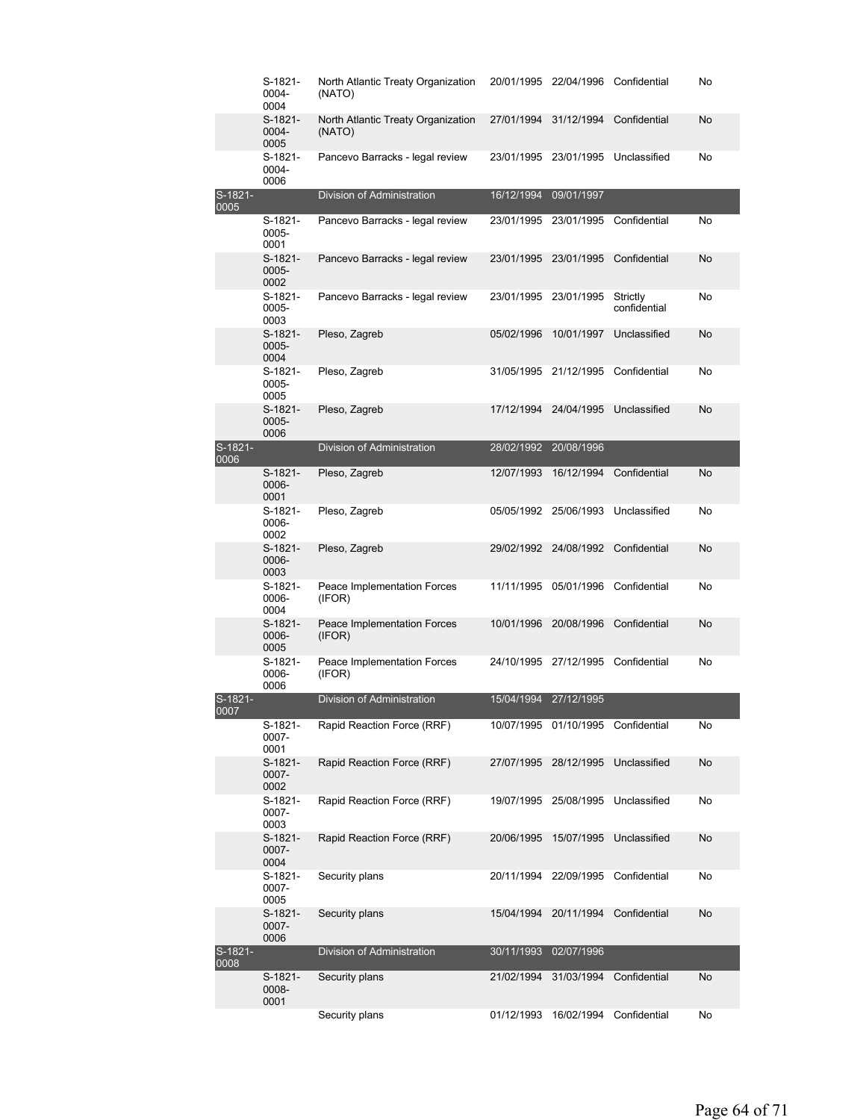|                        | S-1821-<br>0004-<br>0004   | North Atlantic Treaty Organization<br>(NATO) | 20/01/1995 | 22/04/1996 Confidential |                          | No |
|------------------------|----------------------------|----------------------------------------------|------------|-------------------------|--------------------------|----|
|                        | S-1821-<br>0004-<br>0005   | North Atlantic Treaty Organization<br>(NATO) | 27/01/1994 | 31/12/1994              | Confidential             | No |
|                        | S-1821-<br>0004-<br>0006   | Pancevo Barracks - legal review              | 23/01/1995 | 23/01/1995              | Unclassified             | No |
| S-1821-<br>0005        |                            | Division of Administration                   | 16/12/1994 | 09/01/1997              |                          |    |
|                        | S-1821-<br>0005-<br>0001   | Pancevo Barracks - legal review              | 23/01/1995 | 23/01/1995              | Confidential             | No |
|                        | $S-1821-$<br>0005-<br>0002 | Pancevo Barracks - legal review              | 23/01/1995 | 23/01/1995              | Confidential             | No |
|                        | S-1821-<br>0005-<br>0003   | Pancevo Barracks - legal review              |            | 23/01/1995 23/01/1995   | Strictly<br>confidential | No |
|                        | S-1821-<br>0005-<br>0004   | Pleso, Zagreb                                | 05/02/1996 | 10/01/1997              | Unclassified             | No |
|                        | S-1821-<br>0005-<br>0005   | Pleso, Zagreb                                |            | 31/05/1995 21/12/1995   | Confidential             | No |
|                        | S-1821-<br>0005-<br>0006   | Pleso, Zagreb                                | 17/12/1994 | 24/04/1995              | Unclassified             | No |
| S-1821-<br>0006        |                            | Division of Administration                   | 28/02/1992 | 20/08/1996              |                          |    |
|                        | S-1821-<br>0006-<br>0001   | Pleso, Zagreb                                | 12/07/1993 | 16/12/1994              | Confidential             | No |
|                        | S-1821-<br>0006-<br>0002   | Pleso, Zagreb                                |            | 05/05/1992 25/06/1993   | Unclassified             | No |
|                        | $S-1821-$<br>0006-<br>0003 | Pleso, Zagreb                                | 29/02/1992 | 24/08/1992              | Confidential             | No |
|                        | S-1821-<br>0006-<br>0004   | Peace Implementation Forces<br>(IFOR)        | 11/11/1995 | 05/01/1996              | Confidential             | No |
|                        | S-1821-<br>0006-<br>0005   | Peace Implementation Forces<br>(IFOR)        | 10/01/1996 | 20/08/1996              | Confidential             | No |
|                        | S-1821-<br>0006-<br>0006   | Peace Implementation Forces<br>(IFOR)        |            | 24/10/1995 27/12/1995   | Confidential             | No |
| S-1821-<br><u>UUUT</u> |                            | Division of Administration                   | 15/04/1994 | 27/12/1995              |                          |    |
|                        | S-1821-<br>0007-<br>0001   | Rapid Reaction Force (RRF)                   |            | 10/07/1995 01/10/1995   | Confidential             | No |
|                        | $S-1821-$<br>0007-<br>0002 | Rapid Reaction Force (RRF)                   | 27/07/1995 | 28/12/1995              | Unclassified             | No |
|                        | S-1821-<br>0007-<br>0003   | Rapid Reaction Force (RRF)                   | 19/07/1995 | 25/08/1995              | Unclassified             | No |
|                        | S-1821-<br>0007-<br>0004   | Rapid Reaction Force (RRF)                   | 20/06/1995 | 15/07/1995              | Unclassified             | No |
|                        | S-1821-<br>0007-<br>0005   | Security plans                               | 20/11/1994 | 22/09/1995              | Confidential             | No |
|                        | S-1821-<br>0007-<br>0006   | Security plans                               | 15/04/1994 | 20/11/1994              | Confidential             | No |
| S-1821-<br>0008        |                            | Division of Administration                   | 30/11/1993 | 02/07/1996              |                          |    |
|                        | S-1821-<br>0008-<br>0001   | Security plans                               | 21/02/1994 | 31/03/1994              | Confidential             | No |
|                        |                            | Security plans                               | 01/12/1993 | 16/02/1994              | Confidential             | No |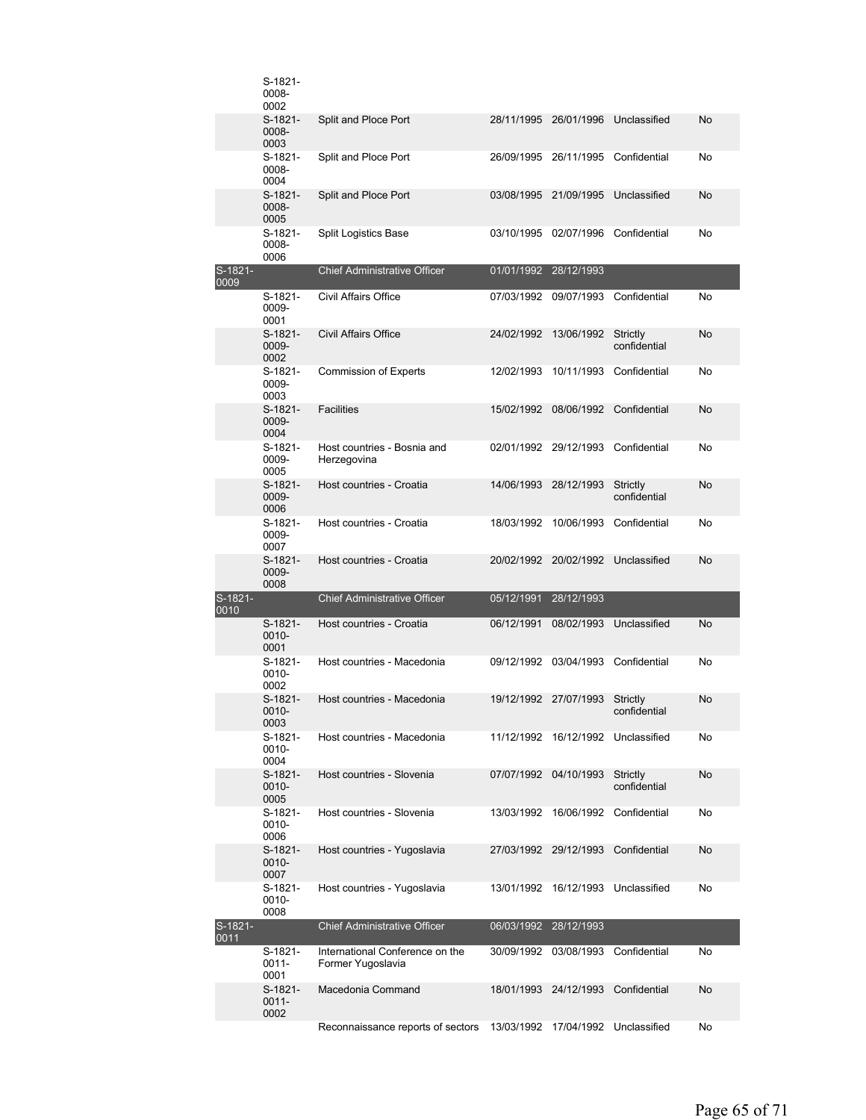|                 | S-1821-<br>0008-<br>0002    |                                                      |            |                                    |                                      |    |
|-----------------|-----------------------------|------------------------------------------------------|------------|------------------------------------|--------------------------------------|----|
|                 | S-1821-<br>0008-<br>0003    | Split and Ploce Port                                 |            | 28/11/1995 26/01/1996              | Unclassified                         | No |
|                 | S-1821-<br>0008-<br>0004    | Split and Ploce Port                                 |            | 26/09/1995 26/11/1995              | Confidential                         | No |
|                 | S-1821-<br>0008-<br>0005    | Split and Ploce Port                                 | 03/08/1995 | 21/09/1995                         | Unclassified                         | No |
|                 | S-1821-<br>0008-<br>0006    | Split Logistics Base                                 | 03/10/1995 | 02/07/1996                         | Confidential                         | No |
| S-1821-<br>0009 |                             | <b>Chief Administrative Officer</b>                  | 01/01/1992 | 28/12/1993                         |                                      |    |
|                 | S-1821-<br>0009-<br>0001    | Civil Affairs Office                                 |            | 07/03/1992 09/07/1993              | Confidential                         | No |
|                 | S-1821-<br>0009-<br>0002    | <b>Civil Affairs Office</b>                          | 24/02/1992 | 13/06/1992                         | Strictly<br>confidential             | No |
|                 | S-1821-<br>0009-<br>0003    | <b>Commission of Experts</b>                         | 12/02/1993 |                                    | 10/11/1993 Confidential              | No |
|                 | $S-1821-$<br>0009-<br>0004  | <b>Facilities</b>                                    | 15/02/1992 | 08/06/1992                         | Confidential                         | No |
|                 | S-1821-<br>0009-<br>0005    | Host countries - Bosnia and<br>Herzegovina           |            | 02/01/1992 29/12/1993 Confidential |                                      | No |
|                 | S-1821-<br>0009-<br>0006    | Host countries - Croatia                             | 14/06/1993 | 28/12/1993                         | Strictly<br>confidential             | No |
|                 | S-1821-<br>0009-<br>0007    | Host countries - Croatia                             | 18/03/1992 | 10/06/1993                         | Confidential                         | No |
|                 | S-1821-<br>0009-<br>0008    | Host countries - Croatia                             |            | 20/02/1992 20/02/1992 Unclassified |                                      | No |
| S-1821-<br>0010 |                             | <b>Chief Administrative Officer</b>                  | 05/12/1991 | 28/12/1993                         |                                      |    |
|                 | S-1821-<br>0010-<br>0001    | Host countries - Croatia                             | 06/12/1991 | 08/02/1993                         | Unclassified                         | No |
|                 | S-1821-<br>0010-<br>0002    | Host countries - Macedonia                           |            | 09/12/1992 03/04/1993              | Confidential                         | No |
|                 | $S-1821-$<br>0010-<br>0003  | Host countries - Macedonia                           |            | 19/12/1992 27/07/1993              | Strictly<br>confidential             | No |
|                 | S-1821-<br>0010-<br>0004    | Host countries - Macedonia                           |            |                                    | 11/12/1992  16/12/1992  Unclassified | No |
|                 | S-1821-<br>0010-<br>0005    | Host countries - Slovenia                            |            | 07/07/1992 04/10/1993              | Strictly<br>confidential             | No |
|                 | S-1821-<br>0010-<br>0006    | Host countries - Slovenia                            |            | 13/03/1992 16/06/1992 Confidential |                                      | No |
|                 | S-1821-<br>0010-<br>0007    | Host countries - Yugoslavia                          |            | 27/03/1992 29/12/1993              | Confidential                         | No |
|                 | S-1821-<br>0010-<br>0008    | Host countries - Yugoslavia                          |            | 13/01/1992 16/12/1993              | Unclassified                         | No |
| S-1821-<br>0011 |                             | <b>Chief Administrative Officer</b>                  |            | 06/03/1992 28/12/1993              |                                      |    |
|                 | S-1821-<br>0011-            | International Conference on the<br>Former Yugoslavia |            | 30/09/1992 03/08/1993              | Confidential                         | No |
|                 | 0001                        |                                                      |            |                                    |                                      |    |
|                 | S-1821-<br>$0011 -$<br>0002 | Macedonia Command                                    |            | 18/01/1993 24/12/1993              | Confidential                         | No |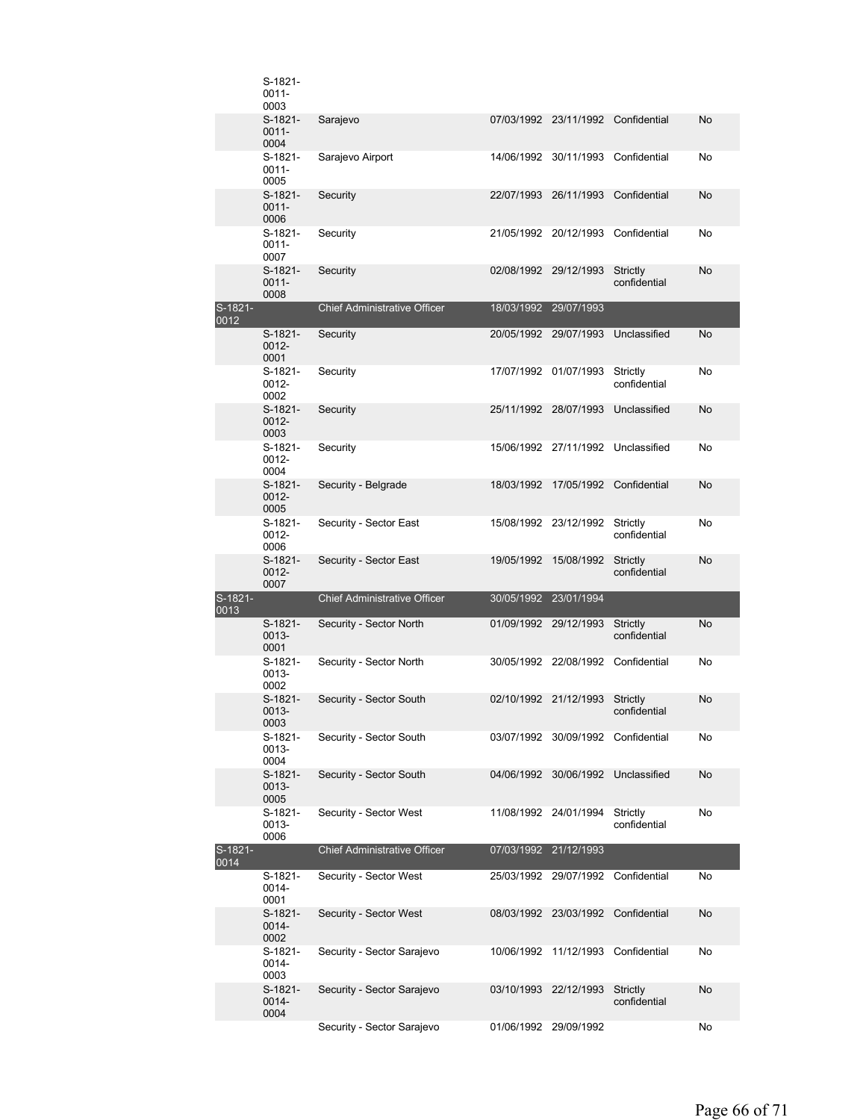|                 | S-1821-<br>0011-<br>0003    |                                     |                       |                                    |                          |    |
|-----------------|-----------------------------|-------------------------------------|-----------------------|------------------------------------|--------------------------|----|
|                 | S-1821-<br>$0011 -$<br>0004 | Sarajevo                            |                       | 07/03/1992 23/11/1992              | Confidential             | No |
|                 | S-1821-<br>$0011 -$<br>0005 | Sarajevo Airport                    | 14/06/1992            | 30/11/1993                         | Confidential             | No |
|                 | S-1821-<br>$0011 -$<br>0006 | Security                            | 22/07/1993 26/11/1993 |                                    | Confidential             | No |
|                 | S-1821-<br>$0011 -$<br>0007 | Security                            |                       | 21/05/1992 20/12/1993              | Confidential             | No |
|                 | S-1821-<br>$0011 -$<br>0008 | Security                            | 02/08/1992 29/12/1993 |                                    | Strictly<br>confidential | No |
| S-1821-<br>0012 |                             | <b>Chief Administrative Officer</b> |                       | 18/03/1992 29/07/1993              |                          |    |
|                 | S-1821-<br>0012-<br>0001    | Security                            |                       | 20/05/1992 29/07/1993              | Unclassified             | No |
|                 | S-1821-<br>0012-<br>0002    | Security                            |                       | 17/07/1992 01/07/1993              | Strictly<br>confidential | No |
|                 | S-1821-<br>$0012 -$<br>0003 | Security                            | 25/11/1992 28/07/1993 |                                    | Unclassified             | No |
|                 | S-1821-<br>0012-<br>0004    | Security                            |                       | 15/06/1992 27/11/1992              | Unclassified             | No |
|                 | S-1821-<br>0012-<br>0005    | Security - Belgrade                 | 18/03/1992            | 17/05/1992                         | Confidential             | No |
|                 | S-1821-<br>0012-<br>0006    | Security - Sector East              |                       | 15/08/1992 23/12/1992              | Strictly<br>confidential | No |
|                 | S-1821-                     | Security - Sector East              | 19/05/1992            | 15/08/1992                         | Strictly                 | No |
|                 | 0012-<br>0007               |                                     |                       |                                    | confidential             |    |
| S-1821-<br>0013 |                             | <b>Chief Administrative Officer</b> | 30/05/1992 23/01/1994 |                                    |                          |    |
|                 | S-1821-<br>0013-<br>0001    | Security - Sector North             | 01/09/1992 29/12/1993 |                                    | Strictly<br>confidential | No |
|                 | S-1821-<br>0013-<br>0002    | Security - Sector North             |                       | 30/05/1992 22/08/1992 Confidential |                          | No |
|                 | $S-1821-$<br>0013-<br>0003  | Security - Sector South             | 02/10/1992 21/12/1993 |                                    | Strictly<br>confidential | No |
|                 | S-1821-<br>0013-<br>0004    | Security - Sector South             |                       | 03/07/1992 30/09/1992              | Confidential             | No |
|                 | S-1821-<br>0013-<br>0005    | Security - Sector South             | 04/06/1992            | 30/06/1992                         | Unclassified             | No |
|                 | S-1821-<br>0013-<br>0006    | Security - Sector West              |                       | 11/08/1992 24/01/1994              | Strictly<br>confidential | No |
| S-1821-<br>0014 |                             | <b>Chief Administrative Officer</b> | 07/03/1992 21/12/1993 |                                    |                          |    |
|                 | S-1821-<br>0014-<br>0001    | Security - Sector West              |                       | 25/03/1992 29/07/1992              | Confidential             | No |
|                 | S-1821-<br>0014-<br>0002    | Security - Sector West              |                       | 08/03/1992 23/03/1992              | Confidential             | No |
|                 | S-1821-<br>0014-<br>0003    | Security - Sector Sarajevo          | 10/06/1992            | 11/12/1993                         | Confidential             | No |
|                 | S-1821-<br>0014-<br>0004    | Security - Sector Sarajevo          | 03/10/1993            | 22/12/1993                         | Strictly<br>confidential | No |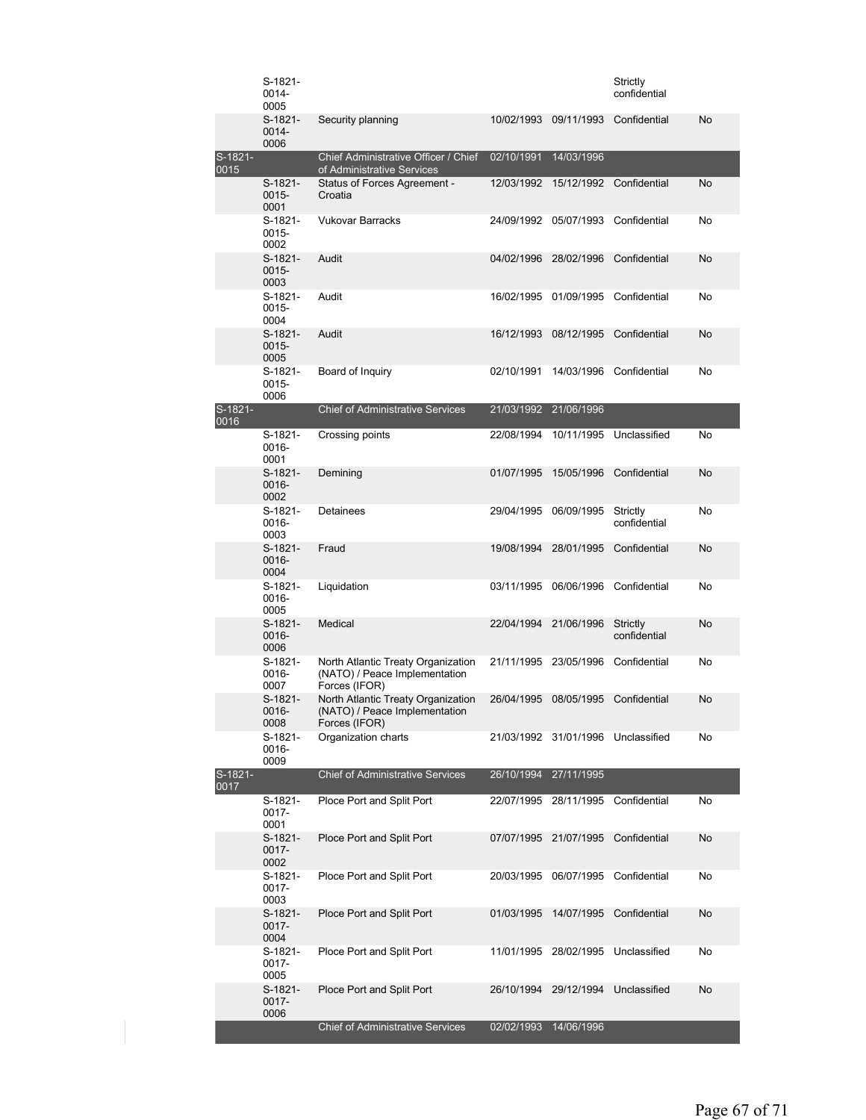|                   | $S-1821-$<br>$0014 -$<br>0005 |                                                                                      |                       |                                    | Strictly<br>confidential |           |
|-------------------|-------------------------------|--------------------------------------------------------------------------------------|-----------------------|------------------------------------|--------------------------|-----------|
|                   | $S-1821-$<br>$0014 -$<br>0006 | Security planning                                                                    | 10/02/1993            | 09/11/1993                         | Confidential             | <b>No</b> |
| S-1821-<br>0015   |                               | Chief Administrative Officer / Chief<br>of Administrative Services                   | 02/10/1991 14/03/1996 |                                    |                          |           |
|                   | S-1821-<br>$0015 -$<br>0001   | Status of Forces Agreement -<br>Croatia                                              | 12/03/1992            | 15/12/1992                         | Confidential             | No.       |
|                   | S-1821-<br>0015-<br>0002      | <b>Vukovar Barracks</b>                                                              | 24/09/1992            | 05/07/1993                         | Confidential             | No        |
|                   | $S-1821-$<br>0015-<br>0003    | Audit                                                                                | 04/02/1996            | 28/02/1996                         | Confidential             | <b>No</b> |
|                   | S-1821-<br>0015-<br>0004      | Audit                                                                                |                       | 16/02/1995 01/09/1995              | Confidential             | No        |
|                   | S-1821-<br>$0015 -$<br>0005   | Audit                                                                                | 16/12/1993            | 08/12/1995                         | Confidential             | No        |
|                   | $S-1821-$<br>0015-<br>0006    | Board of Inquiry                                                                     | 02/10/1991            | 14/03/1996                         | Confidential             | No        |
| S-1821-<br>0016   |                               | <b>Chief of Administrative Services</b>                                              | 21/03/1992            | 21/06/1996                         |                          |           |
|                   | S-1821-<br>$0016 -$<br>0001   | Crossing points                                                                      | 22/08/1994            | 10/11/1995                         | Unclassified             | No        |
|                   | $S-1821-$<br>0016-<br>0002    | Demining                                                                             | 01/07/1995            | 15/05/1996                         | Confidential             | No        |
|                   | $S-1821-$<br>0016-<br>0003    | <b>Detainees</b>                                                                     | 29/04/1995            | 06/09/1995                         | Strictly<br>confidential | No        |
|                   | $S-1821-$<br>$0016 -$<br>0004 | Fraud                                                                                | 19/08/1994            | 28/01/1995                         | Confidential             | No        |
|                   | S-1821-<br>0016-<br>0005      | Liquidation                                                                          | 03/11/1995            | 06/06/1996                         | Confidential             | No        |
|                   | $S-1821-$<br>0016-<br>0006    | Medical                                                                              | 22/04/1994            | 21/06/1996                         | Strictly<br>confidential | No        |
|                   | $S-1821-$<br>0016-<br>0007    | North Atlantic Treaty Organization<br>(NATO) / Peace Implementation<br>Forces (IFOR) |                       | 21/11/1995 23/05/1996              | Confidential             | No        |
|                   | $S-1821-$<br>0016-<br>0008    | North Atlantic Treaty Organization<br>(NATO) / Peace Implementation<br>Forces (IFOR) | 26/04/1995            | 08/05/1995                         | Confidential             | No        |
|                   | S-1821-<br>0016-<br>0009      | Organization charts                                                                  |                       | 21/03/1992 31/01/1996 Unclassified |                          | No        |
| $S-1821-$<br>0017 |                               | <b>Chief of Administrative Services</b>                                              | 26/10/1994            | 27/11/1995                         |                          |           |
|                   | S-1821-<br>0017-<br>0001      | Ploce Port and Split Port                                                            |                       | 22/07/1995 28/11/1995              | Confidential             | No        |
|                   | $S-1821-$<br>0017-<br>0002    | Ploce Port and Split Port                                                            | 07/07/1995            | 21/07/1995                         | Confidential             | No        |
|                   | S-1821-<br>0017-<br>0003      | Ploce Port and Split Port                                                            | 20/03/1995            | 06/07/1995                         | Confidential             | No        |
|                   | $S-1821-$<br>$0017 -$<br>0004 | Ploce Port and Split Port                                                            | 01/03/1995            | 14/07/1995                         | Confidential             | No        |
|                   | S-1821-<br>0017-<br>0005      | Ploce Port and Split Port                                                            | 11/01/1995            | 28/02/1995                         | Unclassified             | No        |
|                   | $S-1821-$<br>0017-<br>0006    | Ploce Port and Split Port                                                            | 26/10/1994            | 29/12/1994                         | Unclassified             | No        |
|                   |                               | <b>Chief of Administrative Services</b>                                              |                       | 02/02/1993 14/06/1996              |                          |           |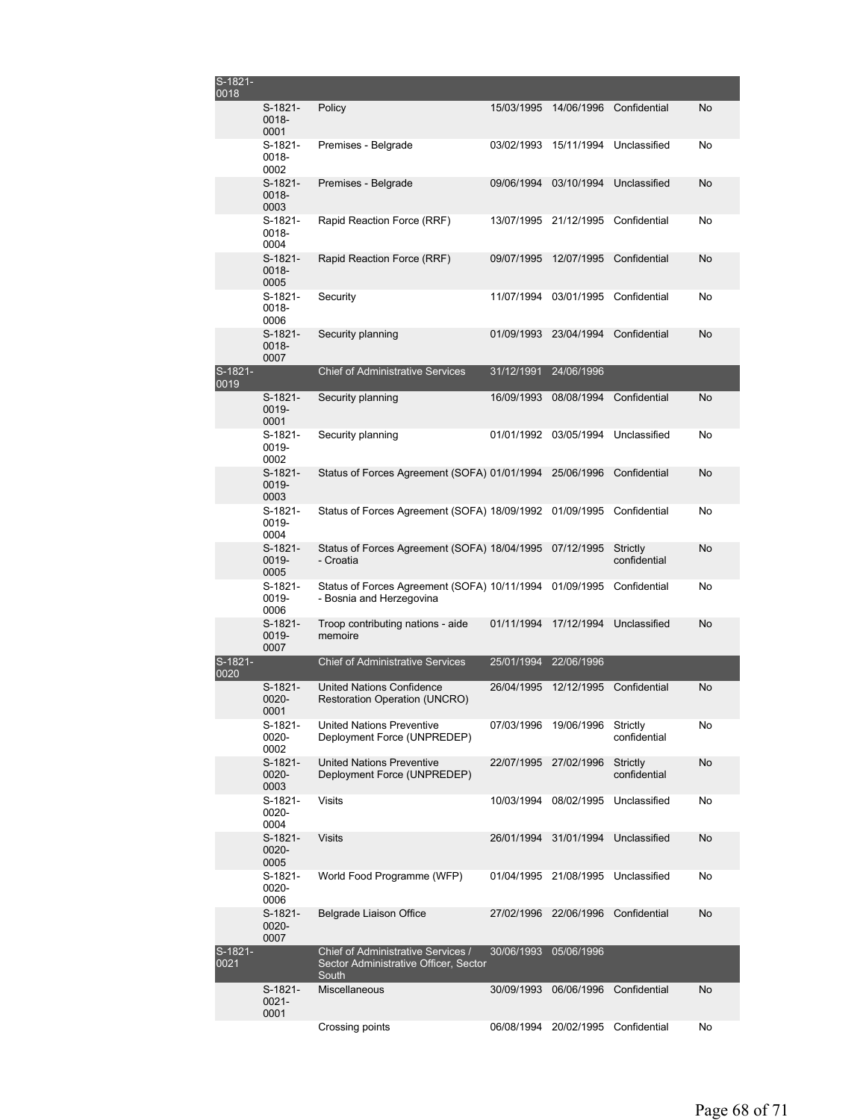| S-1821-<br>0018 |                             |                                                                                      |            |                                    |                          |           |
|-----------------|-----------------------------|--------------------------------------------------------------------------------------|------------|------------------------------------|--------------------------|-----------|
|                 | S-1821-<br>0018-<br>0001    | Policy                                                                               | 15/03/1995 | 14/06/1996                         | Confidential             | <b>No</b> |
|                 | S-1821-<br>0018-<br>0002    | Premises - Belgrade                                                                  | 03/02/1993 | 15/11/1994                         | Unclassified             | No        |
|                 | $S-1821-$<br>0018-<br>0003  | Premises - Belgrade                                                                  | 09/06/1994 | 03/10/1994                         | Unclassified             | No        |
|                 | S-1821-<br>0018-<br>0004    | Rapid Reaction Force (RRF)                                                           | 13/07/1995 | 21/12/1995                         | Confidential             | No        |
|                 | $S-1821-$<br>0018-<br>0005  | Rapid Reaction Force (RRF)                                                           | 09/07/1995 | 12/07/1995                         | Confidential             | No        |
|                 | S-1821-<br>0018-<br>0006    | Security                                                                             | 11/07/1994 | 03/01/1995                         | Confidential             | No        |
|                 | $S-1821-$<br>0018-<br>0007  | Security planning                                                                    | 01/09/1993 | 23/04/1994                         | Confidential             | No        |
| S-1821-<br>0019 |                             | <b>Chief of Administrative Services</b>                                              | 31/12/1991 | 24/06/1996                         |                          |           |
|                 | $S-1821-$<br>0019-<br>0001  | Security planning                                                                    | 16/09/1993 | 08/08/1994                         | Confidential             | No        |
|                 | S-1821-<br>0019-<br>0002    | Security planning                                                                    | 01/01/1992 | 03/05/1994                         | Unclassified             | No        |
|                 | S-1821-<br>0019-<br>0003    | Status of Forces Agreement (SOFA) 01/01/1994                                         |            | 25/06/1996                         | Confidential             | No        |
|                 | S-1821-<br>0019-<br>0004    | Status of Forces Agreement (SOFA) 18/09/1992                                         |            | 01/09/1995                         | Confidential             | No        |
|                 | $S-1821-$<br>0019-<br>0005  | Status of Forces Agreement (SOFA) 18/04/1995<br>- Croatia                            |            | 07/12/1995                         | Strictly<br>confidential | No        |
|                 | S-1821-<br>0019-<br>0006    | Status of Forces Agreement (SOFA) 10/11/1994<br>- Bosnia and Herzegovina             |            | 01/09/1995                         | Confidential             | No        |
|                 | $S-1821-$<br>0019-<br>0007  | Troop contributing nations - aide<br>memoire                                         | 01/11/1994 | 17/12/1994                         | Unclassified             | No        |
| S-1821-<br>0020 |                             | <b>Chief of Administrative Services</b>                                              | 25/01/1994 | 22/06/1996                         |                          |           |
|                 | S-1821-<br>0020-<br>0001    | <b>United Nations Confidence</b><br><b>Restoration Operation (UNCRO)</b>             | 26/04/1995 | 12/12/1995                         | Confidential             | No        |
|                 | S-1821-<br>0020-<br>0002    | United Nations Preventive<br>Deployment Force (UNPREDEP)                             | 07/03/1996 | 19/06/1996                         | Strictly<br>confidential | No        |
|                 | S-1821-<br>0020-<br>0003    | <b>United Nations Preventive</b><br>Deployment Force (UNPREDEP)                      | 22/07/1995 | 27/02/1996                         | Strictly<br>confidential | No        |
|                 | S-1821-<br>0020-<br>0004    | Visits                                                                               | 10/03/1994 | 08/02/1995                         | Unclassified             | No        |
|                 | S-1821-<br>0020-<br>0005    | <b>Visits</b>                                                                        | 26/01/1994 | 31/01/1994                         | Unclassified             | No        |
|                 | S-1821-<br>0020-<br>0006    | World Food Programme (WFP)                                                           |            | 01/04/1995 21/08/1995              | Unclassified             | No        |
|                 | S-1821-<br>0020-<br>0007    | Belgrade Liaison Office                                                              | 27/02/1996 | 22/06/1996                         | Confidential             | No        |
| S-1821-<br>0021 |                             | Chief of Administrative Services /<br>Sector Administrative Officer, Sector<br>South | 30/06/1993 | 05/06/1996                         |                          |           |
|                 | S-1821-<br>$0021 -$<br>0001 | Miscellaneous                                                                        | 30/09/1993 | 06/06/1996                         | Confidential             | No        |
|                 |                             | Crossing points                                                                      |            | 06/08/1994 20/02/1995 Confidential |                          | No        |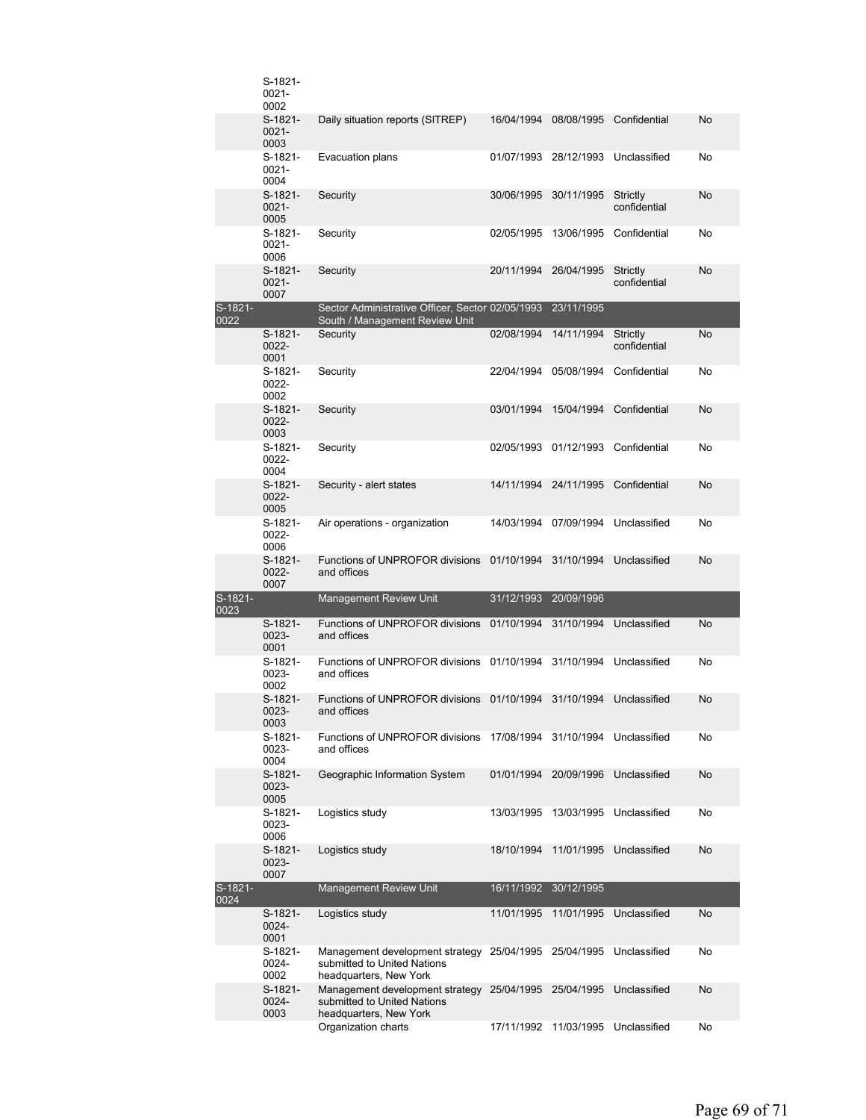|                   | S-1821-<br>0021-<br>0002    |                                                                                                     |            |                       |                          |           |
|-------------------|-----------------------------|-----------------------------------------------------------------------------------------------------|------------|-----------------------|--------------------------|-----------|
|                   | S-1821-<br>$0021 -$<br>0003 | Daily situation reports (SITREP)                                                                    | 16/04/1994 | 08/08/1995            | Confidential             | No        |
|                   | S-1821-<br>0021-<br>0004    | Evacuation plans                                                                                    | 01/07/1993 | 28/12/1993            | Unclassified             | No        |
|                   | S-1821-<br>$0021 -$<br>0005 | Security                                                                                            | 30/06/1995 | 30/11/1995            | Strictly<br>confidential | No        |
|                   | S-1821-<br>$0021 -$<br>0006 | Security                                                                                            | 02/05/1995 | 13/06/1995            | Confidential             | No        |
|                   | S-1821-<br>$0021 -$<br>0007 | Security                                                                                            | 20/11/1994 | 26/04/1995            | Strictly<br>confidential | No        |
| S-1821-<br>0022   |                             | Sector Administrative Officer, Sector 02/05/1993<br>South / Management Review Unit                  |            | 23/11/1995            |                          |           |
|                   | S-1821-<br>0022-<br>0001    | Security                                                                                            | 02/08/1994 | 14/11/1994            | Strictly<br>confidential | No        |
|                   | S-1821-<br>0022-<br>0002    | Security                                                                                            | 22/04/1994 | 05/08/1994            | Confidential             | No        |
|                   | S-1821-<br>0022-<br>0003    | Security                                                                                            | 03/01/1994 | 15/04/1994            | Confidential             | No        |
|                   | S-1821-<br>0022-<br>0004    | Security                                                                                            | 02/05/1993 | 01/12/1993            | Confidential             | No        |
|                   | $S-1821-$<br>0022-<br>0005  | Security - alert states                                                                             |            | 14/11/1994 24/11/1995 | Confidential             | No        |
|                   | S-1821-<br>0022-<br>0006    | Air operations - organization                                                                       | 14/03/1994 | 07/09/1994            | Unclassified             | No        |
|                   | S-1821-<br>0022-<br>0007    | Functions of UNPROFOR divisions<br>and offices                                                      | 01/10/1994 | 31/10/1994            | Unclassified             | No        |
| $S-1821-$<br>0023 |                             | <b>Management Review Unit</b>                                                                       | 31/12/1993 | 20/09/1996            |                          |           |
|                   | S-1821-<br>0023-<br>0001    | Functions of UNPROFOR divisions<br>and offices                                                      | 01/10/1994 | 31/10/1994            | Unclassified             | No        |
|                   | S-1821-<br>0023-<br>0002    | Functions of UNPROFOR divisions 01/10/1994<br>and offices                                           |            | 31/10/1994            | Unclassified             | No        |
|                   | S-1821-<br>0023-<br>0003    | Functions of UNPROFOR divisions 01/10/1994 31/10/1994<br>and offices                                |            |                       | Unclassified             | No        |
|                   | S-1821-<br>0023-<br>0004    | Functions of UNPROFOR divisions<br>and offices                                                      | 17/08/1994 | 31/10/1994            | Unclassified             | No        |
|                   | S-1821-<br>0023-<br>0005    | Geographic Information System                                                                       | 01/01/1994 | 20/09/1996            | Unclassified             | No        |
|                   | S-1821-<br>0023-<br>0006    | Logistics study                                                                                     | 13/03/1995 | 13/03/1995            | Unclassified             | No        |
|                   | S-1821-<br>0023-<br>0007    | Logistics study                                                                                     | 18/10/1994 | 11/01/1995            | Unclassified             | No        |
| S-1821-<br>0024   |                             | <b>Management Review Unit</b>                                                                       | 16/11/1992 | 30/12/1995            |                          |           |
|                   | S-1821-<br>0024-<br>0001    | Logistics study                                                                                     | 11/01/1995 | 11/01/1995            | Unclassified             | <b>No</b> |
|                   | S-1821-<br>0024-<br>0002    | Management development strategy 25/04/1995<br>submitted to United Nations<br>headquarters, New York |            | 25/04/1995            | Unclassified             | No        |
|                   | S-1821-<br>0024-<br>0003    | Management development strategy<br>submitted to United Nations<br>headquarters, New York            | 25/04/1995 | 25/04/1995            | Unclassified             | No        |
|                   |                             | Organization charts                                                                                 | 17/11/1992 | 11/03/1995            | Unclassified             | No        |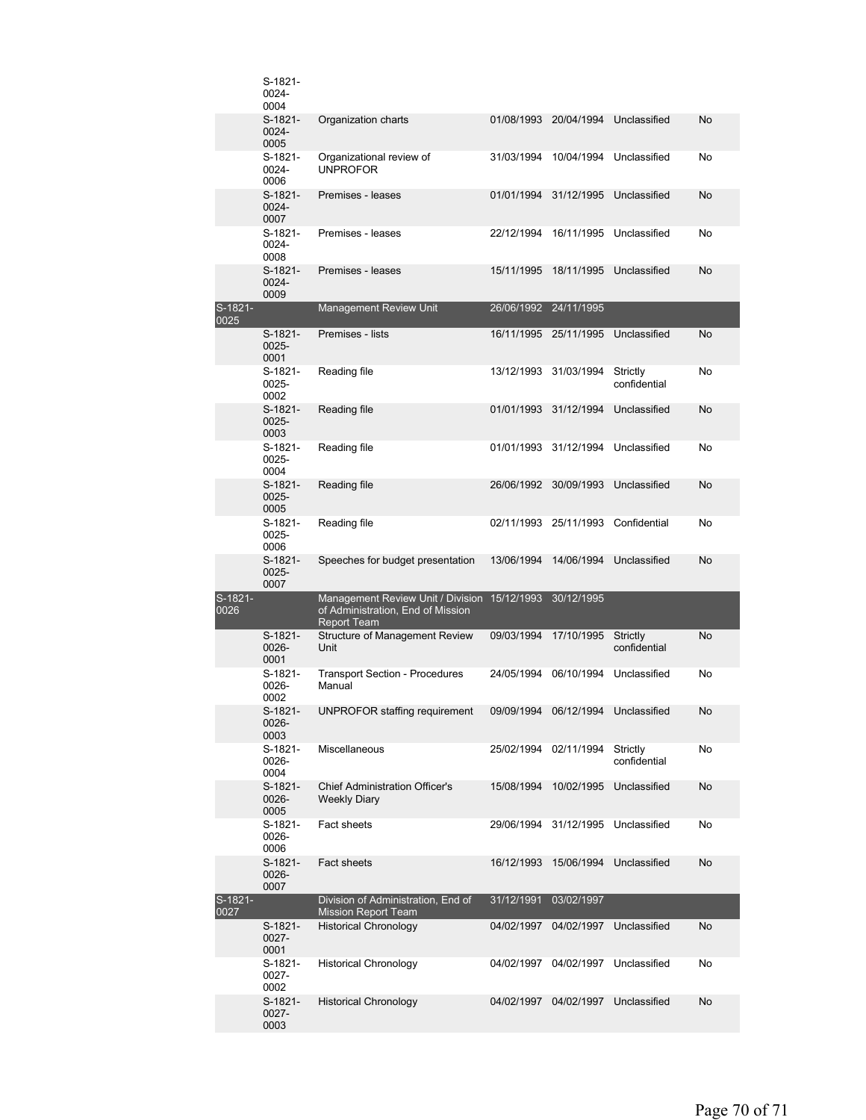|                 | S-1821-<br>0024-<br>0004    |                                                                                                         |            |                       |                          |           |
|-----------------|-----------------------------|---------------------------------------------------------------------------------------------------------|------------|-----------------------|--------------------------|-----------|
|                 | $S-1821-$<br>0024-<br>0005  | Organization charts                                                                                     | 01/08/1993 | 20/04/1994            | Unclassified             | No        |
|                 | S-1821-<br>0024-<br>0006    | Organizational review of<br><b>UNPROFOR</b>                                                             | 31/03/1994 | 10/04/1994            | Unclassified             | No        |
|                 | $S-1821-$<br>0024-<br>0007  | Premises - leases                                                                                       | 01/01/1994 | 31/12/1995            | Unclassified             | No        |
|                 | S-1821-<br>$0024 -$<br>0008 | Premises - leases                                                                                       | 22/12/1994 | 16/11/1995            | Unclassified             | No        |
|                 | $S-1821-$<br>0024-<br>0009  | Premises - leases                                                                                       | 15/11/1995 | 18/11/1995            | Unclassified             | No        |
| S-1821-<br>0025 |                             | <b>Management Review Unit</b>                                                                           |            | 26/06/1992 24/11/1995 |                          |           |
|                 | $S-1821-$<br>0025-<br>0001  | Premises - lists                                                                                        | 16/11/1995 | 25/11/1995            | Unclassified             | No        |
|                 | S-1821-<br>0025-<br>0002    | Reading file                                                                                            |            | 13/12/1993 31/03/1994 | Strictly<br>confidential | No        |
|                 | S-1821-<br>0025-<br>0003    | Reading file                                                                                            | 01/01/1993 | 31/12/1994            | Unclassified             | No        |
|                 | S-1821-<br>0025-<br>0004    | Reading file                                                                                            |            | 01/01/1993 31/12/1994 | Unclassified             | No        |
|                 | S-1821-<br>0025-<br>0005    | Reading file                                                                                            | 26/06/1992 | 30/09/1993            | Unclassified             | No        |
|                 | S-1821-<br>0025-<br>0006    | Reading file                                                                                            |            | 02/11/1993 25/11/1993 | Confidential             | No        |
|                 | S-1821-<br>0025-<br>0007    | Speeches for budget presentation                                                                        | 13/06/1994 | 14/06/1994            | Unclassified             | No        |
| S-1821-<br>0026 |                             | Management Review Unit / Division 15/12/1993<br>of Administration, End of Mission<br><b>Report Team</b> |            | 30/12/1995            |                          |           |
|                 | S-1821-<br>0026-<br>0001    | Structure of Management Review<br>Unit                                                                  | 09/03/1994 | 17/10/1995            | Strictly<br>confidential | <b>No</b> |
|                 | S-1821-<br>0026-<br>0002    | <b>Transport Section - Procedures</b><br>Manual                                                         | 24/05/1994 | 06/10/1994            | Unclassified             | No        |
|                 | S-1821-<br>0026-<br>0003    | UNPROFOR staffing requirement  09/09/1994  06/12/1994  Unclassified                                     |            |                       |                          | No        |
|                 | S-1821-<br>0026-<br>0004    | Miscellaneous                                                                                           |            | 25/02/1994 02/11/1994 | Strictly<br>confidential | No        |
|                 | S-1821-<br>0026-<br>0005    | <b>Chief Administration Officer's</b><br><b>Weekly Diary</b>                                            | 15/08/1994 | 10/02/1995            | Unclassified             | No        |
|                 | S-1821-<br>0026-<br>0006    | Fact sheets                                                                                             | 29/06/1994 | 31/12/1995            | Unclassified             | No        |
|                 | S-1821-<br>0026-<br>0007    | <b>Fact sheets</b>                                                                                      | 16/12/1993 | 15/06/1994            | Unclassified             | No        |
| S-1821-<br>0027 |                             | Division of Administration, End of<br><b>Mission Report Team</b>                                        | 31/12/1991 | 03/02/1997            |                          |           |
|                 | S-1821-<br>0027-<br>0001    | <b>Historical Chronology</b>                                                                            | 04/02/1997 | 04/02/1997            | Unclassified             | No        |
|                 | S-1821-<br>0027-<br>0002    | <b>Historical Chronology</b>                                                                            | 04/02/1997 | 04/02/1997            | Unclassified             | No        |
|                 | S-1821-<br>0027-<br>0003    | <b>Historical Chronology</b>                                                                            | 04/02/1997 | 04/02/1997            | Unclassified             | No        |